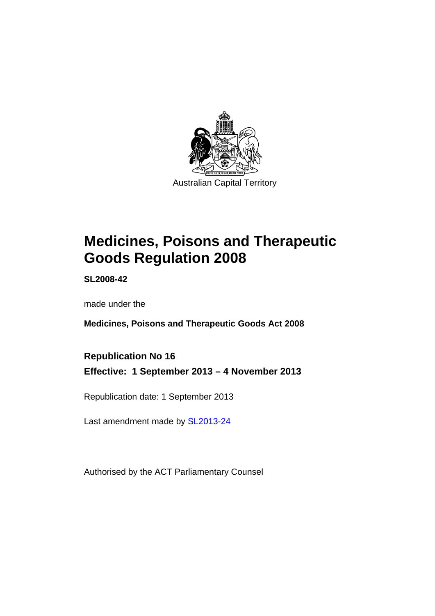

# **Medicines, Poisons and Therapeutic Goods Regulation 2008**

**SL2008-42** 

made under the

**Medicines, Poisons and Therapeutic Goods Act 2008** 

**Republication No 16 Effective: 1 September 2013 – 4 November 2013** 

Republication date: 1 September 2013

Last amendment made by [SL2013-24](http://www.legislation.act.gov.au/sl/2013-24)

Authorised by the ACT Parliamentary Counsel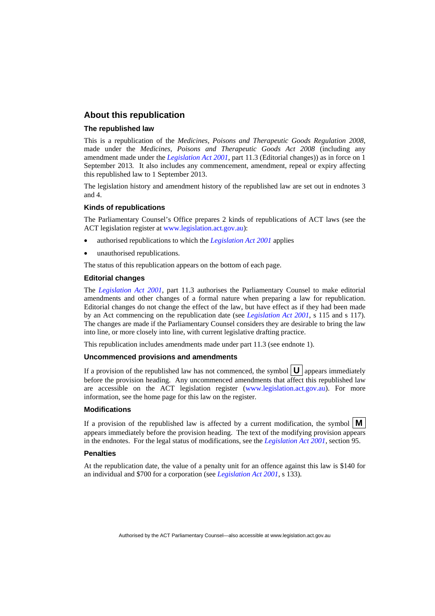### **About this republication**

#### **The republished law**

This is a republication of the *Medicines, Poisons and Therapeutic Goods Regulation 2008*, made under the *Medicines, Poisons and Therapeutic Goods Act 2008* (including any amendment made under the *[Legislation Act 2001](http://www.legislation.act.gov.au/a/2001-14)*, part 11.3 (Editorial changes)) as in force on 1 September 2013*.* It also includes any commencement, amendment, repeal or expiry affecting this republished law to 1 September 2013.

The legislation history and amendment history of the republished law are set out in endnotes 3 and 4.

#### **Kinds of republications**

The Parliamentary Counsel's Office prepares 2 kinds of republications of ACT laws (see the ACT legislation register at [www.legislation.act.gov.au](http://www.legislation.act.gov.au/)):

- authorised republications to which the *[Legislation Act 2001](http://www.legislation.act.gov.au/a/2001-14)* applies
- unauthorised republications.

The status of this republication appears on the bottom of each page.

#### **Editorial changes**

The *[Legislation Act 2001](http://www.legislation.act.gov.au/a/2001-14)*, part 11.3 authorises the Parliamentary Counsel to make editorial amendments and other changes of a formal nature when preparing a law for republication. Editorial changes do not change the effect of the law, but have effect as if they had been made by an Act commencing on the republication date (see *[Legislation Act 2001](http://www.legislation.act.gov.au/a/2001-14)*, s 115 and s 117). The changes are made if the Parliamentary Counsel considers they are desirable to bring the law into line, or more closely into line, with current legislative drafting practice.

This republication includes amendments made under part 11.3 (see endnote 1).

#### **Uncommenced provisions and amendments**

If a provision of the republished law has not commenced, the symbol  $\mathbf{U}$  appears immediately before the provision heading. Any uncommenced amendments that affect this republished law are accessible on the ACT legislation register [\(www.legislation.act.gov.au\)](http://www.legislation.act.gov.au/). For more information, see the home page for this law on the register.

#### **Modifications**

If a provision of the republished law is affected by a current modification, the symbol  $\mathbf{M}$ appears immediately before the provision heading. The text of the modifying provision appears in the endnotes. For the legal status of modifications, see the *[Legislation Act 2001](http://www.legislation.act.gov.au/a/2001-14)*, section 95.

#### **Penalties**

At the republication date, the value of a penalty unit for an offence against this law is \$140 for an individual and \$700 for a corporation (see *[Legislation Act 2001](http://www.legislation.act.gov.au/a/2001-14)*, s 133).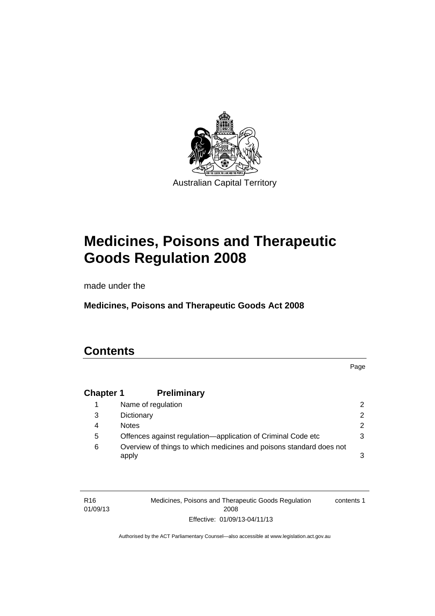

# **Medicines, Poisons and Therapeutic Goods Regulation 2008**

made under the

**Medicines, Poisons and Therapeutic Goods Act 2008** 

## **Contents**

Page

## **Chapter 1 [Preliminary](#page-25-0)**

|   | Name of regulation                                                           | $\mathcal{P}$ |
|---|------------------------------------------------------------------------------|---------------|
| 3 | Dictionary                                                                   | $\mathcal{P}$ |
| 4 | <b>Notes</b>                                                                 | 2.            |
| 5 | Offences against regulation—application of Criminal Code etc                 | 3             |
| 6 | Overview of things to which medicines and poisons standard does not<br>apply | 3             |

| R <sub>16</sub> | Medicines, Poisons and Therapeutic Goods Regulation | contents 1 |
|-----------------|-----------------------------------------------------|------------|
| 01/09/13        | 2008                                                |            |
|                 | Effective: 01/09/13-04/11/13                        |            |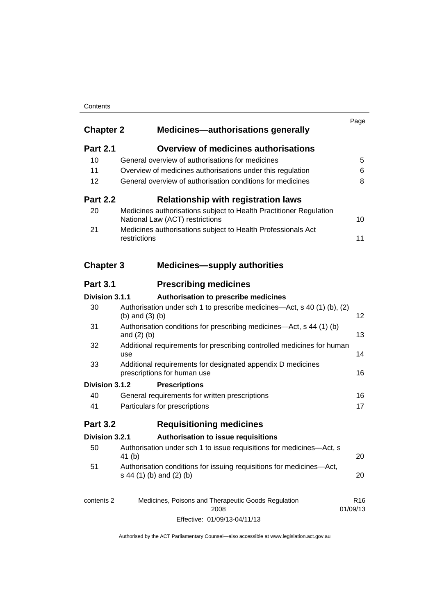### **Contents**

| <b>Chapter 2</b> | <b>Medicines-authorisations generally</b>                                                             | Page                        |
|------------------|-------------------------------------------------------------------------------------------------------|-----------------------------|
| <b>Part 2.1</b>  | <b>Overview of medicines authorisations</b>                                                           |                             |
| 10               | General overview of authorisations for medicines                                                      | 5                           |
| 11               | Overview of medicines authorisations under this regulation                                            | 6                           |
| 12               | General overview of authorisation conditions for medicines                                            | 8                           |
| <b>Part 2.2</b>  | <b>Relationship with registration laws</b>                                                            |                             |
| 20               | Medicines authorisations subject to Health Practitioner Regulation<br>National Law (ACT) restrictions | 10                          |
| 21               | Medicines authorisations subject to Health Professionals Act<br>restrictions                          | 11                          |
| <b>Chapter 3</b> | <b>Medicines-supply authorities</b>                                                                   |                             |
| <b>Part 3.1</b>  | <b>Prescribing medicines</b>                                                                          |                             |
| Division 3.1.1   | Authorisation to prescribe medicines                                                                  |                             |
| 30               | Authorisation under sch 1 to prescribe medicines—Act, s 40 (1) (b), (2)<br>(b) and $(3)$ (b)          | 12                          |
| 31               | Authorisation conditions for prescribing medicines—Act, s 44 (1) (b)<br>and $(2)$ $(b)$               | 13                          |
| 32               | Additional requirements for prescribing controlled medicines for human<br>use                         | 14                          |
| 33               | Additional requirements for designated appendix D medicines<br>prescriptions for human use            | 16                          |
| Division 3.1.2   | <b>Prescriptions</b>                                                                                  |                             |
| 40               | General requirements for written prescriptions                                                        | 16                          |
| 41               | Particulars for prescriptions                                                                         | 17                          |
| <b>Part 3.2</b>  | <b>Requisitioning medicines</b>                                                                       |                             |
| Division 3.2.1   | Authorisation to issue requisitions                                                                   |                             |
| 50               | Authorisation under sch 1 to issue requisitions for medicines-Act, s<br>41 (b)                        | 20                          |
| 51               | Authorisation conditions for issuing requisitions for medicines-Act,<br>s 44 (1) (b) and (2) (b)      | 20                          |
| contents 2       | Medicines, Poisons and Therapeutic Goods Regulation<br>2008                                           | R <sub>16</sub><br>01/09/13 |
|                  |                                                                                                       |                             |

Effective: 01/09/13-04/11/13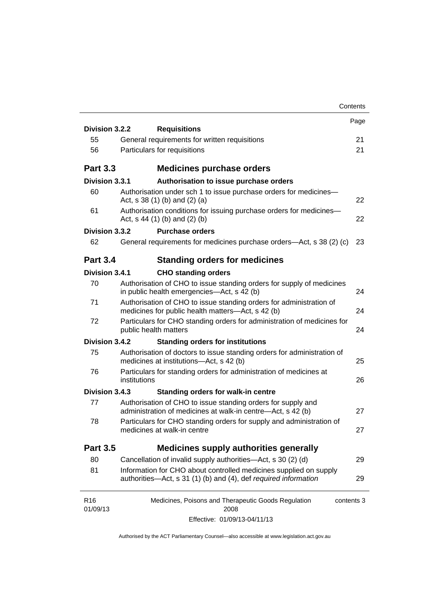|                             |                                                                                                                                      | Contents   |
|-----------------------------|--------------------------------------------------------------------------------------------------------------------------------------|------------|
| Division 3.2.2              |                                                                                                                                      | Page       |
| 55                          | <b>Requisitions</b><br>General requirements for written requisitions                                                                 | 21         |
| 56                          | Particulars for requisitions                                                                                                         | 21         |
|                             |                                                                                                                                      |            |
| <b>Part 3.3</b>             | <b>Medicines purchase orders</b>                                                                                                     |            |
| Division 3.3.1              | Authorisation to issue purchase orders                                                                                               |            |
| 60                          | Authorisation under sch 1 to issue purchase orders for medicines-<br>Act, $s$ 38 (1) (b) and (2) (a)                                 | 22         |
| 61                          | Authorisation conditions for issuing purchase orders for medicines-<br>Act, $s$ 44 (1) (b) and (2) (b)                               | 22         |
| Division 3.3.2              | <b>Purchase orders</b>                                                                                                               |            |
| 62                          | General requirements for medicines purchase orders—Act, s 38 (2) (c)                                                                 | 23         |
| <b>Part 3.4</b>             | <b>Standing orders for medicines</b>                                                                                                 |            |
| Division 3.4.1              | <b>CHO standing orders</b>                                                                                                           |            |
| 70                          | Authorisation of CHO to issue standing orders for supply of medicines<br>in public health emergencies—Act, s 42 (b)                  | 24         |
| 71                          | Authorisation of CHO to issue standing orders for administration of<br>medicines for public health matters-Act, s 42 (b)             | 24         |
| 72                          | Particulars for CHO standing orders for administration of medicines for<br>public health matters                                     | 24         |
| Division 3.4.2              | <b>Standing orders for institutions</b>                                                                                              |            |
| 75                          | Authorisation of doctors to issue standing orders for administration of<br>medicines at institutions-Act, s 42 (b)                   | 25         |
| 76                          | Particulars for standing orders for administration of medicines at<br>institutions                                                   | 26         |
| Division 3.4.3              | <b>Standing orders for walk-in centre</b>                                                                                            |            |
| 77                          | Authorisation of CHO to issue standing orders for supply and<br>administration of medicines at walk-in centre-Act, s 42 (b)          | 27         |
| 78                          | Particulars for CHO standing orders for supply and administration of<br>medicines at walk-in centre                                  | 27         |
| <b>Part 3.5</b>             | <b>Medicines supply authorities generally</b>                                                                                        |            |
| 80                          | Cancellation of invalid supply authorities—Act, s 30 (2) (d)                                                                         | 29         |
| 81                          | Information for CHO about controlled medicines supplied on supply<br>authorities-Act, s 31 (1) (b) and (4), def required information | 29         |
| R <sub>16</sub><br>01/09/13 | Medicines, Poisons and Therapeutic Goods Regulation<br>2008                                                                          | contents 3 |
|                             | Effective: 01/09/13-04/11/13                                                                                                         |            |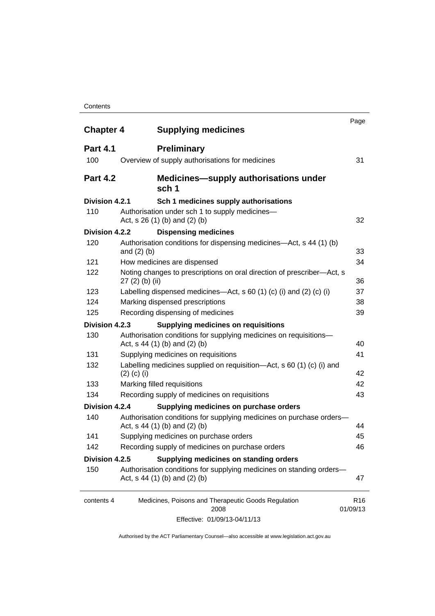#### **Contents**

| <b>Chapter 4</b> | <b>Supplying medicines</b>                                                                              | Page                        |
|------------------|---------------------------------------------------------------------------------------------------------|-----------------------------|
| <b>Part 4.1</b>  | <b>Preliminary</b>                                                                                      |                             |
| 100              | Overview of supply authorisations for medicines                                                         | 31                          |
| <b>Part 4.2</b>  | <b>Medicines—supply authorisations under</b><br>sch 1                                                   |                             |
| Division 4.2.1   | Sch 1 medicines supply authorisations                                                                   |                             |
| 110              | Authorisation under sch 1 to supply medicines-<br>Act, s 26 (1) (b) and (2) (b)                         | 32                          |
| Division 4.2.2   | <b>Dispensing medicines</b>                                                                             |                             |
| 120              | Authorisation conditions for dispensing medicines—Act, s 44 (1) (b)<br>and $(2)$ $(b)$                  | 33                          |
| 121              | How medicines are dispensed                                                                             | 34                          |
| 122              | Noting changes to prescriptions on oral direction of prescriber-Act, s<br>$27(2)$ (b) (ii)              | 36                          |
| 123              | Labelling dispensed medicines—Act, s 60 (1) (c) (i) and (2) (c) (i)                                     | 37                          |
| 124              | Marking dispensed prescriptions                                                                         | 38                          |
| 125              | Recording dispensing of medicines                                                                       | 39                          |
| Division 4.2.3   | <b>Supplying medicines on requisitions</b>                                                              |                             |
| 130              | Authorisation conditions for supplying medicines on requisitions-<br>Act, $s$ 44 (1) (b) and (2) (b)    | 40                          |
| 131              | Supplying medicines on requisitions                                                                     | 41                          |
| 132              | Labelling medicines supplied on requisition-Act, s 60 (1) (c) (i) and<br>$(2)$ (c) (i)                  | 42                          |
| 133              | Marking filled requisitions                                                                             | 42                          |
| 134              | Recording supply of medicines on requisitions                                                           | 43                          |
| Division 4.2.4   | Supplying medicines on purchase orders                                                                  |                             |
| 140              | Authorisation conditions for supplying medicines on purchase orders-<br>Act, $s$ 44 (1) (b) and (2) (b) | 44                          |
| 141              | Supplying medicines on purchase orders                                                                  | 45                          |
| 142              | Recording supply of medicines on purchase orders                                                        | 46                          |
| Division 4.2.5   | Supplying medicines on standing orders                                                                  |                             |
| 150              | Authorisation conditions for supplying medicines on standing orders-<br>Act, $s$ 44 (1) (b) and (2) (b) | 47                          |
| contents 4       | Medicines, Poisons and Therapeutic Goods Regulation<br>2008                                             | R <sub>16</sub><br>01/09/13 |
|                  | Effective: 01/09/13-04/11/13                                                                            |                             |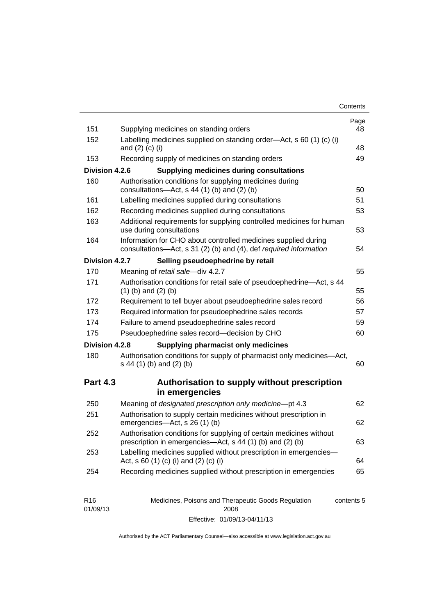| Contents |
|----------|
|----------|

| 151             | Supplying medicines on standing orders                                                                                              | Page<br>48 |
|-----------------|-------------------------------------------------------------------------------------------------------------------------------------|------------|
| 152             | Labelling medicines supplied on standing order-Act, s 60 (1) (c) (i)<br>and $(2)$ $(c)$ $(i)$                                       | 48         |
| 153             | Recording supply of medicines on standing orders                                                                                    | 49         |
| Division 4.2.6  | <b>Supplying medicines during consultations</b>                                                                                     |            |
| 160             | Authorisation conditions for supplying medicines during<br>consultations-Act, s 44 (1) (b) and (2) (b)                              | 50         |
| 161             | Labelling medicines supplied during consultations                                                                                   | 51         |
| 162             | Recording medicines supplied during consultations                                                                                   | 53         |
| 163             | Additional requirements for supplying controlled medicines for human<br>use during consultations                                    | 53         |
| 164             | Information for CHO about controlled medicines supplied during<br>consultations-Act, s 31 (2) (b) and (4), def required information | 54         |
| Division 4.2.7  | Selling pseudoephedrine by retail                                                                                                   |            |
| 170             | Meaning of retail sale-div 4.2.7                                                                                                    | 55         |
| 171             | Authorisation conditions for retail sale of pseudoephedrine-Act, s 44<br>$(1)$ (b) and $(2)$ (b)                                    | 55         |
| 172             | Requirement to tell buyer about pseudoephedrine sales record                                                                        | 56         |
| 173             | Required information for pseudoephedrine sales records                                                                              | 57         |
| 174             | Failure to amend pseudoephedrine sales record                                                                                       | 59         |
| 175             | Pseudoephedrine sales record-decision by CHO                                                                                        | 60         |
| Division 4.2.8  | <b>Supplying pharmacist only medicines</b>                                                                                          |            |
| 180             | Authorisation conditions for supply of pharmacist only medicines-Act,<br>s 44 (1) (b) and (2) (b)                                   | 60         |
| <b>Part 4.3</b> | Authorisation to supply without prescription<br>in emergencies                                                                      |            |
| 250             | Meaning of designated prescription only medicine-pt 4.3                                                                             | 62         |
|                 |                                                                                                                                     |            |
| 251             | Authorisation to supply certain medicines without prescription in<br>emergencies-Act, s 26 (1) (b)                                  | 62         |
| 252             | Authorisation conditions for supplying of certain medicines without<br>prescription in emergencies—Act, s 44 (1) (b) and (2) (b)    | 63         |
| 253             | Labelling medicines supplied without prescription in emergencies-<br>Act, s 60 (1) (c) (i) and (2) (c) (i)                          | 64         |

| R <sub>16</sub> | Medicines, Poisons and Therapeutic Goods Regulation | contents 5 |
|-----------------|-----------------------------------------------------|------------|
| 01/09/13        | 2008                                                |            |
|                 | Effective: 01/09/13-04/11/13                        |            |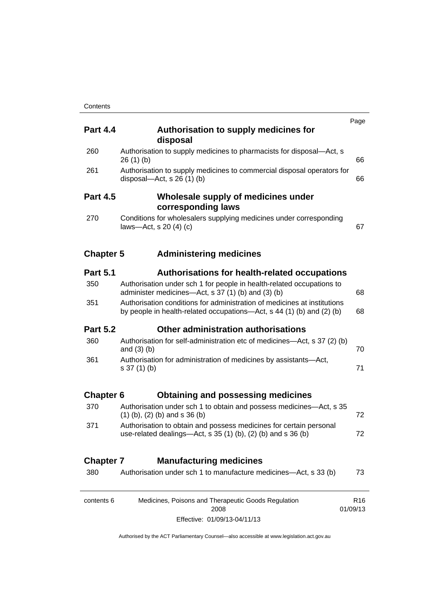| <b>Part 4.4</b>  | Authorisation to supply medicines for<br>disposal                                                                                                 | Page                        |
|------------------|---------------------------------------------------------------------------------------------------------------------------------------------------|-----------------------------|
| 260              | Authorisation to supply medicines to pharmacists for disposal-Act, s<br>26(1)(b)                                                                  | 66                          |
| 261              | Authorisation to supply medicines to commercial disposal operators for<br>disposal—Act, s $26(1)(b)$                                              | 66                          |
| <b>Part 4.5</b>  | Wholesale supply of medicines under<br>corresponding laws                                                                                         |                             |
| 270              | Conditions for wholesalers supplying medicines under corresponding<br>laws-Act, s $20(4)(c)$                                                      | 67                          |
| <b>Chapter 5</b> | <b>Administering medicines</b>                                                                                                                    |                             |
| <b>Part 5.1</b>  | <b>Authorisations for health-related occupations</b>                                                                                              |                             |
| 350              | Authorisation under sch 1 for people in health-related occupations to<br>administer medicines—Act, s 37 (1) (b) and (3) (b)                       | 68                          |
| 351              | Authorisation conditions for administration of medicines at institutions<br>by people in health-related occupations—Act, s 44 (1) (b) and (2) (b) | 68                          |
| <b>Part 5.2</b>  | Other administration authorisations                                                                                                               |                             |
| 360              | Authorisation for self-administration etc of medicines—Act, s 37 (2) (b)<br>and $(3)$ $(b)$                                                       | 70                          |
| 361              | Authorisation for administration of medicines by assistants-Act,<br>$s 37(1)$ (b)                                                                 | 71                          |
| <b>Chapter 6</b> | <b>Obtaining and possessing medicines</b>                                                                                                         |                             |
| 370              | Authorisation under sch 1 to obtain and possess medicines—Act, s 35<br>$(1)$ (b), (2) (b) and s 36 (b)                                            | 72                          |
| 371              | Authorisation to obtain and possess medicines for certain personal<br>use-related dealings-Act, s 35 (1) (b), (2) (b) and s 36 (b)                | 72                          |
| <b>Chapter 7</b> | <b>Manufacturing medicines</b>                                                                                                                    |                             |
| 380              | Authorisation under sch 1 to manufacture medicines-Act, s 33 (b)                                                                                  | 73                          |
| contents 6       | Medicines, Poisons and Therapeutic Goods Regulation<br>2008                                                                                       | R <sub>16</sub><br>01/09/13 |
|                  | Effective: 01/09/13-04/11/13                                                                                                                      |                             |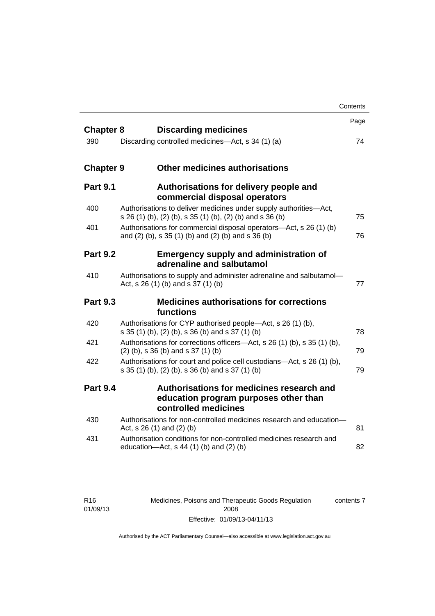|                  |                                                                                                                                | Contents |
|------------------|--------------------------------------------------------------------------------------------------------------------------------|----------|
| <b>Chapter 8</b> | <b>Discarding medicines</b>                                                                                                    | Page     |
| 390              | Discarding controlled medicines—Act, s 34 (1) (a)                                                                              | 74       |
| <b>Chapter 9</b> | <b>Other medicines authorisations</b>                                                                                          |          |
| <b>Part 9.1</b>  | Authorisations for delivery people and<br>commercial disposal operators                                                        |          |
| 400              | Authorisations to deliver medicines under supply authorities-Act,<br>s 26 (1) (b), (2) (b), s 35 (1) (b), (2) (b) and s 36 (b) | 75       |
| 401              | Authorisations for commercial disposal operators-Act, s 26 (1) (b)<br>and (2) (b), s 35 (1) (b) and (2) (b) and s 36 (b)       | 76       |
| <b>Part 9.2</b>  | <b>Emergency supply and administration of</b><br>adrenaline and salbutamol                                                     |          |
| 410              | Authorisations to supply and administer adrenaline and salbutamol-<br>Act, s 26 (1) (b) and s 37 (1) (b)                       | 77       |
| <b>Part 9.3</b>  | <b>Medicines authorisations for corrections</b><br>functions                                                                   |          |
| 420              | Authorisations for CYP authorised people—Act, s 26 (1) (b),<br>s 35 (1) (b), (2) (b), s 36 (b) and s 37 (1) (b)                | 78       |
| 421              | Authorisations for corrections officers-Act, s 26 (1) (b), s 35 (1) (b),<br>$(2)$ (b), s 36 (b) and s 37 (1) (b)               | 79       |
| 422              | Authorisations for court and police cell custodians-Act, s 26 (1) (b),<br>s 35 (1) (b), (2) (b), s 36 (b) and s 37 (1) (b)     | 79       |
| <b>Part 9.4</b>  | Authorisations for medicines research and<br>education program purposes other than<br>controlled medicines                     |          |
| 430              | Authorisations for non-controlled medicines research and education-<br>Act, $s$ 26 (1) and (2) (b)                             | 81       |
| 431              | Authorisation conditions for non-controlled medicines research and<br>education- $Act$ , s 44 (1) (b) and (2) (b)              | 82       |

Medicines, Poisons and Therapeutic Goods Regulation 2008 Effective: 01/09/13-04/11/13 contents 7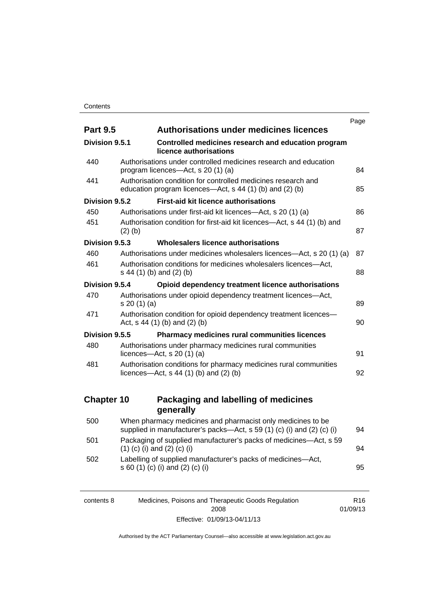|                       |                                                                                                                                       | Page |
|-----------------------|---------------------------------------------------------------------------------------------------------------------------------------|------|
| <b>Part 9.5</b>       | <b>Authorisations under medicines licences</b>                                                                                        |      |
| <b>Division 9.5.1</b> | Controlled medicines research and education program<br>licence authorisations                                                         |      |
| 440                   | Authorisations under controlled medicines research and education<br>program licences—Act, s 20 (1) (a)                                | 84   |
| 441                   | Authorisation condition for controlled medicines research and<br>education program licences—Act, s 44 (1) (b) and (2) (b)             | 85   |
| Division 9.5.2        | <b>First-aid kit licence authorisations</b>                                                                                           |      |
| 450                   | Authorisations under first-aid kit licences—Act, s 20 (1) (a)                                                                         | 86   |
| 451                   | Authorisation condition for first-aid kit licences—Act, s 44 (1) (b) and<br>$(2)$ (b)                                                 | 87   |
| Division 9.5.3        | Wholesalers licence authorisations                                                                                                    |      |
| 460                   | Authorisations under medicines wholesalers licences—Act, s 20 (1) (a)                                                                 | 87   |
| 461                   | Authorisation conditions for medicines wholesalers licences-Act,<br>s 44 (1) (b) and (2) (b)                                          | 88   |
| Division 9.5.4        | Opioid dependency treatment licence authorisations                                                                                    |      |
| 470                   | Authorisations under opioid dependency treatment licences-Act,<br>s 20(1)(a)                                                          | 89   |
| 471                   | Authorisation condition for opioid dependency treatment licences-<br>Act, $s$ 44 (1) (b) and (2) (b)                                  | 90   |
| Division 9.5.5        | Pharmacy medicines rural communities licences                                                                                         |      |
| 480                   | Authorisations under pharmacy medicines rural communities<br>licences- $-\text{Act}$ , s 20 (1) (a)                                   | 91   |
| 481                   | Authorisation conditions for pharmacy medicines rural communities<br>licences—Act, $s$ 44 (1) (b) and (2) (b)                         | 92   |
| <b>Chapter 10</b>     | Packaging and labelling of medicines                                                                                                  |      |
|                       | generally                                                                                                                             |      |
| 500                   | When pharmacy medicines and pharmacist only medicines to be<br>supplied in manufacturer's packs-Act, s 59 (1) (c) (i) and (2) (c) (i) | 94   |
| 501                   | Packaging of supplied manufacturer's packs of medicines-Act, s 59<br>$(1)$ (c) (i) and (2) (c) (i)                                    | 94   |
| 502                   | Labelling of supplied manufacturer's packs of medicines-Act,<br>s 60 (1) (c) (i) and (2) (c) (i)                                      | 95   |

| contents 8 | Medicines, Poisons and Therapeutic Goods Regulation | R16      |
|------------|-----------------------------------------------------|----------|
|            | 2008                                                | 01/09/13 |
|            | Effective: 01/09/13-04/11/13                        |          |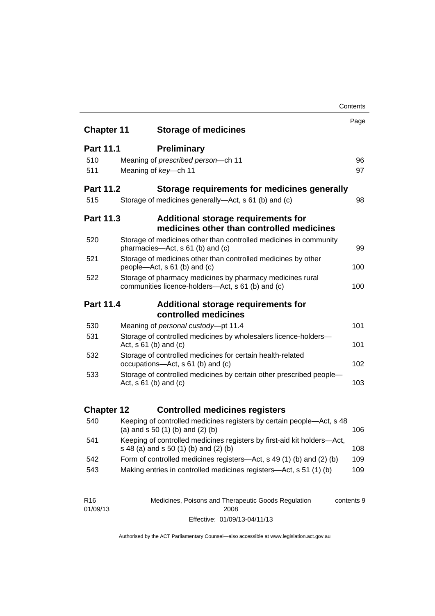|                   |                                                                                                                  | Contents |
|-------------------|------------------------------------------------------------------------------------------------------------------|----------|
| <b>Chapter 11</b> | <b>Storage of medicines</b>                                                                                      | Page     |
|                   |                                                                                                                  |          |
| <b>Part 11.1</b>  | <b>Preliminary</b>                                                                                               |          |
| 510               | Meaning of prescribed person-ch 11                                                                               | 96       |
| 511               | Meaning of key-ch 11                                                                                             | 97       |
| <b>Part 11.2</b>  | Storage requirements for medicines generally                                                                     |          |
| 515               | Storage of medicines generally—Act, s 61 (b) and (c)                                                             | 98       |
| <b>Part 11.3</b>  | <b>Additional storage requirements for</b><br>medicines other than controlled medicines                          |          |
| 520               | Storage of medicines other than controlled medicines in community<br>pharmacies-Act, s 61 (b) and (c)            | 99       |
| 521               | Storage of medicines other than controlled medicines by other<br>people—Act, s 61 (b) and (c)                    | 100      |
| 522               | Storage of pharmacy medicines by pharmacy medicines rural<br>communities licence-holders—Act, s 61 (b) and (c)   |          |
| Part 11.4         | Additional storage requirements for                                                                              |          |
|                   | controlled medicines                                                                                             |          |
| 530               | Meaning of personal custody-pt 11.4                                                                              | 101      |
| 531               | Storage of controlled medicines by wholesalers licence-holders-<br>Act, $s \ 61$ (b) and (c)                     | 101      |
| 532               | Storage of controlled medicines for certain health-related<br>occupations-Act, s 61 (b) and (c)                  |          |
| 533               | Storage of controlled medicines by certain other prescribed people-<br>Act, $s 61$ (b) and (c)                   | 103      |
| <b>Chapter 12</b> | <b>Controlled medicines registers</b>                                                                            |          |
| 540               | Keeping of controlled medicines registers by certain people-Act, s 48<br>(a) and $s$ 50 (1) (b) and (2) (b)      | 106      |
| 541               | Keeping of controlled medicines registers by first-aid kit holders-Act,<br>s 48 (a) and s 50 (1) (b) and (2) (b) | 108      |
| 542               | Form of controlled medicines registers—Act, s 49 (1) (b) and (2) (b)                                             | 109      |
| 543               | Making entries in controlled medicines registers-Act, s 51 (1) (b)                                               | 109      |
|                   |                                                                                                                  |          |

| R <sub>16</sub> | Medicines, Poisons and Therapeutic Goods Regulation | contents 9 |
|-----------------|-----------------------------------------------------|------------|
| 01/09/13        | 2008                                                |            |
|                 | Effective: 01/09/13-04/11/13                        |            |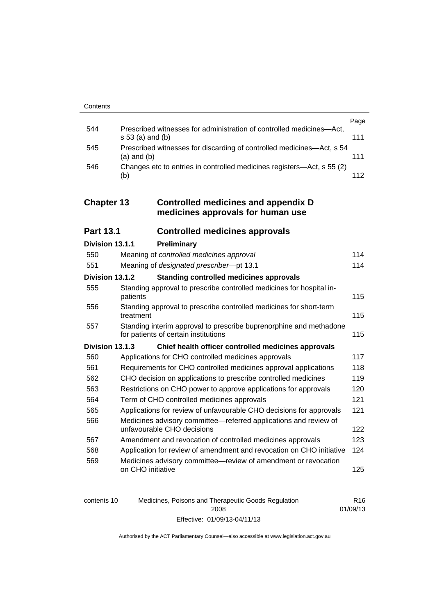|     |                                                                                            | Page |
|-----|--------------------------------------------------------------------------------------------|------|
| 544 | Prescribed witnesses for administration of controlled medicines-Act,<br>$s 53$ (a) and (b) | 111  |
| 545 | Prescribed witnesses for discarding of controlled medicines—Act, s 54<br>$(a)$ and $(b)$   | 111  |
| 546 | Changes etc to entries in controlled medicines registers—Act, s 55 (2)<br>(b)              | 112  |

### **Chapter 13 [Controlled medicines and appendix D](#page-137-0)  [medicines approvals for human use](#page-137-0)**

| <b>Part 13.1</b> | <b>Controlled medicines approvals</b> |  |
|------------------|---------------------------------------|--|
|------------------|---------------------------------------|--|

| Division 13.1.1 |                   | Preliminary                                                                                                |     |
|-----------------|-------------------|------------------------------------------------------------------------------------------------------------|-----|
| 550             |                   | Meaning of controlled medicines approval                                                                   | 114 |
| 551             |                   | Meaning of designated prescriber-pt 13.1                                                                   | 114 |
| Division 13.1.2 |                   | <b>Standing controlled medicines approvals</b>                                                             |     |
| 555             | patients          | Standing approval to prescribe controlled medicines for hospital in-                                       | 115 |
| 556             | treatment         | Standing approval to prescribe controlled medicines for short-term                                         | 115 |
| 557             |                   | Standing interim approval to prescribe buprenorphine and methadone<br>for patients of certain institutions | 115 |
| Division 13.1.3 |                   | Chief health officer controlled medicines approvals                                                        |     |
| 560             |                   | Applications for CHO controlled medicines approvals                                                        | 117 |
| 561             |                   | Requirements for CHO controlled medicines approval applications                                            | 118 |
| 562             |                   | CHO decision on applications to prescribe controlled medicines                                             | 119 |
| 563             |                   | Restrictions on CHO power to approve applications for approvals                                            | 120 |
| 564             |                   | Term of CHO controlled medicines approvals                                                                 | 121 |
| 565             |                   | Applications for review of unfavourable CHO decisions for approvals                                        | 121 |
| 566             |                   | Medicines advisory committee—referred applications and review of<br>unfavourable CHO decisions             | 122 |
| 567             |                   | Amendment and revocation of controlled medicines approvals                                                 | 123 |
| 568             |                   | Application for review of amendment and revocation on CHO initiative                                       | 124 |
| 569             | on CHO initiative | Medicines advisory committee—review of amendment or revocation                                             | 125 |

| contents 10 | Medicines, Poisons and Therapeutic Goods Regulation | R16      |
|-------------|-----------------------------------------------------|----------|
|             | 2008                                                | 01/09/13 |
|             | Effective: 01/09/13-04/11/13                        |          |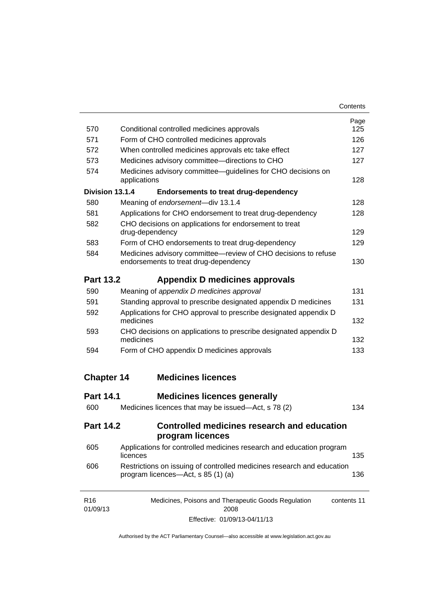| Contents |
|----------|
|----------|

| 570                         | Conditional controlled medicines approvals                                                                   | Page<br>125 |  |  |
|-----------------------------|--------------------------------------------------------------------------------------------------------------|-------------|--|--|
| 571                         | Form of CHO controlled medicines approvals                                                                   | 126         |  |  |
| 572                         | When controlled medicines approvals etc take effect                                                          | 127         |  |  |
| 573                         | Medicines advisory committee-directions to CHO                                                               |             |  |  |
| 574                         | Medicines advisory committee—guidelines for CHO decisions on<br>applications                                 | 127<br>128  |  |  |
| Division 13.1.4             | <b>Endorsements to treat drug-dependency</b>                                                                 |             |  |  |
| 580                         | Meaning of endorsement-div 13.1.4                                                                            | 128         |  |  |
| 581                         | Applications for CHO endorsement to treat drug-dependency                                                    | 128         |  |  |
| 582                         | CHO decisions on applications for endorsement to treat<br>drug-dependency                                    |             |  |  |
| 583                         | Form of CHO endorsements to treat drug-dependency                                                            | 129         |  |  |
| 584                         | Medicines advisory committee-review of CHO decisions to refuse<br>endorsements to treat drug-dependency      | 130         |  |  |
| <b>Part 13.2</b>            | Appendix D medicines approvals                                                                               |             |  |  |
| 590                         | Meaning of appendix D medicines approval                                                                     | 131         |  |  |
| 591                         | Standing approval to prescribe designated appendix D medicines                                               | 131         |  |  |
| 592                         | Applications for CHO approval to prescribe designated appendix D<br>medicines                                | 132         |  |  |
| 593                         | CHO decisions on applications to prescribe designated appendix D<br>medicines                                | 132         |  |  |
| 594                         | Form of CHO appendix D medicines approvals                                                                   | 133         |  |  |
| <b>Chapter 14</b>           | <b>Medicines licences</b>                                                                                    |             |  |  |
| <b>Part 14.1</b>            | <b>Medicines licences generally</b>                                                                          |             |  |  |
| 600                         | Medicines licences that may be issued—Act, s 78 (2)                                                          | 134         |  |  |
| <b>Part 14.2</b>            | Controlled medicines research and education<br>program licences                                              |             |  |  |
| 605                         | Applications for controlled medicines research and education program<br>licences                             | 135         |  |  |
| 606                         | Restrictions on issuing of controlled medicines research and education<br>program licences—Act, s 85 (1) (a) | 136         |  |  |
| R <sub>16</sub><br>01/09/13 | Medicines, Poisons and Therapeutic Goods Regulation<br>2008                                                  | contents 11 |  |  |

Effective: 01/09/13-04/11/13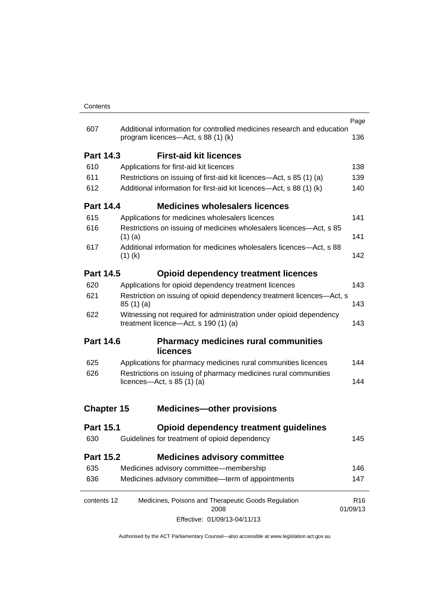|                   |                                                                                                            |                                                                                                              | Page                        |
|-------------------|------------------------------------------------------------------------------------------------------------|--------------------------------------------------------------------------------------------------------------|-----------------------------|
| 607               |                                                                                                            | Additional information for controlled medicines research and education<br>program licences—Act, s 88 (1) (k) | 136                         |
| <b>Part 14.3</b>  |                                                                                                            | <b>First-aid kit licences</b>                                                                                |                             |
| 610               | Applications for first-aid kit licences                                                                    |                                                                                                              | 138                         |
| 611               |                                                                                                            | Restrictions on issuing of first-aid kit licences—Act, s 85 (1) (a)                                          | 139                         |
| 612               |                                                                                                            | Additional information for first-aid kit licences—Act, s 88 (1) (k)                                          | 140                         |
| <b>Part 14.4</b>  |                                                                                                            | <b>Medicines wholesalers licences</b>                                                                        |                             |
| 615               |                                                                                                            | Applications for medicines wholesalers licences                                                              | 141                         |
| 616               | $(1)$ (a)                                                                                                  | Restrictions on issuing of medicines wholesalers licences—Act, s 85                                          | 141                         |
| 617               | $(1)$ (k)                                                                                                  | Additional information for medicines wholesalers licences—Act, s 88                                          | 142                         |
| <b>Part 14.5</b>  |                                                                                                            | <b>Opioid dependency treatment licences</b>                                                                  |                             |
| 620               |                                                                                                            | Applications for opioid dependency treatment licences                                                        | 143                         |
| 621               | Restriction on issuing of opioid dependency treatment licences-Act, s<br>85(1)(a)                          |                                                                                                              | 143                         |
| 622               | Witnessing not required for administration under opioid dependency<br>treatment licence-Act, s 190 (1) (a) |                                                                                                              | 143                         |
| <b>Part 14.6</b>  |                                                                                                            | <b>Pharmacy medicines rural communities</b><br><b>licences</b>                                               |                             |
| 625               |                                                                                                            | Applications for pharmacy medicines rural communities licences                                               | 144                         |
| 626               | Restrictions on issuing of pharmacy medicines rural communities<br>licences- $-\text{Act}, s 85 (1) (a)$   |                                                                                                              | 144                         |
| <b>Chapter 15</b> |                                                                                                            | <b>Medicines-other provisions</b>                                                                            |                             |
| <b>Part 15.1</b>  |                                                                                                            | <b>Opioid dependency treatment guidelines</b>                                                                |                             |
| 630               |                                                                                                            | Guidelines for treatment of opioid dependency                                                                | 145                         |
| Part 15.2         |                                                                                                            | <b>Medicines advisory committee</b>                                                                          |                             |
| 635               |                                                                                                            | Medicines advisory committee-membership                                                                      | 146                         |
| 636               |                                                                                                            | Medicines advisory committee-term of appointments                                                            | 147                         |
| contents 12       |                                                                                                            | Medicines, Poisons and Therapeutic Goods Regulation<br>2008                                                  | R <sub>16</sub><br>01/09/13 |
|                   |                                                                                                            | Effective: 01/09/13-04/11/13                                                                                 |                             |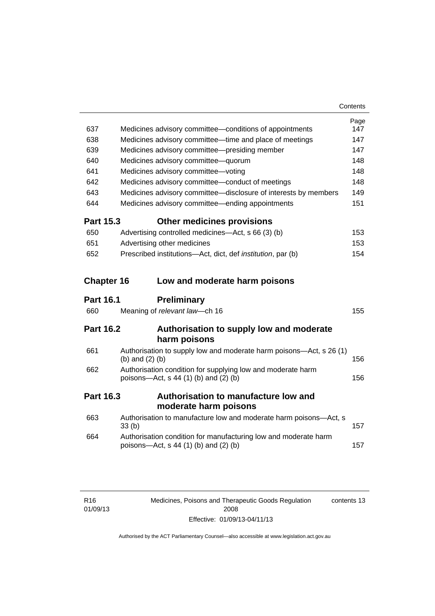| 637              | Medicines advisory committee-conditions of appointments                                                    | Page<br>147 |
|------------------|------------------------------------------------------------------------------------------------------------|-------------|
| 638              | Medicines advisory committee—time and place of meetings                                                    | 147         |
| 639              | Medicines advisory committee-presiding member                                                              | 147         |
| 640              | Medicines advisory committee-quorum                                                                        | 148         |
| 641              | Medicines advisory committee-voting                                                                        | 148         |
| 642              | Medicines advisory committee-conduct of meetings                                                           | 148         |
| 643              | Medicines advisory committee-disclosure of interests by members                                            | 149         |
| 644              | Medicines advisory committee—ending appointments                                                           | 151         |
| <b>Part 15.3</b> | <b>Other medicines provisions</b>                                                                          |             |
| 650              | Advertising controlled medicines—Act, s 66 (3) (b)                                                         | 153         |
| 651              | Advertising other medicines                                                                                | 153         |
| 652              | Prescribed institutions-Act, dict, def institution, par (b)                                                | 154         |
|                  | <b>Chapter 16</b><br>Low and moderate harm poisons                                                         |             |
|                  |                                                                                                            |             |
| <b>Part 16.1</b> | <b>Preliminary</b>                                                                                         |             |
| 660              | Meaning of relevant law-ch 16                                                                              | 155         |
| <b>Part 16.2</b> | Authorisation to supply low and moderate                                                                   |             |
|                  | harm poisons                                                                                               |             |
| 661              | Authorisation to supply low and moderate harm poisons—Act, s 26 (1)<br>(b) and $(2)$ (b)                   | 156         |
| 662              | Authorisation condition for supplying low and moderate harm<br>poisons-Act, s 44 (1) (b) and (2) (b)       | 156         |
| <b>Part 16.3</b> | Authorisation to manufacture low and                                                                       |             |
|                  | moderate harm poisons                                                                                      |             |
| 663              | Authorisation to manufacture low and moderate harm poisons-Act, s<br>33 <sub>(b)</sub>                     | 157         |
| 664              | Authorisation condition for manufacturing low and moderate harm<br>poisons-Act, $s$ 44 (1) (b) and (2) (b) | 157         |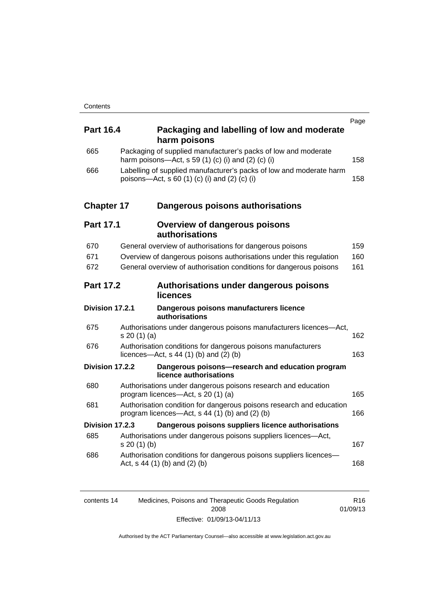| <b>Part 16.4</b>  | Packaging and labelling of low and moderate<br>harm poisons                                                              | Page |
|-------------------|--------------------------------------------------------------------------------------------------------------------------|------|
| 665               | Packaging of supplied manufacturer's packs of low and moderate<br>harm poisons—Act, s 59 (1) (c) (i) and (2) (c) (i)     | 158  |
| 666               | Labelling of supplied manufacturer's packs of low and moderate harm<br>poisons—Act, s 60 (1) (c) (i) and (2) (c) (i)     | 158  |
| <b>Chapter 17</b> | Dangerous poisons authorisations                                                                                         |      |
| <b>Part 17.1</b>  | <b>Overview of dangerous poisons</b><br>authorisations                                                                   |      |
| 670               | General overview of authorisations for dangerous poisons                                                                 | 159  |
| 671               | Overview of dangerous poisons authorisations under this regulation                                                       | 160  |
| 672               | General overview of authorisation conditions for dangerous poisons                                                       | 161  |
| <b>Part 17.2</b>  | Authorisations under dangerous poisons<br>licences                                                                       |      |
| Division 17.2.1   | Dangerous poisons manufacturers licence<br>authorisations                                                                |      |
| 675               | Authorisations under dangerous poisons manufacturers licences-Act,<br>s 20 (1) (a)                                       | 162  |
| 676               | Authorisation conditions for dangerous poisons manufacturers<br>licences—Act, $s$ 44 (1) (b) and (2) (b)                 | 163  |
| Division 17.2.2   | Dangerous poisons-research and education program<br>licence authorisations                                               |      |
| 680               | Authorisations under dangerous poisons research and education<br>program licences-Act, s 20 (1) (a)                      | 165  |
| 681               | Authorisation condition for dangerous poisons research and education<br>program licences—Act, $s$ 44 (1) (b) and (2) (b) | 166  |
| Division 17.2.3   | Dangerous poisons suppliers licence authorisations                                                                       |      |
| 685               | Authorisations under dangerous poisons suppliers licences—Act,<br>s 20(1)(b)                                             | 167  |
| 686               | Authorisation conditions for dangerous poisons suppliers licences-<br>Act, $s$ 44 (1) (b) and (2) (b)                    | 168  |
|                   |                                                                                                                          |      |

| contents 14 | Medicines, Poisons and Therapeutic Goods Regulation | R16      |
|-------------|-----------------------------------------------------|----------|
|             | 2008                                                | 01/09/13 |
|             | Effective: 01/09/13-04/11/13                        |          |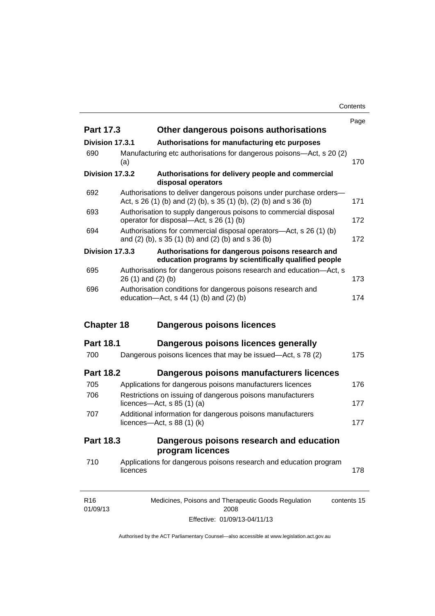**Contents** 

|                   |          |                                                                                                                                         | Page |
|-------------------|----------|-----------------------------------------------------------------------------------------------------------------------------------------|------|
| <b>Part 17.3</b>  |          | Other dangerous poisons authorisations                                                                                                  |      |
| Division 17.3.1   |          | Authorisations for manufacturing etc purposes                                                                                           |      |
| 690               | (a)      | Manufacturing etc authorisations for dangerous poisons—Act, s 20 (2)                                                                    | 170  |
| Division 17.3.2   |          | Authorisations for delivery people and commercial<br>disposal operators                                                                 |      |
| 692               |          | Authorisations to deliver dangerous poisons under purchase orders-<br>Act, s 26 (1) (b) and (2) (b), s 35 (1) (b), (2) (b) and s 36 (b) | 171  |
| 693               |          | Authorisation to supply dangerous poisons to commercial disposal<br>operator for disposal—Act, s 26 (1) (b)                             | 172  |
| 694               |          | Authorisations for commercial disposal operators—Act, s 26 (1) (b)<br>and (2) (b), s 35 (1) (b) and (2) (b) and s 36 (b)                | 172  |
| Division 17.3.3   |          | Authorisations for dangerous poisons research and<br>education programs by scientifically qualified people                              |      |
| 695               |          | Authorisations for dangerous poisons research and education-Act, s<br>$26(1)$ and $(2)(b)$                                              | 173  |
| 696               |          | Authorisation conditions for dangerous poisons research and<br>education- $Act$ , s 44 (1) (b) and (2) (b)                              | 174  |
|                   |          |                                                                                                                                         |      |
| <b>Chapter 18</b> |          | Dangerous poisons licences                                                                                                              |      |
| <b>Part 18.1</b>  |          | Dangerous poisons licences generally                                                                                                    |      |
| 700               |          | Dangerous poisons licences that may be issued-Act, s 78 (2)                                                                             | 175  |
| <b>Part 18.2</b>  |          | Dangerous poisons manufacturers licences                                                                                                |      |
| 705               |          | Applications for dangerous poisons manufacturers licences                                                                               | 176  |
| 706               |          | Restrictions on issuing of dangerous poisons manufacturers<br>licences- $-\text{Act}, s 85 (1) (a)$                                     | 177  |
| 707               |          | Additional information for dangerous poisons manufacturers<br>licences—Act, $s$ 88 (1) (k)                                              | 177  |
| Part 18.3         |          | Dangerous poisons research and education                                                                                                |      |
|                   |          | program licences                                                                                                                        |      |
| 710               | licences | Applications for dangerous poisons research and education program                                                                       | 178  |

Effective: 01/09/13-04/11/13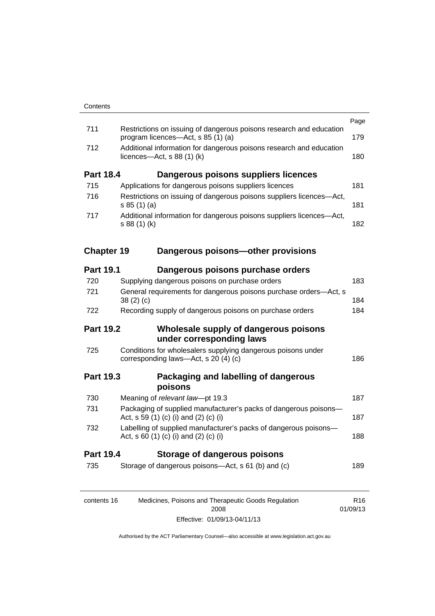|                   |                                                                                                              | Page            |
|-------------------|--------------------------------------------------------------------------------------------------------------|-----------------|
| 711               | Restrictions on issuing of dangerous poisons research and education<br>program licences—Act, s 85 (1) (a)    | 179             |
| 712               | Additional information for dangerous poisons research and education<br>licences- $-\text{Act}, s 88 (1) (k)$ | 180             |
| <b>Part 18.4</b>  | Dangerous poisons suppliers licences                                                                         |                 |
| 715               | Applications for dangerous poisons suppliers licences                                                        | 181             |
| 716               | Restrictions on issuing of dangerous poisons suppliers licences—Act,<br>s 85(1)(a)                           | 181             |
| 717               | Additional information for dangerous poisons suppliers licences-Act,<br>s 88 (1) (k)                         | 182             |
| <b>Chapter 19</b> | Dangerous poisons-other provisions                                                                           |                 |
| <b>Part 19.1</b>  | Dangerous poisons purchase orders                                                                            |                 |
| 720               | Supplying dangerous poisons on purchase orders                                                               | 183             |
| 721               | General requirements for dangerous poisons purchase orders-Act, s<br>38(2)(c)                                | 184             |
| 722               | Recording supply of dangerous poisons on purchase orders                                                     | 184             |
| <b>Part 19.2</b>  | Wholesale supply of dangerous poisons<br>under corresponding laws                                            |                 |
| 725               | Conditions for wholesalers supplying dangerous poisons under<br>corresponding laws-Act, s 20 (4) (c)         | 186             |
| <b>Part 19.3</b>  | Packaging and labelling of dangerous<br>poisons                                                              |                 |
| 730               | Meaning of relevant law-pt 19.3                                                                              | 187             |
| 731               | Packaging of supplied manufacturer's packs of dangerous poisons-<br>Act, s 59 (1) (c) (i) and (2) (c) (i)    | 187             |
| 732               | Labelling of supplied manufacturer's packs of dangerous poisons-<br>Act, s 60 (1) (c) (i) and (2) (c) (i)    | 188             |
| <b>Part 19.4</b>  | <b>Storage of dangerous poisons</b>                                                                          |                 |
| 735               | Storage of dangerous poisons-Act, s 61 (b) and (c)                                                           | 189             |
| contents 16       | Medicines, Poisons and Therapeutic Goods Regulation                                                          | R <sub>16</sub> |

01/09/13

Effective: 01/09/13-04/11/13

2008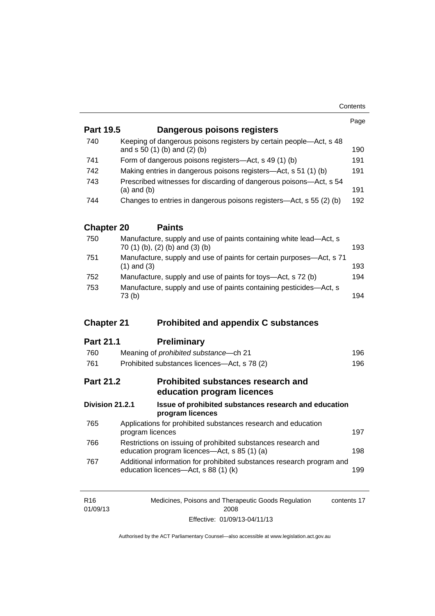| <b>Part 19.5</b>  | Dangerous poisons registers                                                                                   | Page |
|-------------------|---------------------------------------------------------------------------------------------------------------|------|
|                   |                                                                                                               |      |
| 740               | Keeping of dangerous poisons registers by certain people-Act, s 48<br>and s 50 (1) (b) and (2) (b)            | 190  |
| 741               | Form of dangerous poisons registers—Act, s 49 (1) (b)                                                         | 191  |
| 742               | Making entries in dangerous poisons registers—Act, s 51 (1) (b)                                               | 191  |
| 743               | Prescribed witnesses for discarding of dangerous poisons—Act, s 54<br>$(a)$ and $(b)$                         | 191  |
| 744               | Changes to entries in dangerous poisons registers—Act, s 55 (2) (b)                                           | 192  |
| <b>Chapter 20</b> | <b>Paints</b>                                                                                                 |      |
| 750               | Manufacture, supply and use of paints containing white lead-Act, s<br>70 (1) (b), (2) (b) and (3) (b)         | 193  |
| 751               | Manufacture, supply and use of paints for certain purposes-Act, s 71<br>$(1)$ and $(3)$                       | 193  |
| 752               | Manufacture, supply and use of paints for toys—Act, s 72 (b)                                                  | 194  |
| 753               | Manufacture, supply and use of paints containing pesticides-Act, s<br>73(b)                                   | 194  |
|                   |                                                                                                               |      |
| <b>Chapter 21</b> | <b>Prohibited and appendix C substances</b>                                                                   |      |
| <b>Part 21.1</b>  | <b>Preliminary</b>                                                                                            |      |
| 760               | Meaning of prohibited substance-ch 21                                                                         | 196  |
| 761               | Prohibited substances licences—Act, s 78 (2)                                                                  | 196  |
| <b>Part 21.2</b>  | <b>Prohibited substances research and</b><br>education program licences                                       |      |
| Division 21.2.1   | Issue of prohibited substances research and education<br>program licences                                     |      |
| 765               | Applications for prohibited substances research and education<br>program licences                             | 197  |
| 766               | Restrictions on issuing of prohibited substances research and<br>education program licences—Act, s 85 (1) (a) | 198  |
| 767               | Additional information for prohibited substances research program and<br>education licences-Act, s 88 (1) (k) | 199  |

| R <sub>16</sub> | Medicines, Poisons and Therapeutic Goods Regulation | contents 17 |
|-----------------|-----------------------------------------------------|-------------|
| 01/09/13        | 2008                                                |             |
|                 | Effective: 01/09/13-04/11/13                        |             |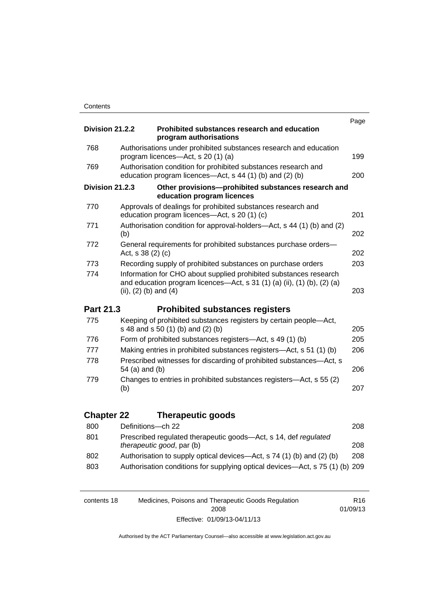|                   |                                                                                                                                                                           | Page |
|-------------------|---------------------------------------------------------------------------------------------------------------------------------------------------------------------------|------|
| Division 21.2.2   | Prohibited substances research and education<br>program authorisations                                                                                                    |      |
| 768               | Authorisations under prohibited substances research and education<br>program licences—Act, s 20 (1) (a)                                                                   | 199  |
| 769               | Authorisation condition for prohibited substances research and<br>education program licences—Act, s 44 (1) (b) and (2) (b)                                                | 200  |
| Division 21.2.3   | Other provisions-prohibited substances research and<br>education program licences                                                                                         |      |
| 770               | Approvals of dealings for prohibited substances research and<br>education program licences-Act, s 20 (1) (c)                                                              | 201  |
| 771               | Authorisation condition for approval-holders—Act, s 44 (1) (b) and (2)<br>(b)                                                                                             | 202  |
| 772               | General requirements for prohibited substances purchase orders-<br>Act, s 38 (2) (c)                                                                                      | 202  |
| 773               | Recording supply of prohibited substances on purchase orders                                                                                                              | 203  |
| 774               | Information for CHO about supplied prohibited substances research<br>and education program licences-Act, s 31 (1) (a) (ii), (1) (b), (2) (a)<br>(ii), $(2)$ (b) and $(4)$ | 203  |
|                   |                                                                                                                                                                           |      |
| Part 21.3         | <b>Prohibited substances registers</b>                                                                                                                                    |      |
| 775               | Keeping of prohibited substances registers by certain people-Act,<br>s 48 and s 50 (1) (b) and (2) (b)                                                                    | 205  |
| 776               | Form of prohibited substances registers-Act, s 49 (1) (b)                                                                                                                 | 205  |
| 777               | Making entries in prohibited substances registers—Act, s 51 (1) (b)                                                                                                       | 206  |
| 778               | Prescribed witnesses for discarding of prohibited substances-Act, s<br>54 (a) and (b)                                                                                     | 206  |
| 779               | Changes to entries in prohibited substances registers—Act, s 55 (2)<br>(b)                                                                                                | 207  |
|                   |                                                                                                                                                                           |      |
| <b>Chapter 22</b> | <b>Therapeutic goods</b>                                                                                                                                                  |      |
| 800               | Definitions-ch 22                                                                                                                                                         | 208  |
| 801               | Prescribed regulated therapeutic goods-Act, s 14, def regulated<br>therapeutic good, par (b)                                                                              | 208  |
| 802<br>803        | Authorisation to supply optical devices—Act, s 74 (1) (b) and (2) (b)<br>Authorisation conditions for supplying optical devices-Act, s 75 (1) (b) 209                     | 208  |

| contents 18 | Medicines, Poisons and Therapeutic Goods Regulation | R16      |
|-------------|-----------------------------------------------------|----------|
|             | 2008                                                | 01/09/13 |
|             | Effective: 01/09/13-04/11/13                        |          |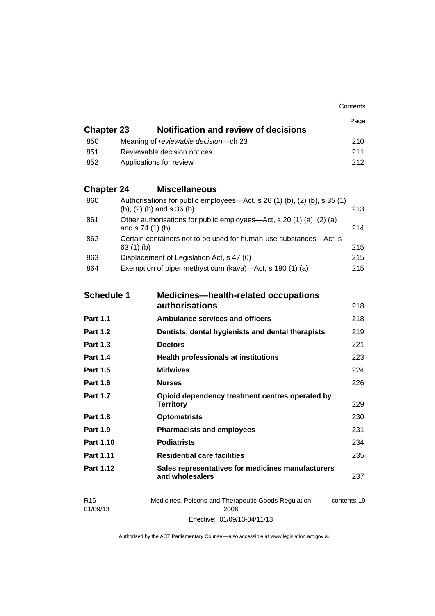| <b>Chapter 23</b> | Notification and review of decisions    | Page |
|-------------------|-----------------------------------------|------|
| 850               | Meaning of reviewable decision--- ch 23 | 210  |
| -851              | Reviewable decision notices             | 211  |
| 852               | Applications for review                 | 212. |

## **Chapter 24 [Miscellaneous](#page-236-0)**

| 860 | Authorisations for public employees—Act, s 26 (1) (b), (2) (b), s 35 (1)<br>$(b)$ , $(2)$ $(b)$ and s $36$ $(b)$ | 213 |
|-----|------------------------------------------------------------------------------------------------------------------|-----|
| 861 | Other authorisations for public employees—Act, s 20 (1) (a), (2) (a)<br>and $s$ 74 (1) (b)                       | 214 |
| 862 | Certain containers not to be used for human-use substances—Act, s<br>63(1)(b)                                    | 215 |
| 863 | Displacement of Legislation Act, s 47 (6)                                                                        | 215 |
| 864 | Exemption of piper methysticum (kava)—Act, s 190 (1) (a)                                                         | 215 |

| <b>Schedule 1</b> | <b>Medicines—health-related occupations</b><br>authorisations        | 218         |
|-------------------|----------------------------------------------------------------------|-------------|
| <b>Part 1.1</b>   | <b>Ambulance services and officers</b>                               | 218         |
| <b>Part 1.2</b>   | Dentists, dental hygienists and dental therapists                    | 219         |
| <b>Part 1.3</b>   | <b>Doctors</b>                                                       | 221         |
| <b>Part 1.4</b>   | <b>Health professionals at institutions</b>                          | 223         |
| <b>Part 1.5</b>   | <b>Midwives</b>                                                      | 224         |
| <b>Part 1.6</b>   | <b>Nurses</b>                                                        | 226         |
| <b>Part 1.7</b>   | Opioid dependency treatment centres operated by<br><b>Territory</b>  | 229         |
| <b>Part 1.8</b>   | <b>Optometrists</b>                                                  | 230         |
| <b>Part 1.9</b>   | <b>Pharmacists and employees</b>                                     | 231         |
| Part 1.10         | <b>Podiatrists</b>                                                   | 234         |
| Part 1.11         | <b>Residential care facilities</b>                                   | 235         |
| Part 1.12         | Sales representatives for medicines manufacturers<br>and wholesalers | 237         |
| R <sub>16</sub>   | Medicines, Poisons and Therapeutic Goods Regulation                  | contents 19 |

| R16      | Medicines, Poisons and Therapeutic Goods Regulation | contents 1 |
|----------|-----------------------------------------------------|------------|
| 01/09/13 | 2008                                                |            |
|          | Effective: 01/09/13-04/11/13                        |            |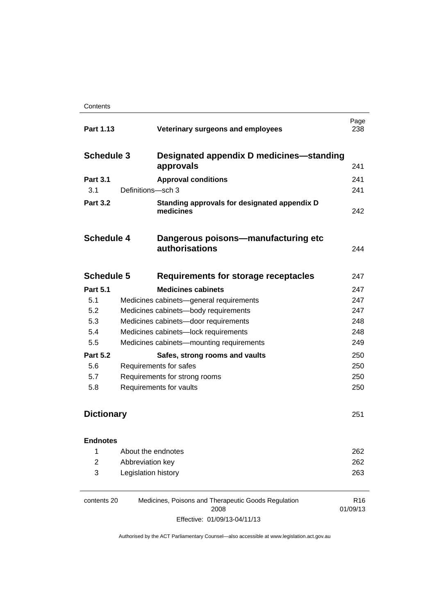|                   | Veterinary surgeons and employees                           | Page<br>238                                                                                                                                                                                                                                                                                                                                                                                                                         |
|-------------------|-------------------------------------------------------------|-------------------------------------------------------------------------------------------------------------------------------------------------------------------------------------------------------------------------------------------------------------------------------------------------------------------------------------------------------------------------------------------------------------------------------------|
|                   |                                                             |                                                                                                                                                                                                                                                                                                                                                                                                                                     |
|                   | approvals                                                   | 241                                                                                                                                                                                                                                                                                                                                                                                                                                 |
|                   | <b>Approval conditions</b>                                  | 241                                                                                                                                                                                                                                                                                                                                                                                                                                 |
|                   |                                                             | 241                                                                                                                                                                                                                                                                                                                                                                                                                                 |
|                   | Standing approvals for designated appendix D<br>medicines   | 242                                                                                                                                                                                                                                                                                                                                                                                                                                 |
|                   | Dangerous poisons-manufacturing etc<br>authorisations       | 244                                                                                                                                                                                                                                                                                                                                                                                                                                 |
|                   | Requirements for storage receptacles                        | 247                                                                                                                                                                                                                                                                                                                                                                                                                                 |
|                   | <b>Medicines cabinets</b>                                   | 247                                                                                                                                                                                                                                                                                                                                                                                                                                 |
|                   |                                                             | 247                                                                                                                                                                                                                                                                                                                                                                                                                                 |
|                   |                                                             | 247                                                                                                                                                                                                                                                                                                                                                                                                                                 |
|                   |                                                             | 248                                                                                                                                                                                                                                                                                                                                                                                                                                 |
|                   |                                                             | 248                                                                                                                                                                                                                                                                                                                                                                                                                                 |
|                   |                                                             | 249                                                                                                                                                                                                                                                                                                                                                                                                                                 |
|                   | Safes, strong rooms and vaults                              | 250                                                                                                                                                                                                                                                                                                                                                                                                                                 |
|                   |                                                             | 250                                                                                                                                                                                                                                                                                                                                                                                                                                 |
|                   |                                                             | 250                                                                                                                                                                                                                                                                                                                                                                                                                                 |
|                   |                                                             | 250                                                                                                                                                                                                                                                                                                                                                                                                                                 |
| <b>Dictionary</b> |                                                             | 251                                                                                                                                                                                                                                                                                                                                                                                                                                 |
|                   |                                                             |                                                                                                                                                                                                                                                                                                                                                                                                                                     |
|                   |                                                             | 262                                                                                                                                                                                                                                                                                                                                                                                                                                 |
|                   |                                                             | 262                                                                                                                                                                                                                                                                                                                                                                                                                                 |
|                   |                                                             | 263                                                                                                                                                                                                                                                                                                                                                                                                                                 |
|                   | <b>Schedule 3</b><br><b>Schedule 4</b><br><b>Schedule 5</b> | Designated appendix D medicines—standing<br>Definitions-sch 3<br>Medicines cabinets-general requirements<br>Medicines cabinets-body requirements<br>Medicines cabinets-door requirements<br>Medicines cabinets-lock requirements<br>Medicines cabinets-mounting requirements<br>Requirements for safes<br>Requirements for strong rooms<br>Requirements for vaults<br>About the endnotes<br>Abbreviation key<br>Legislation history |

| contents 20 | Medicines, Poisons and Therapeutic Goods Regulation | R16      |
|-------------|-----------------------------------------------------|----------|
|             | 2008                                                | 01/09/13 |
|             | Effective: 01/09/13-04/11/13                        |          |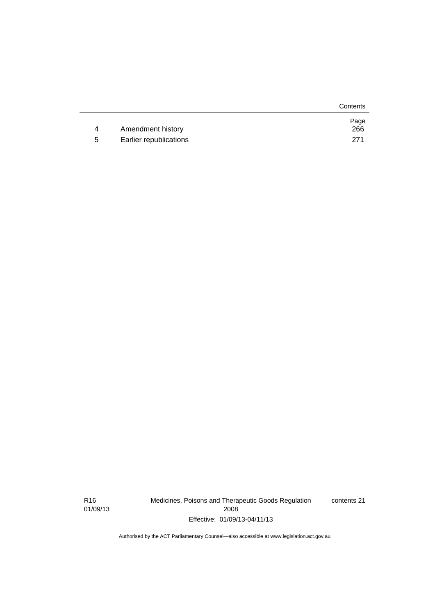|   |                        | Contents    |
|---|------------------------|-------------|
| 4 | Amendment history      | Page<br>266 |
|   |                        |             |
| 5 | Earlier republications | 271         |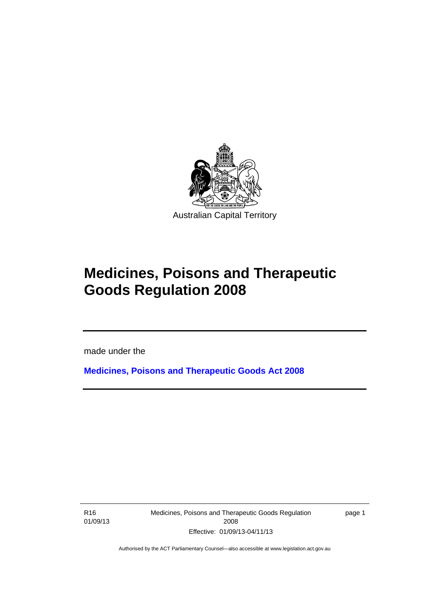

# **Medicines, Poisons and Therapeutic Goods Regulation 2008**

made under the

**[Medicines, Poisons and Therapeutic Goods Act 2008](http://www.legislation.act.gov.au/a/2008-26)**

R16 01/09/13

l

Medicines, Poisons and Therapeutic Goods Regulation 2008 Effective: 01/09/13-04/11/13

page 1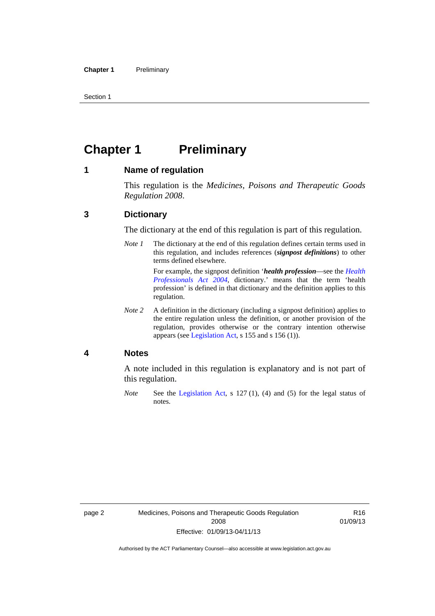Section 1

## <span id="page-25-0"></span>**Chapter 1** Preliminary

#### <span id="page-25-1"></span>**1 Name of regulation**

This regulation is the *Medicines, Poisons and Therapeutic Goods Regulation 2008*.

### <span id="page-25-2"></span>**3 Dictionary**

The dictionary at the end of this regulation is part of this regulation.

*Note 1* The dictionary at the end of this regulation defines certain terms used in this regulation, and includes references (*signpost definitions*) to other terms defined elsewhere. For example, the signpost definition '*health profession*—see the *[Health](http://www.legislation.act.gov.au/a/2004-38)* 

*[Professionals Act 2004](http://www.legislation.act.gov.au/a/2004-38)*, dictionary.' means that the term 'health profession' is defined in that dictionary and the definition applies to this regulation.

*Note 2* A definition in the dictionary (including a signpost definition) applies to the entire regulation unless the definition, or another provision of the regulation, provides otherwise or the contrary intention otherwise appears (see [Legislation Act,](http://www.legislation.act.gov.au/a/2001-14) s 155 and s 156 (1)).

#### <span id="page-25-3"></span>**4 Notes**

A note included in this regulation is explanatory and is not part of this regulation.

*Note* See the [Legislation Act,](http://www.legislation.act.gov.au/a/2001-14) s 127 (1), (4) and (5) for the legal status of notes.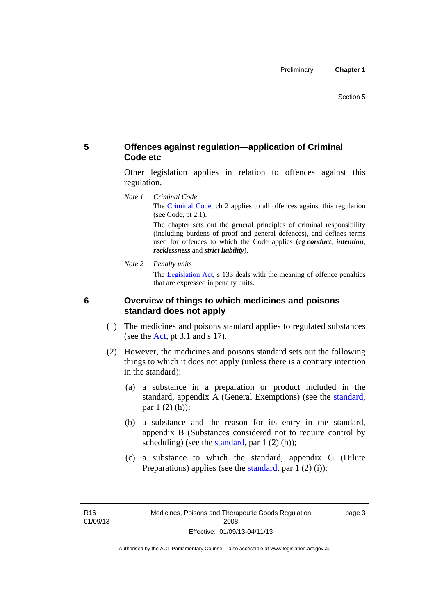## <span id="page-26-0"></span>**5 Offences against regulation—application of Criminal Code etc**

Other legislation applies in relation to offences against this regulation.

*Note 1 Criminal Code* The [Criminal Code](http://www.legislation.act.gov.au/a/2002-51), ch 2 applies to all offences against this regulation (see Code, pt 2.1).

> The chapter sets out the general principles of criminal responsibility (including burdens of proof and general defences), and defines terms used for offences to which the Code applies (eg *conduct*, *intention*, *recklessness* and *strict liability*).

*Note 2 Penalty units* 

The [Legislation Act](http://www.legislation.act.gov.au/a/2001-14), s 133 deals with the meaning of offence penalties that are expressed in penalty units.

<span id="page-26-1"></span>

## **6 Overview of things to which medicines and poisons standard does not apply**

- (1) The medicines and poisons standard applies to regulated substances (see the  $Act$ , pt 3.1 and s 17).
- (2) However, the medicines and poisons standard sets out the following things to which it does not apply (unless there is a contrary intention in the standard):
	- (a) a substance in a preparation or product included in the standard, appendix A (General Exemptions) (see the [standard](http://www.comlaw.gov.au/Series/F2012L01200), par 1 (2) (h));
	- (b) a substance and the reason for its entry in the standard, appendix B (Substances considered not to require control by scheduling) (see the [standard,](http://www.comlaw.gov.au/Series/F2012L01200) par  $1(2)(h)$ );
	- (c) a substance to which the standard, appendix G (Dilute Preparations) applies (see the [standard,](http://www.comlaw.gov.au/Series/F2012L01200) par 1 (2) (i));

page 3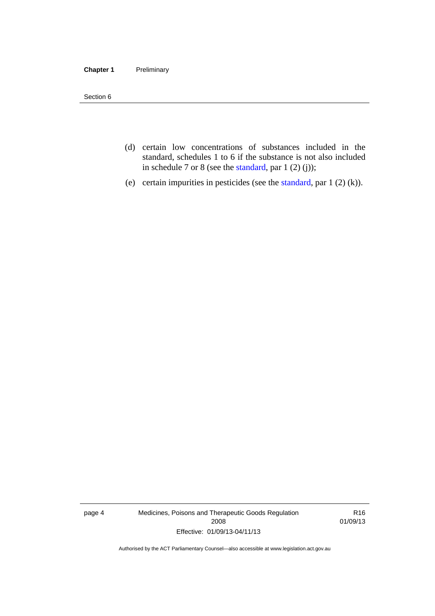#### **Chapter 1** Preliminary

Section 6

- (d) certain low concentrations of substances included in the standard, schedules 1 to 6 if the substance is not also included in schedule 7 or 8 (see the [standard,](http://www.comlaw.gov.au/Series/F2012L01200) par 1 (2) (j));
- (e) certain impurities in pesticides (see the [standard,](http://www.comlaw.gov.au/Series/F2012L01200) par  $1(2)(k)$ ).

page 4 Medicines, Poisons and Therapeutic Goods Regulation 2008 Effective: 01/09/13-04/11/13

R16 01/09/13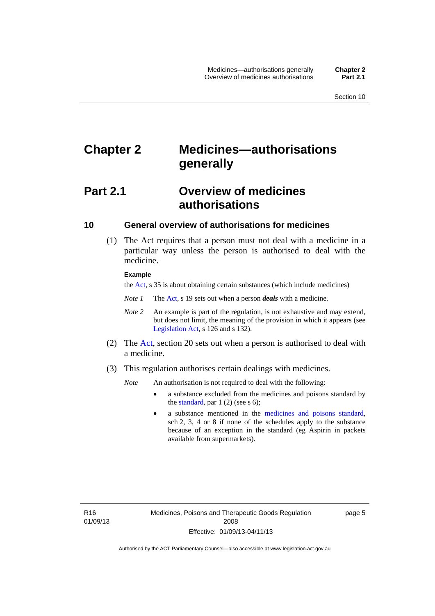## <span id="page-28-0"></span>**Chapter 2 Medicines—authorisations generally**

## <span id="page-28-1"></span>**Part 2.1 Overview of medicines authorisations**

### <span id="page-28-2"></span>**10 General overview of authorisations for medicines**

 (1) The Act requires that a person must not deal with a medicine in a particular way unless the person is authorised to deal with the medicine.

#### **Example**

the [Act](http://www.legislation.act.gov.au/a/2008-26/default.asp), s 35 is about obtaining certain substances (which include medicines)

- *Note 1* The [Act,](http://www.legislation.act.gov.au/a/2008-26/default.asp) s 19 sets out when a person *deals* with a medicine.
- *Note 2* An example is part of the regulation, is not exhaustive and may extend, but does not limit, the meaning of the provision in which it appears (see [Legislation Act,](http://www.legislation.act.gov.au/a/2001-14) s 126 and s 132).
- (2) The [Act](http://www.legislation.act.gov.au/a/2008-26/default.asp), section 20 sets out when a person is authorised to deal with a medicine.
- (3) This regulation authorises certain dealings with medicines.

*Note* An authorisation is not required to deal with the following:

- a substance excluded from the medicines and poisons standard by the [standard,](http://www.comlaw.gov.au/Series/F2012L01200) par  $1(2)$  (see s 6);
- a substance mentioned in the [medicines and poisons standard,](http://www.comlaw.gov.au/Series/F2012L01200) sch 2, 3, 4 or 8 if none of the schedules apply to the substance because of an exception in the standard (eg Aspirin in packets available from supermarkets).

R16 01/09/13 page 5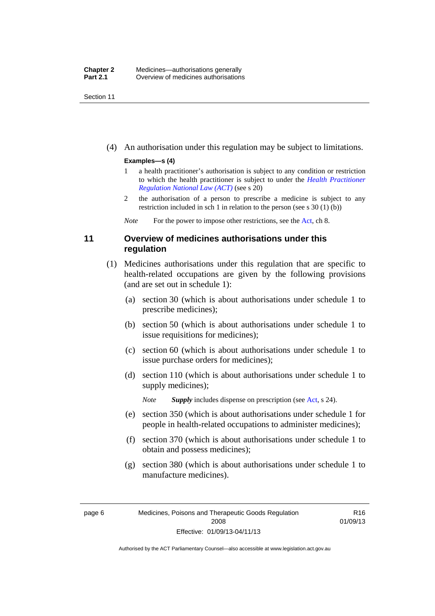Section 11

(4) An authorisation under this regulation may be subject to limitations.

#### **Examples—s (4)**

- 1 a health practitioner's authorisation is subject to any condition or restriction to which the health practitioner is subject to under the *[Health Practitioner](http://www.legislation.act.gov.au/a/db_39269/default.asp)  [Regulation National Law \(ACT\)](http://www.legislation.act.gov.au/a/db_39269/default.asp)* (see s 20)
- 2 the authorisation of a person to prescribe a medicine is subject to any restriction included in sch 1 in relation to the person (see s 30 (1) (b))

*Note* For the power to impose other restrictions, see the [Act](http://www.legislation.act.gov.au/a/2008-26/default.asp), ch 8.

## <span id="page-29-0"></span>**11 Overview of medicines authorisations under this regulation**

- (1) Medicines authorisations under this regulation that are specific to health-related occupations are given by the following provisions (and are set out in schedule 1):
	- (a) section 30 (which is about authorisations under schedule 1 to prescribe medicines);
	- (b) section 50 (which is about authorisations under schedule 1 to issue requisitions for medicines);
	- (c) section 60 (which is about authorisations under schedule 1 to issue purchase orders for medicines);
	- (d) section 110 (which is about authorisations under schedule 1 to supply medicines);

*Note Supply* includes dispense on prescription (see [Act,](http://www.legislation.act.gov.au/a/2008-26/default.asp) s 24).

- (e) section 350 (which is about authorisations under schedule 1 for people in health-related occupations to administer medicines);
- (f) section 370 (which is about authorisations under schedule 1 to obtain and possess medicines);
- (g) section 380 (which is about authorisations under schedule 1 to manufacture medicines).

R16 01/09/13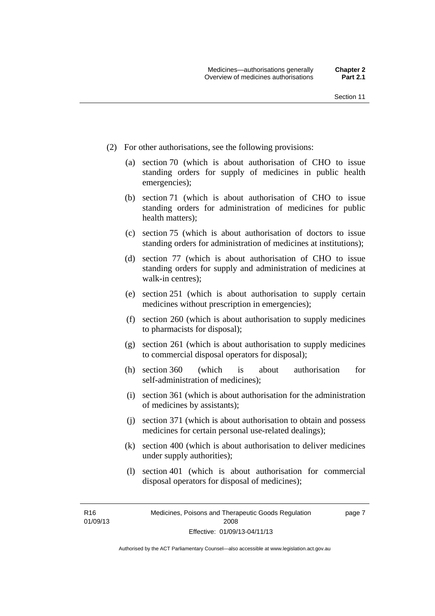- (2) For other authorisations, see the following provisions:
	- (a) section 70 (which is about authorisation of CHO to issue standing orders for supply of medicines in public health emergencies);
	- (b) section 71 (which is about authorisation of CHO to issue standing orders for administration of medicines for public health matters);
	- (c) section 75 (which is about authorisation of doctors to issue standing orders for administration of medicines at institutions);
	- (d) section 77 (which is about authorisation of CHO to issue standing orders for supply and administration of medicines at walk-in centres);
	- (e) section 251 (which is about authorisation to supply certain medicines without prescription in emergencies);
	- (f) section 260 (which is about authorisation to supply medicines to pharmacists for disposal);
	- (g) section 261 (which is about authorisation to supply medicines to commercial disposal operators for disposal);
	- (h) section 360 (which is about authorisation for self-administration of medicines);
	- (i) section 361 (which is about authorisation for the administration of medicines by assistants);
	- (j) section 371 (which is about authorisation to obtain and possess medicines for certain personal use-related dealings);
	- (k) section 400 (which is about authorisation to deliver medicines under supply authorities);
	- (l) section 401 (which is about authorisation for commercial disposal operators for disposal of medicines);

R16 01/09/13 page 7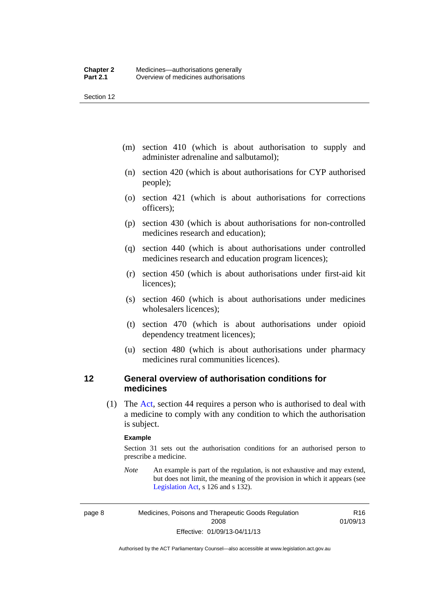Section 12

- (m) section 410 (which is about authorisation to supply and administer adrenaline and salbutamol);
- (n) section 420 (which is about authorisations for CYP authorised people);
- (o) section 421 (which is about authorisations for corrections officers);
- (p) section 430 (which is about authorisations for non-controlled medicines research and education);
- (q) section 440 (which is about authorisations under controlled medicines research and education program licences);
- (r) section 450 (which is about authorisations under first-aid kit licences);
- (s) section 460 (which is about authorisations under medicines wholesalers licences);
- (t) section 470 (which is about authorisations under opioid dependency treatment licences);
- (u) section 480 (which is about authorisations under pharmacy medicines rural communities licences).

## <span id="page-31-0"></span>**12 General overview of authorisation conditions for medicines**

 (1) The [Act](http://www.legislation.act.gov.au/a/2008-26/default.asp), section 44 requires a person who is authorised to deal with a medicine to comply with any condition to which the authorisation is subject.

#### **Example**

Section 31 sets out the authorisation conditions for an authorised person to prescribe a medicine.

*Note* An example is part of the regulation, is not exhaustive and may extend, but does not limit, the meaning of the provision in which it appears (see [Legislation Act,](http://www.legislation.act.gov.au/a/2001-14) s 126 and s 132).

page 8 Medicines, Poisons and Therapeutic Goods Regulation 2008 Effective: 01/09/13-04/11/13

R16 01/09/13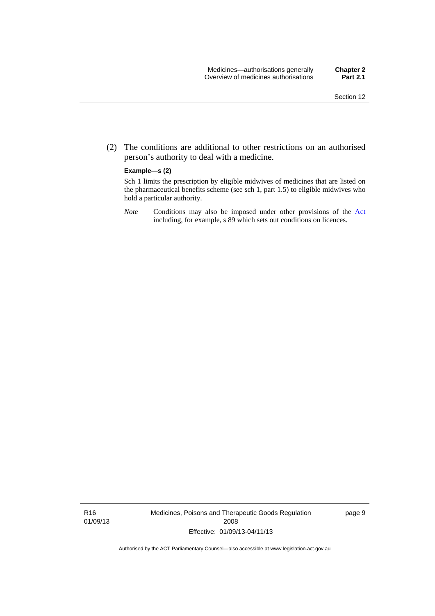(2) The conditions are additional to other restrictions on an authorised person's authority to deal with a medicine.

#### **Example—s (2)**

Sch 1 limits the prescription by eligible midwives of medicines that are listed on the pharmaceutical benefits scheme (see sch 1, part 1.5) to eligible midwives who hold a particular authority.

*Note* Conditions may also be imposed under other provisions of the [Act](http://www.legislation.act.gov.au/a/2008-26/default.asp) including, for example, s 89 which sets out conditions on licences.

R16 01/09/13 Medicines, Poisons and Therapeutic Goods Regulation 2008 Effective: 01/09/13-04/11/13

page 9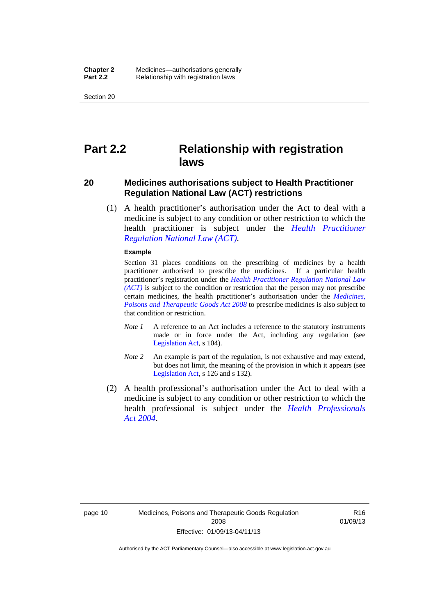Section 20

## <span id="page-33-0"></span>**Part 2.2 Relationship with registration laws**

### <span id="page-33-1"></span>**20 Medicines authorisations subject to Health Practitioner Regulation National Law (ACT) restrictions**

 (1) A health practitioner's authorisation under the Act to deal with a medicine is subject to any condition or other restriction to which the health practitioner is subject under the *[Health Practitioner](http://www.legislation.act.gov.au/a/db_39269/default.asp)  [Regulation National Law \(ACT\)](http://www.legislation.act.gov.au/a/db_39269/default.asp)*.

#### **Example**

Section 31 places conditions on the prescribing of medicines by a health practitioner authorised to prescribe the medicines. If a particular health practitioner's registration under the *[Health Practitioner Regulation National Law](http://www.legislation.act.gov.au/a/db_39269/default.asp)  [\(ACT\)](http://www.legislation.act.gov.au/a/db_39269/default.asp)* is subject to the condition or restriction that the person may not prescribe certain medicines, the health practitioner's authorisation under the *[Medicines,](http://www.legislation.act.gov.au/a/2008-26)  [Poisons and Therapeutic Goods Act 2008](http://www.legislation.act.gov.au/a/2008-26)* to prescribe medicines is also subject to that condition or restriction.

- *Note 1* A reference to an Act includes a reference to the statutory instruments made or in force under the Act, including any regulation (see [Legislation Act,](http://www.legislation.act.gov.au/a/2001-14) s 104).
- *Note 2* An example is part of the regulation, is not exhaustive and may extend, but does not limit, the meaning of the provision in which it appears (see [Legislation Act,](http://www.legislation.act.gov.au/a/2001-14) s 126 and s 132).
- (2) A health professional's authorisation under the Act to deal with a medicine is subject to any condition or other restriction to which the health professional is subject under the *[Health Professionals](http://www.legislation.act.gov.au/a/2004-38)  [Act 2004](http://www.legislation.act.gov.au/a/2004-38)*.

R16 01/09/13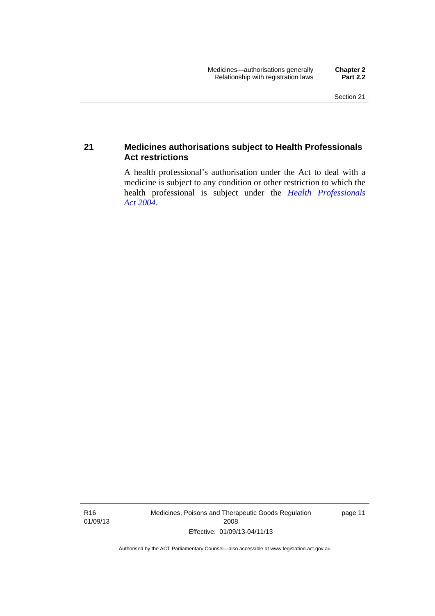## <span id="page-34-0"></span>**21 Medicines authorisations subject to Health Professionals Act restrictions**

A health professional's authorisation under the Act to deal with a medicine is subject to any condition or other restriction to which the health professional is subject under the *[Health Professionals](http://www.legislation.act.gov.au/a/2004-38)  [Act 2004](http://www.legislation.act.gov.au/a/2004-38)*.

R16 01/09/13 Medicines, Poisons and Therapeutic Goods Regulation 2008 Effective: 01/09/13-04/11/13

page 11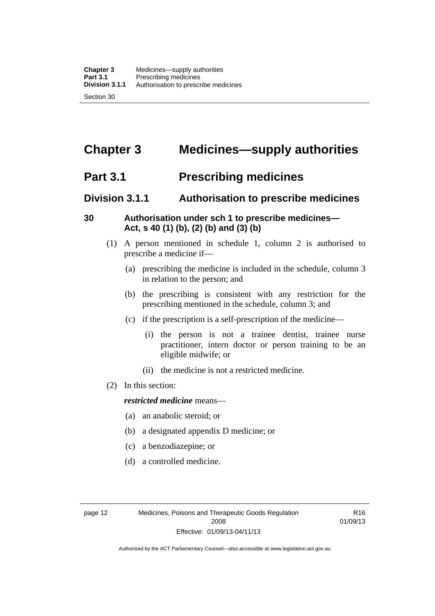## <span id="page-35-0"></span>**Chapter 3 Medicines—supply authorities**

## <span id="page-35-1"></span>**Part 3.1 Prescribing medicines**

## <span id="page-35-2"></span>**Division 3.1.1 Authorisation to prescribe medicines**

## <span id="page-35-3"></span>**30 Authorisation under sch 1 to prescribe medicines— Act, s 40 (1) (b), (2) (b) and (3) (b)**

- (1) A person mentioned in schedule 1, column 2 is authorised to prescribe a medicine if—
	- (a) prescribing the medicine is included in the schedule, column 3 in relation to the person; and
	- (b) the prescribing is consistent with any restriction for the prescribing mentioned in the schedule, column 3; and
	- (c) if the prescription is a self-prescription of the medicine—
		- (i) the person is not a trainee dentist, trainee nurse practitioner, intern doctor or person training to be an eligible midwife; or
		- (ii) the medicine is not a restricted medicine.
- (2) In this section:

### *restricted medicine* means—

- (a) an anabolic steroid; or
- (b) a designated appendix D medicine; or
- (c) a benzodiazepine; or
- (d) a controlled medicine.

R16 01/09/13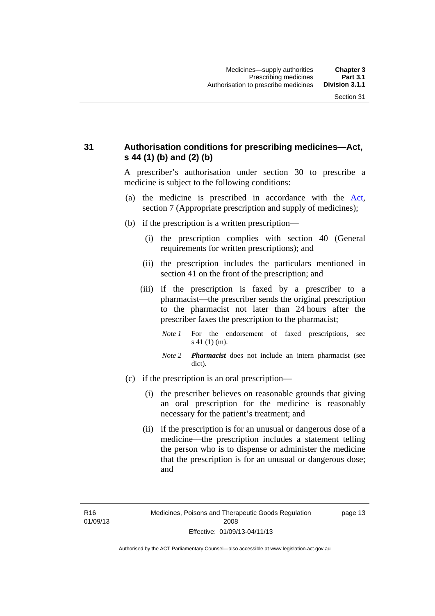## **31 Authorisation conditions for prescribing medicines—Act, s 44 (1) (b) and (2) (b)**

A prescriber's authorisation under section 30 to prescribe a medicine is subject to the following conditions:

- (a) the medicine is prescribed in accordance with the [Act](http://www.legislation.act.gov.au/a/2008-26/default.asp), section 7 (Appropriate prescription and supply of medicines);
- (b) if the prescription is a written prescription—
	- (i) the prescription complies with section 40 (General requirements for written prescriptions); and
	- (ii) the prescription includes the particulars mentioned in section 41 on the front of the prescription; and
	- (iii) if the prescription is faxed by a prescriber to a pharmacist—the prescriber sends the original prescription to the pharmacist not later than 24 hours after the prescriber faxes the prescription to the pharmacist;
		- *Note 1* For the endorsement of faxed prescriptions, see s 41 (1) (m).
		- *Note 2 Pharmacist* does not include an intern pharmacist (see dict).
- (c) if the prescription is an oral prescription—
	- (i) the prescriber believes on reasonable grounds that giving an oral prescription for the medicine is reasonably necessary for the patient's treatment; and
	- (ii) if the prescription is for an unusual or dangerous dose of a medicine—the prescription includes a statement telling the person who is to dispense or administer the medicine that the prescription is for an unusual or dangerous dose; and

page 13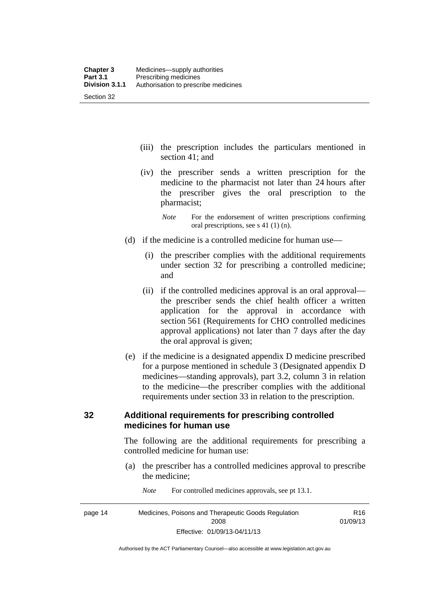- (iii) the prescription includes the particulars mentioned in section 41; and
- (iv) the prescriber sends a written prescription for the medicine to the pharmacist not later than 24 hours after the prescriber gives the oral prescription to the pharmacist;
	- *Note* For the endorsement of written prescriptions confirming oral prescriptions, see s 41 (1) (n).
- (d) if the medicine is a controlled medicine for human use—
	- (i) the prescriber complies with the additional requirements under section 32 for prescribing a controlled medicine; and
	- (ii) if the controlled medicines approval is an oral approval the prescriber sends the chief health officer a written application for the approval in accordance with section 561 (Requirements for CHO controlled medicines approval applications) not later than 7 days after the day the oral approval is given;
- (e) if the medicine is a designated appendix D medicine prescribed for a purpose mentioned in schedule 3 (Designated appendix D medicines—standing approvals), part 3.2, column 3 in relation to the medicine—the prescriber complies with the additional requirements under section 33 in relation to the prescription.

#### **32 Additional requirements for prescribing controlled medicines for human use**

The following are the additional requirements for prescribing a controlled medicine for human use:

- (a) the prescriber has a controlled medicines approval to prescribe the medicine;
- page 14 Medicines, Poisons and Therapeutic Goods Regulation 2008 Effective: 01/09/13-04/11/13 R16 01/09/13

*Note* For controlled medicines approvals, see pt 13.1.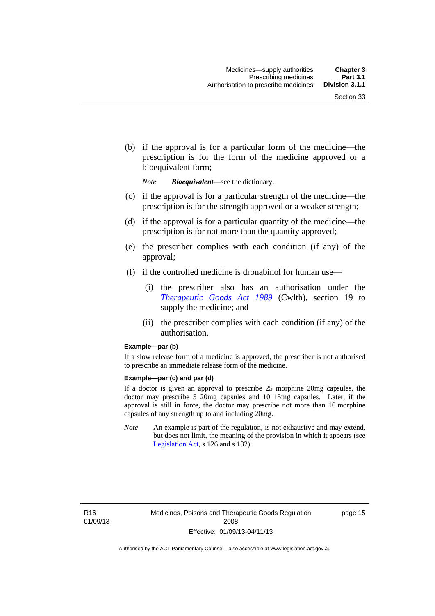(b) if the approval is for a particular form of the medicine—the prescription is for the form of the medicine approved or a bioequivalent form;

*Note Bioequivalent*—see the dictionary.

- (c) if the approval is for a particular strength of the medicine—the prescription is for the strength approved or a weaker strength;
- (d) if the approval is for a particular quantity of the medicine—the prescription is for not more than the quantity approved;
- (e) the prescriber complies with each condition (if any) of the approval;
- (f) if the controlled medicine is dronabinol for human use—
	- (i) the prescriber also has an authorisation under the *[Therapeutic Goods Act 1989](http://www.comlaw.gov.au/Series/C2004A03952)* (Cwlth), section 19 to supply the medicine; and
	- (ii) the prescriber complies with each condition (if any) of the authorisation.

#### **Example—par (b)**

If a slow release form of a medicine is approved, the prescriber is not authorised to prescribe an immediate release form of the medicine.

#### **Example—par (c) and par (d)**

If a doctor is given an approval to prescribe 25 morphine 20mg capsules, the doctor may prescribe 5 20mg capsules and 10 15mg capsules. Later, if the approval is still in force, the doctor may prescribe not more than 10 morphine capsules of any strength up to and including 20mg.

*Note* An example is part of the regulation, is not exhaustive and may extend, but does not limit, the meaning of the provision in which it appears (see [Legislation Act,](http://www.legislation.act.gov.au/a/2001-14) s 126 and s 132).

R16 01/09/13 page 15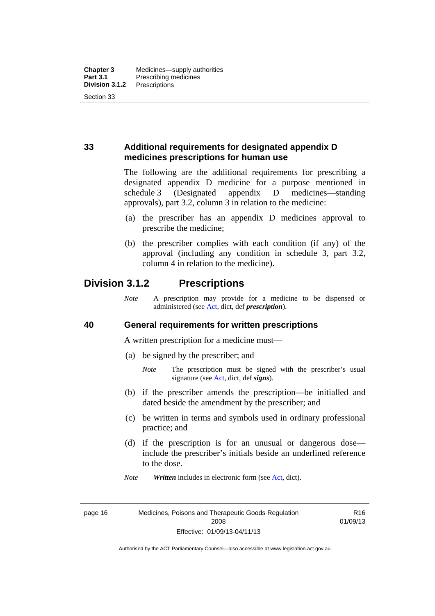## **33 Additional requirements for designated appendix D medicines prescriptions for human use**

The following are the additional requirements for prescribing a designated appendix D medicine for a purpose mentioned in schedule 3 (Designated appendix D medicines—standing approvals), part 3.2, column 3 in relation to the medicine:

- (a) the prescriber has an appendix D medicines approval to prescribe the medicine;
- (b) the prescriber complies with each condition (if any) of the approval (including any condition in schedule 3, part 3.2, column 4 in relation to the medicine).

## **Division 3.1.2 Prescriptions**

*Note* A prescription may provide for a medicine to be dispensed or administered (see [Act](http://www.legislation.act.gov.au/a/2008-26/default.asp), dict, def *prescription*).

#### **40 General requirements for written prescriptions**

A written prescription for a medicine must—

- (a) be signed by the prescriber; and
	- *Note* The prescription must be signed with the prescriber's usual signature (see [Act](http://www.legislation.act.gov.au/a/2008-26/default.asp), dict, def *signs*).
- (b) if the prescriber amends the prescription—be initialled and dated beside the amendment by the prescriber; and
- (c) be written in terms and symbols used in ordinary professional practice; and
- (d) if the prescription is for an unusual or dangerous dose include the prescriber's initials beside an underlined reference to the dose.
- *Note Written* includes in electronic form (see [Act,](http://www.legislation.act.gov.au/a/2008-26/default.asp) dict).

R16 01/09/13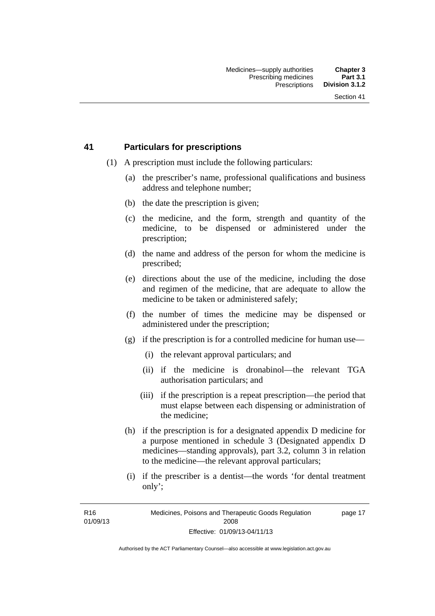#### **41 Particulars for prescriptions**

- (1) A prescription must include the following particulars:
	- (a) the prescriber's name, professional qualifications and business address and telephone number;
	- (b) the date the prescription is given;
	- (c) the medicine, and the form, strength and quantity of the medicine, to be dispensed or administered under the prescription;
	- (d) the name and address of the person for whom the medicine is prescribed;
	- (e) directions about the use of the medicine, including the dose and regimen of the medicine, that are adequate to allow the medicine to be taken or administered safely;
	- (f) the number of times the medicine may be dispensed or administered under the prescription;
	- (g) if the prescription is for a controlled medicine for human use—
		- (i) the relevant approval particulars; and
		- (ii) if the medicine is dronabinol—the relevant TGA authorisation particulars; and
		- (iii) if the prescription is a repeat prescription—the period that must elapse between each dispensing or administration of the medicine;
	- (h) if the prescription is for a designated appendix D medicine for a purpose mentioned in schedule 3 (Designated appendix D medicines—standing approvals), part 3.2, column 3 in relation to the medicine—the relevant approval particulars;
	- (i) if the prescriber is a dentist—the words 'for dental treatment only';

R16 01/09/13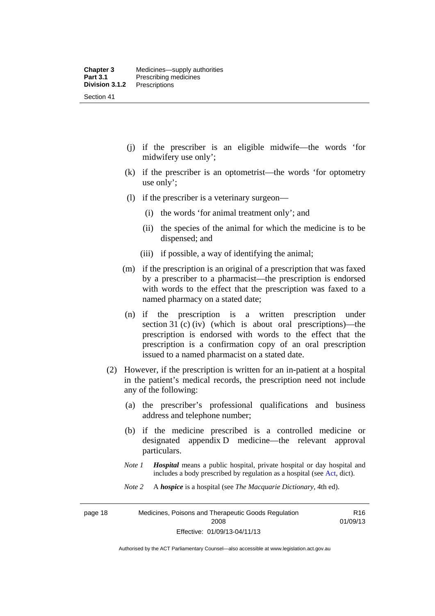- (j) if the prescriber is an eligible midwife—the words 'for midwifery use only';
- (k) if the prescriber is an optometrist—the words 'for optometry use only';
- (l) if the prescriber is a veterinary surgeon—
	- (i) the words 'for animal treatment only'; and
	- (ii) the species of the animal for which the medicine is to be dispensed; and
	- (iii) if possible, a way of identifying the animal;
- (m) if the prescription is an original of a prescription that was faxed by a prescriber to a pharmacist—the prescription is endorsed with words to the effect that the prescription was faxed to a named pharmacy on a stated date;
- (n) if the prescription is a written prescription under section 31 (c) (iv) (which is about oral prescriptions)—the prescription is endorsed with words to the effect that the prescription is a confirmation copy of an oral prescription issued to a named pharmacist on a stated date.
- (2) However, if the prescription is written for an in-patient at a hospital in the patient's medical records, the prescription need not include any of the following:
	- (a) the prescriber's professional qualifications and business address and telephone number;
	- (b) if the medicine prescribed is a controlled medicine or designated appendix D medicine—the relevant approval particulars.
	- *Note 1 Hospital* means a public hospital, private hospital or day hospital and includes a body prescribed by regulation as a hospital (see [Act,](http://www.legislation.act.gov.au/a/2008-26/default.asp) dict).
	- *Note 2* A *hospice* is a hospital (see *The Macquarie Dictionary*, 4th ed).

page 18 Medicines, Poisons and Therapeutic Goods Regulation 2008 Effective: 01/09/13-04/11/13

R16 01/09/13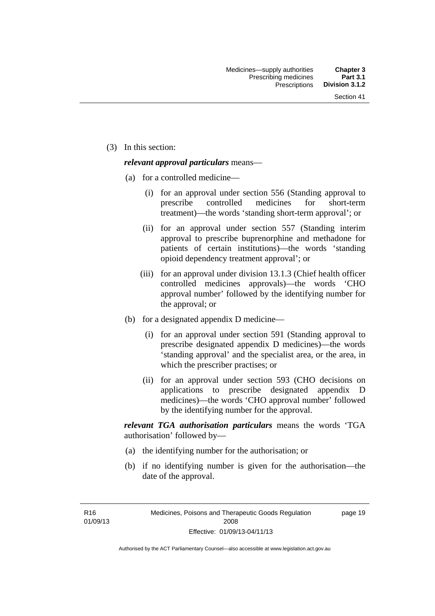(3) In this section:

#### *relevant approval particulars* means—

- (a) for a controlled medicine—
	- (i) for an approval under section 556 (Standing approval to prescribe controlled medicines for short-term treatment)—the words 'standing short-term approval'; or
	- (ii) for an approval under section 557 (Standing interim approval to prescribe buprenorphine and methadone for patients of certain institutions)—the words 'standing opioid dependency treatment approval'; or
	- (iii) for an approval under division 13.1.3 (Chief health officer controlled medicines approvals)—the words 'CHO approval number' followed by the identifying number for the approval; or
- (b) for a designated appendix D medicine—
	- (i) for an approval under section 591 (Standing approval to prescribe designated appendix D medicines)—the words 'standing approval' and the specialist area, or the area, in which the prescriber practises; or
	- (ii) for an approval under section 593 (CHO decisions on applications to prescribe designated appendix D medicines)—the words 'CHO approval number' followed by the identifying number for the approval.

*relevant TGA authorisation particulars* means the words 'TGA authorisation' followed by—

- (a) the identifying number for the authorisation; or
- (b) if no identifying number is given for the authorisation—the date of the approval.

R16 01/09/13 page 19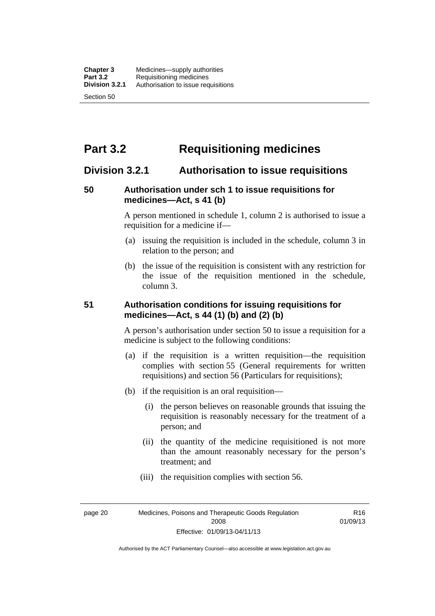# **Part 3.2 Requisitioning medicines**

## **Division 3.2.1 Authorisation to issue requisitions**

#### **50 Authorisation under sch 1 to issue requisitions for medicines—Act, s 41 (b)**

A person mentioned in schedule 1, column 2 is authorised to issue a requisition for a medicine if—

- (a) issuing the requisition is included in the schedule, column 3 in relation to the person; and
- (b) the issue of the requisition is consistent with any restriction for the issue of the requisition mentioned in the schedule, column 3.

#### **51 Authorisation conditions for issuing requisitions for medicines—Act, s 44 (1) (b) and (2) (b)**

A person's authorisation under section 50 to issue a requisition for a medicine is subject to the following conditions:

- (a) if the requisition is a written requisition—the requisition complies with section 55 (General requirements for written requisitions) and section 56 (Particulars for requisitions);
- (b) if the requisition is an oral requisition—
	- (i) the person believes on reasonable grounds that issuing the requisition is reasonably necessary for the treatment of a person; and
	- (ii) the quantity of the medicine requisitioned is not more than the amount reasonably necessary for the person's treatment; and
	- (iii) the requisition complies with section 56.

page 20 Medicines, Poisons and Therapeutic Goods Regulation 2008 Effective: 01/09/13-04/11/13

R16 01/09/13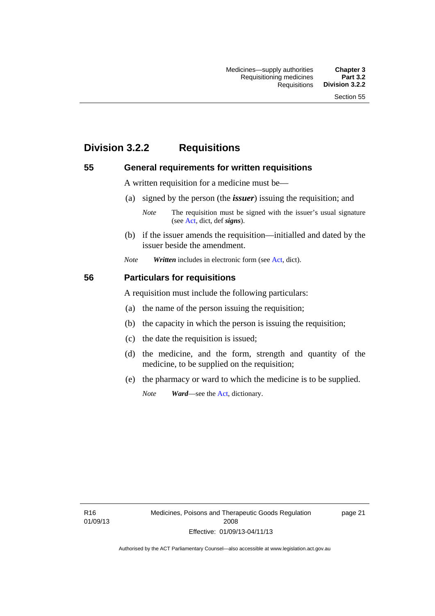# **Division 3.2.2 Requisitions**

#### **55 General requirements for written requisitions**

A written requisition for a medicine must be—

(a) signed by the person (the *issuer*) issuing the requisition; and

 (b) if the issuer amends the requisition—initialled and dated by the issuer beside the amendment.

*Note Written* includes in electronic form (see [Act,](http://www.legislation.act.gov.au/a/2008-26/default.asp) dict).

#### **56 Particulars for requisitions**

A requisition must include the following particulars:

- (a) the name of the person issuing the requisition;
- (b) the capacity in which the person is issuing the requisition;
- (c) the date the requisition is issued;
- (d) the medicine, and the form, strength and quantity of the medicine, to be supplied on the requisition;
- (e) the pharmacy or ward to which the medicine is to be supplied.

*Note Ward*—see the [Act](http://www.legislation.act.gov.au/a/2008-26/default.asp), dictionary.

R16 01/09/13

*Note* The requisition must be signed with the issuer's usual signature (see [Act](http://www.legislation.act.gov.au/a/2008-26/default.asp), dict, def *signs*).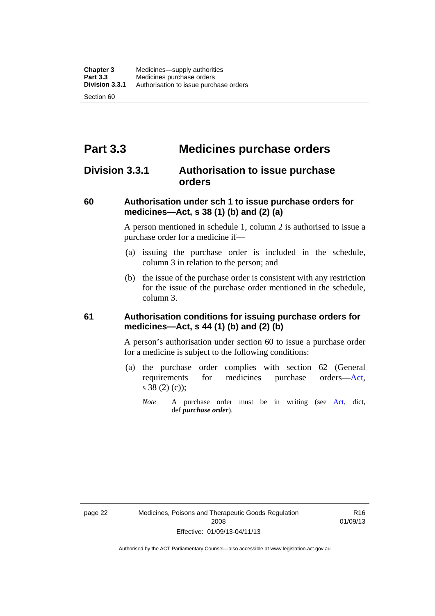# **Part 3.3 Medicines purchase orders**

## **Division 3.3.1 Authorisation to issue purchase orders**

#### **60 Authorisation under sch 1 to issue purchase orders for medicines—Act, s 38 (1) (b) and (2) (a)**

A person mentioned in schedule 1, column 2 is authorised to issue a purchase order for a medicine if—

- (a) issuing the purchase order is included in the schedule, column 3 in relation to the person; and
- (b) the issue of the purchase order is consistent with any restriction for the issue of the purchase order mentioned in the schedule, column 3.

#### **61 Authorisation conditions for issuing purchase orders for medicines—Act, s 44 (1) (b) and (2) (b)**

A person's authorisation under section 60 to issue a purchase order for a medicine is subject to the following conditions:

- (a) the purchase order complies with section 62 (General requirements for medicines purchase orders[—Act](http://www.legislation.act.gov.au/a/2008-26/default.asp), s 38 (2) (c));
	- *Note* A purchase order must be in writing (see [Act,](http://www.legislation.act.gov.au/a/2008-26/default.asp) dict, def *purchase order*).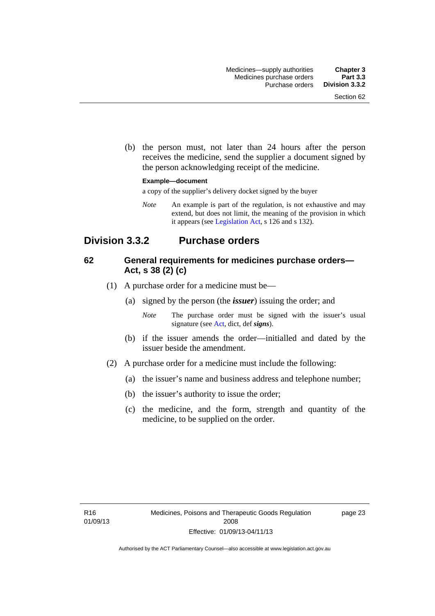(b) the person must, not later than 24 hours after the person receives the medicine, send the supplier a document signed by the person acknowledging receipt of the medicine.

#### **Example—document**

a copy of the supplier's delivery docket signed by the buyer

*Note* An example is part of the regulation, is not exhaustive and may extend, but does not limit, the meaning of the provision in which it appears (see [Legislation Act,](http://www.legislation.act.gov.au/a/2001-14) s 126 and s 132).

## **Division 3.3.2 Purchase orders**

#### **62 General requirements for medicines purchase orders— Act, s 38 (2) (c)**

- (1) A purchase order for a medicine must be—
	- (a) signed by the person (the *issuer*) issuing the order; and
		- *Note* The purchase order must be signed with the issuer's usual signature (see [Act](http://www.legislation.act.gov.au/a/2008-26/default.asp), dict, def *signs*).
	- (b) if the issuer amends the order—initialled and dated by the issuer beside the amendment.
- (2) A purchase order for a medicine must include the following:
	- (a) the issuer's name and business address and telephone number;
	- (b) the issuer's authority to issue the order;
	- (c) the medicine, and the form, strength and quantity of the medicine, to be supplied on the order.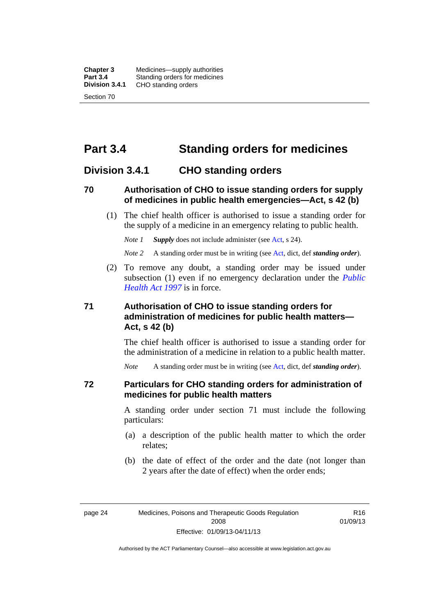**Chapter 3** Medicines—supply authorities<br>**Part 3.4** Standing orders for medicines **Part 3.4 Standing orders for medicines<br>
<b>Division 3.4.1** CHO standing orders **Division 3.4.1** CHO standing orders Section 70

# **Part 3.4 Standing orders for medicines**

#### **Division 3.4.1 CHO standing orders**

#### **70 Authorisation of CHO to issue standing orders for supply of medicines in public health emergencies—Act, s 42 (b)**

 (1) The chief health officer is authorised to issue a standing order for the supply of a medicine in an emergency relating to public health.

*Note 1 Supply* does not include administer (see [Act,](http://www.legislation.act.gov.au/a/2008-26/default.asp) s 24).

*Note 2* A standing order must be in writing (see [Act](http://www.legislation.act.gov.au/a/2008-26/default.asp), dict, def *standing order*).

 (2) To remove any doubt, a standing order may be issued under subsection (1) even if no emergency declaration under the *[Public](http://www.legislation.act.gov.au/a/1997-69)  [Health Act 1997](http://www.legislation.act.gov.au/a/1997-69)* is in force.

#### **71 Authorisation of CHO to issue standing orders for administration of medicines for public health matters— Act, s 42 (b)**

The chief health officer is authorised to issue a standing order for the administration of a medicine in relation to a public health matter.

*Note* A standing order must be in writing (see [Act](http://www.legislation.act.gov.au/a/2008-26/default.asp), dict, def *standing order*).

#### **72 Particulars for CHO standing orders for administration of medicines for public health matters**

A standing order under section 71 must include the following particulars:

- (a) a description of the public health matter to which the order relates;
- (b) the date of effect of the order and the date (not longer than 2 years after the date of effect) when the order ends;

R16 01/09/13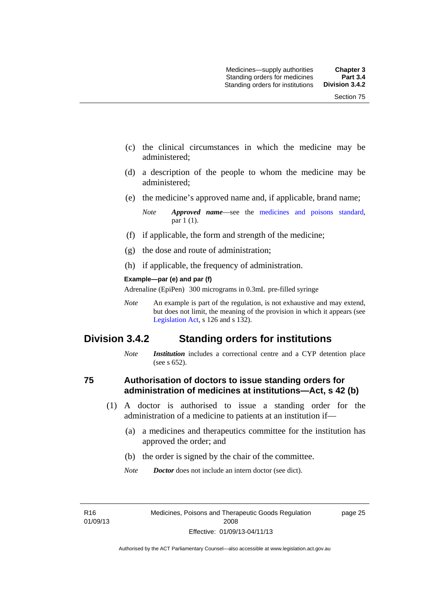- (c) the clinical circumstances in which the medicine may be administered;
- (d) a description of the people to whom the medicine may be administered;
- (e) the medicine's approved name and, if applicable, brand name;

- (f) if applicable, the form and strength of the medicine;
- (g) the dose and route of administration;
- (h) if applicable, the frequency of administration.

#### **Example—par (e) and par (f)**

Adrenaline (EpiPen) 300 micrograms in 0.3mL pre-filled syringe

*Note* An example is part of the regulation, is not exhaustive and may extend, but does not limit, the meaning of the provision in which it appears (see [Legislation Act,](http://www.legislation.act.gov.au/a/2001-14) s 126 and s 132).

## **Division 3.4.2 Standing orders for institutions**

*Note Institution* includes a correctional centre and a CYP detention place (see s 652).

#### **75 Authorisation of doctors to issue standing orders for administration of medicines at institutions—Act, s 42 (b)**

- (1) A doctor is authorised to issue a standing order for the administration of a medicine to patients at an institution if—
	- (a) a medicines and therapeutics committee for the institution has approved the order; and
	- (b) the order is signed by the chair of the committee.
	- *Note Doctor* does not include an intern doctor (see dict).

R16 01/09/13 page 25

*Note Approved name*—see the [medicines and poisons standard,](http://www.comlaw.gov.au/Series/F2012L01200) par 1 (1).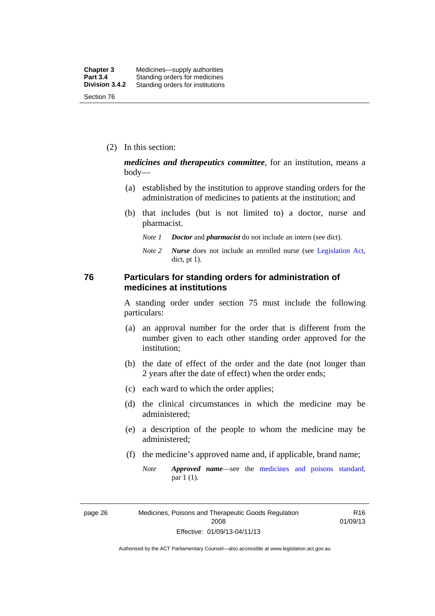(2) In this section:

*medicines and therapeutics committee*, for an institution, means a body—

- (a) established by the institution to approve standing orders for the administration of medicines to patients at the institution; and
- (b) that includes (but is not limited to) a doctor, nurse and pharmacist.
	- *Note 1 Doctor* and *pharmacist* do not include an intern (see dict).
	- *Note 2 Nurse* does not include an enrolled nurse (see [Legislation Act,](http://www.legislation.act.gov.au/a/2001-14) dict, pt 1).

#### **76 Particulars for standing orders for administration of medicines at institutions**

A standing order under section 75 must include the following particulars:

- (a) an approval number for the order that is different from the number given to each other standing order approved for the institution;
- (b) the date of effect of the order and the date (not longer than 2 years after the date of effect) when the order ends;
- (c) each ward to which the order applies;
- (d) the clinical circumstances in which the medicine may be administered;
- (e) a description of the people to whom the medicine may be administered;
- (f) the medicine's approved name and, if applicable, brand name;
	- *Note Approved name*—see the [medicines and poisons standard,](http://www.comlaw.gov.au/Series/F2012L01200) par 1 (1).

page 26 Medicines, Poisons and Therapeutic Goods Regulation 2008 Effective: 01/09/13-04/11/13

R16 01/09/13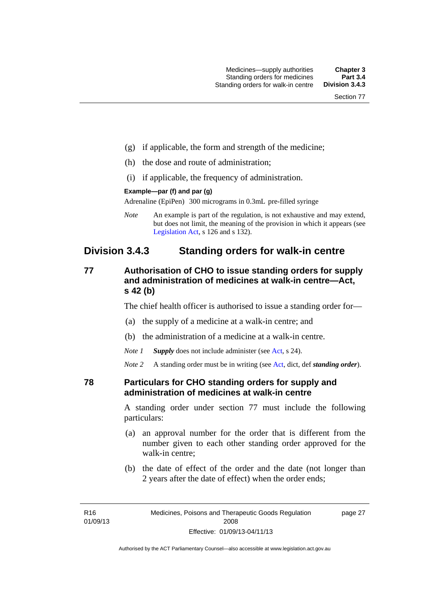- (g) if applicable, the form and strength of the medicine;
- (h) the dose and route of administration;
- (i) if applicable, the frequency of administration.

#### **Example—par (f) and par (g)**

Adrenaline (EpiPen) 300 micrograms in 0.3mL pre-filled syringe

*Note* An example is part of the regulation, is not exhaustive and may extend, but does not limit, the meaning of the provision in which it appears (see [Legislation Act,](http://www.legislation.act.gov.au/a/2001-14) s 126 and s 132).

## **Division 3.4.3 Standing orders for walk-in centre**

#### **77 Authorisation of CHO to issue standing orders for supply and administration of medicines at walk-in centre—Act, s 42 (b)**

The chief health officer is authorised to issue a standing order for—

- (a) the supply of a medicine at a walk-in centre; and
- (b) the administration of a medicine at a walk-in centre.

*Note 1 Supply* does not include administer (see [Act,](http://www.legislation.act.gov.au/a/2008-26/default.asp) s 24).

*Note 2* A standing order must be in writing (see [Act](http://www.legislation.act.gov.au/a/2008-26/default.asp), dict, def *standing order*).

#### **78 Particulars for CHO standing orders for supply and administration of medicines at walk-in centre**

A standing order under section 77 must include the following particulars:

- (a) an approval number for the order that is different from the number given to each other standing order approved for the walk-in centre;
- (b) the date of effect of the order and the date (not longer than 2 years after the date of effect) when the order ends;

page 27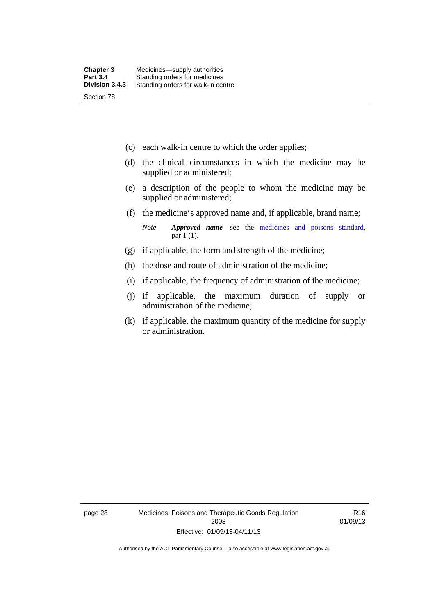- (c) each walk-in centre to which the order applies;
- (d) the clinical circumstances in which the medicine may be supplied or administered;
- (e) a description of the people to whom the medicine may be supplied or administered;
- (f) the medicine's approved name and, if applicable, brand name;

*Note Approved name*—see the [medicines and poisons standard,](http://www.comlaw.gov.au/Series/F2012L01200) par 1 (1).

- (g) if applicable, the form and strength of the medicine;
- (h) the dose and route of administration of the medicine;
- (i) if applicable, the frequency of administration of the medicine;
- (j) if applicable, the maximum duration of supply or administration of the medicine;
- (k) if applicable, the maximum quantity of the medicine for supply or administration.

page 28 Medicines, Poisons and Therapeutic Goods Regulation 2008 Effective: 01/09/13-04/11/13

R16 01/09/13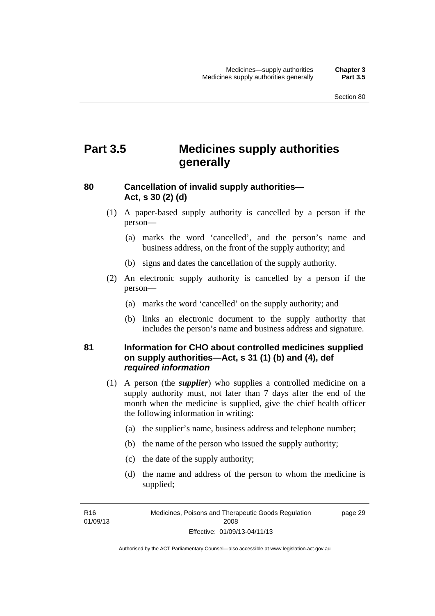# **Part 3.5 Medicines supply authorities generally**

#### **80 Cancellation of invalid supply authorities— Act, s 30 (2) (d)**

- (1) A paper-based supply authority is cancelled by a person if the person—
	- (a) marks the word 'cancelled', and the person's name and business address, on the front of the supply authority; and
	- (b) signs and dates the cancellation of the supply authority.
- (2) An electronic supply authority is cancelled by a person if the person—
	- (a) marks the word 'cancelled' on the supply authority; and
	- (b) links an electronic document to the supply authority that includes the person's name and business address and signature.

#### **81 Information for CHO about controlled medicines supplied on supply authorities—Act, s 31 (1) (b) and (4), def**  *required information*

- (1) A person (the *supplier*) who supplies a controlled medicine on a supply authority must, not later than 7 days after the end of the month when the medicine is supplied, give the chief health officer the following information in writing:
	- (a) the supplier's name, business address and telephone number;
	- (b) the name of the person who issued the supply authority;
	- (c) the date of the supply authority;
	- (d) the name and address of the person to whom the medicine is supplied;

R16 01/09/13 page 29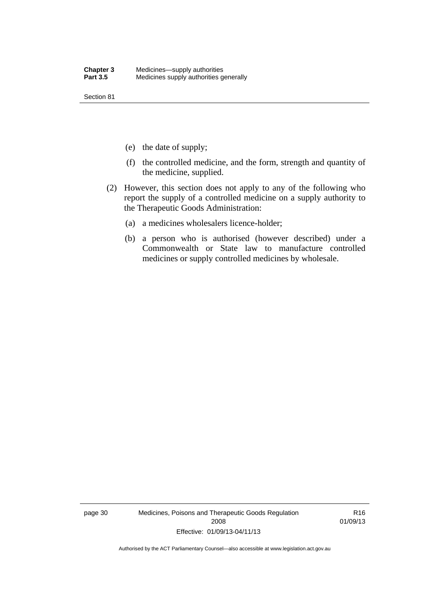Section 81

- (e) the date of supply;
- (f) the controlled medicine, and the form, strength and quantity of the medicine, supplied.
- (2) However, this section does not apply to any of the following who report the supply of a controlled medicine on a supply authority to the Therapeutic Goods Administration:
	- (a) a medicines wholesalers licence-holder;
	- (b) a person who is authorised (however described) under a Commonwealth or State law to manufacture controlled medicines or supply controlled medicines by wholesale.

page 30 Medicines, Poisons and Therapeutic Goods Regulation 2008 Effective: 01/09/13-04/11/13

R16 01/09/13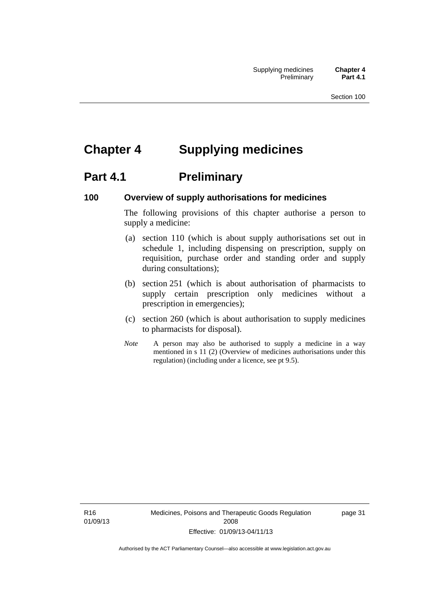# **Chapter 4 Supplying medicines**

# **Part 4.1** Preliminary

#### **100 Overview of supply authorisations for medicines**

The following provisions of this chapter authorise a person to supply a medicine:

- (a) section 110 (which is about supply authorisations set out in schedule 1, including dispensing on prescription, supply on requisition, purchase order and standing order and supply during consultations);
- (b) section 251 (which is about authorisation of pharmacists to supply certain prescription only medicines without a prescription in emergencies);
- (c) section 260 (which is about authorisation to supply medicines to pharmacists for disposal).
- *Note* A person may also be authorised to supply a medicine in a way mentioned in s 11 (2) (Overview of medicines authorisations under this regulation) (including under a licence, see pt 9.5).

R16 01/09/13 Medicines, Poisons and Therapeutic Goods Regulation 2008 Effective: 01/09/13-04/11/13

page 31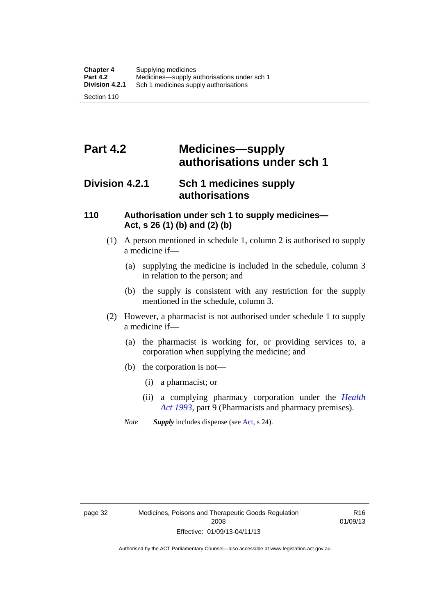# **Part 4.2 Medicines—supply authorisations under sch 1**

## **Division 4.2.1 Sch 1 medicines supply authorisations**

#### **110 Authorisation under sch 1 to supply medicines— Act, s 26 (1) (b) and (2) (b)**

- (1) A person mentioned in schedule 1, column 2 is authorised to supply a medicine if—
	- (a) supplying the medicine is included in the schedule, column 3 in relation to the person; and
	- (b) the supply is consistent with any restriction for the supply mentioned in the schedule, column 3.
- (2) However, a pharmacist is not authorised under schedule 1 to supply a medicine if—
	- (a) the pharmacist is working for, or providing services to, a corporation when supplying the medicine; and
	- (b) the corporation is not—
		- (i) a pharmacist; or
		- (ii) a complying pharmacy corporation under the *[Health](http://www.legislation.act.gov.au/a/1993-13)  [Act 1993](http://www.legislation.act.gov.au/a/1993-13)*, part 9 (Pharmacists and pharmacy premises).
	- *Note Supply* includes dispense (see [Act,](http://www.legislation.act.gov.au/a/2008-26/default.asp) s 24).

R16 01/09/13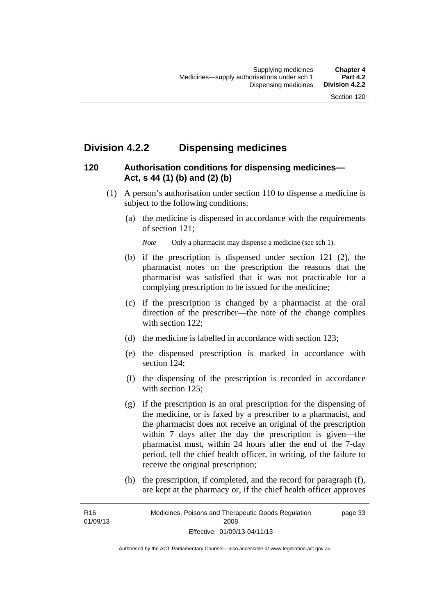## **Division 4.2.2 Dispensing medicines**

## **120 Authorisation conditions for dispensing medicines— Act, s 44 (1) (b) and (2) (b)**

- (1) A person's authorisation under section 110 to dispense a medicine is subject to the following conditions:
	- (a) the medicine is dispensed in accordance with the requirements of section 121;

*Note* Only a pharmacist may dispense a medicine (see sch 1).

- (b) if the prescription is dispensed under section 121 (2), the pharmacist notes on the prescription the reasons that the pharmacist was satisfied that it was not practicable for a complying prescription to be issued for the medicine;
- (c) if the prescription is changed by a pharmacist at the oral direction of the prescriber—the note of the change complies with section 122:
- (d) the medicine is labelled in accordance with section 123;
- (e) the dispensed prescription is marked in accordance with section 124;
- (f) the dispensing of the prescription is recorded in accordance with section 125:
- (g) if the prescription is an oral prescription for the dispensing of the medicine, or is faxed by a prescriber to a pharmacist, and the pharmacist does not receive an original of the prescription within 7 days after the day the prescription is given—the pharmacist must, within 24 hours after the end of the 7-day period, tell the chief health officer, in writing, of the failure to receive the original prescription;
- (h) the prescription, if completed, and the record for paragraph (f), are kept at the pharmacy or, if the chief health officer approves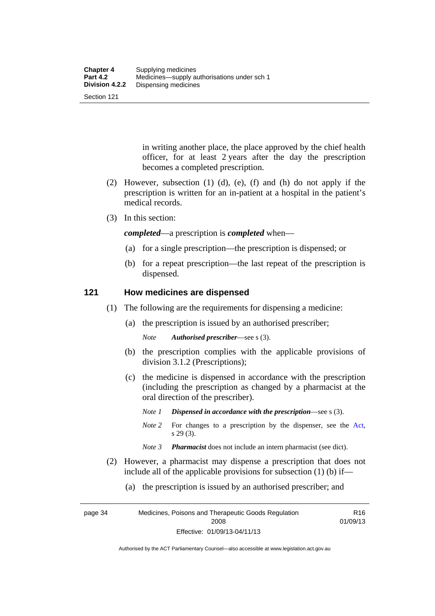Section 121

in writing another place, the place approved by the chief health officer, for at least 2 years after the day the prescription becomes a completed prescription.

- (2) However, subsection (1) (d), (e), (f) and (h) do not apply if the prescription is written for an in-patient at a hospital in the patient's medical records.
- (3) In this section:

*completed*—a prescription is *completed* when—

- (a) for a single prescription—the prescription is dispensed; or
- (b) for a repeat prescription—the last repeat of the prescription is dispensed.

#### **121 How medicines are dispensed**

- (1) The following are the requirements for dispensing a medicine:
	- (a) the prescription is issued by an authorised prescriber;

*Note Authorised prescriber*—see s (3).

- (b) the prescription complies with the applicable provisions of division 3.1.2 (Prescriptions);
- (c) the medicine is dispensed in accordance with the prescription (including the prescription as changed by a pharmacist at the oral direction of the prescriber).
	- *Note 1 Dispensed in accordance with the prescription*—see s (3).
	- *Note* 2 For changes to a prescription by the dispenser, see the [Act,](http://www.legislation.act.gov.au/a/2008-26/default.asp) s 29 (3).
	- *Note 3 Pharmacist* does not include an intern pharmacist (see dict).
- (2) However, a pharmacist may dispense a prescription that does not include all of the applicable provisions for subsection (1) (b) if—
	- (a) the prescription is issued by an authorised prescriber; and

page 34 Medicines, Poisons and Therapeutic Goods Regulation 2008 Effective: 01/09/13-04/11/13 R16 01/09/13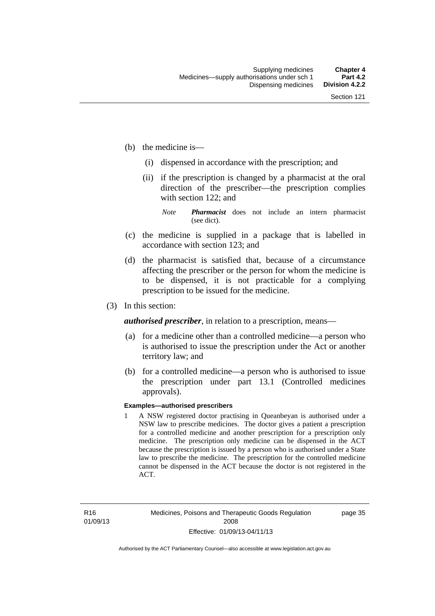- (b) the medicine is—
	- (i) dispensed in accordance with the prescription; and
	- (ii) if the prescription is changed by a pharmacist at the oral direction of the prescriber—the prescription complies with section 122; and

*Note Pharmacist* does not include an intern pharmacist (see dict).

- (c) the medicine is supplied in a package that is labelled in accordance with section 123; and
- (d) the pharmacist is satisfied that, because of a circumstance affecting the prescriber or the person for whom the medicine is to be dispensed, it is not practicable for a complying prescription to be issued for the medicine.
- (3) In this section:

*authorised prescriber*, in relation to a prescription, means—

- (a) for a medicine other than a controlled medicine—a person who is authorised to issue the prescription under the Act or another territory law; and
- (b) for a controlled medicine—a person who is authorised to issue the prescription under part 13.1 (Controlled medicines approvals).

#### **Examples—authorised prescribers**

1 A NSW registered doctor practising in Queanbeyan is authorised under a NSW law to prescribe medicines. The doctor gives a patient a prescription for a controlled medicine and another prescription for a prescription only medicine. The prescription only medicine can be dispensed in the ACT because the prescription is issued by a person who is authorised under a State law to prescribe the medicine. The prescription for the controlled medicine cannot be dispensed in the ACT because the doctor is not registered in the ACT.

page 35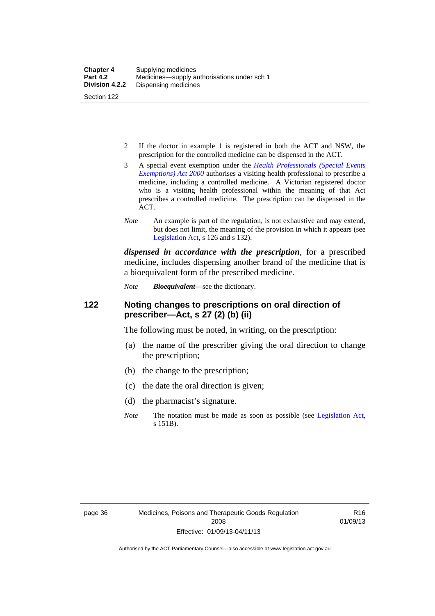- 2 If the doctor in example 1 is registered in both the ACT and NSW, the prescription for the controlled medicine can be dispensed in the ACT.
- 3 A special event exemption under the *[Health Professionals \(Special Events](http://www.legislation.act.gov.au/a/2000-25)  [Exemptions\) Act 2000](http://www.legislation.act.gov.au/a/2000-25)* authorises a visiting health professional to prescribe a medicine, including a controlled medicine. A Victorian registered doctor who is a visiting health professional within the meaning of that Act prescribes a controlled medicine. The prescription can be dispensed in the ACT.
- *Note* An example is part of the regulation, is not exhaustive and may extend, but does not limit, the meaning of the provision in which it appears (see [Legislation Act,](http://www.legislation.act.gov.au/a/2001-14) s 126 and s 132).

*dispensed in accordance with the prescription*, for a prescribed medicine, includes dispensing another brand of the medicine that is a bioequivalent form of the prescribed medicine.

*Note Bioequivalent*—see the dictionary.

#### **122 Noting changes to prescriptions on oral direction of prescriber—Act, s 27 (2) (b) (ii)**

The following must be noted, in writing, on the prescription:

- (a) the name of the prescriber giving the oral direction to change the prescription;
- (b) the change to the prescription;
- (c) the date the oral direction is given;
- (d) the pharmacist's signature.
- *Note* The notation must be made as soon as possible (see [Legislation Act,](http://www.legislation.act.gov.au/a/2001-14) s 151B).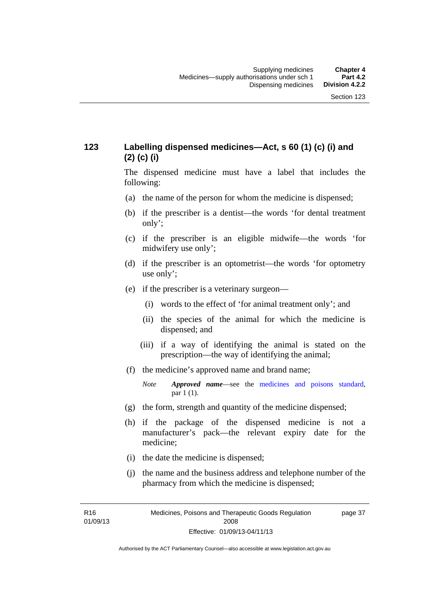## **123 Labelling dispensed medicines—Act, s 60 (1) (c) (i) and (2) (c) (i)**

The dispensed medicine must have a label that includes the following:

- (a) the name of the person for whom the medicine is dispensed;
- (b) if the prescriber is a dentist—the words 'for dental treatment only';
- (c) if the prescriber is an eligible midwife—the words 'for midwifery use only';
- (d) if the prescriber is an optometrist—the words 'for optometry use only';
- (e) if the prescriber is a veterinary surgeon—
	- (i) words to the effect of 'for animal treatment only'; and
	- (ii) the species of the animal for which the medicine is dispensed; and
	- (iii) if a way of identifying the animal is stated on the prescription—the way of identifying the animal;
- (f) the medicine's approved name and brand name;
	- *Note Approved name*—see the [medicines and poisons standard,](http://www.comlaw.gov.au/Series/F2012L01200) par 1 (1).
- (g) the form, strength and quantity of the medicine dispensed;
- (h) if the package of the dispensed medicine is not a manufacturer's pack—the relevant expiry date for the medicine;
- (i) the date the medicine is dispensed;
- (j) the name and the business address and telephone number of the pharmacy from which the medicine is dispensed;

R16 01/09/13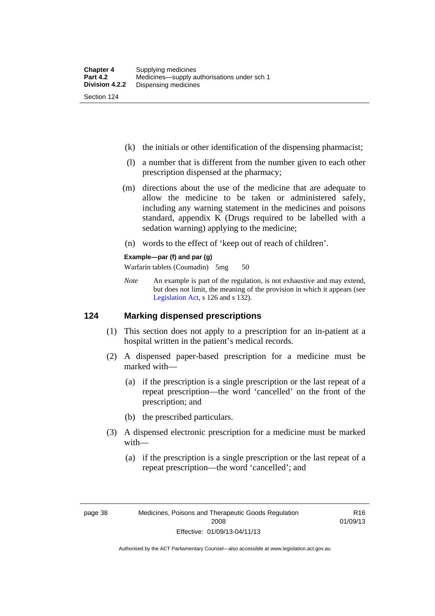- (k) the initials or other identification of the dispensing pharmacist;
- (l) a number that is different from the number given to each other prescription dispensed at the pharmacy;
- (m) directions about the use of the medicine that are adequate to allow the medicine to be taken or administered safely, including any warning statement in the medicines and poisons standard, appendix K (Drugs required to be labelled with a sedation warning) applying to the medicine;
- (n) words to the effect of 'keep out of reach of children'.

#### **Example—par (f) and par (g)**

Warfarin tablets (Coumadin) 5mg 50

*Note* An example is part of the regulation, is not exhaustive and may extend, but does not limit, the meaning of the provision in which it appears (see [Legislation Act,](http://www.legislation.act.gov.au/a/2001-14) s 126 and s 132).

#### **124 Marking dispensed prescriptions**

- (1) This section does not apply to a prescription for an in-patient at a hospital written in the patient's medical records.
- (2) A dispensed paper-based prescription for a medicine must be marked with—
	- (a) if the prescription is a single prescription or the last repeat of a repeat prescription—the word 'cancelled' on the front of the prescription; and
	- (b) the prescribed particulars.
- (3) A dispensed electronic prescription for a medicine must be marked with—
	- (a) if the prescription is a single prescription or the last repeat of a repeat prescription—the word 'cancelled'; and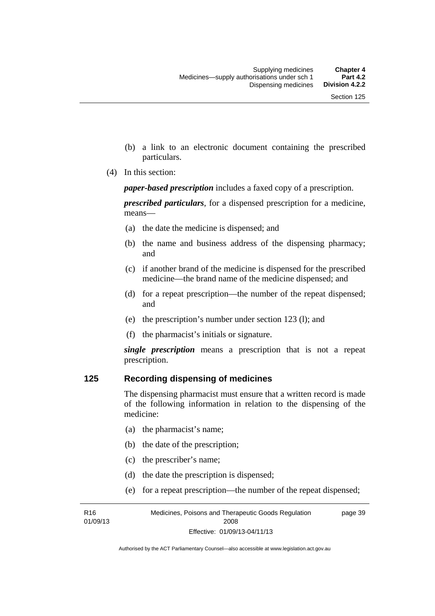- (b) a link to an electronic document containing the prescribed particulars.
- (4) In this section:

*paper-based prescription* includes a faxed copy of a prescription.

*prescribed particulars*, for a dispensed prescription for a medicine, means—

- (a) the date the medicine is dispensed; and
- (b) the name and business address of the dispensing pharmacy; and
- (c) if another brand of the medicine is dispensed for the prescribed medicine—the brand name of the medicine dispensed; and
- (d) for a repeat prescription—the number of the repeat dispensed; and
- (e) the prescription's number under section 123 (l); and
- (f) the pharmacist's initials or signature.

*single prescription* means a prescription that is not a repeat prescription.

#### **125 Recording dispensing of medicines**

The dispensing pharmacist must ensure that a written record is made of the following information in relation to the dispensing of the medicine:

- (a) the pharmacist's name;
- (b) the date of the prescription;
- (c) the prescriber's name;

R16 01/09/13

- (d) the date the prescription is dispensed;
- (e) for a repeat prescription—the number of the repeat dispensed;

Medicines, Poisons and Therapeutic Goods Regulation 2008 Effective: 01/09/13-04/11/13 page 39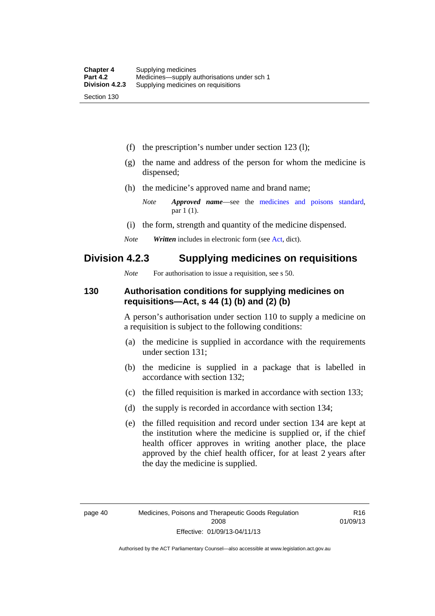(f) the prescription's number under section 123 (l);

- (g) the name and address of the person for whom the medicine is dispensed;
- (h) the medicine's approved name and brand name;
	- *Note Approved name*—see the [medicines and poisons standard,](http://www.comlaw.gov.au/Series/F2012L01200) par 1 (1).
- (i) the form, strength and quantity of the medicine dispensed.
- *Note Written* includes in electronic form (see [Act,](http://www.legislation.act.gov.au/a/2008-26/default.asp) dict).

## **Division 4.2.3 Supplying medicines on requisitions**

*Note* For authorisation to issue a requisition, see s 50.

#### **130 Authorisation conditions for supplying medicines on requisitions—Act, s 44 (1) (b) and (2) (b)**

A person's authorisation under section 110 to supply a medicine on a requisition is subject to the following conditions:

- (a) the medicine is supplied in accordance with the requirements under section 131;
- (b) the medicine is supplied in a package that is labelled in accordance with section 132;
- (c) the filled requisition is marked in accordance with section 133;
- (d) the supply is recorded in accordance with section 134;
- (e) the filled requisition and record under section 134 are kept at the institution where the medicine is supplied or, if the chief health officer approves in writing another place, the place approved by the chief health officer, for at least 2 years after the day the medicine is supplied.

R16 01/09/13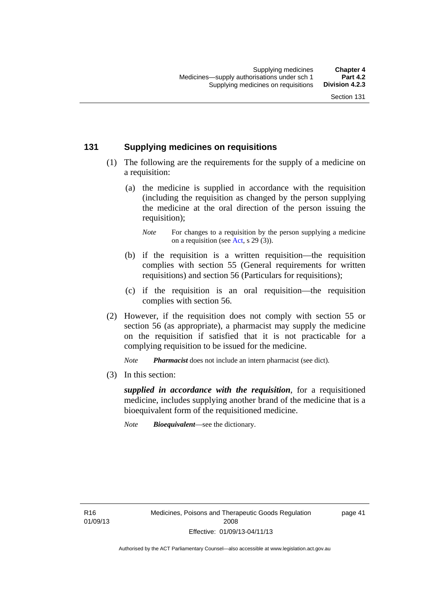#### **131 Supplying medicines on requisitions**

- (1) The following are the requirements for the supply of a medicine on a requisition:
	- (a) the medicine is supplied in accordance with the requisition (including the requisition as changed by the person supplying the medicine at the oral direction of the person issuing the requisition);

- (b) if the requisition is a written requisition—the requisition complies with section 55 (General requirements for written requisitions) and section 56 (Particulars for requisitions);
- (c) if the requisition is an oral requisition—the requisition complies with section 56.
- (2) However, if the requisition does not comply with section 55 or section 56 (as appropriate), a pharmacist may supply the medicine on the requisition if satisfied that it is not practicable for a complying requisition to be issued for the medicine.

*Note Pharmacist* does not include an intern pharmacist (see dict).

(3) In this section:

*supplied in accordance with the requisition*, for a requisitioned medicine, includes supplying another brand of the medicine that is a bioequivalent form of the requisitioned medicine.

*Note Bioequivalent*—see the dictionary.

R16 01/09/13 page 41

*Note* For changes to a requisition by the person supplying a medicine on a requisition (see [Act,](http://www.legislation.act.gov.au/a/2008-26/default.asp) s 29 (3)).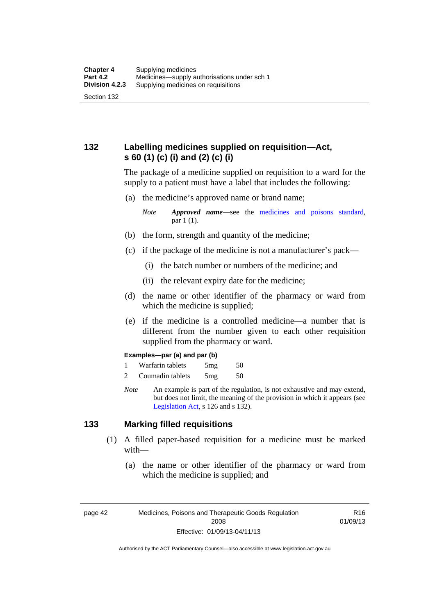## **132 Labelling medicines supplied on requisition—Act, s 60 (1) (c) (i) and (2) (c) (i)**

The package of a medicine supplied on requisition to a ward for the supply to a patient must have a label that includes the following:

(a) the medicine's approved name or brand name;

*Note Approved name*—see the [medicines and poisons standard,](http://www.comlaw.gov.au/Series/F2012L01200) par 1 (1).

- (b) the form, strength and quantity of the medicine;
- (c) if the package of the medicine is not a manufacturer's pack—
	- (i) the batch number or numbers of the medicine; and
	- (ii) the relevant expiry date for the medicine;
- (d) the name or other identifier of the pharmacy or ward from which the medicine is supplied;
- (e) if the medicine is a controlled medicine—a number that is different from the number given to each other requisition supplied from the pharmacy or ward.

#### **Examples—par (a) and par (b)**

- 1 Warfarin tablets 5mg 50
- 2 Coumadin tablets 5mg 50
- *Note* An example is part of the regulation, is not exhaustive and may extend, but does not limit, the meaning of the provision in which it appears (see [Legislation Act,](http://www.legislation.act.gov.au/a/2001-14) s 126 and s 132).

#### **133 Marking filled requisitions**

- (1) A filled paper-based requisition for a medicine must be marked with—
	- (a) the name or other identifier of the pharmacy or ward from which the medicine is supplied; and

page 42 Medicines, Poisons and Therapeutic Goods Regulation 2008 Effective: 01/09/13-04/11/13

R16 01/09/13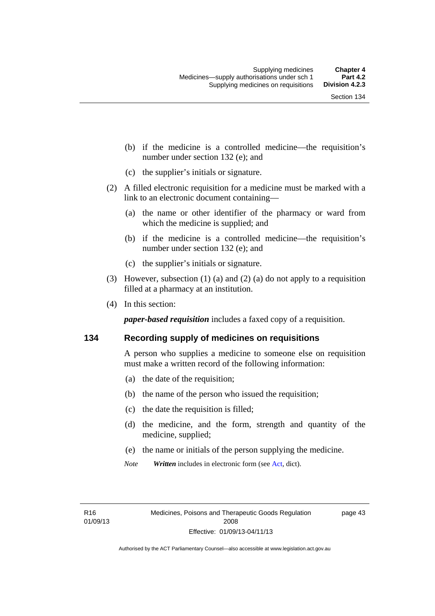- (b) if the medicine is a controlled medicine—the requisition's number under section 132 (e); and
- (c) the supplier's initials or signature.
- (2) A filled electronic requisition for a medicine must be marked with a link to an electronic document containing—
	- (a) the name or other identifier of the pharmacy or ward from which the medicine is supplied; and
	- (b) if the medicine is a controlled medicine—the requisition's number under section 132 (e); and
	- (c) the supplier's initials or signature.
- (3) However, subsection (1) (a) and (2) (a) do not apply to a requisition filled at a pharmacy at an institution.
- (4) In this section:

*paper-based requisition* includes a faxed copy of a requisition.

#### **134 Recording supply of medicines on requisitions**

A person who supplies a medicine to someone else on requisition must make a written record of the following information:

- (a) the date of the requisition;
- (b) the name of the person who issued the requisition;
- (c) the date the requisition is filled;
- (d) the medicine, and the form, strength and quantity of the medicine, supplied;
- (e) the name or initials of the person supplying the medicine.
- *Note Written* includes in electronic form (see [Act,](http://www.legislation.act.gov.au/a/2008-26/default.asp) dict).

page 43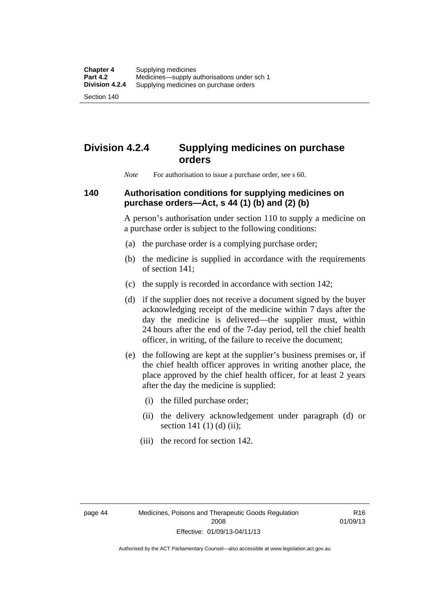Section 140

# **Division 4.2.4 Supplying medicines on purchase orders**

*Note* For authorisation to issue a purchase order, see s 60.

#### **140 Authorisation conditions for supplying medicines on purchase orders—Act, s 44 (1) (b) and (2) (b)**

A person's authorisation under section 110 to supply a medicine on a purchase order is subject to the following conditions:

- (a) the purchase order is a complying purchase order;
- (b) the medicine is supplied in accordance with the requirements of section 141;
- (c) the supply is recorded in accordance with section 142;
- (d) if the supplier does not receive a document signed by the buyer acknowledging receipt of the medicine within 7 days after the day the medicine is delivered—the supplier must, within 24 hours after the end of the 7-day period, tell the chief health officer, in writing, of the failure to receive the document;
- (e) the following are kept at the supplier's business premises or, if the chief health officer approves in writing another place, the place approved by the chief health officer, for at least 2 years after the day the medicine is supplied:
	- (i) the filled purchase order;
	- (ii) the delivery acknowledgement under paragraph (d) or section 141 $(1)$  $(d)$  $(ii)$ ;
	- (iii) the record for section 142.

R16 01/09/13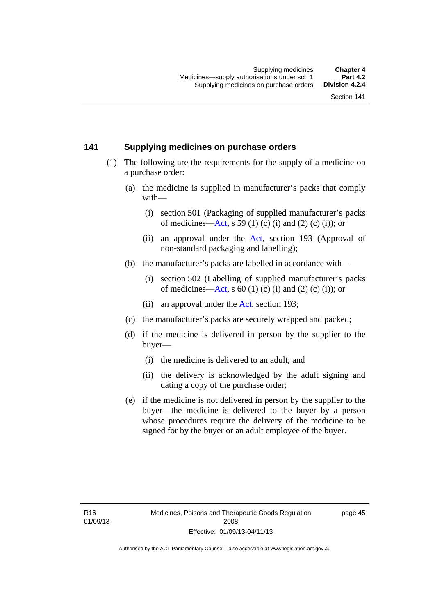#### **141 Supplying medicines on purchase orders**

- (1) The following are the requirements for the supply of a medicine on a purchase order:
	- (a) the medicine is supplied in manufacturer's packs that comply with—
		- (i) section 501 (Packaging of supplied manufacturer's packs of medicines—[Act](http://www.legislation.act.gov.au/a/2008-26/default.asp), s 59 (1) (c) (i) and (2) (c) (i)); or
		- (ii) an approval under the [Act](http://www.legislation.act.gov.au/a/2008-26/default.asp), section 193 (Approval of non-standard packaging and labelling);
	- (b) the manufacturer's packs are labelled in accordance with—
		- (i) section 502 (Labelling of supplied manufacturer's packs of medicines—[Act](http://www.legislation.act.gov.au/a/2008-26/default.asp), s  $60(1)$  (c) (i) and (2) (c) (i)); or
		- (ii) an approval under the [Act,](http://www.legislation.act.gov.au/a/2008-26/default.asp) section 193;
	- (c) the manufacturer's packs are securely wrapped and packed;
	- (d) if the medicine is delivered in person by the supplier to the buyer—
		- (i) the medicine is delivered to an adult; and
		- (ii) the delivery is acknowledged by the adult signing and dating a copy of the purchase order;
	- (e) if the medicine is not delivered in person by the supplier to the buyer—the medicine is delivered to the buyer by a person whose procedures require the delivery of the medicine to be signed for by the buyer or an adult employee of the buyer.

page 45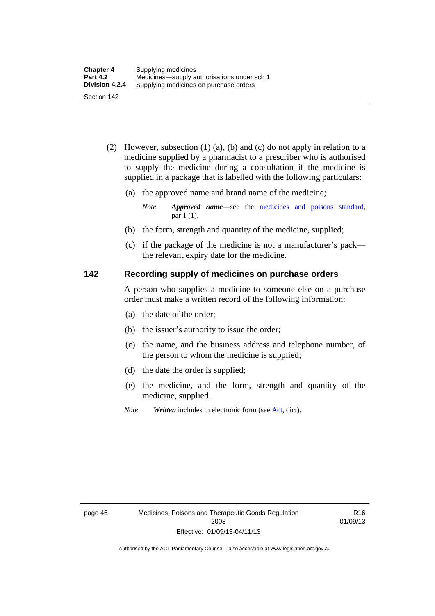- (2) However, subsection (1) (a), (b) and (c) do not apply in relation to a medicine supplied by a pharmacist to a prescriber who is authorised to supply the medicine during a consultation if the medicine is supplied in a package that is labelled with the following particulars:
	- (a) the approved name and brand name of the medicine;

*Note Approved name*—see the [medicines and poisons standard,](http://www.comlaw.gov.au/Series/F2012L01200) par 1 (1).

- (b) the form, strength and quantity of the medicine, supplied;
- (c) if the package of the medicine is not a manufacturer's pack the relevant expiry date for the medicine.

#### **142 Recording supply of medicines on purchase orders**

A person who supplies a medicine to someone else on a purchase order must make a written record of the following information:

- (a) the date of the order;
- (b) the issuer's authority to issue the order;
- (c) the name, and the business address and telephone number, of the person to whom the medicine is supplied;
- (d) the date the order is supplied;
- (e) the medicine, and the form, strength and quantity of the medicine, supplied.
- *Note Written* includes in electronic form (see [Act,](http://www.legislation.act.gov.au/a/2008-26/default.asp) dict).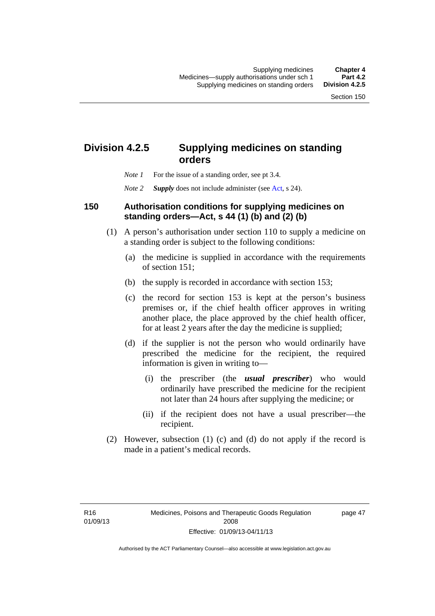## **Division 4.2.5 Supplying medicines on standing orders**

- *Note 1* For the issue of a standing order, see pt 3.4.
- *Note 2 Supply* does not include administer (see [Act,](http://www.legislation.act.gov.au/a/2008-26/default.asp) s 24).

#### **150 Authorisation conditions for supplying medicines on standing orders—Act, s 44 (1) (b) and (2) (b)**

- (1) A person's authorisation under section 110 to supply a medicine on a standing order is subject to the following conditions:
	- (a) the medicine is supplied in accordance with the requirements of section 151;
	- (b) the supply is recorded in accordance with section 153;
	- (c) the record for section 153 is kept at the person's business premises or, if the chief health officer approves in writing another place, the place approved by the chief health officer, for at least 2 years after the day the medicine is supplied;
	- (d) if the supplier is not the person who would ordinarily have prescribed the medicine for the recipient, the required information is given in writing to—
		- (i) the prescriber (the *usual prescriber*) who would ordinarily have prescribed the medicine for the recipient not later than 24 hours after supplying the medicine; or
		- (ii) if the recipient does not have a usual prescriber—the recipient.
- (2) However, subsection (1) (c) and (d) do not apply if the record is made in a patient's medical records.

page 47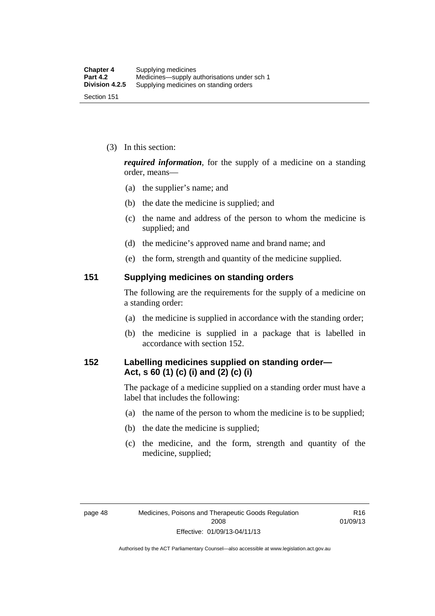(3) In this section:

*required information*, for the supply of a medicine on a standing order, means—

- (a) the supplier's name; and
- (b) the date the medicine is supplied; and
- (c) the name and address of the person to whom the medicine is supplied; and
- (d) the medicine's approved name and brand name; and
- (e) the form, strength and quantity of the medicine supplied.

#### **151 Supplying medicines on standing orders**

The following are the requirements for the supply of a medicine on a standing order:

- (a) the medicine is supplied in accordance with the standing order;
- (b) the medicine is supplied in a package that is labelled in accordance with section 152.

## **152 Labelling medicines supplied on standing order— Act, s 60 (1) (c) (i) and (2) (c) (i)**

The package of a medicine supplied on a standing order must have a label that includes the following:

- (a) the name of the person to whom the medicine is to be supplied;
- (b) the date the medicine is supplied;
- (c) the medicine, and the form, strength and quantity of the medicine, supplied;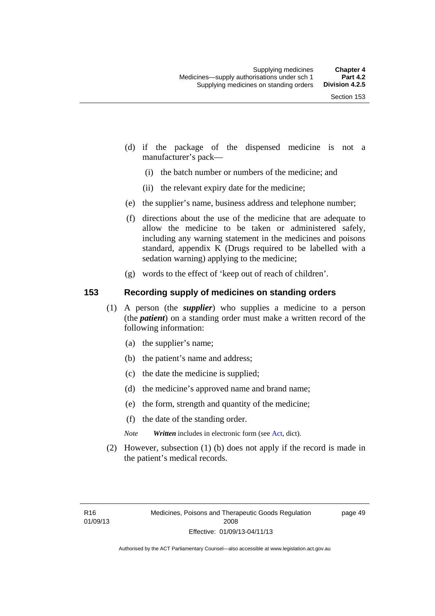- (d) if the package of the dispensed medicine is not a manufacturer's pack—
	- (i) the batch number or numbers of the medicine; and
	- (ii) the relevant expiry date for the medicine;
- (e) the supplier's name, business address and telephone number;
- (f) directions about the use of the medicine that are adequate to allow the medicine to be taken or administered safely, including any warning statement in the medicines and poisons standard, appendix K (Drugs required to be labelled with a sedation warning) applying to the medicine;
- (g) words to the effect of 'keep out of reach of children'.

#### **153 Recording supply of medicines on standing orders**

- (1) A person (the *supplier*) who supplies a medicine to a person (the *patient*) on a standing order must make a written record of the following information:
	- (a) the supplier's name;
	- (b) the patient's name and address;
	- (c) the date the medicine is supplied;
	- (d) the medicine's approved name and brand name;
	- (e) the form, strength and quantity of the medicine;
	- (f) the date of the standing order.
	- *Note Written* includes in electronic form (see [Act,](http://www.legislation.act.gov.au/a/2008-26/default.asp) dict).
- (2) However, subsection (1) (b) does not apply if the record is made in the patient's medical records.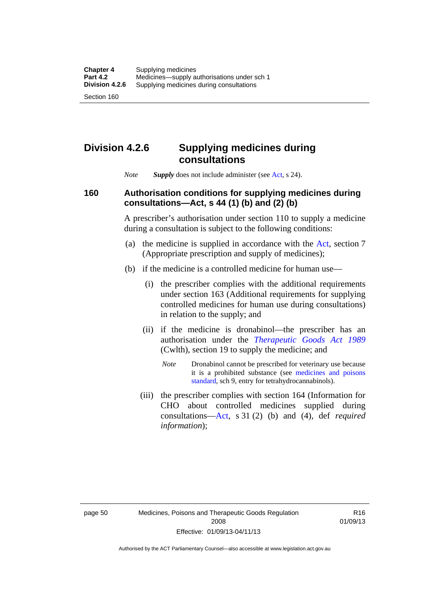### **Division 4.2.6 Supplying medicines during consultations**

*Note Supply* does not include administer (see [Act,](http://www.legislation.act.gov.au/a/2008-26/default.asp) s 24).

### **160 Authorisation conditions for supplying medicines during consultations—Act, s 44 (1) (b) and (2) (b)**

A prescriber's authorisation under section 110 to supply a medicine during a consultation is subject to the following conditions:

- (a) the medicine is supplied in accordance with the [Act](http://www.legislation.act.gov.au/a/2008-26/default.asp), section 7 (Appropriate prescription and supply of medicines);
- (b) if the medicine is a controlled medicine for human use—
	- (i) the prescriber complies with the additional requirements under section 163 (Additional requirements for supplying controlled medicines for human use during consultations) in relation to the supply; and
	- (ii) if the medicine is dronabinol—the prescriber has an authorisation under the *[Therapeutic Goods Act 1989](http://www.comlaw.gov.au/Series/C2004A03952)* (Cwlth), section 19 to supply the medicine; and
		- *Note* Dronabinol cannot be prescribed for veterinary use because it is a prohibited substance (see [medicines and poisons](http://www.comlaw.gov.au/Series/F2012L01200)  [standard,](http://www.comlaw.gov.au/Series/F2012L01200) sch 9, entry for tetrahydrocannabinols).
	- (iii) the prescriber complies with section 164 (Information for CHO about controlled medicines supplied during consultations[—Act,](http://www.legislation.act.gov.au/a/2008-26/default.asp) s 31 (2) (b) and (4), def *required information*);

R16 01/09/13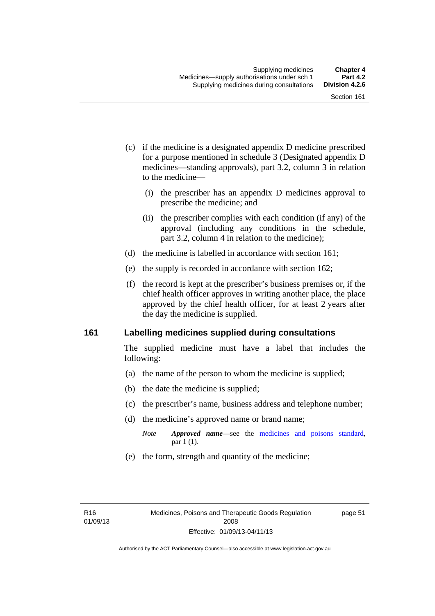- (c) if the medicine is a designated appendix D medicine prescribed for a purpose mentioned in schedule 3 (Designated appendix D medicines—standing approvals), part 3.2, column 3 in relation to the medicine—
	- (i) the prescriber has an appendix D medicines approval to prescribe the medicine; and
	- (ii) the prescriber complies with each condition (if any) of the approval (including any conditions in the schedule, part 3.2, column 4 in relation to the medicine);
- (d) the medicine is labelled in accordance with section 161;
- (e) the supply is recorded in accordance with section 162;
- (f) the record is kept at the prescriber's business premises or, if the chief health officer approves in writing another place, the place approved by the chief health officer, for at least 2 years after the day the medicine is supplied.

#### **161 Labelling medicines supplied during consultations**

The supplied medicine must have a label that includes the following:

- (a) the name of the person to whom the medicine is supplied;
- (b) the date the medicine is supplied;
- (c) the prescriber's name, business address and telephone number;
- (d) the medicine's approved name or brand name;
	- *Note Approved name*—see the [medicines and poisons standard,](http://www.comlaw.gov.au/Series/F2012L01200) par 1 (1).
- (e) the form, strength and quantity of the medicine;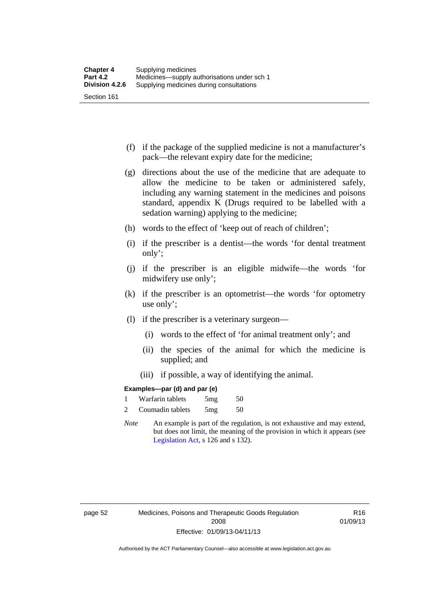- (f) if the package of the supplied medicine is not a manufacturer's pack—the relevant expiry date for the medicine;
- (g) directions about the use of the medicine that are adequate to allow the medicine to be taken or administered safely, including any warning statement in the medicines and poisons standard, appendix K (Drugs required to be labelled with a sedation warning) applying to the medicine;
- (h) words to the effect of 'keep out of reach of children';
- (i) if the prescriber is a dentist—the words 'for dental treatment only';
- (j) if the prescriber is an eligible midwife—the words 'for midwifery use only';
- (k) if the prescriber is an optometrist—the words 'for optometry use only';
- (l) if the prescriber is a veterinary surgeon—
	- (i) words to the effect of 'for animal treatment only'; and
	- (ii) the species of the animal for which the medicine is supplied; and
	- (iii) if possible, a way of identifying the animal.

#### **Examples—par (d) and par (e)**

| Warfarin tablets | 5mg | 50 |
|------------------|-----|----|
| Coumadin tablets | 5mg | 50 |

*Note* An example is part of the regulation, is not exhaustive and may extend, but does not limit, the meaning of the provision in which it appears (see [Legislation Act,](http://www.legislation.act.gov.au/a/2001-14) s 126 and s 132).

R16 01/09/13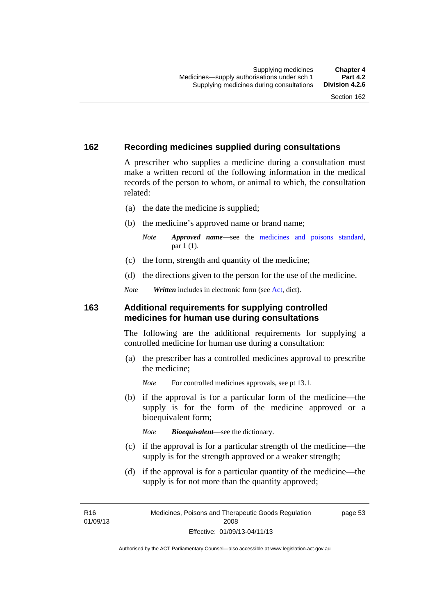#### **162 Recording medicines supplied during consultations**

A prescriber who supplies a medicine during a consultation must make a written record of the following information in the medical records of the person to whom, or animal to which, the consultation related:

- (a) the date the medicine is supplied;
- (b) the medicine's approved name or brand name;

*Note Approved name*—see the [medicines and poisons standard,](http://www.comlaw.gov.au/Series/F2012L01200) par 1 (1).

- (c) the form, strength and quantity of the medicine;
- (d) the directions given to the person for the use of the medicine.

*Note Written* includes in electronic form (see [Act,](http://www.legislation.act.gov.au/a/2008-26/default.asp) dict).

#### **163 Additional requirements for supplying controlled medicines for human use during consultations**

The following are the additional requirements for supplying a controlled medicine for human use during a consultation:

- (a) the prescriber has a controlled medicines approval to prescribe the medicine;
	- *Note* For controlled medicines approvals, see pt 13.1.
- (b) if the approval is for a particular form of the medicine—the supply is for the form of the medicine approved or a bioequivalent form;

*Note Bioequivalent*—see the dictionary.

- (c) if the approval is for a particular strength of the medicine—the supply is for the strength approved or a weaker strength;
- (d) if the approval is for a particular quantity of the medicine—the supply is for not more than the quantity approved;

R16 01/09/13 page 53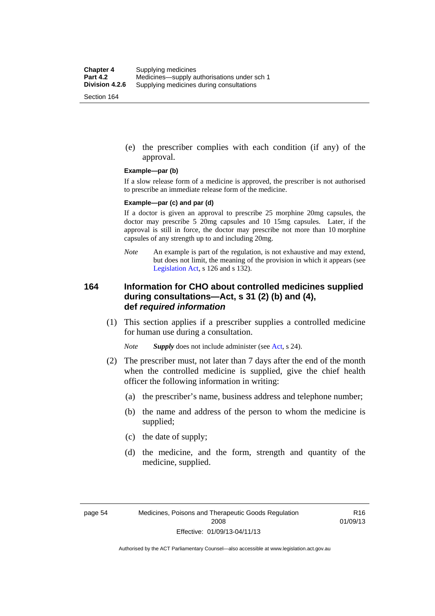(e) the prescriber complies with each condition (if any) of the approval.

#### **Example—par (b)**

If a slow release form of a medicine is approved, the prescriber is not authorised to prescribe an immediate release form of the medicine.

#### **Example—par (c) and par (d)**

If a doctor is given an approval to prescribe 25 morphine 20mg capsules, the doctor may prescribe 5 20mg capsules and 10 15mg capsules. Later, if the approval is still in force, the doctor may prescribe not more than 10 morphine capsules of any strength up to and including 20mg.

*Note* An example is part of the regulation, is not exhaustive and may extend, but does not limit, the meaning of the provision in which it appears (see [Legislation Act,](http://www.legislation.act.gov.au/a/2001-14) s 126 and s 132).

#### **164 Information for CHO about controlled medicines supplied during consultations—Act, s 31 (2) (b) and (4), def** *required information*

 (1) This section applies if a prescriber supplies a controlled medicine for human use during a consultation.

*Note Supply* does not include administer (see [Act,](http://www.legislation.act.gov.au/a/2008-26/default.asp) s 24).

- (2) The prescriber must, not later than 7 days after the end of the month when the controlled medicine is supplied, give the chief health officer the following information in writing:
	- (a) the prescriber's name, business address and telephone number;
	- (b) the name and address of the person to whom the medicine is supplied;
	- (c) the date of supply;
	- (d) the medicine, and the form, strength and quantity of the medicine, supplied.

R16 01/09/13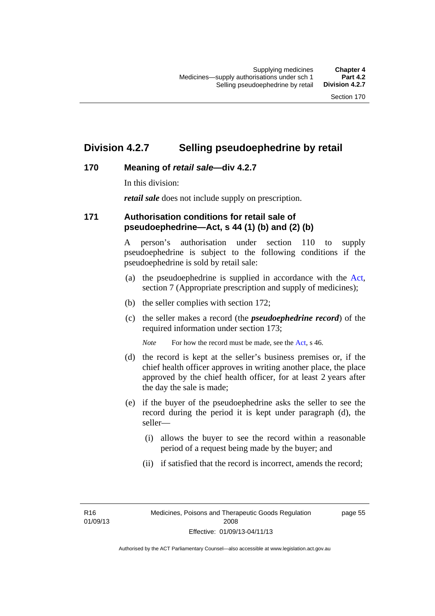### **Division 4.2.7 Selling pseudoephedrine by retail**

### **170 Meaning of** *retail sale***—div 4.2.7**

In this division:

*retail sale* does not include supply on prescription.

### **171 Authorisation conditions for retail sale of pseudoephedrine—Act, s 44 (1) (b) and (2) (b)**

A person's authorisation under section 110 to supply pseudoephedrine is subject to the following conditions if the pseudoephedrine is sold by retail sale:

- (a) the pseudoephedrine is supplied in accordance with the [Act](http://www.legislation.act.gov.au/a/2008-26/default.asp), section 7 (Appropriate prescription and supply of medicines);
- (b) the seller complies with section 172;
- (c) the seller makes a record (the *pseudoephedrine record*) of the required information under section 173;

*Note* For how the record must be made, see the [Act,](http://www.legislation.act.gov.au/a/2008-26/default.asp) s 46.

- (d) the record is kept at the seller's business premises or, if the chief health officer approves in writing another place, the place approved by the chief health officer, for at least 2 years after the day the sale is made;
- (e) if the buyer of the pseudoephedrine asks the seller to see the record during the period it is kept under paragraph (d), the seller—
	- (i) allows the buyer to see the record within a reasonable period of a request being made by the buyer; and
	- (ii) if satisfied that the record is incorrect, amends the record;

R16 01/09/13 page 55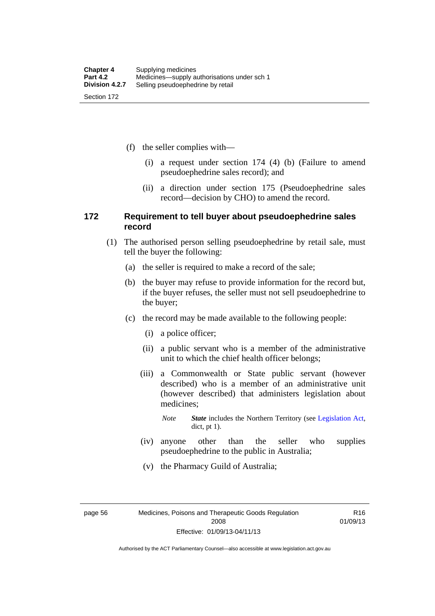(f) the seller complies with—

- (i) a request under section 174 (4) (b) (Failure to amend pseudoephedrine sales record); and
- (ii) a direction under section 175 (Pseudoephedrine sales record—decision by CHO) to amend the record.

#### **172 Requirement to tell buyer about pseudoephedrine sales record**

- (1) The authorised person selling pseudoephedrine by retail sale, must tell the buyer the following:
	- (a) the seller is required to make a record of the sale;
	- (b) the buyer may refuse to provide information for the record but, if the buyer refuses, the seller must not sell pseudoephedrine to the buyer;
	- (c) the record may be made available to the following people:
		- (i) a police officer;
		- (ii) a public servant who is a member of the administrative unit to which the chief health officer belongs;
		- (iii) a Commonwealth or State public servant (however described) who is a member of an administrative unit (however described) that administers legislation about medicines;

*Note State* includes the Northern Territory (see [Legislation Act,](http://www.legislation.act.gov.au/a/2001-14) dict, pt 1).

- (iv) anyone other than the seller who supplies pseudoephedrine to the public in Australia;
- (v) the Pharmacy Guild of Australia;

page 56 Medicines, Poisons and Therapeutic Goods Regulation 2008 Effective: 01/09/13-04/11/13

R16 01/09/13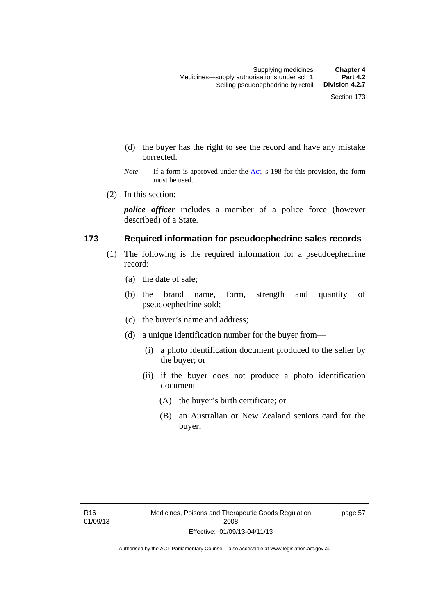- (d) the buyer has the right to see the record and have any mistake corrected.
- *Note* If a form is approved under the [Act](http://www.legislation.act.gov.au/a/2008-26/default.asp), s 198 for this provision, the form must be used.
- (2) In this section:

*police officer* includes a member of a police force (however described) of a State.

#### **173 Required information for pseudoephedrine sales records**

- (1) The following is the required information for a pseudoephedrine record:
	- (a) the date of sale;
	- (b) the brand name, form, strength and quantity of pseudoephedrine sold;
	- (c) the buyer's name and address;
	- (d) a unique identification number for the buyer from—
		- (i) a photo identification document produced to the seller by the buyer; or
		- (ii) if the buyer does not produce a photo identification document—
			- (A) the buyer's birth certificate; or
			- (B) an Australian or New Zealand seniors card for the buyer;

page 57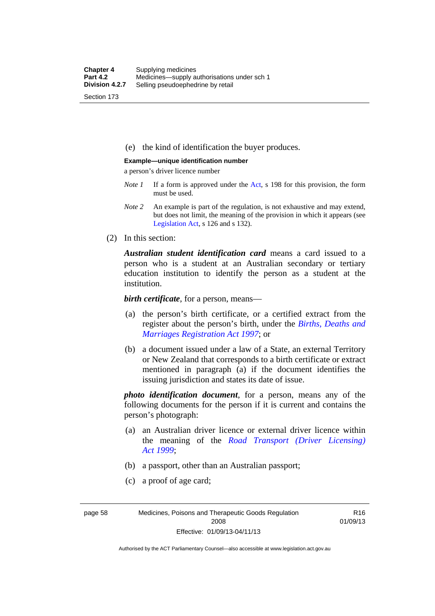(e) the kind of identification the buyer produces.

#### **Example—unique identification number**

a person's driver licence number

- *Note 1* If a form is approved under the [Act](http://www.legislation.act.gov.au/a/2008-26/default.asp), s 198 for this provision, the form must be used.
- *Note 2* An example is part of the regulation, is not exhaustive and may extend, but does not limit, the meaning of the provision in which it appears (see [Legislation Act,](http://www.legislation.act.gov.au/a/2001-14) s 126 and s 132).
- (2) In this section:

*Australian student identification card* means a card issued to a person who is a student at an Australian secondary or tertiary education institution to identify the person as a student at the institution.

*birth certificate*, for a person, means—

- (a) the person's birth certificate, or a certified extract from the register about the person's birth, under the *[Births, Deaths and](http://www.legislation.act.gov.au/a/1997-112)  [Marriages Registration Act 1997](http://www.legislation.act.gov.au/a/1997-112)*; or
- (b) a document issued under a law of a State, an external Territory or New Zealand that corresponds to a birth certificate or extract mentioned in paragraph (a) if the document identifies the issuing jurisdiction and states its date of issue.

*photo identification document*, for a person, means any of the following documents for the person if it is current and contains the person's photograph:

- (a) an Australian driver licence or external driver licence within the meaning of the *[Road Transport \(Driver Licensing\)](http://www.legislation.act.gov.au/a/1999-78)  [Act 1999](http://www.legislation.act.gov.au/a/1999-78)*;
- (b) a passport, other than an Australian passport;
- (c) a proof of age card;

page 58 Medicines, Poisons and Therapeutic Goods Regulation 2008 Effective: 01/09/13-04/11/13

R16 01/09/13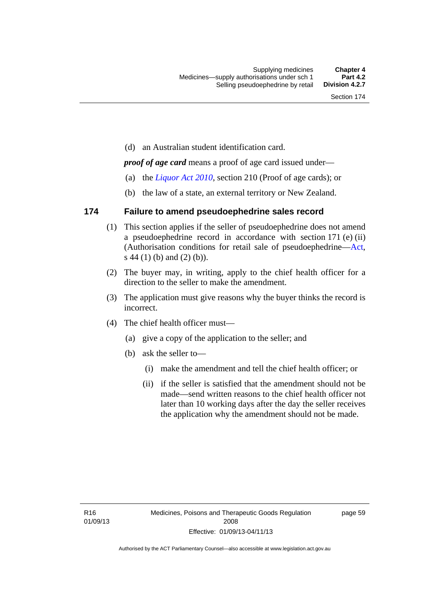(d) an Australian student identification card.

*proof of age card* means a proof of age card issued under—

- (a) the *[Liquor Act 2010](http://www.legislation.act.gov.au/a/2010-35)*, section 210 (Proof of age cards); or
- (b) the law of a state, an external territory or New Zealand.

#### **174 Failure to amend pseudoephedrine sales record**

- (1) This section applies if the seller of pseudoephedrine does not amend a pseudoephedrine record in accordance with section 171 (e) (ii) (Authorisation conditions for retail sale of pseudoephedrine—[Act](http://www.legislation.act.gov.au/a/2008-26/default.asp), s 44 (1) (b) and (2) (b)).
- (2) The buyer may, in writing, apply to the chief health officer for a direction to the seller to make the amendment.
- (3) The application must give reasons why the buyer thinks the record is incorrect.
- (4) The chief health officer must—
	- (a) give a copy of the application to the seller; and
	- (b) ask the seller to—
		- (i) make the amendment and tell the chief health officer; or
		- (ii) if the seller is satisfied that the amendment should not be made—send written reasons to the chief health officer not later than 10 working days after the day the seller receives the application why the amendment should not be made.

page 59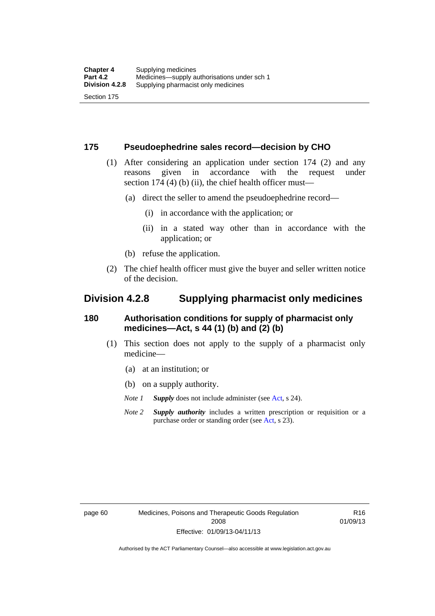#### **175 Pseudoephedrine sales record—decision by CHO**

- (1) After considering an application under section 174 (2) and any reasons given in accordance with the request under section 174  $(4)$  (b)  $(ii)$ , the chief health officer must—
	- (a) direct the seller to amend the pseudoephedrine record—
		- (i) in accordance with the application; or
		- (ii) in a stated way other than in accordance with the application; or
	- (b) refuse the application.
- (2) The chief health officer must give the buyer and seller written notice of the decision.

### **Division 4.2.8 Supplying pharmacist only medicines**

#### **180 Authorisation conditions for supply of pharmacist only medicines—Act, s 44 (1) (b) and (2) (b)**

- (1) This section does not apply to the supply of a pharmacist only medicine—
	- (a) at an institution; or
	- (b) on a supply authority.
	- *Note 1 Supply* does not include administer (see [Act,](http://www.legislation.act.gov.au/a/2008-26/default.asp) s 24).
	- *Note 2 Supply authority* includes a written prescription or requisition or a purchase order or standing order (see [Act,](http://www.legislation.act.gov.au/a/2008-26/default.asp) s 23).

R16 01/09/13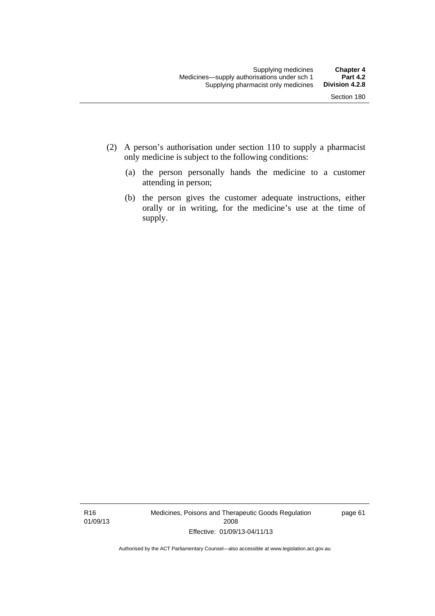- (2) A person's authorisation under section 110 to supply a pharmacist only medicine is subject to the following conditions:
	- (a) the person personally hands the medicine to a customer attending in person;
	- (b) the person gives the customer adequate instructions, either orally or in writing, for the medicine's use at the time of supply.

R16 01/09/13 Medicines, Poisons and Therapeutic Goods Regulation 2008 Effective: 01/09/13-04/11/13

page 61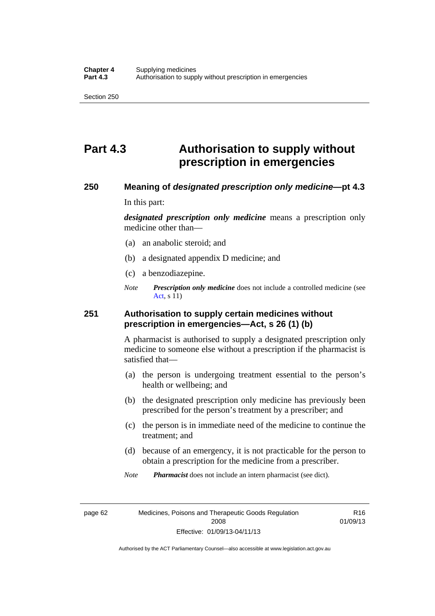## **Part 4.3 Authorisation to supply without prescription in emergencies**

#### **250 Meaning of** *designated prescription only medicine***—pt 4.3**

In this part:

*designated prescription only medicine* means a prescription only medicine other than—

- (a) an anabolic steroid; and
- (b) a designated appendix D medicine; and
- (c) a benzodiazepine.
- *Note Prescription only medicine* does not include a controlled medicine (see [Act](http://www.legislation.act.gov.au/a/2008-26/default.asp), s 11)

#### **251 Authorisation to supply certain medicines without prescription in emergencies—Act, s 26 (1) (b)**

A pharmacist is authorised to supply a designated prescription only medicine to someone else without a prescription if the pharmacist is satisfied that—

- (a) the person is undergoing treatment essential to the person's health or wellbeing; and
- (b) the designated prescription only medicine has previously been prescribed for the person's treatment by a prescriber; and
- (c) the person is in immediate need of the medicine to continue the treatment; and
- (d) because of an emergency, it is not practicable for the person to obtain a prescription for the medicine from a prescriber.

*Note Pharmacist* does not include an intern pharmacist (see dict).

page 62 Medicines, Poisons and Therapeutic Goods Regulation 2008 Effective: 01/09/13-04/11/13

R16 01/09/13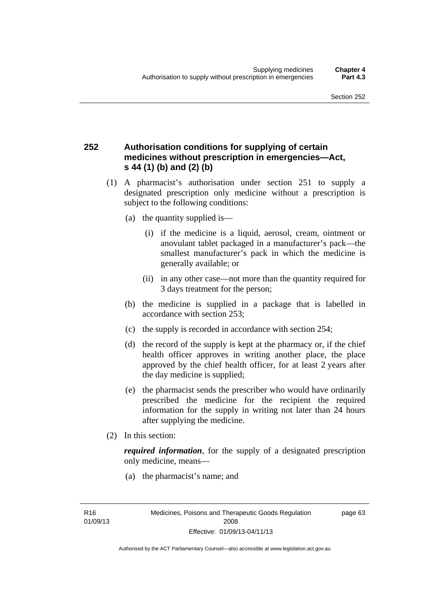### **252 Authorisation conditions for supplying of certain medicines without prescription in emergencies—Act, s 44 (1) (b) and (2) (b)**

- (1) A pharmacist's authorisation under section 251 to supply a designated prescription only medicine without a prescription is subject to the following conditions:
	- (a) the quantity supplied is—
		- (i) if the medicine is a liquid, aerosol, cream, ointment or anovulant tablet packaged in a manufacturer's pack—the smallest manufacturer's pack in which the medicine is generally available; or
		- (ii) in any other case—not more than the quantity required for 3 days treatment for the person;
	- (b) the medicine is supplied in a package that is labelled in accordance with section 253;
	- (c) the supply is recorded in accordance with section 254;
	- (d) the record of the supply is kept at the pharmacy or, if the chief health officer approves in writing another place, the place approved by the chief health officer, for at least 2 years after the day medicine is supplied;
	- (e) the pharmacist sends the prescriber who would have ordinarily prescribed the medicine for the recipient the required information for the supply in writing not later than 24 hours after supplying the medicine.
- (2) In this section:

*required information*, for the supply of a designated prescription only medicine, means—

(a) the pharmacist's name; and

page 63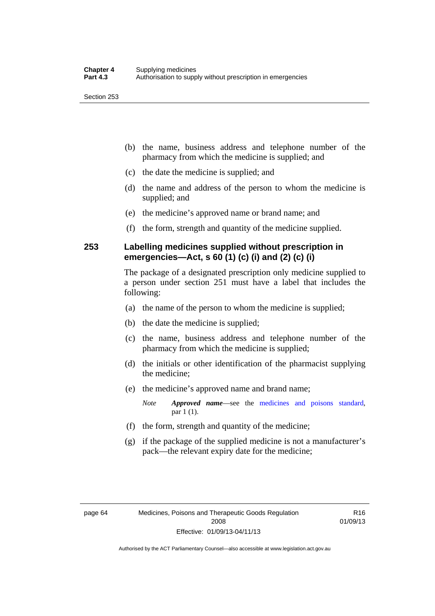- (b) the name, business address and telephone number of the pharmacy from which the medicine is supplied; and
- (c) the date the medicine is supplied; and
- (d) the name and address of the person to whom the medicine is supplied; and
- (e) the medicine's approved name or brand name; and
- (f) the form, strength and quantity of the medicine supplied.

### **253 Labelling medicines supplied without prescription in emergencies—Act, s 60 (1) (c) (i) and (2) (c) (i)**

The package of a designated prescription only medicine supplied to a person under section 251 must have a label that includes the following:

- (a) the name of the person to whom the medicine is supplied;
- (b) the date the medicine is supplied;
- (c) the name, business address and telephone number of the pharmacy from which the medicine is supplied;
- (d) the initials or other identification of the pharmacist supplying the medicine;
- (e) the medicine's approved name and brand name;

*Note Approved name*—see the [medicines and poisons standard,](http://www.comlaw.gov.au/Series/F2012L01200) par 1 (1).

- (f) the form, strength and quantity of the medicine;
- (g) if the package of the supplied medicine is not a manufacturer's pack—the relevant expiry date for the medicine;

R16 01/09/13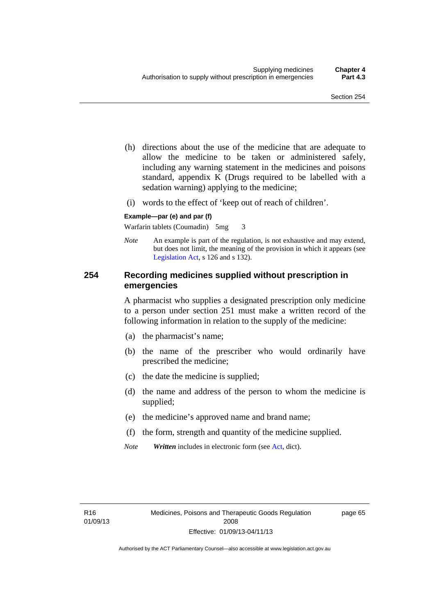- (h) directions about the use of the medicine that are adequate to allow the medicine to be taken or administered safely, including any warning statement in the medicines and poisons standard, appendix K (Drugs required to be labelled with a sedation warning) applying to the medicine;
- (i) words to the effect of 'keep out of reach of children'.

#### **Example—par (e) and par (f)**

Warfarin tablets (Coumadin) 5mg 3

*Note* An example is part of the regulation, is not exhaustive and may extend, but does not limit, the meaning of the provision in which it appears (see [Legislation Act,](http://www.legislation.act.gov.au/a/2001-14) s 126 and s 132).

#### **254 Recording medicines supplied without prescription in emergencies**

A pharmacist who supplies a designated prescription only medicine to a person under section 251 must make a written record of the following information in relation to the supply of the medicine:

- (a) the pharmacist's name;
- (b) the name of the prescriber who would ordinarily have prescribed the medicine;
- (c) the date the medicine is supplied;
- (d) the name and address of the person to whom the medicine is supplied;
- (e) the medicine's approved name and brand name;
- (f) the form, strength and quantity of the medicine supplied.
- *Note Written* includes in electronic form (see [Act,](http://www.legislation.act.gov.au/a/2008-26/default.asp) dict).

page 65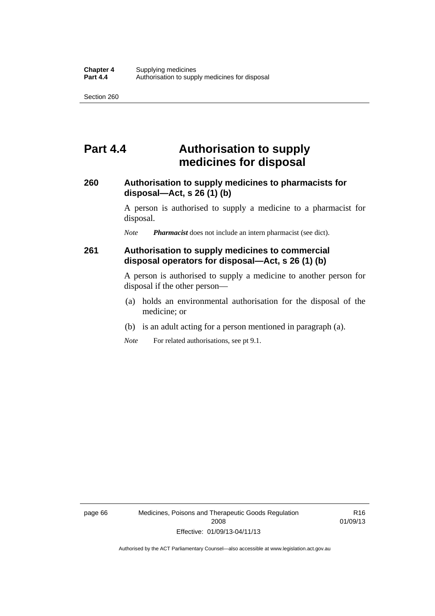## **Part 4.4 Authorisation to supply medicines for disposal**

#### **260 Authorisation to supply medicines to pharmacists for disposal—Act, s 26 (1) (b)**

A person is authorised to supply a medicine to a pharmacist for disposal.

*Note Pharmacist* does not include an intern pharmacist (see dict).

### **261 Authorisation to supply medicines to commercial disposal operators for disposal—Act, s 26 (1) (b)**

A person is authorised to supply a medicine to another person for disposal if the other person—

- (a) holds an environmental authorisation for the disposal of the medicine; or
- (b) is an adult acting for a person mentioned in paragraph (a).
- *Note* For related authorisations, see pt 9.1.

page 66 Medicines, Poisons and Therapeutic Goods Regulation 2008 Effective: 01/09/13-04/11/13

R16 01/09/13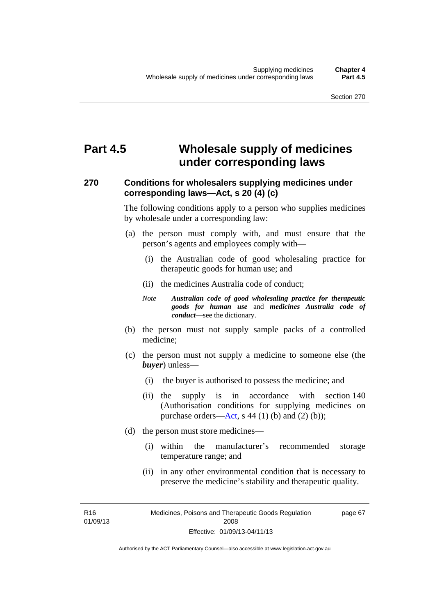## **Part 4.5 Wholesale supply of medicines under corresponding laws**

### **270 Conditions for wholesalers supplying medicines under corresponding laws—Act, s 20 (4) (c)**

The following conditions apply to a person who supplies medicines by wholesale under a corresponding law:

- (a) the person must comply with, and must ensure that the person's agents and employees comply with—
	- (i) the Australian code of good wholesaling practice for therapeutic goods for human use; and
	- (ii) the medicines Australia code of conduct;
	- *Note Australian code of good wholesaling practice for therapeutic goods for human use* and *medicines Australia code of conduct*—see the dictionary.
- (b) the person must not supply sample packs of a controlled medicine;
- (c) the person must not supply a medicine to someone else (the *buyer*) unless—
	- (i) the buyer is authorised to possess the medicine; and
	- (ii) the supply is in accordance with section 140 (Authorisation conditions for supplying medicines on purchase orders—[Act,](http://www.legislation.act.gov.au/a/2008-26/default.asp) s 44 (1) (b) and (2) (b));
- (d) the person must store medicines—
	- (i) within the manufacturer's recommended storage temperature range; and
	- (ii) in any other environmental condition that is necessary to preserve the medicine's stability and therapeutic quality.

R16 01/09/13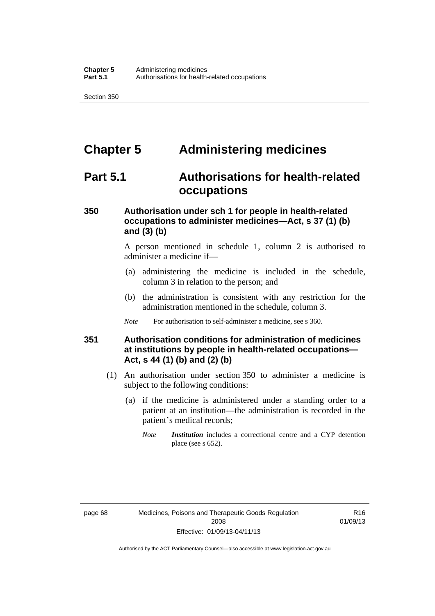# **Chapter 5 Administering medicines**

## **Part 5.1 Authorisations for health-related occupations**

### **350 Authorisation under sch 1 for people in health-related occupations to administer medicines—Act, s 37 (1) (b) and (3) (b)**

A person mentioned in schedule 1, column 2 is authorised to administer a medicine if—

- (a) administering the medicine is included in the schedule, column 3 in relation to the person; and
- (b) the administration is consistent with any restriction for the administration mentioned in the schedule, column 3.
- *Note* For authorisation to self-administer a medicine, see s 360.

#### **351 Authorisation conditions for administration of medicines at institutions by people in health-related occupations— Act, s 44 (1) (b) and (2) (b)**

- (1) An authorisation under section 350 to administer a medicine is subject to the following conditions:
	- (a) if the medicine is administered under a standing order to a patient at an institution—the administration is recorded in the patient's medical records;
		- *Note Institution* includes a correctional centre and a CYP detention place (see s 652).

R16 01/09/13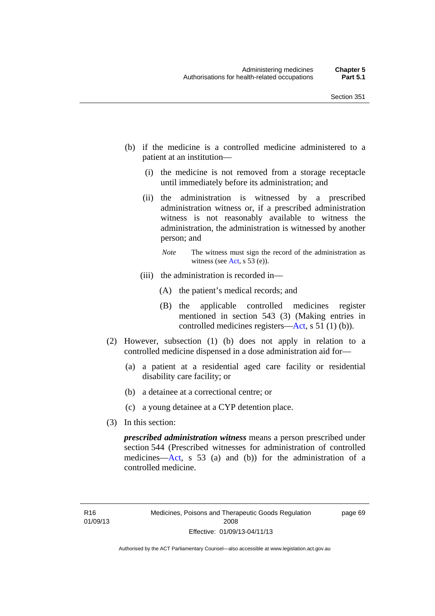- (b) if the medicine is a controlled medicine administered to a patient at an institution—
	- (i) the medicine is not removed from a storage receptacle until immediately before its administration; and
	- (ii) the administration is witnessed by a prescribed administration witness or, if a prescribed administration witness is not reasonably available to witness the administration, the administration is witnessed by another person; and
		- *Note* The witness must sign the record of the administration as witness (see [Act,](http://www.legislation.act.gov.au/a/2008-26/default.asp) s 53 (e)).
	- (iii) the administration is recorded in—
		- (A) the patient's medical records; and
		- (B) the applicable controlled medicines register mentioned in section 543 (3) (Making entries in controlled medicines registers[—Act](http://www.legislation.act.gov.au/a/2008-26/default.asp), s 51 (1) (b)).
- (2) However, subsection (1) (b) does not apply in relation to a controlled medicine dispensed in a dose administration aid for—
	- (a) a patient at a residential aged care facility or residential disability care facility; or
	- (b) a detainee at a correctional centre; or
	- (c) a young detainee at a CYP detention place.
- (3) In this section:

*prescribed administration witness* means a person prescribed under section 544 (Prescribed witnesses for administration of controlled medicines—[Act](http://www.legislation.act.gov.au/a/2008-26/default.asp), s 53 (a) and (b)) for the administration of a controlled medicine.

page 69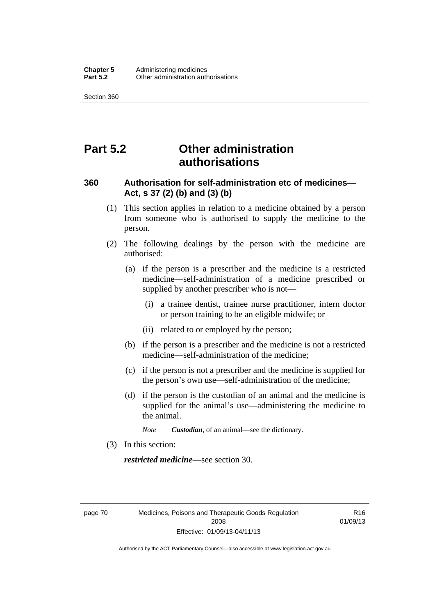# **Part 5.2 Other administration authorisations**

#### **360 Authorisation for self-administration etc of medicines— Act, s 37 (2) (b) and (3) (b)**

- (1) This section applies in relation to a medicine obtained by a person from someone who is authorised to supply the medicine to the person.
- (2) The following dealings by the person with the medicine are authorised:
	- (a) if the person is a prescriber and the medicine is a restricted medicine—self-administration of a medicine prescribed or supplied by another prescriber who is not—
		- (i) a trainee dentist, trainee nurse practitioner, intern doctor or person training to be an eligible midwife; or
		- (ii) related to or employed by the person;
	- (b) if the person is a prescriber and the medicine is not a restricted medicine—self-administration of the medicine;
	- (c) if the person is not a prescriber and the medicine is supplied for the person's own use—self-administration of the medicine;
	- (d) if the person is the custodian of an animal and the medicine is supplied for the animal's use—administering the medicine to the animal.
		- *Note Custodian*, of an animal—see the dictionary.
- (3) In this section:

*restricted medicine*—see section 30.

page 70 Medicines, Poisons and Therapeutic Goods Regulation 2008 Effective: 01/09/13-04/11/13

R16 01/09/13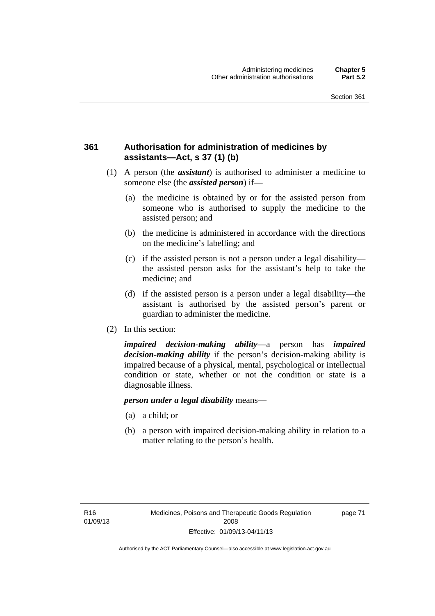### **361 Authorisation for administration of medicines by assistants—Act, s 37 (1) (b)**

- (1) A person (the *assistant*) is authorised to administer a medicine to someone else (the *assisted person*) if—
	- (a) the medicine is obtained by or for the assisted person from someone who is authorised to supply the medicine to the assisted person; and
	- (b) the medicine is administered in accordance with the directions on the medicine's labelling; and
	- (c) if the assisted person is not a person under a legal disability the assisted person asks for the assistant's help to take the medicine; and
	- (d) if the assisted person is a person under a legal disability—the assistant is authorised by the assisted person's parent or guardian to administer the medicine.
- (2) In this section:

*impaired decision-making ability*—a person has *impaired decision-making ability* if the person's decision-making ability is impaired because of a physical, mental, psychological or intellectual condition or state, whether or not the condition or state is a diagnosable illness.

#### *person under a legal disability* means—

- (a) a child; or
- (b) a person with impaired decision-making ability in relation to a matter relating to the person's health.

page 71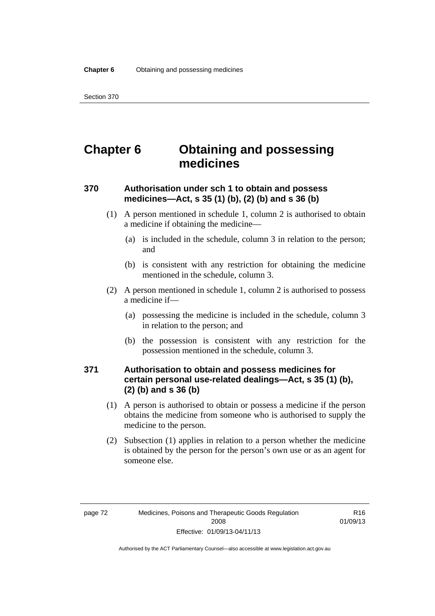# **Chapter 6 Obtaining and possessing medicines**

### **370 Authorisation under sch 1 to obtain and possess medicines—Act, s 35 (1) (b), (2) (b) and s 36 (b)**

- (1) A person mentioned in schedule 1, column 2 is authorised to obtain a medicine if obtaining the medicine—
	- (a) is included in the schedule, column 3 in relation to the person; and
	- (b) is consistent with any restriction for obtaining the medicine mentioned in the schedule, column 3.
- (2) A person mentioned in schedule 1, column 2 is authorised to possess a medicine if—
	- (a) possessing the medicine is included in the schedule, column 3 in relation to the person; and
	- (b) the possession is consistent with any restriction for the possession mentioned in the schedule, column 3.

### **371 Authorisation to obtain and possess medicines for certain personal use-related dealings—Act, s 35 (1) (b), (2) (b) and s 36 (b)**

- (1) A person is authorised to obtain or possess a medicine if the person obtains the medicine from someone who is authorised to supply the medicine to the person.
- (2) Subsection (1) applies in relation to a person whether the medicine is obtained by the person for the person's own use or as an agent for someone else.

R16 01/09/13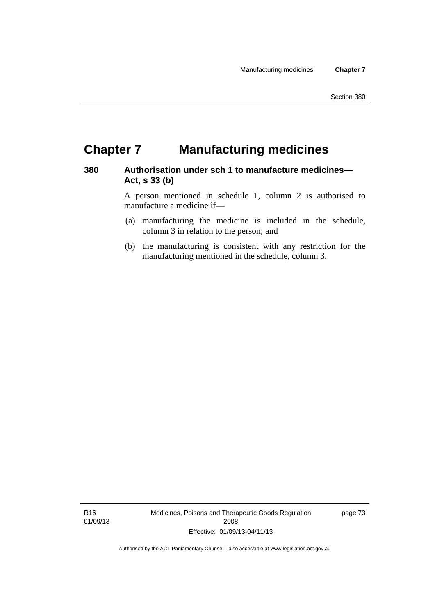# **Chapter 7 Manufacturing medicines**

#### **380 Authorisation under sch 1 to manufacture medicines— Act, s 33 (b)**

A person mentioned in schedule 1, column 2 is authorised to manufacture a medicine if—

- (a) manufacturing the medicine is included in the schedule, column 3 in relation to the person; and
- (b) the manufacturing is consistent with any restriction for the manufacturing mentioned in the schedule, column 3.

R16 01/09/13 Medicines, Poisons and Therapeutic Goods Regulation 2008 Effective: 01/09/13-04/11/13

page 73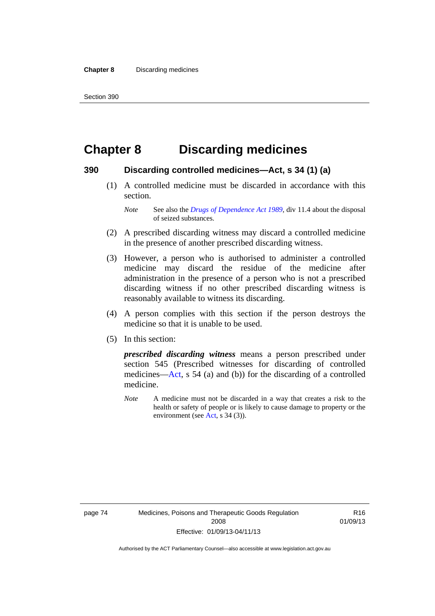# **Chapter 8 Discarding medicines**

#### **390 Discarding controlled medicines—Act, s 34 (1) (a)**

 (1) A controlled medicine must be discarded in accordance with this section.

*Note* See also the *[Drugs of Dependence Act 1989](http://www.legislation.act.gov.au/a/alt_a1989-11co)*, div 11.4 about the disposal of seized substances.

- (2) A prescribed discarding witness may discard a controlled medicine in the presence of another prescribed discarding witness.
- (3) However, a person who is authorised to administer a controlled medicine may discard the residue of the medicine after administration in the presence of a person who is not a prescribed discarding witness if no other prescribed discarding witness is reasonably available to witness its discarding.
- (4) A person complies with this section if the person destroys the medicine so that it is unable to be used.
- (5) In this section:

*prescribed discarding witness* means a person prescribed under section 545 (Prescribed witnesses for discarding of controlled medicines—[Act](http://www.legislation.act.gov.au/a/2008-26/default.asp), s 54 (a) and (b)) for the discarding of a controlled medicine.

*Note* A medicine must not be discarded in a way that creates a risk to the health or safety of people or is likely to cause damage to property or the environment (see [Act](http://www.legislation.act.gov.au/a/2008-26/default.asp), s 34 (3)).

R16 01/09/13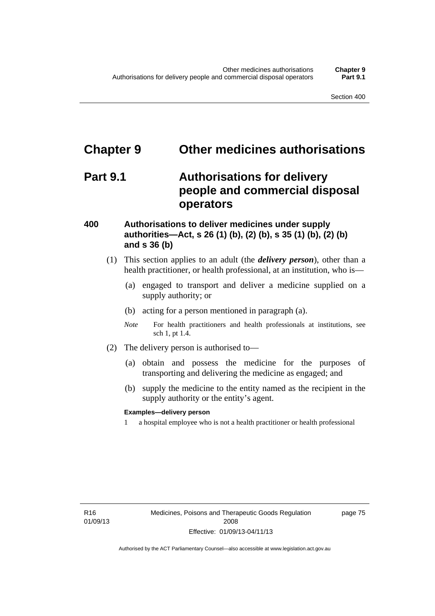# **Chapter 9 Other medicines authorisations**

## **Part 9.1 Authorisations for delivery people and commercial disposal operators**

#### **400 Authorisations to deliver medicines under supply authorities—Act, s 26 (1) (b), (2) (b), s 35 (1) (b), (2) (b) and s 36 (b)**

- (1) This section applies to an adult (the *delivery person*), other than a health practitioner, or health professional, at an institution, who is—
	- (a) engaged to transport and deliver a medicine supplied on a supply authority; or
	- (b) acting for a person mentioned in paragraph (a).
	- *Note* For health practitioners and health professionals at institutions, see sch 1, pt 1.4.
- (2) The delivery person is authorised to—
	- (a) obtain and possess the medicine for the purposes of transporting and delivering the medicine as engaged; and
	- (b) supply the medicine to the entity named as the recipient in the supply authority or the entity's agent.

#### **Examples—delivery person**

1 a hospital employee who is not a health practitioner or health professional

page 75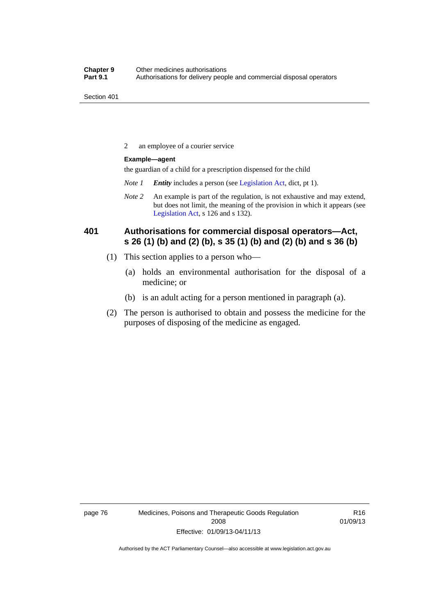2 an employee of a courier service

#### **Example—agent**

the guardian of a child for a prescription dispensed for the child

- *Note 1 Entity* includes a person (see [Legislation Act,](http://www.legislation.act.gov.au/a/2001-14) dict, pt 1).
- *Note 2* An example is part of the regulation, is not exhaustive and may extend, but does not limit, the meaning of the provision in which it appears (see [Legislation Act,](http://www.legislation.act.gov.au/a/2001-14) s 126 and s 132).

### **401 Authorisations for commercial disposal operators—Act, s 26 (1) (b) and (2) (b), s 35 (1) (b) and (2) (b) and s 36 (b)**

- (1) This section applies to a person who—
	- (a) holds an environmental authorisation for the disposal of a medicine; or
	- (b) is an adult acting for a person mentioned in paragraph (a).
- (2) The person is authorised to obtain and possess the medicine for the purposes of disposing of the medicine as engaged.

page 76 Medicines, Poisons and Therapeutic Goods Regulation 2008 Effective: 01/09/13-04/11/13

R16 01/09/13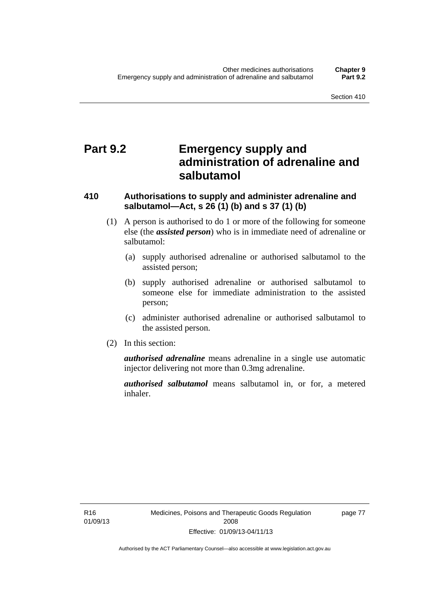## **Part 9.2 Emergency supply and administration of adrenaline and salbutamol**

### **410 Authorisations to supply and administer adrenaline and salbutamol—Act, s 26 (1) (b) and s 37 (1) (b)**

- (1) A person is authorised to do 1 or more of the following for someone else (the *assisted person*) who is in immediate need of adrenaline or salbutamol:
	- (a) supply authorised adrenaline or authorised salbutamol to the assisted person;
	- (b) supply authorised adrenaline or authorised salbutamol to someone else for immediate administration to the assisted person;
	- (c) administer authorised adrenaline or authorised salbutamol to the assisted person.
- (2) In this section:

*authorised adrenaline* means adrenaline in a single use automatic injector delivering not more than 0.3mg adrenaline.

*authorised salbutamol* means salbutamol in, or for, a metered inhaler.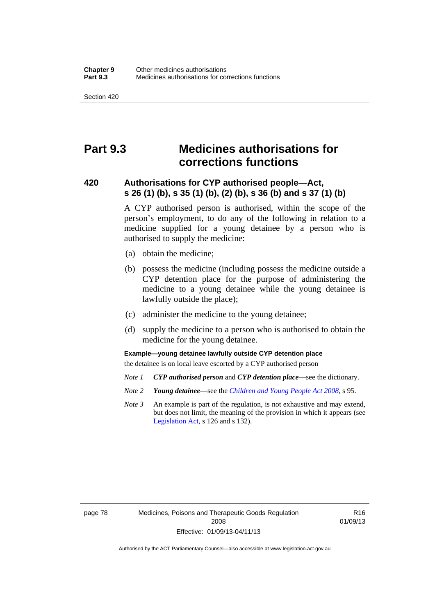## **Part 9.3 Medicines authorisations for corrections functions**

#### **420 Authorisations for CYP authorised people—Act, s 26 (1) (b), s 35 (1) (b), (2) (b), s 36 (b) and s 37 (1) (b)**

A CYP authorised person is authorised, within the scope of the person's employment, to do any of the following in relation to a medicine supplied for a young detainee by a person who is authorised to supply the medicine:

- (a) obtain the medicine;
- (b) possess the medicine (including possess the medicine outside a CYP detention place for the purpose of administering the medicine to a young detainee while the young detainee is lawfully outside the place);
- (c) administer the medicine to the young detainee;
- (d) supply the medicine to a person who is authorised to obtain the medicine for the young detainee.

#### **Example—young detainee lawfully outside CYP detention place**

the detainee is on local leave escorted by a CYP authorised person

- *Note 1 CYP authorised person* and *CYP detention place*—see the dictionary.
- *Note 2 Young detainee*—see the *[Children and Young People Act 2008](http://www.legislation.act.gov.au/a/2008-19)*, s 95.
- *Note 3* An example is part of the regulation, is not exhaustive and may extend, but does not limit, the meaning of the provision in which it appears (see [Legislation Act,](http://www.legislation.act.gov.au/a/2001-14) s 126 and s 132).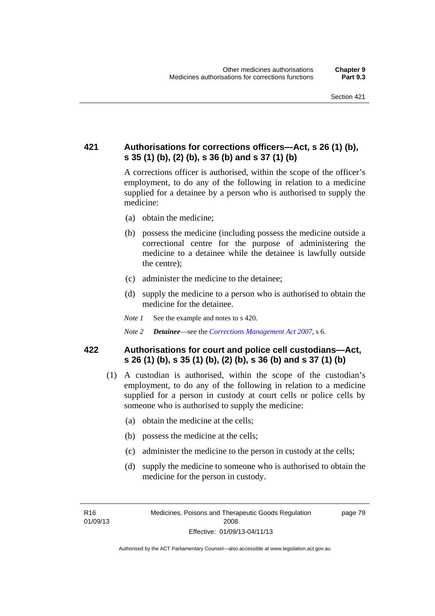### **421 Authorisations for corrections officers—Act, s 26 (1) (b), s 35 (1) (b), (2) (b), s 36 (b) and s 37 (1) (b)**

A corrections officer is authorised, within the scope of the officer's employment, to do any of the following in relation to a medicine supplied for a detainee by a person who is authorised to supply the medicine:

- (a) obtain the medicine;
- (b) possess the medicine (including possess the medicine outside a correctional centre for the purpose of administering the medicine to a detainee while the detainee is lawfully outside the centre);
- (c) administer the medicine to the detainee;
- (d) supply the medicine to a person who is authorised to obtain the medicine for the detainee.
- *Note 1* See the example and notes to s 420.
- *Note 2 Detainee*—see the *[Corrections Management Act 2007](http://www.legislation.act.gov.au/a/2007-15)*, s 6.

#### **422 Authorisations for court and police cell custodians—Act, s 26 (1) (b), s 35 (1) (b), (2) (b), s 36 (b) and s 37 (1) (b)**

- (1) A custodian is authorised, within the scope of the custodian's employment, to do any of the following in relation to a medicine supplied for a person in custody at court cells or police cells by someone who is authorised to supply the medicine:
	- (a) obtain the medicine at the cells;
	- (b) possess the medicine at the cells;
	- (c) administer the medicine to the person in custody at the cells;
	- (d) supply the medicine to someone who is authorised to obtain the medicine for the person in custody.

R16 01/09/13 page 79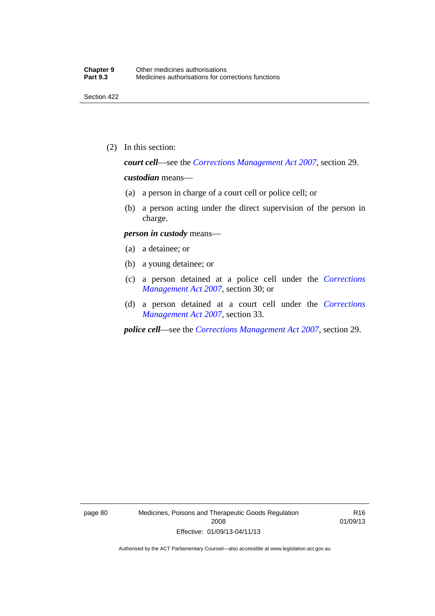(2) In this section:

*court cell*—see the *[Corrections Management Act 2007](http://www.legislation.act.gov.au/a/2007-15)*, section 29.

#### *custodian* means—

- (a) a person in charge of a court cell or police cell; or
- (b) a person acting under the direct supervision of the person in charge.

#### *person in custody* means—

- (a) a detainee; or
- (b) a young detainee; or
- (c) a person detained at a police cell under the *[Corrections](http://www.legislation.act.gov.au/a/2007-15)  [Management Act 2007](http://www.legislation.act.gov.au/a/2007-15)*, section 30; or
- (d) a person detained at a court cell under the *[Corrections](http://www.legislation.act.gov.au/a/2007-15)  [Management Act 2007](http://www.legislation.act.gov.au/a/2007-15)*, section 33.

*police cell*—see the *[Corrections Management Act 2007](http://www.legislation.act.gov.au/a/2007-15)*, section 29.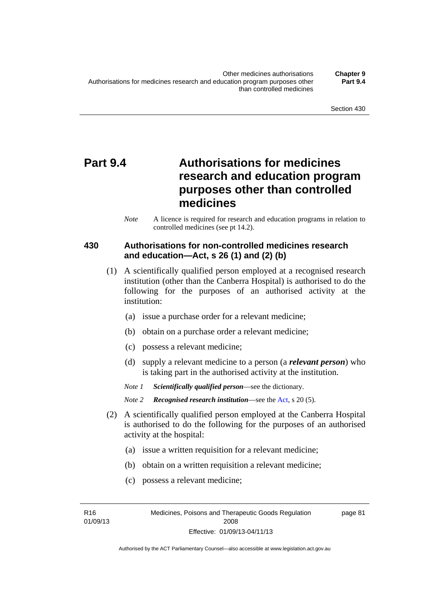# **Part 9.4 Authorisations for medicines research and education program purposes other than controlled medicines**

*Note* A licence is required for research and education programs in relation to controlled medicines (see pt 14.2).

### **430 Authorisations for non-controlled medicines research and education—Act, s 26 (1) and (2) (b)**

- (1) A scientifically qualified person employed at a recognised research institution (other than the Canberra Hospital) is authorised to do the following for the purposes of an authorised activity at the institution:
	- (a) issue a purchase order for a relevant medicine;
	- (b) obtain on a purchase order a relevant medicine;
	- (c) possess a relevant medicine;
	- (d) supply a relevant medicine to a person (a *relevant person*) who is taking part in the authorised activity at the institution.
	- *Note 1 Scientifically qualified person*—see the dictionary.

*Note 2 Recognised research institution*—see the [Act](http://www.legislation.act.gov.au/a/2008-26/default.asp), s 20 (5).

- (2) A scientifically qualified person employed at the Canberra Hospital is authorised to do the following for the purposes of an authorised activity at the hospital:
	- (a) issue a written requisition for a relevant medicine;
	- (b) obtain on a written requisition a relevant medicine;
	- (c) possess a relevant medicine;

R16 01/09/13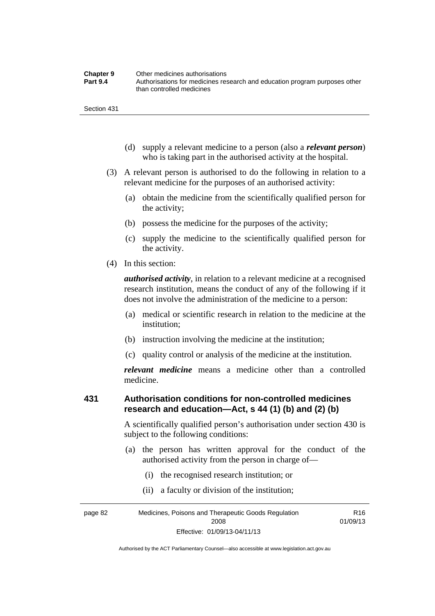| <b>Chapter 9</b> | Other medicines authorisations                                             |
|------------------|----------------------------------------------------------------------------|
| <b>Part 9.4</b>  | Authorisations for medicines research and education program purposes other |
|                  | than controlled medicines                                                  |

- (d) supply a relevant medicine to a person (also a *relevant person*) who is taking part in the authorised activity at the hospital.
- (3) A relevant person is authorised to do the following in relation to a relevant medicine for the purposes of an authorised activity:
	- (a) obtain the medicine from the scientifically qualified person for the activity;
	- (b) possess the medicine for the purposes of the activity;
	- (c) supply the medicine to the scientifically qualified person for the activity.
- (4) In this section:

*authorised activity*, in relation to a relevant medicine at a recognised research institution, means the conduct of any of the following if it does not involve the administration of the medicine to a person:

- (a) medical or scientific research in relation to the medicine at the institution;
- (b) instruction involving the medicine at the institution;
- (c) quality control or analysis of the medicine at the institution.

*relevant medicine* means a medicine other than a controlled medicine.

#### **431 Authorisation conditions for non-controlled medicines research and education—Act, s 44 (1) (b) and (2) (b)**

A scientifically qualified person's authorisation under section 430 is subject to the following conditions:

- (a) the person has written approval for the conduct of the authorised activity from the person in charge of—
	- (i) the recognised research institution; or
	- (ii) a faculty or division of the institution;

page 82 Medicines, Poisons and Therapeutic Goods Regulation 2008 Effective: 01/09/13-04/11/13 R16 01/09/13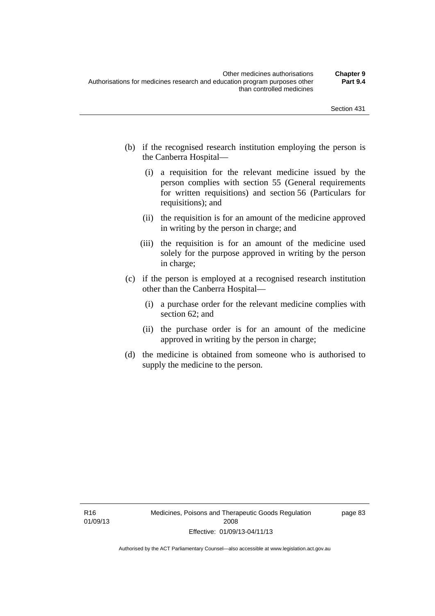- (b) if the recognised research institution employing the person is the Canberra Hospital—
	- (i) a requisition for the relevant medicine issued by the person complies with section 55 (General requirements for written requisitions) and section 56 (Particulars for requisitions); and
	- (ii) the requisition is for an amount of the medicine approved in writing by the person in charge; and
	- (iii) the requisition is for an amount of the medicine used solely for the purpose approved in writing by the person in charge;
- (c) if the person is employed at a recognised research institution other than the Canberra Hospital—
	- (i) a purchase order for the relevant medicine complies with section 62; and
	- (ii) the purchase order is for an amount of the medicine approved in writing by the person in charge;
- (d) the medicine is obtained from someone who is authorised to supply the medicine to the person.

page 83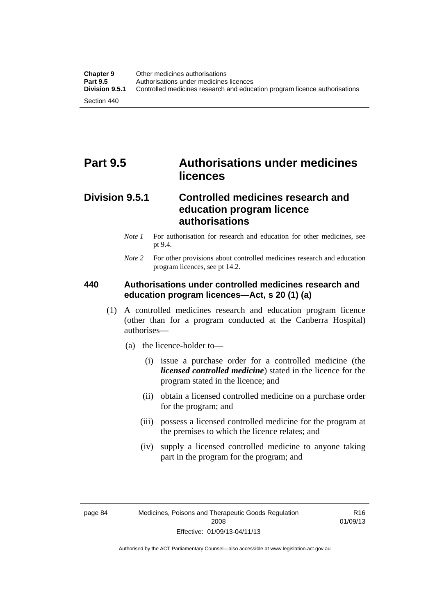# **Part 9.5 Authorisations under medicines licences**

### **Division 9.5.1 Controlled medicines research and education program licence authorisations**

- *Note 1* For authorisation for research and education for other medicines, see pt 9.4.
- *Note 2* For other provisions about controlled medicines research and education program licences, see pt 14.2.

### **440 Authorisations under controlled medicines research and education program licences—Act, s 20 (1) (a)**

- (1) A controlled medicines research and education program licence (other than for a program conducted at the Canberra Hospital) authorises—
	- (a) the licence-holder to—
		- (i) issue a purchase order for a controlled medicine (the *licensed controlled medicine*) stated in the licence for the program stated in the licence; and
		- (ii) obtain a licensed controlled medicine on a purchase order for the program; and
		- (iii) possess a licensed controlled medicine for the program at the premises to which the licence relates; and
		- (iv) supply a licensed controlled medicine to anyone taking part in the program for the program; and

R16 01/09/13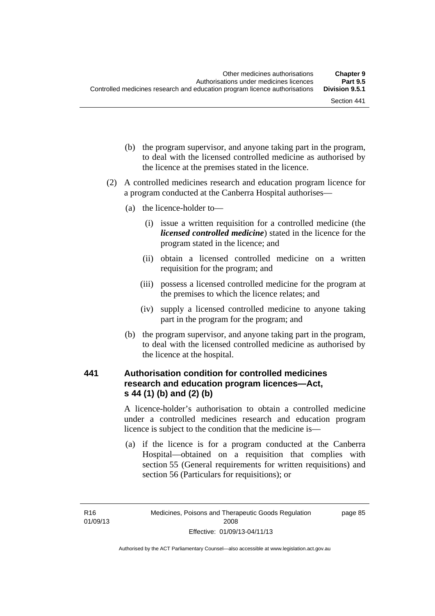- (b) the program supervisor, and anyone taking part in the program, to deal with the licensed controlled medicine as authorised by the licence at the premises stated in the licence.
- (2) A controlled medicines research and education program licence for a program conducted at the Canberra Hospital authorises—
	- (a) the licence-holder to—
		- (i) issue a written requisition for a controlled medicine (the *licensed controlled medicine*) stated in the licence for the program stated in the licence; and
		- (ii) obtain a licensed controlled medicine on a written requisition for the program; and
		- (iii) possess a licensed controlled medicine for the program at the premises to which the licence relates; and
		- (iv) supply a licensed controlled medicine to anyone taking part in the program for the program; and
	- (b) the program supervisor, and anyone taking part in the program, to deal with the licensed controlled medicine as authorised by the licence at the hospital.

## **441 Authorisation condition for controlled medicines research and education program licences—Act, s 44 (1) (b) and (2) (b)**

A licence-holder's authorisation to obtain a controlled medicine under a controlled medicines research and education program licence is subject to the condition that the medicine is—

 (a) if the licence is for a program conducted at the Canberra Hospital—obtained on a requisition that complies with section 55 (General requirements for written requisitions) and section 56 (Particulars for requisitions); or

page 85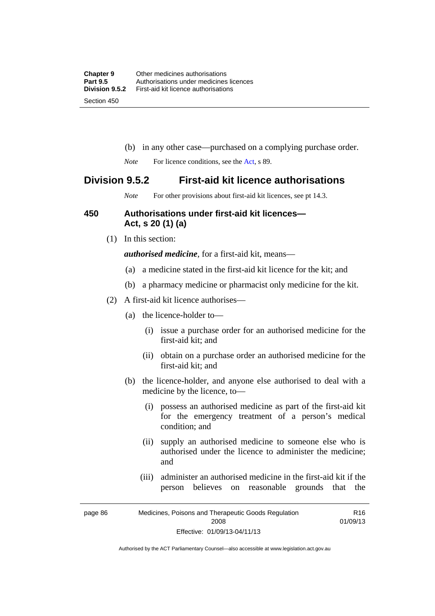- (b) in any other case—purchased on a complying purchase order.
- *Note* For licence conditions, see the [Act](http://www.legislation.act.gov.au/a/2008-26/default.asp), s 89.

## **Division 9.5.2 First-aid kit licence authorisations**

*Note* For other provisions about first-aid kit licences, see pt 14.3.

#### **450 Authorisations under first-aid kit licences— Act, s 20 (1) (a)**

(1) In this section:

*authorised medicine*, for a first-aid kit, means—

- (a) a medicine stated in the first-aid kit licence for the kit; and
- (b) a pharmacy medicine or pharmacist only medicine for the kit.
- (2) A first-aid kit licence authorises—
	- (a) the licence-holder to—
		- (i) issue a purchase order for an authorised medicine for the first-aid kit; and
		- (ii) obtain on a purchase order an authorised medicine for the first-aid kit; and
	- (b) the licence-holder, and anyone else authorised to deal with a medicine by the licence, to—
		- (i) possess an authorised medicine as part of the first-aid kit for the emergency treatment of a person's medical condition; and
		- (ii) supply an authorised medicine to someone else who is authorised under the licence to administer the medicine; and
		- (iii) administer an authorised medicine in the first-aid kit if the person believes on reasonable grounds that the

R16

page 86 Medicines, Poisons and Therapeutic Goods Regulation 2008 Effective: 01/09/13-04/11/13 01/09/13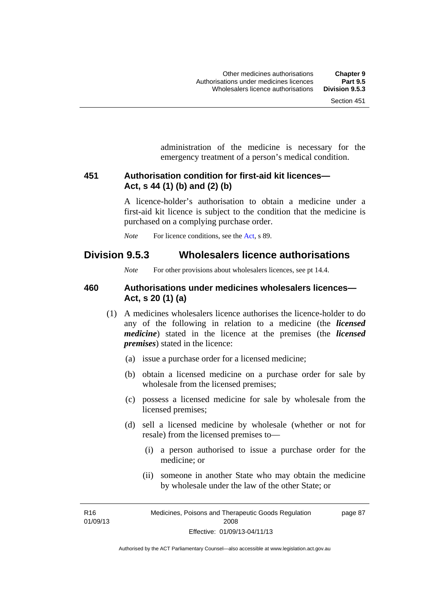administration of the medicine is necessary for the emergency treatment of a person's medical condition.

#### **451 Authorisation condition for first-aid kit licences— Act, s 44 (1) (b) and (2) (b)**

A licence-holder's authorisation to obtain a medicine under a first-aid kit licence is subject to the condition that the medicine is purchased on a complying purchase order.

*Note* For licence conditions, see the [Act](http://www.legislation.act.gov.au/a/2008-26/default.asp), s 89.

## **Division 9.5.3 Wholesalers licence authorisations**

*Note* For other provisions about wholesalers licences, see pt 14.4.

#### **460 Authorisations under medicines wholesalers licences— Act, s 20 (1) (a)**

- (1) A medicines wholesalers licence authorises the licence-holder to do any of the following in relation to a medicine (the *licensed medicine*) stated in the licence at the premises (the *licensed premises*) stated in the licence:
	- (a) issue a purchase order for a licensed medicine;
	- (b) obtain a licensed medicine on a purchase order for sale by wholesale from the licensed premises;
	- (c) possess a licensed medicine for sale by wholesale from the licensed premises;
	- (d) sell a licensed medicine by wholesale (whether or not for resale) from the licensed premises to—
		- (i) a person authorised to issue a purchase order for the medicine; or
		- (ii) someone in another State who may obtain the medicine by wholesale under the law of the other State; or

R16 01/09/13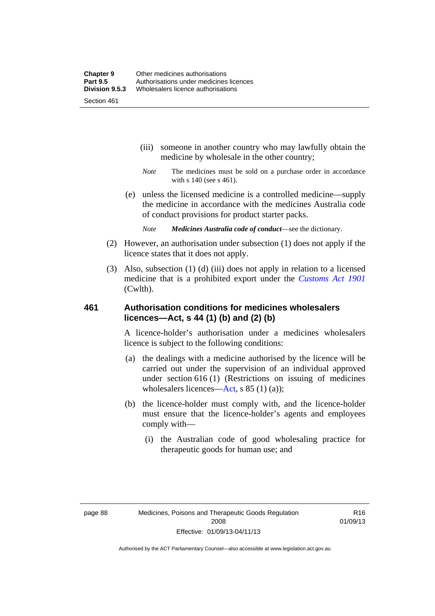- (iii) someone in another country who may lawfully obtain the medicine by wholesale in the other country;
- *Note* The medicines must be sold on a purchase order in accordance with s 140 (see s 461).
- (e) unless the licensed medicine is a controlled medicine—supply the medicine in accordance with the medicines Australia code of conduct provisions for product starter packs.
	- *Note Medicines Australia code of conduct*—see the dictionary.
- (2) However, an authorisation under subsection (1) does not apply if the licence states that it does not apply.
- (3) Also, subsection (1) (d) (iii) does not apply in relation to a licensed medicine that is a prohibited export under the *[Customs Act 1901](http://www.comlaw.gov.au/Series/C1901A00006)* (Cwlth).

#### **461 Authorisation conditions for medicines wholesalers licences—Act, s 44 (1) (b) and (2) (b)**

A licence-holder's authorisation under a medicines wholesalers licence is subject to the following conditions:

- (a) the dealings with a medicine authorised by the licence will be carried out under the supervision of an individual approved under section 616 (1) (Restrictions on issuing of medicines wholesalers licences[—Act,](http://www.legislation.act.gov.au/a/2008-26/default.asp) s 85 (1) (a));
- (b) the licence-holder must comply with, and the licence-holder must ensure that the licence-holder's agents and employees comply with—
	- (i) the Australian code of good wholesaling practice for therapeutic goods for human use; and

R16 01/09/13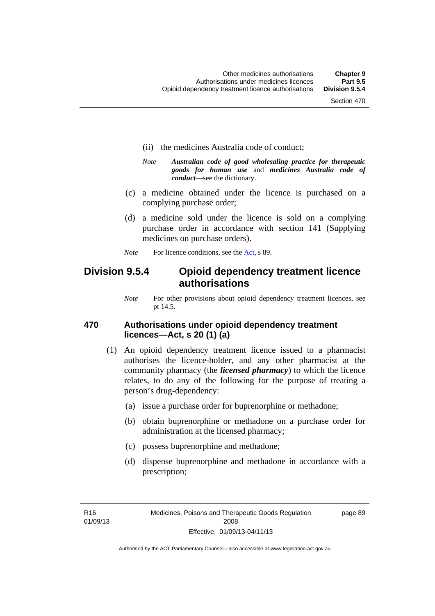- (ii) the medicines Australia code of conduct;
- *Note Australian code of good wholesaling practice for therapeutic goods for human use* and *medicines Australia code of conduct*—see the dictionary.
- (c) a medicine obtained under the licence is purchased on a complying purchase order;
- (d) a medicine sold under the licence is sold on a complying purchase order in accordance with section 141 (Supplying medicines on purchase orders).
- *Note* For licence conditions, see the [Act](http://www.legislation.act.gov.au/a/2008-26/default.asp), s 89.

## **Division 9.5.4 Opioid dependency treatment licence authorisations**

*Note* For other provisions about opioid dependency treatment licences, see pt 14.5.

#### **470 Authorisations under opioid dependency treatment licences—Act, s 20 (1) (a)**

- (1) An opioid dependency treatment licence issued to a pharmacist authorises the licence-holder, and any other pharmacist at the community pharmacy (the *licensed pharmacy*) to which the licence relates, to do any of the following for the purpose of treating a person's drug-dependency:
	- (a) issue a purchase order for buprenorphine or methadone;
	- (b) obtain buprenorphine or methadone on a purchase order for administration at the licensed pharmacy;
	- (c) possess buprenorphine and methadone;
	- (d) dispense buprenorphine and methadone in accordance with a prescription;

R16 01/09/13 page 89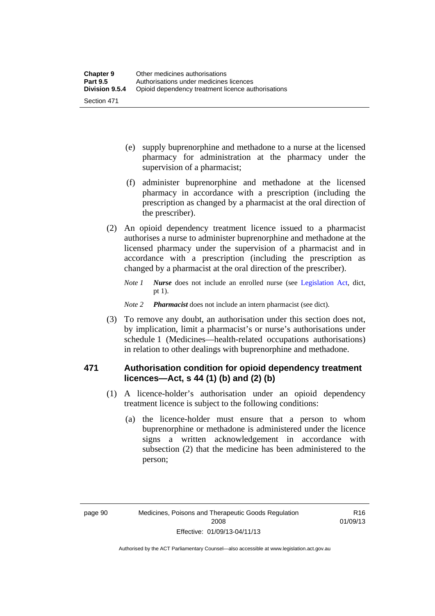- (e) supply buprenorphine and methadone to a nurse at the licensed pharmacy for administration at the pharmacy under the supervision of a pharmacist;
- (f) administer buprenorphine and methadone at the licensed pharmacy in accordance with a prescription (including the prescription as changed by a pharmacist at the oral direction of the prescriber).
- (2) An opioid dependency treatment licence issued to a pharmacist authorises a nurse to administer buprenorphine and methadone at the licensed pharmacy under the supervision of a pharmacist and in accordance with a prescription (including the prescription as changed by a pharmacist at the oral direction of the prescriber).
	- *Note 1 Nurse* does not include an enrolled nurse (see [Legislation Act,](http://www.legislation.act.gov.au/a/2001-14) dict, pt 1).
	- *Note 2 Pharmacist* does not include an intern pharmacist (see dict).
- (3) To remove any doubt, an authorisation under this section does not, by implication, limit a pharmacist's or nurse's authorisations under schedule 1 (Medicines—health-related occupations authorisations) in relation to other dealings with buprenorphine and methadone.

## **471 Authorisation condition for opioid dependency treatment licences—Act, s 44 (1) (b) and (2) (b)**

- (1) A licence-holder's authorisation under an opioid dependency treatment licence is subject to the following conditions:
	- (a) the licence-holder must ensure that a person to whom buprenorphine or methadone is administered under the licence signs a written acknowledgement in accordance with subsection (2) that the medicine has been administered to the person;

R16 01/09/13

Authorised by the ACT Parliamentary Counsel—also accessible at www.legislation.act.gov.au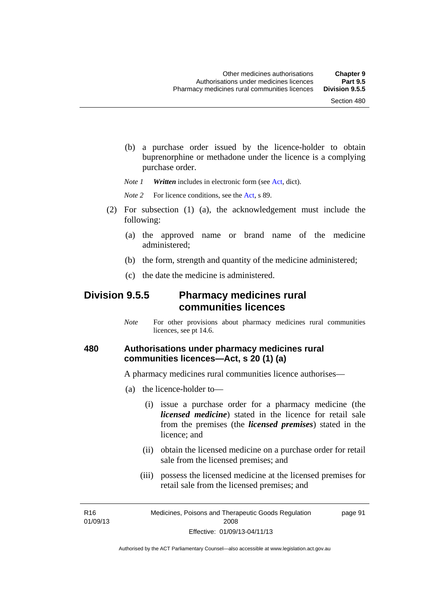(b) a purchase order issued by the licence-holder to obtain buprenorphine or methadone under the licence is a complying purchase order.

*Note 1 Written* includes in electronic form (see [Act,](http://www.legislation.act.gov.au/a/2008-26/default.asp) dict).

*Note* 2 For licence conditions, see the [Act](http://www.legislation.act.gov.au/a/2008-26/default.asp), s 89.

- (2) For subsection (1) (a), the acknowledgement must include the following:
	- (a) the approved name or brand name of the medicine administered;
	- (b) the form, strength and quantity of the medicine administered;
	- (c) the date the medicine is administered.

## **Division 9.5.5 Pharmacy medicines rural communities licences**

*Note* For other provisions about pharmacy medicines rural communities licences, see pt 14.6.

#### **480 Authorisations under pharmacy medicines rural communities licences—Act, s 20 (1) (a)**

A pharmacy medicines rural communities licence authorises—

- (a) the licence-holder to—
	- (i) issue a purchase order for a pharmacy medicine (the *licensed medicine*) stated in the licence for retail sale from the premises (the *licensed premises*) stated in the licence; and
	- (ii) obtain the licensed medicine on a purchase order for retail sale from the licensed premises; and
	- (iii) possess the licensed medicine at the licensed premises for retail sale from the licensed premises; and

R16 01/09/13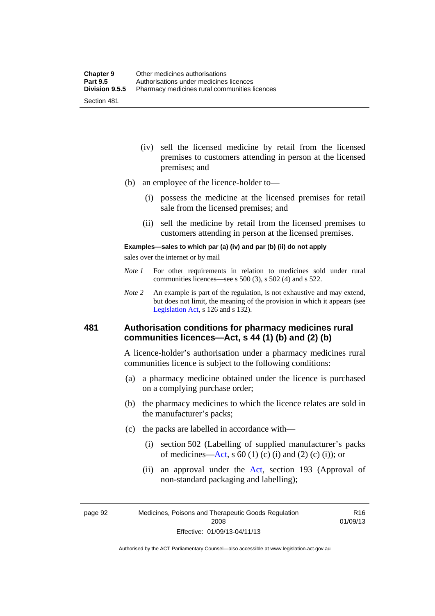- (iv) sell the licensed medicine by retail from the licensed premises to customers attending in person at the licensed premises; and
- (b) an employee of the licence-holder to—
	- (i) possess the medicine at the licensed premises for retail sale from the licensed premises; and
	- (ii) sell the medicine by retail from the licensed premises to customers attending in person at the licensed premises.

#### **Examples—sales to which par (a) (iv) and par (b) (ii) do not apply**

sales over the internet or by mail

- *Note 1* For other requirements in relation to medicines sold under rural communities licences—see s 500 (3), s 502 (4) and s 522.
- *Note 2* An example is part of the regulation, is not exhaustive and may extend, but does not limit, the meaning of the provision in which it appears (see [Legislation Act,](http://www.legislation.act.gov.au/a/2001-14) s 126 and s 132).

#### **481 Authorisation conditions for pharmacy medicines rural communities licences—Act, s 44 (1) (b) and (2) (b)**

A licence-holder's authorisation under a pharmacy medicines rural communities licence is subject to the following conditions:

- (a) a pharmacy medicine obtained under the licence is purchased on a complying purchase order;
- (b) the pharmacy medicines to which the licence relates are sold in the manufacturer's packs;
- (c) the packs are labelled in accordance with—
	- (i) section 502 (Labelling of supplied manufacturer's packs of medicines—[Act](http://www.legislation.act.gov.au/a/2008-26/default.asp), s  $60(1)$  (c) (i) and (2) (c) (i)); or
	- (ii) an approval under the [Act](http://www.legislation.act.gov.au/a/2008-26/default.asp), section 193 (Approval of non-standard packaging and labelling);

page 92 Medicines, Poisons and Therapeutic Goods Regulation 2008 Effective: 01/09/13-04/11/13

R16 01/09/13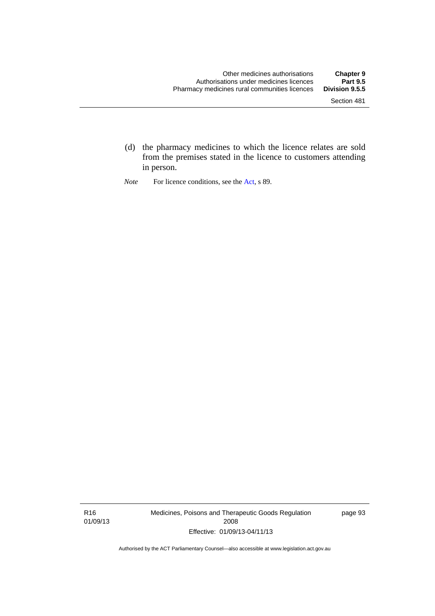- (d) the pharmacy medicines to which the licence relates are sold from the premises stated in the licence to customers attending in person.
- *Note* For licence conditions, see the [Act](http://www.legislation.act.gov.au/a/2008-26/default.asp), s 89.

R16 01/09/13 Medicines, Poisons and Therapeutic Goods Regulation 2008 Effective: 01/09/13-04/11/13

page 93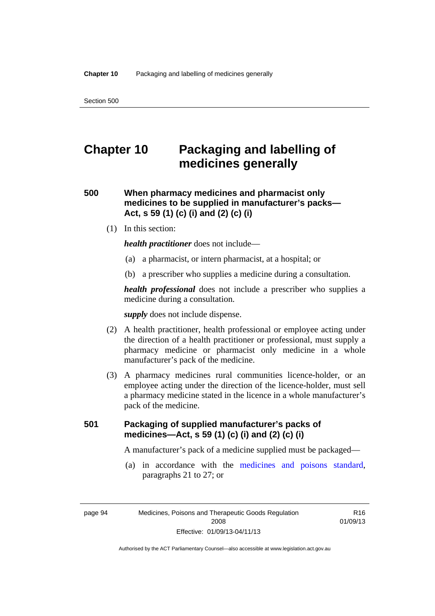# **Chapter 10 Packaging and labelling of medicines generally**

## **500 When pharmacy medicines and pharmacist only medicines to be supplied in manufacturer's packs— Act, s 59 (1) (c) (i) and (2) (c) (i)**

(1) In this section:

*health practitioner* does not include—

- (a) a pharmacist, or intern pharmacist, at a hospital; or
- (b) a prescriber who supplies a medicine during a consultation.

*health professional* does not include a prescriber who supplies a medicine during a consultation.

*supply* does not include dispense.

- (2) A health practitioner, health professional or employee acting under the direction of a health practitioner or professional, must supply a pharmacy medicine or pharmacist only medicine in a whole manufacturer's pack of the medicine.
- (3) A pharmacy medicines rural communities licence-holder, or an employee acting under the direction of the licence-holder, must sell a pharmacy medicine stated in the licence in a whole manufacturer's pack of the medicine.

## **501 Packaging of supplied manufacturer's packs of medicines—Act, s 59 (1) (c) (i) and (2) (c) (i)**

A manufacturer's pack of a medicine supplied must be packaged—

 (a) in accordance with the [medicines and poisons standard](http://www.comlaw.gov.au/Series/F2012L01200), paragraphs 21 to 27; or

page 94 Medicines, Poisons and Therapeutic Goods Regulation 2008 Effective: 01/09/13-04/11/13

R16 01/09/13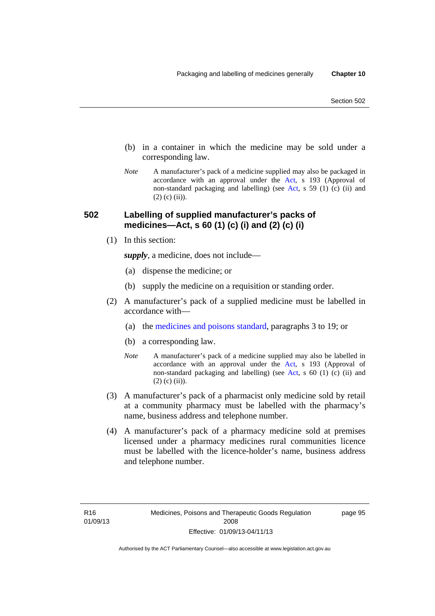- (b) in a container in which the medicine may be sold under a corresponding law.
- *Note* A manufacturer's pack of a medicine supplied may also be packaged in accordance with an approval under the [Act](http://www.legislation.act.gov.au/a/2008-26/default.asp), s 193 (Approval of non-standard packaging and labelling) (see [Act](http://www.legislation.act.gov.au/a/2008-26/default.asp), s 59 (1) (c) (ii) and  $(2)$  (c) (ii)).

#### **502 Labelling of supplied manufacturer's packs of medicines—Act, s 60 (1) (c) (i) and (2) (c) (i)**

(1) In this section:

*supply*, a medicine, does not include—

- (a) dispense the medicine; or
- (b) supply the medicine on a requisition or standing order.
- (2) A manufacturer's pack of a supplied medicine must be labelled in accordance with—
	- (a) the [medicines and poisons standard](http://www.comlaw.gov.au/Series/F2012L01200), paragraphs 3 to 19; or
	- (b) a corresponding law.
	- *Note* A manufacturer's pack of a medicine supplied may also be labelled in accordance with an approval under the [Act](http://www.legislation.act.gov.au/a/2008-26/default.asp), s 193 (Approval of non-standard packaging and labelling) (see [Act](http://www.legislation.act.gov.au/a/2008-26/default.asp), s 60 (1) (c) (ii) and  $(2)$  (c) (ii)).
- (3) A manufacturer's pack of a pharmacist only medicine sold by retail at a community pharmacy must be labelled with the pharmacy's name, business address and telephone number.
- (4) A manufacturer's pack of a pharmacy medicine sold at premises licensed under a pharmacy medicines rural communities licence must be labelled with the licence-holder's name, business address and telephone number.

page 95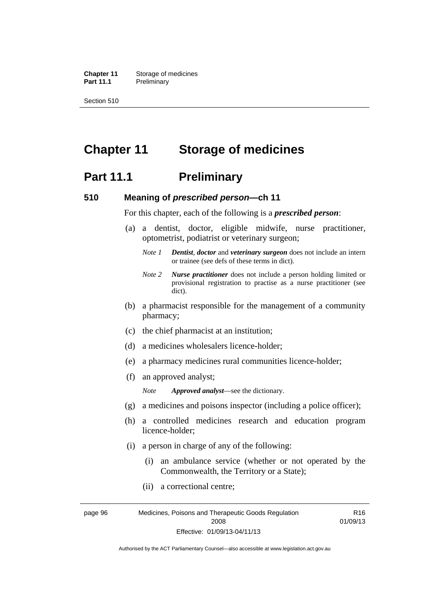**Chapter 11** Storage of medicines Part 11.1 Preliminary

Section 510

# **Chapter 11 Storage of medicines**

## **Part 11.1** Preliminary

#### **510 Meaning of** *prescribed person***—ch 11**

For this chapter, each of the following is a *prescribed person*:

- (a) a dentist, doctor, eligible midwife, nurse practitioner, optometrist, podiatrist or veterinary surgeon;
	- *Note 1 Dentist*, *doctor* and *veterinary surgeon* does not include an intern or trainee (see defs of these terms in dict).
	- *Note 2 Nurse practitioner* does not include a person holding limited or provisional registration to practise as a nurse practitioner (see dict).
- (b) a pharmacist responsible for the management of a community pharmacy;
- (c) the chief pharmacist at an institution;
- (d) a medicines wholesalers licence-holder;
- (e) a pharmacy medicines rural communities licence-holder;
- (f) an approved analyst;

*Note Approved analyst*—see the dictionary.

- (g) a medicines and poisons inspector (including a police officer);
- (h) a controlled medicines research and education program licence-holder;
- (i) a person in charge of any of the following:
	- (i) an ambulance service (whether or not operated by the Commonwealth, the Territory or a State);

R16

(ii) a correctional centre;

page 96 Medicines, Poisons and Therapeutic Goods Regulation 2008 Effective: 01/09/13-04/11/13 01/09/13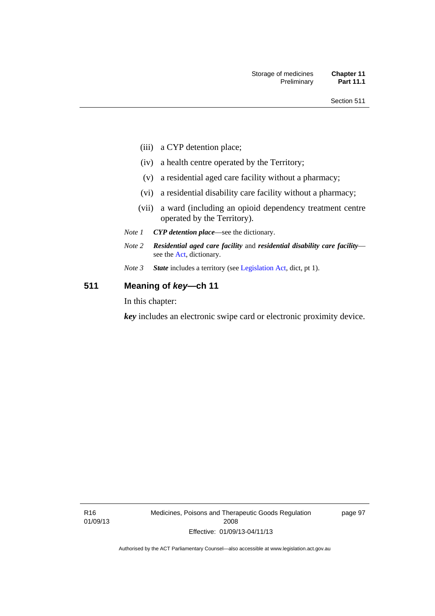- (iii) a CYP detention place;
- (iv) a health centre operated by the Territory;
- (v) a residential aged care facility without a pharmacy;
- (vi) a residential disability care facility without a pharmacy;
- (vii) a ward (including an opioid dependency treatment centre operated by the Territory).
- *Note 1 CYP detention place*—see the dictionary.
- *Note 2 Residential aged care facility* and *residential disability care facility* see the [Act](http://www.legislation.act.gov.au/a/2008-26/default.asp), dictionary.
- *Note 3 State* includes a territory (see [Legislation Act,](http://www.legislation.act.gov.au/a/2001-14) dict, pt 1).

## **511 Meaning of** *key***—ch 11**

In this chapter:

*key* includes an electronic swipe card or electronic proximity device.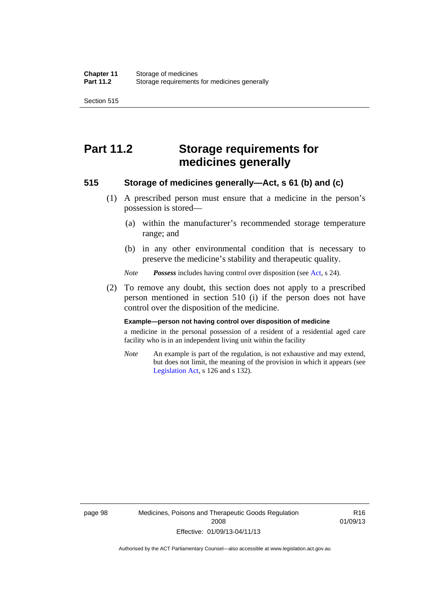Section 515

# **Part 11.2 Storage requirements for medicines generally**

#### **515 Storage of medicines generally—Act, s 61 (b) and (c)**

- (1) A prescribed person must ensure that a medicine in the person's possession is stored—
	- (a) within the manufacturer's recommended storage temperature range; and
	- (b) in any other environmental condition that is necessary to preserve the medicine's stability and therapeutic quality.

*Note Possess* includes having control over disposition (see [Act,](http://www.legislation.act.gov.au/a/2008-26/default.asp) s 24).

 (2) To remove any doubt, this section does not apply to a prescribed person mentioned in section 510 (i) if the person does not have control over the disposition of the medicine.

#### **Example—person not having control over disposition of medicine**

a medicine in the personal possession of a resident of a residential aged care facility who is in an independent living unit within the facility

*Note* An example is part of the regulation, is not exhaustive and may extend, but does not limit, the meaning of the provision in which it appears (see [Legislation Act,](http://www.legislation.act.gov.au/a/2001-14) s 126 and s 132).

page 98 Medicines, Poisons and Therapeutic Goods Regulation 2008 Effective: 01/09/13-04/11/13

R16 01/09/13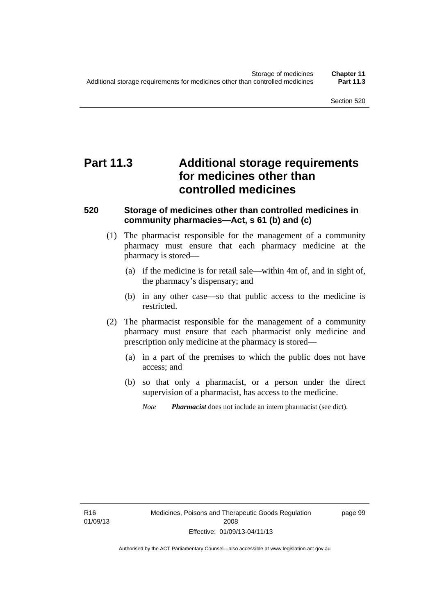# **Part 11.3 Additional storage requirements for medicines other than controlled medicines**

#### **520 Storage of medicines other than controlled medicines in community pharmacies—Act, s 61 (b) and (c)**

- (1) The pharmacist responsible for the management of a community pharmacy must ensure that each pharmacy medicine at the pharmacy is stored—
	- (a) if the medicine is for retail sale—within 4m of, and in sight of, the pharmacy's dispensary; and
	- (b) in any other case—so that public access to the medicine is restricted.
- (2) The pharmacist responsible for the management of a community pharmacy must ensure that each pharmacist only medicine and prescription only medicine at the pharmacy is stored—
	- (a) in a part of the premises to which the public does not have access; and
	- (b) so that only a pharmacist, or a person under the direct supervision of a pharmacist, has access to the medicine.

page 99

*Note Pharmacist* does not include an intern pharmacist (see dict).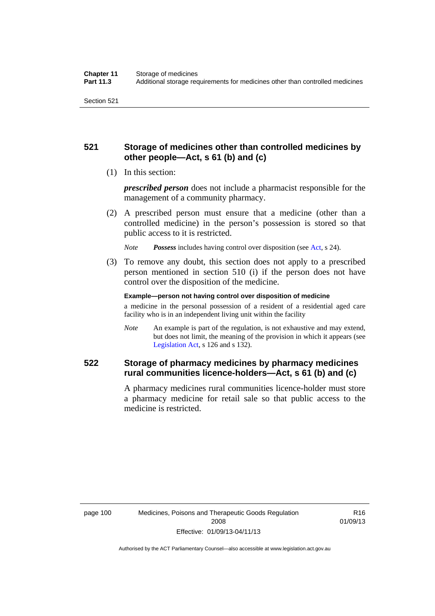### **521 Storage of medicines other than controlled medicines by other people—Act, s 61 (b) and (c)**

(1) In this section:

*prescribed person* does not include a pharmacist responsible for the management of a community pharmacy.

 (2) A prescribed person must ensure that a medicine (other than a controlled medicine) in the person's possession is stored so that public access to it is restricted.

*Note Possess* includes having control over disposition (see [Act,](http://www.legislation.act.gov.au/a/2008-26/default.asp) s 24).

 (3) To remove any doubt, this section does not apply to a prescribed person mentioned in section 510 (i) if the person does not have control over the disposition of the medicine.

**Example—person not having control over disposition of medicine** 

a medicine in the personal possession of a resident of a residential aged care facility who is in an independent living unit within the facility

*Note* An example is part of the regulation, is not exhaustive and may extend, but does not limit, the meaning of the provision in which it appears (see [Legislation Act,](http://www.legislation.act.gov.au/a/2001-14) s 126 and s 132).

### **522 Storage of pharmacy medicines by pharmacy medicines rural communities licence-holders—Act, s 61 (b) and (c)**

A pharmacy medicines rural communities licence-holder must store a pharmacy medicine for retail sale so that public access to the medicine is restricted.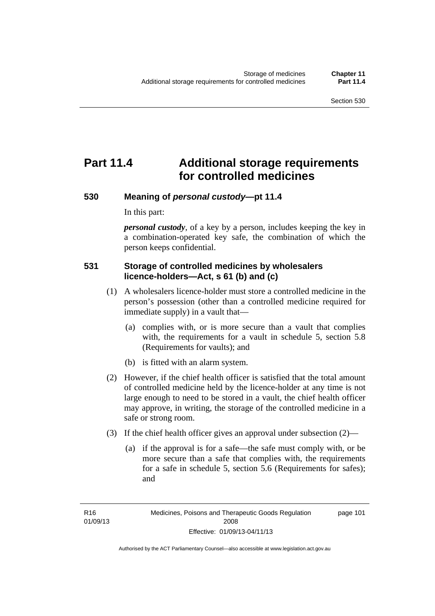# **Part 11.4 Additional storage requirements for controlled medicines**

#### **530 Meaning of** *personal custody***—pt 11.4**

In this part:

*personal custody*, of a key by a person, includes keeping the key in a combination-operated key safe, the combination of which the person keeps confidential.

#### **531 Storage of controlled medicines by wholesalers licence-holders—Act, s 61 (b) and (c)**

- (1) A wholesalers licence-holder must store a controlled medicine in the person's possession (other than a controlled medicine required for immediate supply) in a vault that—
	- (a) complies with, or is more secure than a vault that complies with, the requirements for a vault in schedule 5, section 5.8 (Requirements for vaults); and
	- (b) is fitted with an alarm system.
- (2) However, if the chief health officer is satisfied that the total amount of controlled medicine held by the licence-holder at any time is not large enough to need to be stored in a vault, the chief health officer may approve, in writing, the storage of the controlled medicine in a safe or strong room.
- (3) If the chief health officer gives an approval under subsection (2)—
	- (a) if the approval is for a safe—the safe must comply with, or be more secure than a safe that complies with, the requirements for a safe in schedule 5, section 5.6 (Requirements for safes); and

page 101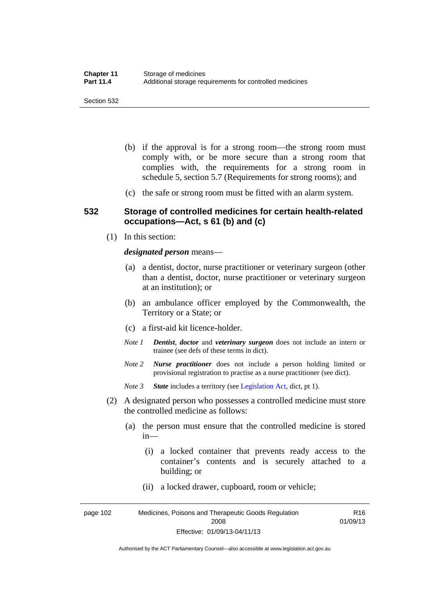- (b) if the approval is for a strong room—the strong room must comply with, or be more secure than a strong room that complies with, the requirements for a strong room in schedule 5, section 5.7 (Requirements for strong rooms); and
- (c) the safe or strong room must be fitted with an alarm system.

#### **532 Storage of controlled medicines for certain health-related occupations—Act, s 61 (b) and (c)**

(1) In this section:

#### *designated person* means—

- (a) a dentist, doctor, nurse practitioner or veterinary surgeon (other than a dentist, doctor, nurse practitioner or veterinary surgeon at an institution); or
- (b) an ambulance officer employed by the Commonwealth, the Territory or a State; or
- (c) a first-aid kit licence-holder.
- *Note 1 Dentist*, *doctor* and *veterinary surgeon* does not include an intern or trainee (see defs of these terms in dict).
- *Note 2 Nurse practitioner* does not include a person holding limited or provisional registration to practise as a nurse practitioner (see dict).
- *Note 3 State* includes a territory (see [Legislation Act,](http://www.legislation.act.gov.au/a/2001-14) dict, pt 1).
- (2) A designated person who possesses a controlled medicine must store the controlled medicine as follows:
	- (a) the person must ensure that the controlled medicine is stored in—
		- (i) a locked container that prevents ready access to the container's contents and is securely attached to a building; or
		- (ii) a locked drawer, cupboard, room or vehicle;

page 102 Medicines, Poisons and Therapeutic Goods Regulation 2008 Effective: 01/09/13-04/11/13 R16 01/09/13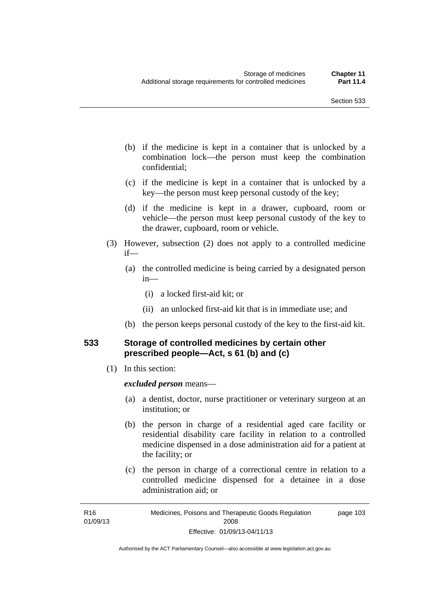- (b) if the medicine is kept in a container that is unlocked by a combination lock—the person must keep the combination confidential;
- (c) if the medicine is kept in a container that is unlocked by a key—the person must keep personal custody of the key;
- (d) if the medicine is kept in a drawer, cupboard, room or vehicle—the person must keep personal custody of the key to the drawer, cupboard, room or vehicle.
- (3) However, subsection (2) does not apply to a controlled medicine if—
	- (a) the controlled medicine is being carried by a designated person in—
		- (i) a locked first-aid kit; or
		- (ii) an unlocked first-aid kit that is in immediate use; and
	- (b) the person keeps personal custody of the key to the first-aid kit.

#### **533 Storage of controlled medicines by certain other prescribed people—Act, s 61 (b) and (c)**

(1) In this section:

#### *excluded person* means—

- (a) a dentist, doctor, nurse practitioner or veterinary surgeon at an institution; or
- (b) the person in charge of a residential aged care facility or residential disability care facility in relation to a controlled medicine dispensed in a dose administration aid for a patient at the facility; or
- (c) the person in charge of a correctional centre in relation to a controlled medicine dispensed for a detainee in a dose administration aid; or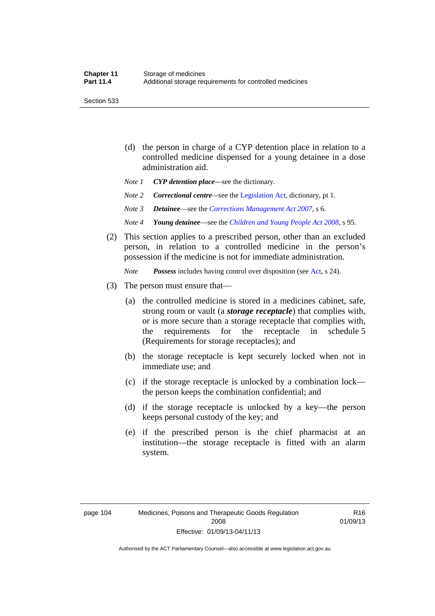Section 533

- (d) the person in charge of a CYP detention place in relation to a controlled medicine dispensed for a young detainee in a dose administration aid.
- *Note 1 CYP detention place*—see the dictionary.
- *Note 2 Correctional centre—see the [Legislation Act](http://www.legislation.act.gov.au/a/2001-14), dictionary, pt 1.*
- *Note 3 Detainee*—see the *[Corrections Management Act 2007](http://www.legislation.act.gov.au/a/2007-15)*, s 6.
- *Note 4 Young detainee*—see the *[Children and Young People Act 2008](http://www.legislation.act.gov.au/a/2008-19)*, s 95.
- (2) This section applies to a prescribed person, other than an excluded person, in relation to a controlled medicine in the person's possession if the medicine is not for immediate administration.

*Note Possess* includes having control over disposition (see [Act,](http://www.legislation.act.gov.au/a/2008-26/default.asp) s 24).

- (3) The person must ensure that—
	- (a) the controlled medicine is stored in a medicines cabinet, safe, strong room or vault (a *storage receptacle*) that complies with, or is more secure than a storage receptacle that complies with, the requirements for the receptacle in schedule 5 (Requirements for storage receptacles); and
	- (b) the storage receptacle is kept securely locked when not in immediate use; and
	- (c) if the storage receptacle is unlocked by a combination lock the person keeps the combination confidential; and
	- (d) if the storage receptacle is unlocked by a key—the person keeps personal custody of the key; and
	- (e) if the prescribed person is the chief pharmacist at an institution—the storage receptacle is fitted with an alarm system.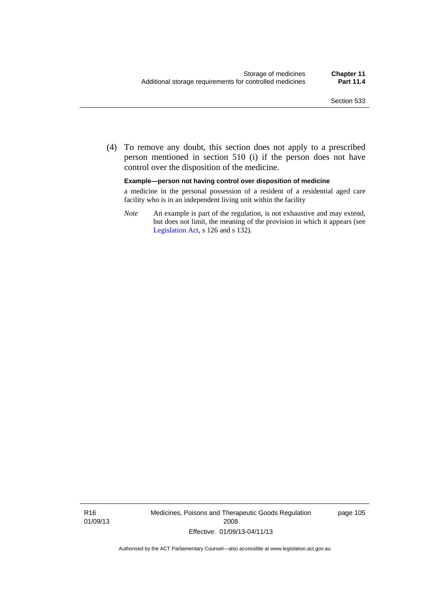(4) To remove any doubt, this section does not apply to a prescribed person mentioned in section 510 (i) if the person does not have control over the disposition of the medicine.

#### **Example—person not having control over disposition of medicine**

a medicine in the personal possession of a resident of a residential aged care facility who is in an independent living unit within the facility

*Note* An example is part of the regulation, is not exhaustive and may extend, but does not limit, the meaning of the provision in which it appears (see [Legislation Act,](http://www.legislation.act.gov.au/a/2001-14) s 126 and s 132).

R16 01/09/13 Medicines, Poisons and Therapeutic Goods Regulation 2008 Effective: 01/09/13-04/11/13

page 105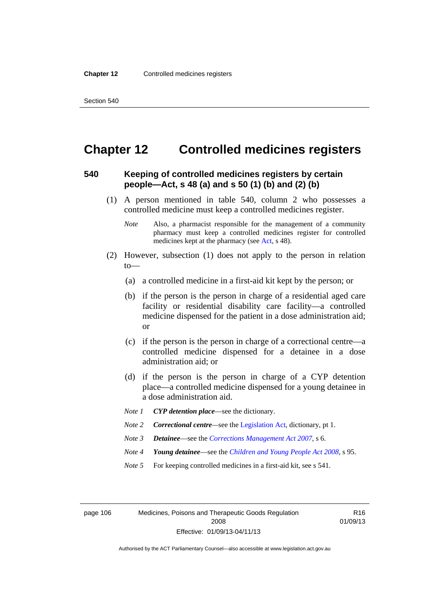# **Chapter 12 Controlled medicines registers**

#### **540 Keeping of controlled medicines registers by certain people—Act, s 48 (a) and s 50 (1) (b) and (2) (b)**

- (1) A person mentioned in table 540, column 2 who possesses a controlled medicine must keep a controlled medicines register.
	- *Note* Also, a pharmacist responsible for the management of a community pharmacy must keep a controlled medicines register for controlled medicines kept at the pharmacy (see [Act](http://www.legislation.act.gov.au/a/2008-26/default.asp), s 48).
- (2) However, subsection (1) does not apply to the person in relation  $to$ —
	- (a) a controlled medicine in a first-aid kit kept by the person; or
	- (b) if the person is the person in charge of a residential aged care facility or residential disability care facility—a controlled medicine dispensed for the patient in a dose administration aid; or
	- (c) if the person is the person in charge of a correctional centre—a controlled medicine dispensed for a detainee in a dose administration aid; or
	- (d) if the person is the person in charge of a CYP detention place—a controlled medicine dispensed for a young detainee in a dose administration aid.
	- *Note 1 CYP detention place*—see the dictionary.
	- *Note 2 Correctional centre—see the [Legislation Act](http://www.legislation.act.gov.au/a/2001-14), dictionary, pt 1.*
	- *Note 3 Detainee*—see the *[Corrections Management Act 2007](http://www.legislation.act.gov.au/a/2007-15)*, s 6.
	- *Note 4 Young detainee*—see the *[Children and Young People Act 2008](http://www.legislation.act.gov.au/a/2008-19)*, s 95.
	- *Note* 5 For keeping controlled medicines in a first-aid kit, see s 541.

page 106 Medicines, Poisons and Therapeutic Goods Regulation 2008 Effective: 01/09/13-04/11/13

R16 01/09/13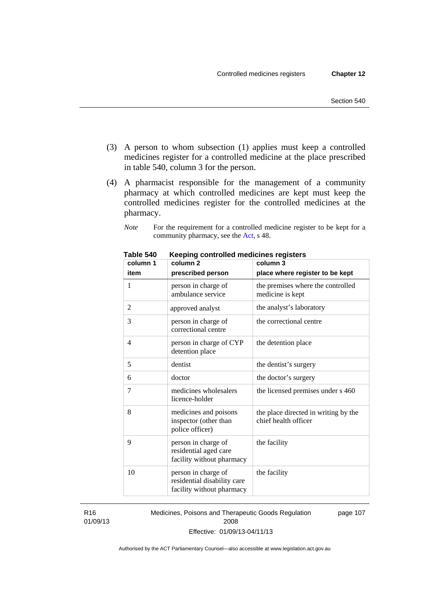- (3) A person to whom subsection (1) applies must keep a controlled medicines register for a controlled medicine at the place prescribed in table 540, column 3 for the person.
- (4) A pharmacist responsible for the management of a community pharmacy at which controlled medicines are kept must keep the controlled medicines register for the controlled medicines at the pharmacy.

*Note* For the requirement for a controlled medicine register to be kept for a community pharmacy, see the [Act,](http://www.legislation.act.gov.au/a/2008-26/default.asp) s 48.

| column 1       | column 2                                                                        | column 3                                                     |
|----------------|---------------------------------------------------------------------------------|--------------------------------------------------------------|
| item           | prescribed person                                                               | place where register to be kept                              |
| 1              | person in charge of<br>ambulance service                                        | the premises where the controlled<br>medicine is kept        |
| $\overline{c}$ | approved analyst                                                                | the analyst's laboratory                                     |
| 3              | person in charge of<br>correctional centre                                      | the correctional centre                                      |
| 4              | person in charge of CYP<br>detention place                                      | the detention place                                          |
| 5              | dentist                                                                         | the dentist's surgery                                        |
| 6              | doctor                                                                          | the doctor's surgery                                         |
| 7              | medicines wholesalers<br>licence-holder                                         | the licensed premises under s 460                            |
| 8              | medicines and poisons<br>inspector (other than<br>police officer)               | the place directed in writing by the<br>chief health officer |
| 9              | person in charge of<br>residential aged care<br>facility without pharmacy       | the facility                                                 |
| 10             | person in charge of<br>residential disability care<br>facility without pharmacy | the facility                                                 |

**Table 540 Keeping controlled medicines registers** 

R16 01/09/13 Medicines, Poisons and Therapeutic Goods Regulation 2008 Effective: 01/09/13-04/11/13 page 107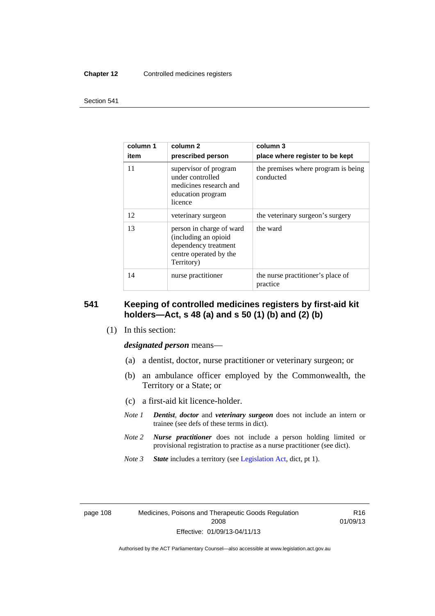#### **Chapter 12** Controlled medicines registers

#### Section 541

| column 1<br>item | column 2<br>prescribed person                                                                                    | column 3<br>place where register to be kept      |
|------------------|------------------------------------------------------------------------------------------------------------------|--------------------------------------------------|
| 11               | supervisor of program<br>under controlled<br>medicines research and<br>education program<br>licence              | the premises where program is being<br>conducted |
| 12               | veterinary surgeon                                                                                               | the veterinary surgeon's surgery                 |
| 13               | person in charge of ward<br>(including an opioid<br>dependency treatment<br>centre operated by the<br>Territory) | the ward                                         |
| 14               | nurse practitioner                                                                                               | the nurse practitioner's place of<br>practice    |

#### **541 Keeping of controlled medicines registers by first-aid kit holders—Act, s 48 (a) and s 50 (1) (b) and (2) (b)**

(1) In this section:

*designated person* means—

- (a) a dentist, doctor, nurse practitioner or veterinary surgeon; or
- (b) an ambulance officer employed by the Commonwealth, the Territory or a State; or
- (c) a first-aid kit licence-holder.
- *Note 1 Dentist*, *doctor* and *veterinary surgeon* does not include an intern or trainee (see defs of these terms in dict).
- *Note 2 Nurse practitioner* does not include a person holding limited or provisional registration to practise as a nurse practitioner (see dict).
- *Note 3 State* includes a territory (see [Legislation Act,](http://www.legislation.act.gov.au/a/2001-14) dict, pt 1).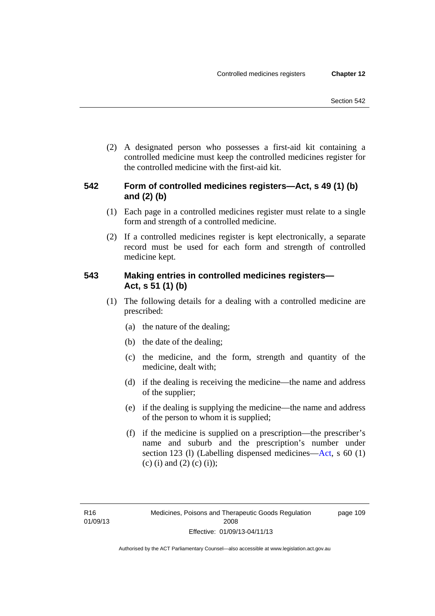(2) A designated person who possesses a first-aid kit containing a controlled medicine must keep the controlled medicines register for the controlled medicine with the first-aid kit.

### **542 Form of controlled medicines registers—Act, s 49 (1) (b) and (2) (b)**

- (1) Each page in a controlled medicines register must relate to a single form and strength of a controlled medicine.
- (2) If a controlled medicines register is kept electronically, a separate record must be used for each form and strength of controlled medicine kept.

### **543 Making entries in controlled medicines registers— Act, s 51 (1) (b)**

- (1) The following details for a dealing with a controlled medicine are prescribed:
	- (a) the nature of the dealing;
	- (b) the date of the dealing;
	- (c) the medicine, and the form, strength and quantity of the medicine, dealt with;
	- (d) if the dealing is receiving the medicine—the name and address of the supplier;
	- (e) if the dealing is supplying the medicine—the name and address of the person to whom it is supplied;
	- (f) if the medicine is supplied on a prescription—the prescriber's name and suburb and the prescription's number under section 123 (l) (Labelling dispensed medicines[—Act,](http://www.legislation.act.gov.au/a/2008-26/default.asp) s 60 (1) (c) (i) and (2) (c) (i));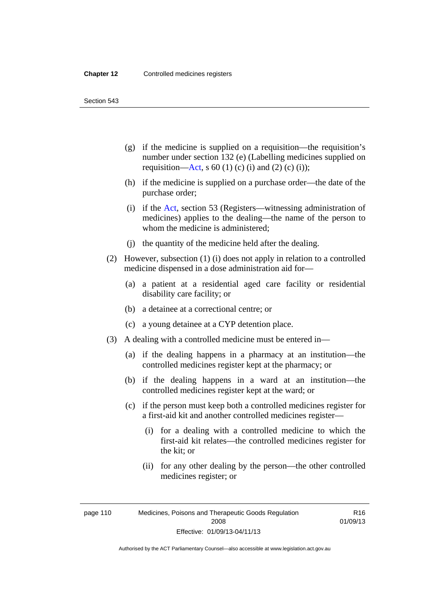Section 543

- (g) if the medicine is supplied on a requisition—the requisition's number under section 132 (e) (Labelling medicines supplied on requisition[—Act,](http://www.legislation.act.gov.au/a/2008-26/default.asp) s 60 (1) (c) (i) and (2) (c) (i));
- (h) if the medicine is supplied on a purchase order—the date of the purchase order;
- (i) if the [Act,](http://www.legislation.act.gov.au/a/2008-26/default.asp) section 53 (Registers—witnessing administration of medicines) applies to the dealing—the name of the person to whom the medicine is administered;
- (j) the quantity of the medicine held after the dealing.
- (2) However, subsection (1) (i) does not apply in relation to a controlled medicine dispensed in a dose administration aid for—
	- (a) a patient at a residential aged care facility or residential disability care facility; or
	- (b) a detainee at a correctional centre; or
	- (c) a young detainee at a CYP detention place.
- (3) A dealing with a controlled medicine must be entered in—
	- (a) if the dealing happens in a pharmacy at an institution—the controlled medicines register kept at the pharmacy; or
	- (b) if the dealing happens in a ward at an institution—the controlled medicines register kept at the ward; or
	- (c) if the person must keep both a controlled medicines register for a first-aid kit and another controlled medicines register—
		- (i) for a dealing with a controlled medicine to which the first-aid kit relates—the controlled medicines register for the kit; or
		- (ii) for any other dealing by the person—the other controlled medicines register; or

page 110 Medicines, Poisons and Therapeutic Goods Regulation 2008 Effective: 01/09/13-04/11/13

R16 01/09/13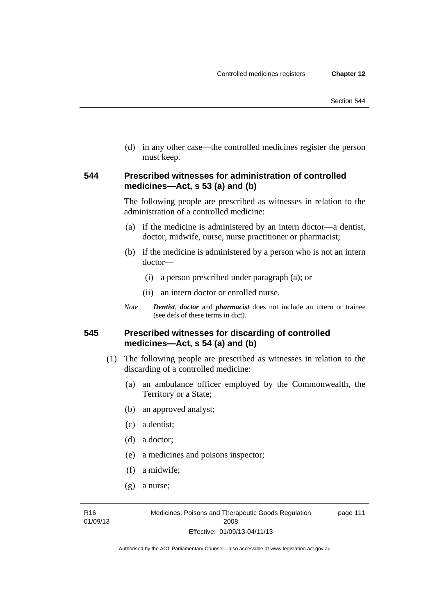(d) in any other case—the controlled medicines register the person must keep.

#### **544 Prescribed witnesses for administration of controlled medicines—Act, s 53 (a) and (b)**

The following people are prescribed as witnesses in relation to the administration of a controlled medicine:

- (a) if the medicine is administered by an intern doctor—a dentist, doctor, midwife, nurse, nurse practitioner or pharmacist;
- (b) if the medicine is administered by a person who is not an intern doctor—
	- (i) a person prescribed under paragraph (a); or
	- (ii) an intern doctor or enrolled nurse.
- *Note Dentist*, *doctor* and *pharmacist* does not include an intern or trainee (see defs of these terms in dict).

#### **545 Prescribed witnesses for discarding of controlled medicines—Act, s 54 (a) and (b)**

- (1) The following people are prescribed as witnesses in relation to the discarding of a controlled medicine:
	- (a) an ambulance officer employed by the Commonwealth, the Territory or a State;
	- (b) an approved analyst;
	- (c) a dentist;
	- (d) a doctor;
	- (e) a medicines and poisons inspector;
	- (f) a midwife;
	- (g) a nurse;

R16 01/09/13 page 111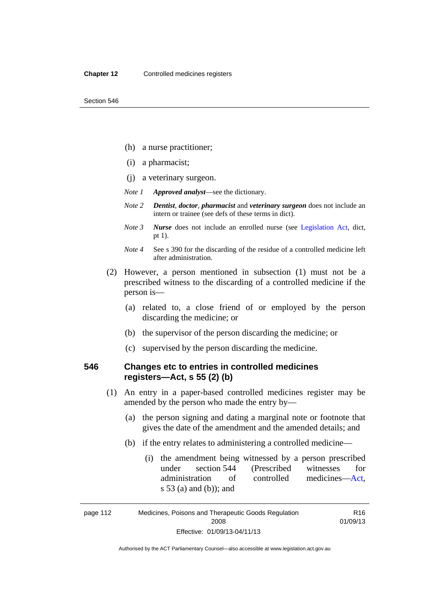- (h) a nurse practitioner;
- (i) a pharmacist;
- (j) a veterinary surgeon.
- *Note 1 Approved analyst*—see the dictionary.
- *Note 2 Dentist*, *doctor*, *pharmacist* and *veterinary surgeon* does not include an intern or trainee (see defs of these terms in dict).
- *Note 3 Nurse* does not include an enrolled nurse (see [Legislation Act,](http://www.legislation.act.gov.au/a/2001-14) dict, pt 1).
- *Note 4* See s 390 for the discarding of the residue of a controlled medicine left after administration.
- (2) However, a person mentioned in subsection (1) must not be a prescribed witness to the discarding of a controlled medicine if the person is—
	- (a) related to, a close friend of or employed by the person discarding the medicine; or
	- (b) the supervisor of the person discarding the medicine; or
	- (c) supervised by the person discarding the medicine.

#### **546 Changes etc to entries in controlled medicines registers—Act, s 55 (2) (b)**

- (1) An entry in a paper-based controlled medicines register may be amended by the person who made the entry by—
	- (a) the person signing and dating a marginal note or footnote that gives the date of the amendment and the amended details; and
	- (b) if the entry relates to administering a controlled medicine—
		- (i) the amendment being witnessed by a person prescribed under section 544 (Prescribed witnesses for administration of controlled medicines[—Act](http://www.legislation.act.gov.au/a/2008-26/default.asp), s 53 (a) and (b)); and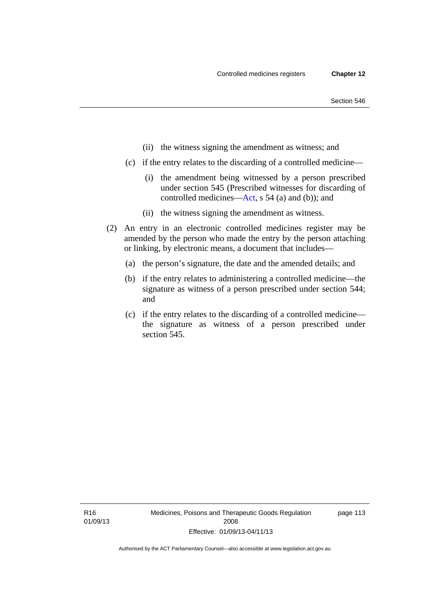- (ii) the witness signing the amendment as witness; and
- (c) if the entry relates to the discarding of a controlled medicine—
	- (i) the amendment being witnessed by a person prescribed under section 545 (Prescribed witnesses for discarding of controlled medicines[—Act,](http://www.legislation.act.gov.au/a/2008-26/default.asp) s 54 (a) and (b)); and
	- (ii) the witness signing the amendment as witness.
- (2) An entry in an electronic controlled medicines register may be amended by the person who made the entry by the person attaching or linking, by electronic means, a document that includes—
	- (a) the person's signature, the date and the amended details; and
	- (b) if the entry relates to administering a controlled medicine—the signature as witness of a person prescribed under section 544; and
	- (c) if the entry relates to the discarding of a controlled medicine the signature as witness of a person prescribed under section 545.

R16 01/09/13 page 113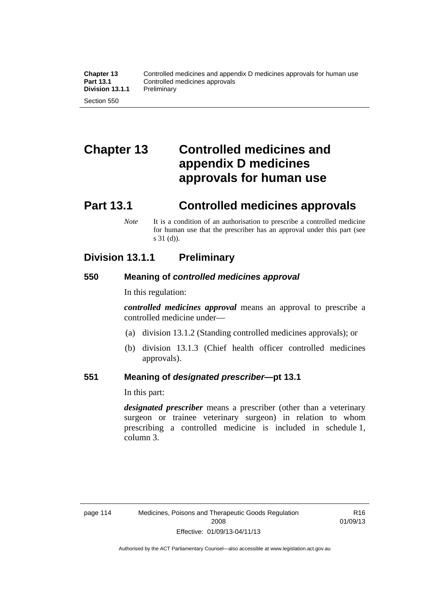# **Chapter 13 Controlled medicines and appendix D medicines approvals for human use**

# **Part 13.1 Controlled medicines approvals**

*Note* It is a condition of an authorisation to prescribe a controlled medicine for human use that the prescriber has an approval under this part (see s 31 (d)).

## **Division 13.1.1 Preliminary**

## **550 Meaning of** *controlled medicines approval*

In this regulation:

*controlled medicines approval* means an approval to prescribe a controlled medicine under—

- (a) division 13.1.2 (Standing controlled medicines approvals); or
- (b) division 13.1.3 (Chief health officer controlled medicines approvals).

#### **551 Meaning of** *designated prescriber***—pt 13.1**

In this part:

*designated prescriber* means a prescriber (other than a veterinary surgeon or trainee veterinary surgeon) in relation to whom prescribing a controlled medicine is included in schedule 1, column 3.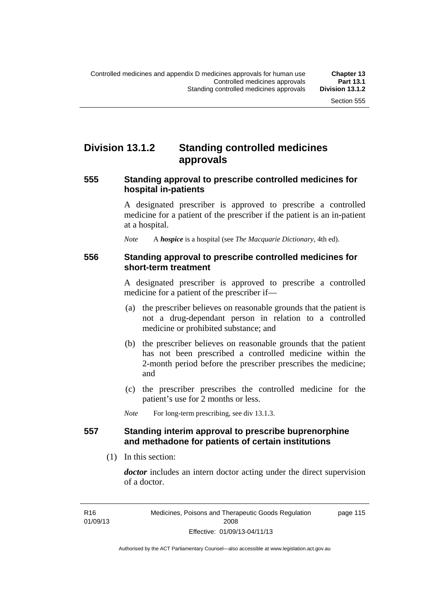# **Division 13.1.2 Standing controlled medicines approvals**

#### **555 Standing approval to prescribe controlled medicines for hospital in-patients**

A designated prescriber is approved to prescribe a controlled medicine for a patient of the prescriber if the patient is an in-patient at a hospital.

*Note* A *hospice* is a hospital (see *The Macquarie Dictionary*, 4th ed).

#### **556 Standing approval to prescribe controlled medicines for short-term treatment**

A designated prescriber is approved to prescribe a controlled medicine for a patient of the prescriber if—

- (a) the prescriber believes on reasonable grounds that the patient is not a drug-dependant person in relation to a controlled medicine or prohibited substance; and
- (b) the prescriber believes on reasonable grounds that the patient has not been prescribed a controlled medicine within the 2-month period before the prescriber prescribes the medicine; and
- (c) the prescriber prescribes the controlled medicine for the patient's use for 2 months or less.

*Note* For long-term prescribing, see div 13.1.3.

#### **557 Standing interim approval to prescribe buprenorphine and methadone for patients of certain institutions**

(1) In this section:

*doctor* includes an intern doctor acting under the direct supervision of a doctor.

page 115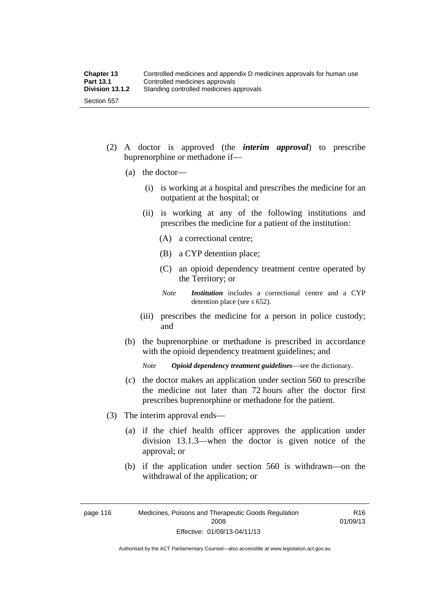- (2) A doctor is approved (the *interim approval*) to prescribe buprenorphine or methadone if—
	- (a) the doctor—
		- (i) is working at a hospital and prescribes the medicine for an outpatient at the hospital; or
		- (ii) is working at any of the following institutions and prescribes the medicine for a patient of the institution:
			- (A) a correctional centre;
			- (B) a CYP detention place;
			- (C) an opioid dependency treatment centre operated by the Territory; or
			- *Note Institution* includes a correctional centre and a CYP detention place (see s 652).
		- (iii) prescribes the medicine for a person in police custody; and
	- (b) the buprenorphine or methadone is prescribed in accordance with the opioid dependency treatment guidelines; and

*Note Opioid dependency treatment guidelines*—see the dictionary.

- (c) the doctor makes an application under section 560 to prescribe the medicine not later than 72 hours after the doctor first prescribes buprenorphine or methadone for the patient.
- (3) The interim approval ends—
	- (a) if the chief health officer approves the application under division 13.1.3—when the doctor is given notice of the approval; or
	- (b) if the application under section 560 is withdrawn—on the withdrawal of the application; or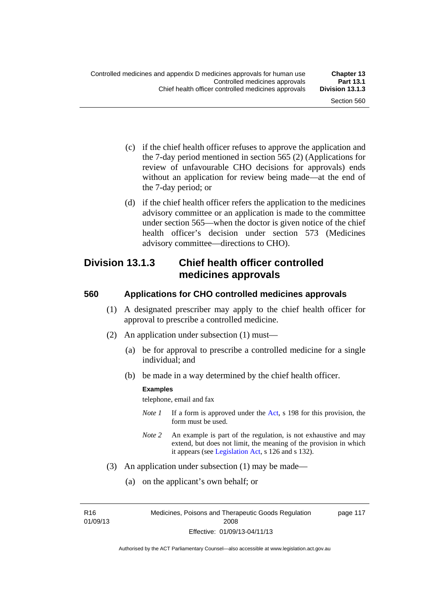- (c) if the chief health officer refuses to approve the application and the 7-day period mentioned in section 565 (2) (Applications for review of unfavourable CHO decisions for approvals) ends without an application for review being made—at the end of the 7-day period; or
- (d) if the chief health officer refers the application to the medicines advisory committee or an application is made to the committee under section 565—when the doctor is given notice of the chief health officer's decision under section 573 (Medicines advisory committee—directions to CHO).

## **Division 13.1.3 Chief health officer controlled medicines approvals**

#### **560 Applications for CHO controlled medicines approvals**

- (1) A designated prescriber may apply to the chief health officer for approval to prescribe a controlled medicine.
- (2) An application under subsection (1) must—
	- (a) be for approval to prescribe a controlled medicine for a single individual; and
	- (b) be made in a way determined by the chief health officer.

#### **Examples**

telephone, email and fax

- *Note 1* If a form is approved under the [Act](http://www.legislation.act.gov.au/a/2008-26/default.asp), s 198 for this provision, the form must be used.
- *Note 2* An example is part of the regulation, is not exhaustive and may extend, but does not limit, the meaning of the provision in which it appears (see [Legislation Act,](http://www.legislation.act.gov.au/a/2001-14) s 126 and s 132).
- (3) An application under subsection (1) may be made—
	- (a) on the applicant's own behalf; or

R16 01/09/13 Medicines, Poisons and Therapeutic Goods Regulation 2008 Effective: 01/09/13-04/11/13

page 117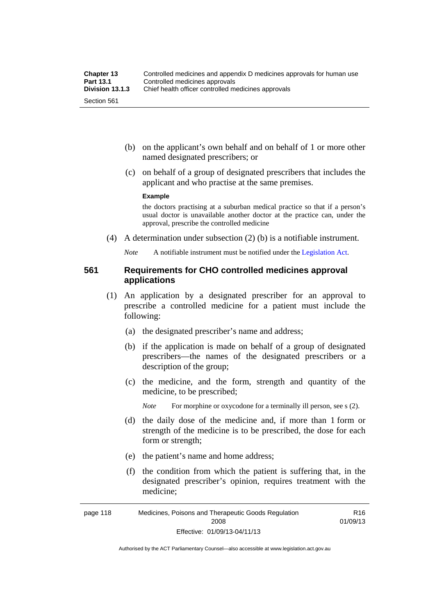- (b) on the applicant's own behalf and on behalf of 1 or more other named designated prescribers; or
- (c) on behalf of a group of designated prescribers that includes the applicant and who practise at the same premises.

#### **Example**

the doctors practising at a suburban medical practice so that if a person's usual doctor is unavailable another doctor at the practice can, under the approval, prescribe the controlled medicine

(4) A determination under subsection (2) (b) is a notifiable instrument.

*Note* A notifiable instrument must be notified under the [Legislation Act](http://www.legislation.act.gov.au/a/2001-14).

#### **561 Requirements for CHO controlled medicines approval applications**

- (1) An application by a designated prescriber for an approval to prescribe a controlled medicine for a patient must include the following:
	- (a) the designated prescriber's name and address;
	- (b) if the application is made on behalf of a group of designated prescribers—the names of the designated prescribers or a description of the group;
	- (c) the medicine, and the form, strength and quantity of the medicine, to be prescribed;

*Note* For morphine or oxycodone for a terminally ill person, see s (2).

- (d) the daily dose of the medicine and, if more than 1 form or strength of the medicine is to be prescribed, the dose for each form or strength;
- (e) the patient's name and home address;
- (f) the condition from which the patient is suffering that, in the designated prescriber's opinion, requires treatment with the medicine;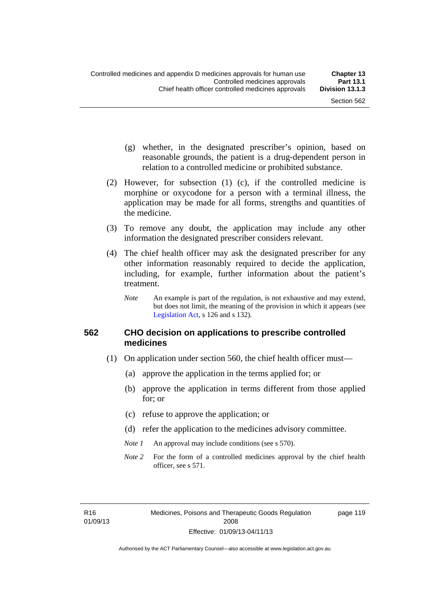page 119

- (g) whether, in the designated prescriber's opinion, based on reasonable grounds, the patient is a drug-dependent person in relation to a controlled medicine or prohibited substance.
- (2) However, for subsection (1) (c), if the controlled medicine is morphine or oxycodone for a person with a terminal illness, the application may be made for all forms, strengths and quantities of the medicine.
- (3) To remove any doubt, the application may include any other information the designated prescriber considers relevant.
- (4) The chief health officer may ask the designated prescriber for any other information reasonably required to decide the application, including, for example, further information about the patient's treatment.
	- *Note* An example is part of the regulation, is not exhaustive and may extend, but does not limit, the meaning of the provision in which it appears (see [Legislation Act,](http://www.legislation.act.gov.au/a/2001-14) s 126 and s 132).

#### **562 CHO decision on applications to prescribe controlled medicines**

- (1) On application under section 560, the chief health officer must—
	- (a) approve the application in the terms applied for; or
	- (b) approve the application in terms different from those applied for; or
	- (c) refuse to approve the application; or
	- (d) refer the application to the medicines advisory committee.
	- *Note 1* An approval may include conditions (see s 570).
	- *Note* 2 For the form of a controlled medicines approval by the chief health officer, see s 571.

R16 01/09/13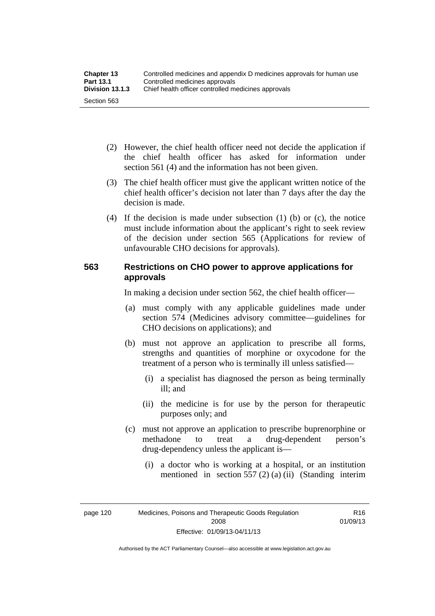| <b>Chapter 13</b> | Controlled medicines and appendix D medicines approvals for human use |  |
|-------------------|-----------------------------------------------------------------------|--|
| <b>Part 13.1</b>  | Controlled medicines approvals                                        |  |
| Division 13.1.3   | Chief health officer controlled medicines approvals                   |  |
| Section 563       |                                                                       |  |

- (2) However, the chief health officer need not decide the application if the chief health officer has asked for information under section 561 (4) and the information has not been given.
- (3) The chief health officer must give the applicant written notice of the chief health officer's decision not later than 7 days after the day the decision is made.
- (4) If the decision is made under subsection (1) (b) or (c), the notice must include information about the applicant's right to seek review of the decision under section 565 (Applications for review of unfavourable CHO decisions for approvals).

### **563 Restrictions on CHO power to approve applications for approvals**

In making a decision under section 562, the chief health officer—

- (a) must comply with any applicable guidelines made under section 574 (Medicines advisory committee—guidelines for CHO decisions on applications); and
- (b) must not approve an application to prescribe all forms, strengths and quantities of morphine or oxycodone for the treatment of a person who is terminally ill unless satisfied—
	- (i) a specialist has diagnosed the person as being terminally ill; and
	- (ii) the medicine is for use by the person for therapeutic purposes only; and
- (c) must not approve an application to prescribe buprenorphine or methadone to treat a drug-dependent person's drug-dependency unless the applicant is—
	- (i) a doctor who is working at a hospital, or an institution mentioned in section 557 (2) (a) (ii) (Standing interim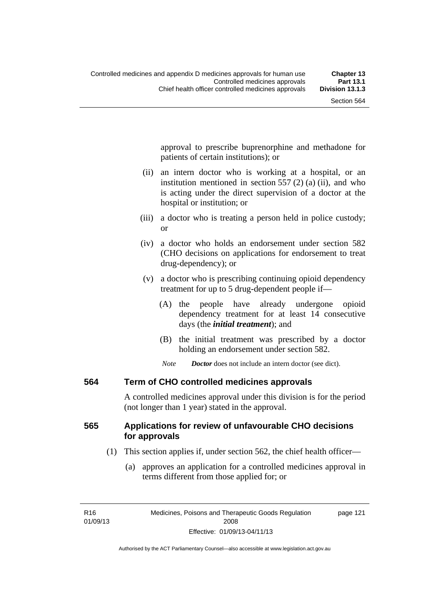approval to prescribe buprenorphine and methadone for patients of certain institutions); or

- (ii) an intern doctor who is working at a hospital, or an institution mentioned in section 557 (2) (a) (ii), and who is acting under the direct supervision of a doctor at the hospital or institution; or
- (iii) a doctor who is treating a person held in police custody; or
- (iv) a doctor who holds an endorsement under section 582 (CHO decisions on applications for endorsement to treat drug-dependency); or
- (v) a doctor who is prescribing continuing opioid dependency treatment for up to 5 drug-dependent people if—
	- (A) the people have already undergone opioid dependency treatment for at least 14 consecutive days (the *initial treatment*); and
	- (B) the initial treatment was prescribed by a doctor holding an endorsement under section 582.
	- *Note Doctor* does not include an intern doctor (see dict).

## **564 Term of CHO controlled medicines approvals**

A controlled medicines approval under this division is for the period (not longer than 1 year) stated in the approval.

## **565 Applications for review of unfavourable CHO decisions for approvals**

- (1) This section applies if, under section 562, the chief health officer—
	- (a) approves an application for a controlled medicines approval in terms different from those applied for; or

page 121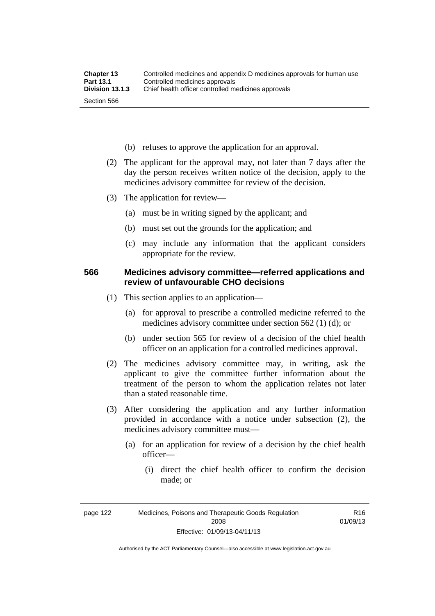- (b) refuses to approve the application for an approval.
- (2) The applicant for the approval may, not later than 7 days after the day the person receives written notice of the decision, apply to the medicines advisory committee for review of the decision.
- (3) The application for review—
	- (a) must be in writing signed by the applicant; and
	- (b) must set out the grounds for the application; and
	- (c) may include any information that the applicant considers appropriate for the review.

### **566 Medicines advisory committee—referred applications and review of unfavourable CHO decisions**

- (1) This section applies to an application—
	- (a) for approval to prescribe a controlled medicine referred to the medicines advisory committee under section 562 (1) (d); or
	- (b) under section 565 for review of a decision of the chief health officer on an application for a controlled medicines approval.
- (2) The medicines advisory committee may, in writing, ask the applicant to give the committee further information about the treatment of the person to whom the application relates not later than a stated reasonable time.
- (3) After considering the application and any further information provided in accordance with a notice under subsection (2), the medicines advisory committee must—
	- (a) for an application for review of a decision by the chief health officer—
		- (i) direct the chief health officer to confirm the decision made; or

R16 01/09/13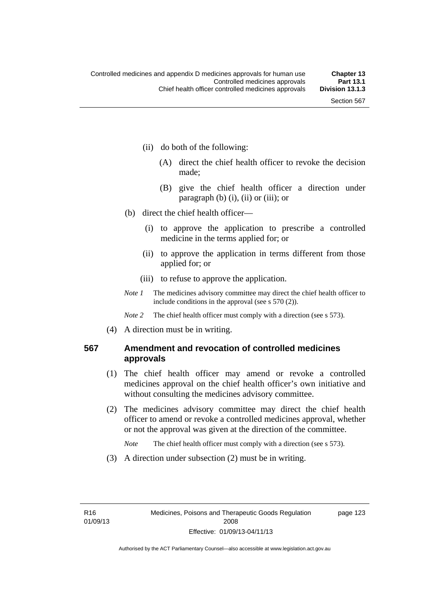- (ii) do both of the following:
	- (A) direct the chief health officer to revoke the decision made;
	- (B) give the chief health officer a direction under paragraph  $(b)$   $(i)$ ,  $(ii)$  or  $(iii)$ ; or
- (b) direct the chief health officer—
	- (i) to approve the application to prescribe a controlled medicine in the terms applied for; or
	- (ii) to approve the application in terms different from those applied for; or
	- (iii) to refuse to approve the application.
- *Note 1* The medicines advisory committee may direct the chief health officer to include conditions in the approval (see s 570 (2)).

*Note* 2 The chief health officer must comply with a direction (see s 573).

(4) A direction must be in writing.

## **567 Amendment and revocation of controlled medicines approvals**

- (1) The chief health officer may amend or revoke a controlled medicines approval on the chief health officer's own initiative and without consulting the medicines advisory committee.
- (2) The medicines advisory committee may direct the chief health officer to amend or revoke a controlled medicines approval, whether or not the approval was given at the direction of the committee.

*Note* The chief health officer must comply with a direction (see s 573).

(3) A direction under subsection (2) must be in writing.

page 123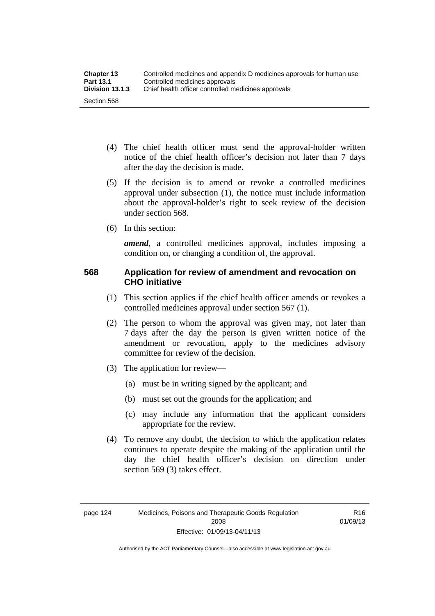- (4) The chief health officer must send the approval-holder written notice of the chief health officer's decision not later than 7 days after the day the decision is made.
- (5) If the decision is to amend or revoke a controlled medicines approval under subsection (1), the notice must include information about the approval-holder's right to seek review of the decision under section 568.
- (6) In this section:

*amend*, a controlled medicines approval, includes imposing a condition on, or changing a condition of, the approval.

## **568 Application for review of amendment and revocation on CHO initiative**

- (1) This section applies if the chief health officer amends or revokes a controlled medicines approval under section 567 (1).
- (2) The person to whom the approval was given may, not later than 7 days after the day the person is given written notice of the amendment or revocation, apply to the medicines advisory committee for review of the decision.
- (3) The application for review—
	- (a) must be in writing signed by the applicant; and
	- (b) must set out the grounds for the application; and
	- (c) may include any information that the applicant considers appropriate for the review.
- (4) To remove any doubt, the decision to which the application relates continues to operate despite the making of the application until the day the chief health officer's decision on direction under section 569 (3) takes effect.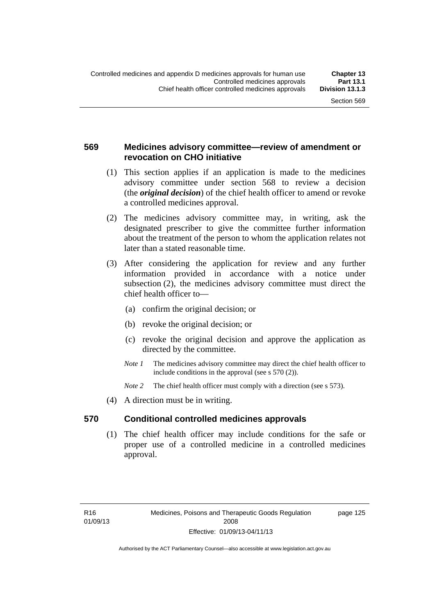## **569 Medicines advisory committee—review of amendment or revocation on CHO initiative**

- (1) This section applies if an application is made to the medicines advisory committee under section 568 to review a decision (the *original decision*) of the chief health officer to amend or revoke a controlled medicines approval.
- (2) The medicines advisory committee may, in writing, ask the designated prescriber to give the committee further information about the treatment of the person to whom the application relates not later than a stated reasonable time.
- (3) After considering the application for review and any further information provided in accordance with a notice under subsection (2), the medicines advisory committee must direct the chief health officer to—
	- (a) confirm the original decision; or
	- (b) revoke the original decision; or
	- (c) revoke the original decision and approve the application as directed by the committee.
	- *Note 1* The medicines advisory committee may direct the chief health officer to include conditions in the approval (see s 570 (2)).
	- *Note* 2 The chief health officer must comply with a direction (see s 573).
- (4) A direction must be in writing.

## **570 Conditional controlled medicines approvals**

(1) The chief health officer may include conditions for the safe or proper use of a controlled medicine in a controlled medicines approval.

page 125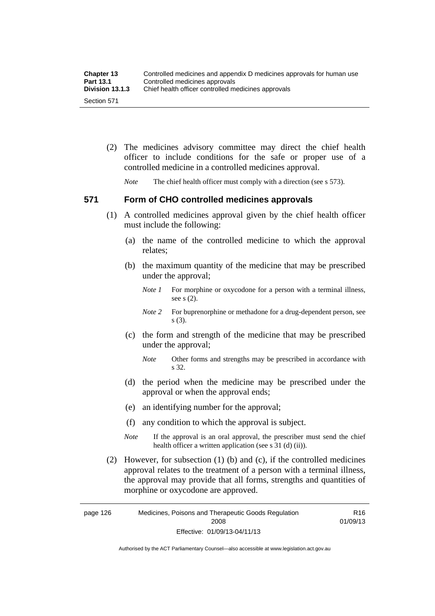| <b>Chapter 13</b> | Controlled medicines and appendix D medicines approvals for human use |
|-------------------|-----------------------------------------------------------------------|
| <b>Part 13.1</b>  | Controlled medicines approvals                                        |
| Division 13.1.3   | Chief health officer controlled medicines approvals                   |
| Section 571       |                                                                       |

 (2) The medicines advisory committee may direct the chief health officer to include conditions for the safe or proper use of a controlled medicine in a controlled medicines approval.

*Note* The chief health officer must comply with a direction (see s 573).

### **571 Form of CHO controlled medicines approvals**

- (1) A controlled medicines approval given by the chief health officer must include the following:
	- (a) the name of the controlled medicine to which the approval relates;
	- (b) the maximum quantity of the medicine that may be prescribed under the approval;
		- *Note 1* For morphine or oxycodone for a person with a terminal illness, see s (2).
		- *Note* 2 For buprenorphine or methadone for a drug-dependent person, see s (3).
	- (c) the form and strength of the medicine that may be prescribed under the approval;
		- *Note* Other forms and strengths may be prescribed in accordance with s 32.
	- (d) the period when the medicine may be prescribed under the approval or when the approval ends;
	- (e) an identifying number for the approval;
	- (f) any condition to which the approval is subject.
	- *Note* If the approval is an oral approval, the prescriber must send the chief health officer a written application (see s  $31$  (d) (ii)).
- (2) However, for subsection (1) (b) and (c), if the controlled medicines approval relates to the treatment of a person with a terminal illness, the approval may provide that all forms, strengths and quantities of morphine or oxycodone are approved.

page 126 Medicines, Poisons and Therapeutic Goods Regulation 2008 Effective: 01/09/13-04/11/13 R16 01/09/13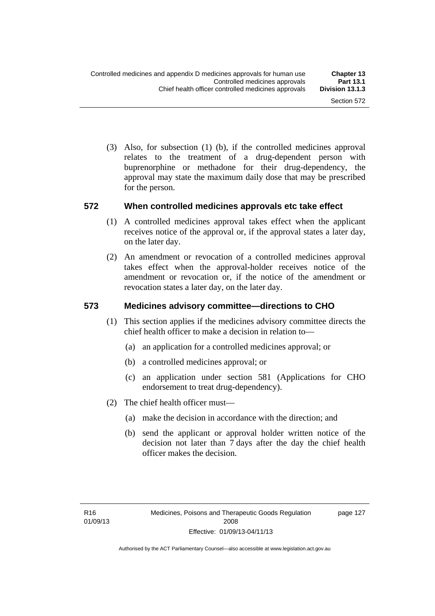(3) Also, for subsection (1) (b), if the controlled medicines approval relates to the treatment of a drug-dependent person with buprenorphine or methadone for their drug-dependency, the approval may state the maximum daily dose that may be prescribed for the person.

### **572 When controlled medicines approvals etc take effect**

- (1) A controlled medicines approval takes effect when the applicant receives notice of the approval or, if the approval states a later day, on the later day.
- (2) An amendment or revocation of a controlled medicines approval takes effect when the approval-holder receives notice of the amendment or revocation or, if the notice of the amendment or revocation states a later day, on the later day.

## **573 Medicines advisory committee—directions to CHO**

- (1) This section applies if the medicines advisory committee directs the chief health officer to make a decision in relation to—
	- (a) an application for a controlled medicines approval; or
	- (b) a controlled medicines approval; or
	- (c) an application under section 581 (Applications for CHO endorsement to treat drug-dependency).
- (2) The chief health officer must—
	- (a) make the decision in accordance with the direction; and
	- (b) send the applicant or approval holder written notice of the decision not later than 7 days after the day the chief health officer makes the decision.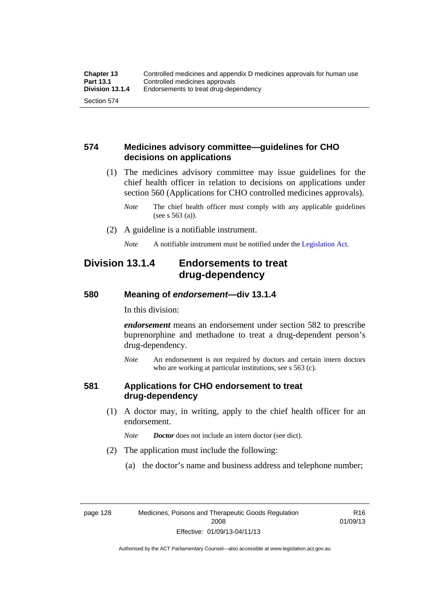## **574 Medicines advisory committee—guidelines for CHO decisions on applications**

 (1) The medicines advisory committee may issue guidelines for the chief health officer in relation to decisions on applications under section 560 (Applications for CHO controlled medicines approvals).

- (2) A guideline is a notifiable instrument.
	- *Note* A notifiable instrument must be notified under the [Legislation Act](http://www.legislation.act.gov.au/a/2001-14).

## **Division 13.1.4 Endorsements to treat drug-dependency**

### **580 Meaning of** *endorsement***—div 13.1.4**

In this division:

*endorsement* means an endorsement under section 582 to prescribe buprenorphine and methadone to treat a drug-dependent person's drug-dependency.

*Note* An endorsement is not required by doctors and certain intern doctors who are working at particular institutions, see s 563 (c).

#### **581 Applications for CHO endorsement to treat drug-dependency**

 (1) A doctor may, in writing, apply to the chief health officer for an endorsement.

*Note Doctor* does not include an intern doctor (see dict).

- (2) The application must include the following:
	- (a) the doctor's name and business address and telephone number;

R16 01/09/13

*Note* The chief health officer must comply with any applicable guidelines (see s 563 (a)).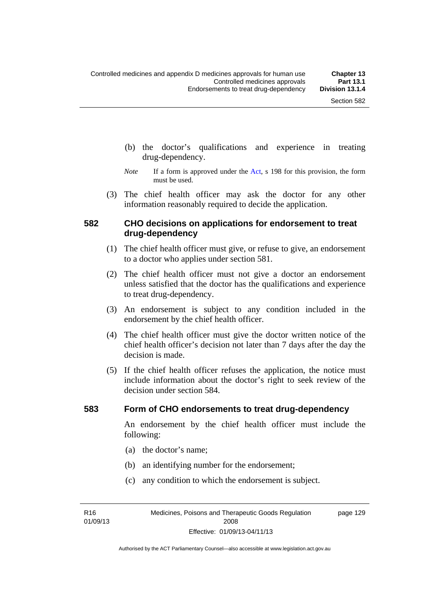- (b) the doctor's qualifications and experience in treating drug-dependency.
- *Note* If a form is approved under the [Act](http://www.legislation.act.gov.au/a/2008-26/default.asp), s 198 for this provision, the form must be used.
- (3) The chief health officer may ask the doctor for any other information reasonably required to decide the application.

### **582 CHO decisions on applications for endorsement to treat drug-dependency**

- (1) The chief health officer must give, or refuse to give, an endorsement to a doctor who applies under section 581.
- (2) The chief health officer must not give a doctor an endorsement unless satisfied that the doctor has the qualifications and experience to treat drug-dependency.
- (3) An endorsement is subject to any condition included in the endorsement by the chief health officer.
- (4) The chief health officer must give the doctor written notice of the chief health officer's decision not later than 7 days after the day the decision is made.
- (5) If the chief health officer refuses the application, the notice must include information about the doctor's right to seek review of the decision under section 584.

#### **583 Form of CHO endorsements to treat drug-dependency**

An endorsement by the chief health officer must include the following:

- (a) the doctor's name;
- (b) an identifying number for the endorsement;
- (c) any condition to which the endorsement is subject.

R16 01/09/13 page 129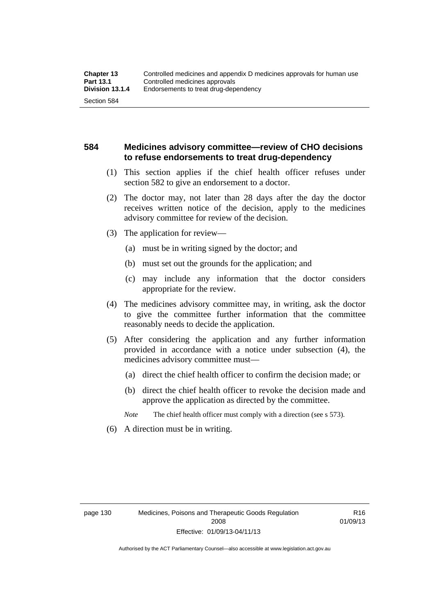## **584 Medicines advisory committee—review of CHO decisions to refuse endorsements to treat drug-dependency**

- (1) This section applies if the chief health officer refuses under section 582 to give an endorsement to a doctor.
- (2) The doctor may, not later than 28 days after the day the doctor receives written notice of the decision, apply to the medicines advisory committee for review of the decision.
- (3) The application for review—
	- (a) must be in writing signed by the doctor; and
	- (b) must set out the grounds for the application; and
	- (c) may include any information that the doctor considers appropriate for the review.
- (4) The medicines advisory committee may, in writing, ask the doctor to give the committee further information that the committee reasonably needs to decide the application.
- (5) After considering the application and any further information provided in accordance with a notice under subsection (4), the medicines advisory committee must—
	- (a) direct the chief health officer to confirm the decision made; or
	- (b) direct the chief health officer to revoke the decision made and approve the application as directed by the committee.

*Note* The chief health officer must comply with a direction (see s 573).

(6) A direction must be in writing.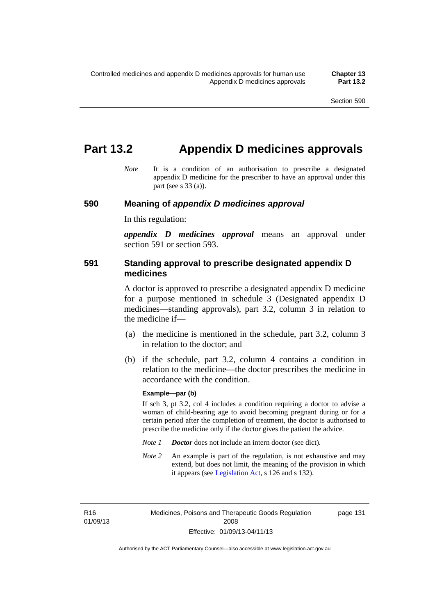## **Part 13.2 Appendix D medicines approvals**

*Note* It is a condition of an authorisation to prescribe a designated appendix D medicine for the prescriber to have an approval under this part (see s 33 (a)).

#### **590 Meaning of** *appendix D medicines approval*

In this regulation:

*appendix D medicines approval* means an approval under section 591 or section 593.

## **591 Standing approval to prescribe designated appendix D medicines**

A doctor is approved to prescribe a designated appendix D medicine for a purpose mentioned in schedule 3 (Designated appendix D medicines—standing approvals), part 3.2, column 3 in relation to the medicine if—

- (a) the medicine is mentioned in the schedule, part 3.2, column 3 in relation to the doctor; and
- (b) if the schedule, part 3.2, column 4 contains a condition in relation to the medicine—the doctor prescribes the medicine in accordance with the condition.

#### **Example—par (b)**

If sch 3, pt 3.2, col 4 includes a condition requiring a doctor to advise a woman of child-bearing age to avoid becoming pregnant during or for a certain period after the completion of treatment, the doctor is authorised to prescribe the medicine only if the doctor gives the patient the advice.

- *Note 1 Doctor* does not include an intern doctor (see dict).
- *Note 2* An example is part of the regulation, is not exhaustive and may extend, but does not limit, the meaning of the provision in which it appears (see [Legislation Act,](http://www.legislation.act.gov.au/a/2001-14) s 126 and s 132).

R16 01/09/13 page 131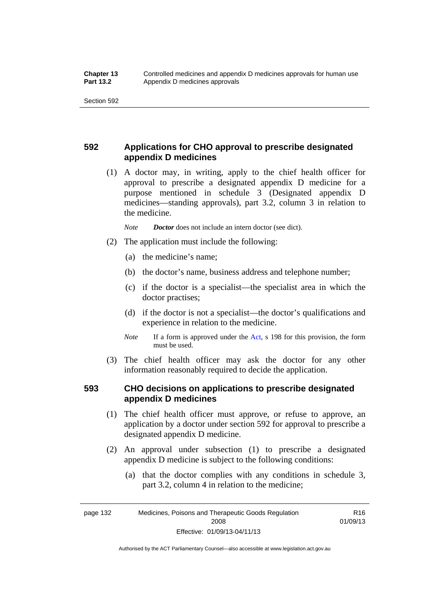## **592 Applications for CHO approval to prescribe designated appendix D medicines**

 (1) A doctor may, in writing, apply to the chief health officer for approval to prescribe a designated appendix D medicine for a purpose mentioned in schedule 3 (Designated appendix D medicines—standing approvals), part 3.2, column 3 in relation to the medicine.

*Note Doctor* does not include an intern doctor (see dict).

- (2) The application must include the following:
	- (a) the medicine's name;
	- (b) the doctor's name, business address and telephone number;
	- (c) if the doctor is a specialist—the specialist area in which the doctor practises;
	- (d) if the doctor is not a specialist—the doctor's qualifications and experience in relation to the medicine.
	- *Note* If a form is approved under the [Act](http://www.legislation.act.gov.au/a/2008-26/default.asp), s 198 for this provision, the form must be used.
- (3) The chief health officer may ask the doctor for any other information reasonably required to decide the application.

## **593 CHO decisions on applications to prescribe designated appendix D medicines**

- (1) The chief health officer must approve, or refuse to approve, an application by a doctor under section 592 for approval to prescribe a designated appendix D medicine.
- (2) An approval under subsection (1) to prescribe a designated appendix D medicine is subject to the following conditions:
	- (a) that the doctor complies with any conditions in schedule 3, part 3.2, column 4 in relation to the medicine;

R16 01/09/13

page 132 Medicines, Poisons and Therapeutic Goods Regulation 2008 Effective: 01/09/13-04/11/13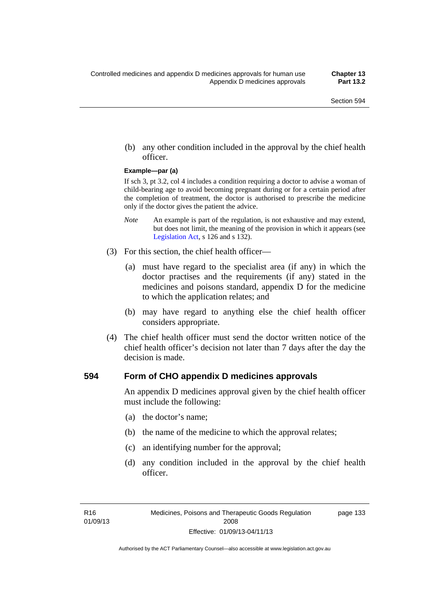(b) any other condition included in the approval by the chief health officer.

#### **Example—par (a)**

If sch 3, pt 3.2, col 4 includes a condition requiring a doctor to advise a woman of child-bearing age to avoid becoming pregnant during or for a certain period after the completion of treatment, the doctor is authorised to prescribe the medicine only if the doctor gives the patient the advice.

- *Note* An example is part of the regulation, is not exhaustive and may extend, but does not limit, the meaning of the provision in which it appears (see [Legislation Act,](http://www.legislation.act.gov.au/a/2001-14) s 126 and s 132).
- (3) For this section, the chief health officer—
	- (a) must have regard to the specialist area (if any) in which the doctor practises and the requirements (if any) stated in the medicines and poisons standard, appendix D for the medicine to which the application relates; and
	- (b) may have regard to anything else the chief health officer considers appropriate.
- (4) The chief health officer must send the doctor written notice of the chief health officer's decision not later than 7 days after the day the decision is made.

### **594 Form of CHO appendix D medicines approvals**

An appendix D medicines approval given by the chief health officer must include the following:

- (a) the doctor's name;
- (b) the name of the medicine to which the approval relates;
- (c) an identifying number for the approval;
- (d) any condition included in the approval by the chief health officer.

page 133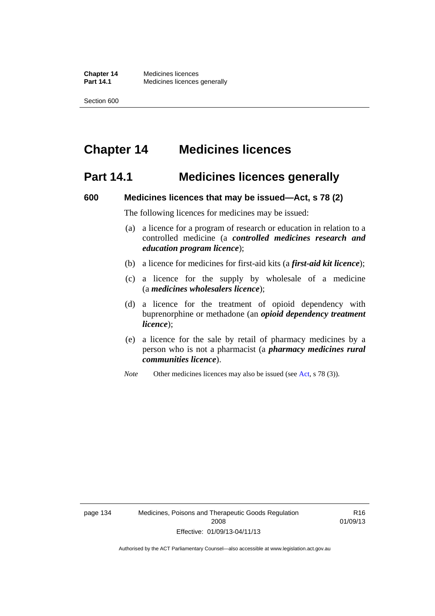# **Chapter 14 Medicines licences**

## **Part 14.1 Medicines licences generally**

#### **600 Medicines licences that may be issued—Act, s 78 (2)**

The following licences for medicines may be issued:

- (a) a licence for a program of research or education in relation to a controlled medicine (a *controlled medicines research and education program licence*);
- (b) a licence for medicines for first-aid kits (a *first-aid kit licence*);
- (c) a licence for the supply by wholesale of a medicine (a *medicines wholesalers licence*);
- (d) a licence for the treatment of opioid dependency with buprenorphine or methadone (an *opioid dependency treatment licence*);
- (e) a licence for the sale by retail of pharmacy medicines by a person who is not a pharmacist (a *pharmacy medicines rural communities licence*).
- *Note* Other medicines licences may also be issued (see [Act,](http://www.legislation.act.gov.au/a/2008-26/default.asp) s 78 (3)).

R16 01/09/13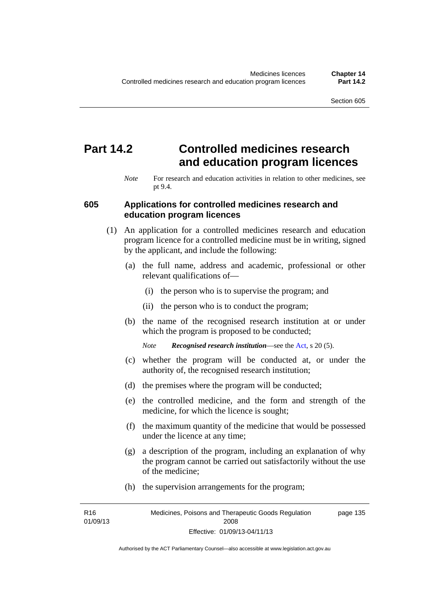# **Part 14.2 Controlled medicines research and education program licences**

*Note* For research and education activities in relation to other medicines, see pt 9.4.

### **605 Applications for controlled medicines research and education program licences**

- (1) An application for a controlled medicines research and education program licence for a controlled medicine must be in writing, signed by the applicant, and include the following:
	- (a) the full name, address and academic, professional or other relevant qualifications of—
		- (i) the person who is to supervise the program; and
		- (ii) the person who is to conduct the program;
	- (b) the name of the recognised research institution at or under which the program is proposed to be conducted;
		- *Note Recognised research institution*—see the [Act](http://www.legislation.act.gov.au/a/2008-26/default.asp), s 20 (5).
	- (c) whether the program will be conducted at, or under the authority of, the recognised research institution;
	- (d) the premises where the program will be conducted;
	- (e) the controlled medicine, and the form and strength of the medicine, for which the licence is sought;
	- (f) the maximum quantity of the medicine that would be possessed under the licence at any time;
	- (g) a description of the program, including an explanation of why the program cannot be carried out satisfactorily without the use of the medicine;
	- (h) the supervision arrangements for the program;

R16 01/09/13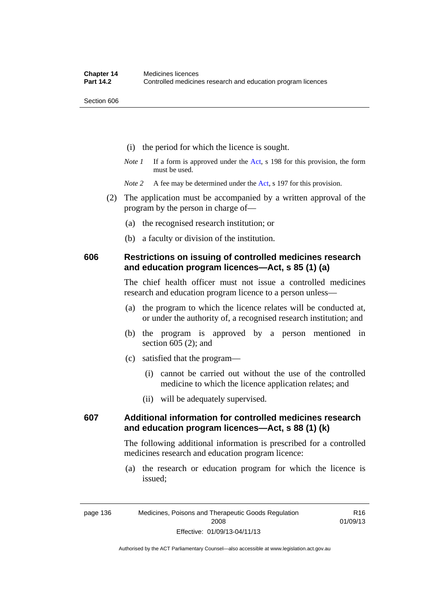- (i) the period for which the licence is sought.
- *Note 1* If a form is approved under the [Act](http://www.legislation.act.gov.au/a/2008-26/default.asp), s 198 for this provision, the form must be used.

*Note* 2 A fee may be determined under the [Act,](http://www.legislation.act.gov.au/a/2008-26/default.asp) s 197 for this provision.

- (2) The application must be accompanied by a written approval of the program by the person in charge of—
	- (a) the recognised research institution; or
	- (b) a faculty or division of the institution.

## **606 Restrictions on issuing of controlled medicines research and education program licences—Act, s 85 (1) (a)**

The chief health officer must not issue a controlled medicines research and education program licence to a person unless—

- (a) the program to which the licence relates will be conducted at, or under the authority of, a recognised research institution; and
- (b) the program is approved by a person mentioned in section 605 (2); and
- (c) satisfied that the program—
	- (i) cannot be carried out without the use of the controlled medicine to which the licence application relates; and
	- (ii) will be adequately supervised.

## **607 Additional information for controlled medicines research and education program licences—Act, s 88 (1) (k)**

The following additional information is prescribed for a controlled medicines research and education program licence:

 (a) the research or education program for which the licence is issued;

Authorised by the ACT Parliamentary Counsel—also accessible at www.legislation.act.gov.au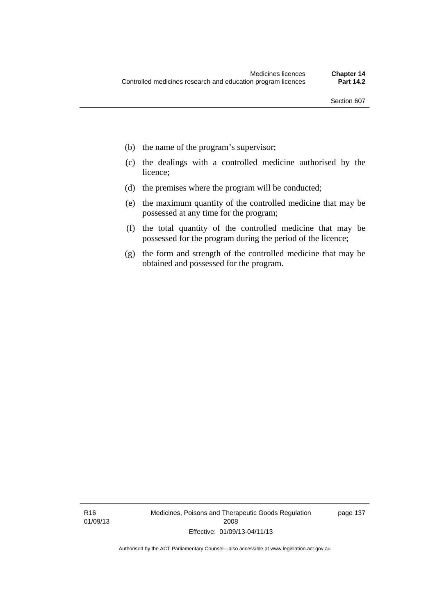- (b) the name of the program's supervisor;
- (c) the dealings with a controlled medicine authorised by the licence;
- (d) the premises where the program will be conducted;
- (e) the maximum quantity of the controlled medicine that may be possessed at any time for the program;
- (f) the total quantity of the controlled medicine that may be possessed for the program during the period of the licence;
- (g) the form and strength of the controlled medicine that may be obtained and possessed for the program.

page 137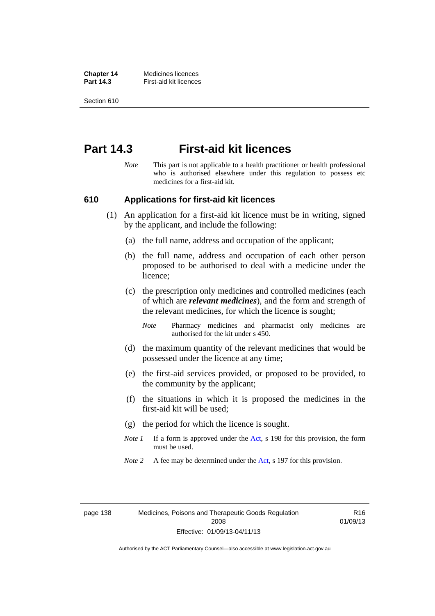**Chapter 14** Medicines licences **Part 14.3 First-aid kit licences** 

Section 610

## **Part 14.3 First-aid kit licences**

*Note* This part is not applicable to a health practitioner or health professional who is authorised elsewhere under this regulation to possess etc medicines for a first-aid kit.

### **610 Applications for first-aid kit licences**

- (1) An application for a first-aid kit licence must be in writing, signed by the applicant, and include the following:
	- (a) the full name, address and occupation of the applicant;
	- (b) the full name, address and occupation of each other person proposed to be authorised to deal with a medicine under the licence;
	- (c) the prescription only medicines and controlled medicines (each of which are *relevant medicines*), and the form and strength of the relevant medicines, for which the licence is sought;

*Note* Pharmacy medicines and pharmacist only medicines are authorised for the kit under s 450.

- (d) the maximum quantity of the relevant medicines that would be possessed under the licence at any time;
- (e) the first-aid services provided, or proposed to be provided, to the community by the applicant;
- (f) the situations in which it is proposed the medicines in the first-aid kit will be used;
- (g) the period for which the licence is sought.
- *Note 1* If a form is approved under the [Act](http://www.legislation.act.gov.au/a/2008-26/default.asp), s 198 for this provision, the form must be used.
- *Note 2* A fee may be determined under the [Act,](http://www.legislation.act.gov.au/a/2008-26/default.asp) s 197 for this provision.

R16 01/09/13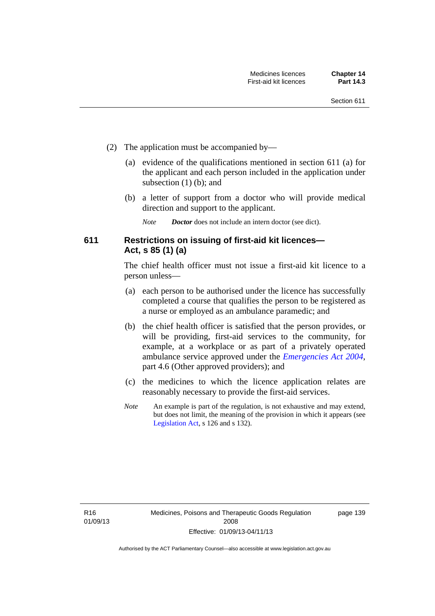- (2) The application must be accompanied by—
	- (a) evidence of the qualifications mentioned in section 611 (a) for the applicant and each person included in the application under subsection (1) (b); and
	- (b) a letter of support from a doctor who will provide medical direction and support to the applicant.
		- *Note Doctor* does not include an intern doctor (see dict).

## **611 Restrictions on issuing of first-aid kit licences— Act, s 85 (1) (a)**

The chief health officer must not issue a first-aid kit licence to a person unless—

- (a) each person to be authorised under the licence has successfully completed a course that qualifies the person to be registered as a nurse or employed as an ambulance paramedic; and
- (b) the chief health officer is satisfied that the person provides, or will be providing, first-aid services to the community, for example, at a workplace or as part of a privately operated ambulance service approved under the *[Emergencies Act 2004](http://www.legislation.act.gov.au/a/2004-28)*, part 4.6 (Other approved providers); and
- (c) the medicines to which the licence application relates are reasonably necessary to provide the first-aid services.
- *Note* An example is part of the regulation, is not exhaustive and may extend, but does not limit, the meaning of the provision in which it appears (see [Legislation Act,](http://www.legislation.act.gov.au/a/2001-14) s 126 and s 132).

page 139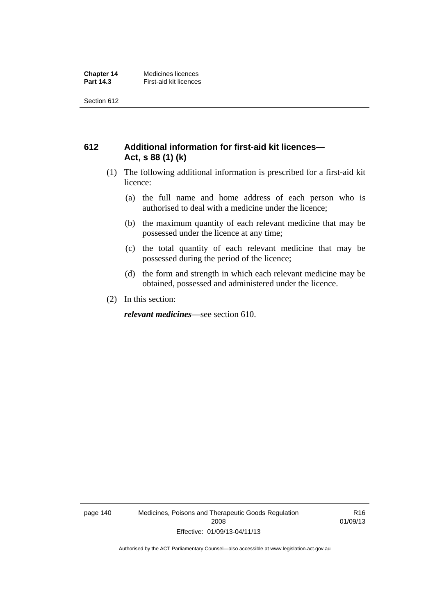## **612 Additional information for first-aid kit licences— Act, s 88 (1) (k)**

- (1) The following additional information is prescribed for a first-aid kit licence:
	- (a) the full name and home address of each person who is authorised to deal with a medicine under the licence;
	- (b) the maximum quantity of each relevant medicine that may be possessed under the licence at any time;
	- (c) the total quantity of each relevant medicine that may be possessed during the period of the licence;
	- (d) the form and strength in which each relevant medicine may be obtained, possessed and administered under the licence.
- (2) In this section:

*relevant medicines*—see section 610.

page 140 Medicines, Poisons and Therapeutic Goods Regulation 2008 Effective: 01/09/13-04/11/13

R16 01/09/13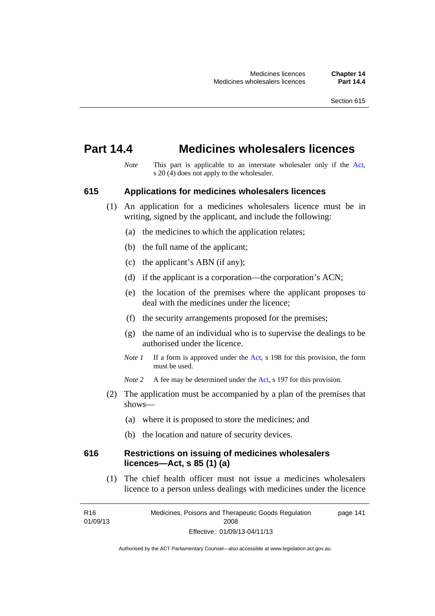## **Part 14.4 Medicines wholesalers licences**

*Note* This part is applicable to an interstate wholesaler only if the [Act,](http://www.legislation.act.gov.au/a/2008-26/default.asp) s  $20(4)$  does not apply to the wholesaler.

#### **615 Applications for medicines wholesalers licences**

- (1) An application for a medicines wholesalers licence must be in writing, signed by the applicant, and include the following:
	- (a) the medicines to which the application relates;
	- (b) the full name of the applicant;
	- (c) the applicant's ABN (if any);
	- (d) if the applicant is a corporation—the corporation's ACN;
	- (e) the location of the premises where the applicant proposes to deal with the medicines under the licence;
	- (f) the security arrangements proposed for the premises;
	- (g) the name of an individual who is to supervise the dealings to be authorised under the licence.
	- *Note 1* If a form is approved under the [Act](http://www.legislation.act.gov.au/a/2008-26/default.asp), s 198 for this provision, the form must be used.
	- *Note* 2 A fee may be determined under the [Act,](http://www.legislation.act.gov.au/a/2008-26/default.asp) s 197 for this provision.
- (2) The application must be accompanied by a plan of the premises that shows—
	- (a) where it is proposed to store the medicines; and
	- (b) the location and nature of security devices.

## **616 Restrictions on issuing of medicines wholesalers licences—Act, s 85 (1) (a)**

 (1) The chief health officer must not issue a medicines wholesalers licence to a person unless dealings with medicines under the licence

R16 01/09/13 Medicines, Poisons and Therapeutic Goods Regulation 2008 Effective: 01/09/13-04/11/13 page 141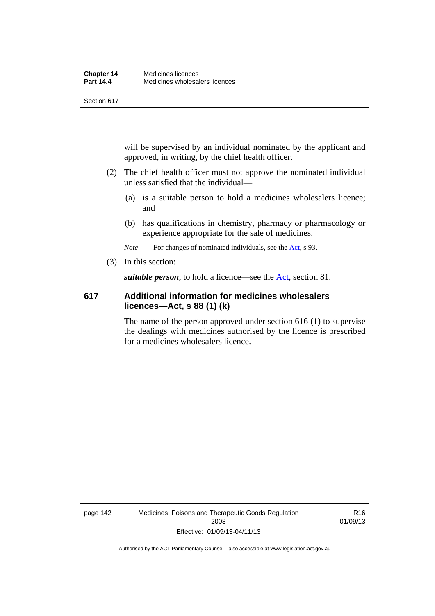will be supervised by an individual nominated by the applicant and approved, in writing, by the chief health officer.

- (2) The chief health officer must not approve the nominated individual unless satisfied that the individual—
	- (a) is a suitable person to hold a medicines wholesalers licence; and
	- (b) has qualifications in chemistry, pharmacy or pharmacology or experience appropriate for the sale of medicines.

*Note* For changes of nominated individuals, see the [Act,](http://www.legislation.act.gov.au/a/2008-26/default.asp) s 93.

(3) In this section:

*suitable person*, to hold a licence—see the [Act](http://www.legislation.act.gov.au/a/2008-26/default.asp), section 81.

## **617 Additional information for medicines wholesalers licences—Act, s 88 (1) (k)**

The name of the person approved under section 616 (1) to supervise the dealings with medicines authorised by the licence is prescribed for a medicines wholesalers licence.

page 142 Medicines, Poisons and Therapeutic Goods Regulation 2008 Effective: 01/09/13-04/11/13

R16 01/09/13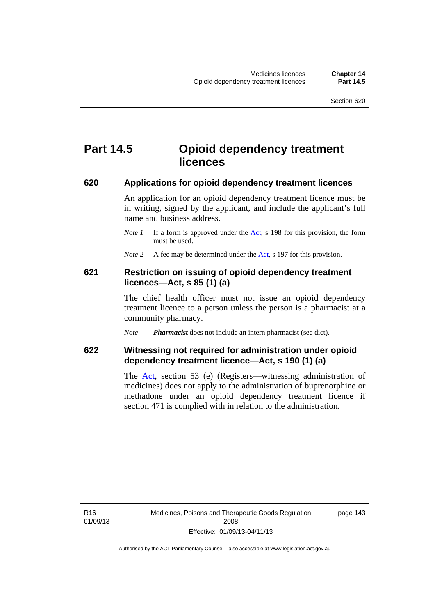## **Part 14.5 Opioid dependency treatment licences**

#### **620 Applications for opioid dependency treatment licences**

An application for an opioid dependency treatment licence must be in writing, signed by the applicant, and include the applicant's full name and business address.

- *Note 1* If a form is approved under the [Act](http://www.legislation.act.gov.au/a/2008-26/default.asp), s 198 for this provision, the form must be used.
- *Note 2* A fee may be determined under the [Act,](http://www.legislation.act.gov.au/a/2008-26/default.asp) s 197 for this provision.

## **621 Restriction on issuing of opioid dependency treatment licences—Act, s 85 (1) (a)**

The chief health officer must not issue an opioid dependency treatment licence to a person unless the person is a pharmacist at a community pharmacy.

*Note Pharmacist* does not include an intern pharmacist (see dict).

## **622 Witnessing not required for administration under opioid dependency treatment licence—Act, s 190 (1) (a)**

The [Act,](http://www.legislation.act.gov.au/a/2008-26/default.asp) section 53 (e) (Registers—witnessing administration of medicines) does not apply to the administration of buprenorphine or methadone under an opioid dependency treatment licence if section 471 is complied with in relation to the administration.

R16 01/09/13 page 143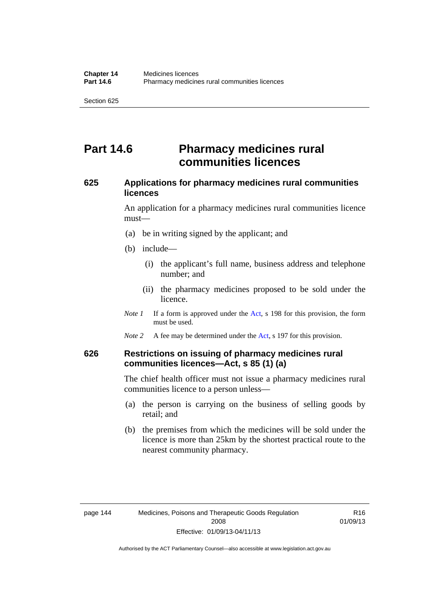# **Part 14.6 Pharmacy medicines rural communities licences**

## **625 Applications for pharmacy medicines rural communities licences**

An application for a pharmacy medicines rural communities licence must—

- (a) be in writing signed by the applicant; and
- (b) include—
	- (i) the applicant's full name, business address and telephone number; and
	- (ii) the pharmacy medicines proposed to be sold under the licence.
- *Note 1* If a form is approved under the [Act](http://www.legislation.act.gov.au/a/2008-26/default.asp), s 198 for this provision, the form must be used.
- *Note 2* A fee may be determined under the [Act,](http://www.legislation.act.gov.au/a/2008-26/default.asp) s 197 for this provision.

## **626 Restrictions on issuing of pharmacy medicines rural communities licences—Act, s 85 (1) (a)**

The chief health officer must not issue a pharmacy medicines rural communities licence to a person unless—

- (a) the person is carrying on the business of selling goods by retail; and
- (b) the premises from which the medicines will be sold under the licence is more than 25km by the shortest practical route to the nearest community pharmacy.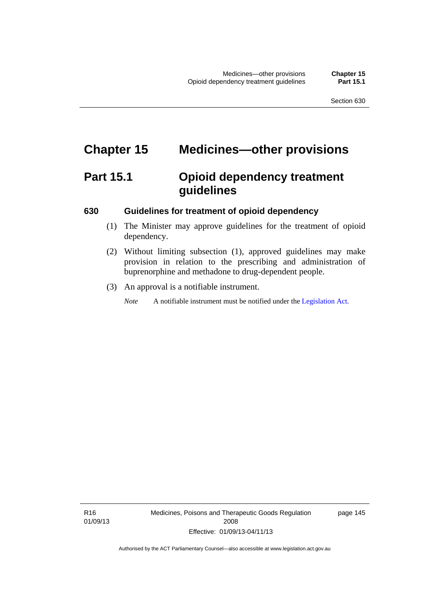# **Chapter 15 Medicines—other provisions**

# **Part 15.1 Opioid dependency treatment guidelines**

### **630 Guidelines for treatment of opioid dependency**

- (1) The Minister may approve guidelines for the treatment of opioid dependency.
- (2) Without limiting subsection (1), approved guidelines may make provision in relation to the prescribing and administration of buprenorphine and methadone to drug-dependent people.
- (3) An approval is a notifiable instrument.

*Note* A notifiable instrument must be notified under the [Legislation Act](http://www.legislation.act.gov.au/a/2001-14).

R16 01/09/13 Medicines, Poisons and Therapeutic Goods Regulation 2008 Effective: 01/09/13-04/11/13

page 145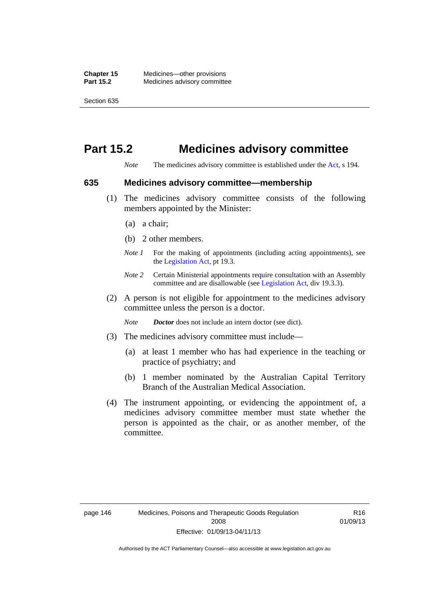# **Part 15.2 Medicines advisory committee**

*Note* The medicines advisory committee is established under the [Act](http://www.legislation.act.gov.au/a/2008-26/default.asp), s 194.

#### **635 Medicines advisory committee—membership**

- (1) The medicines advisory committee consists of the following members appointed by the Minister:
	- (a) a chair;
	- (b) 2 other members.
	- *Note 1* For the making of appointments (including acting appointments), see the [Legislation Act,](http://www.legislation.act.gov.au/a/2001-14) pt 19.3.
	- *Note 2* Certain Ministerial appointments require consultation with an Assembly committee and are disallowable (see [Legislation Act,](http://www.legislation.act.gov.au/a/2001-14) div 19.3.3).
- (2) A person is not eligible for appointment to the medicines advisory committee unless the person is a doctor.

*Note Doctor* does not include an intern doctor (see dict).

- (3) The medicines advisory committee must include—
	- (a) at least 1 member who has had experience in the teaching or practice of psychiatry; and
	- (b) 1 member nominated by the Australian Capital Territory Branch of the Australian Medical Association.
- (4) The instrument appointing, or evidencing the appointment of, a medicines advisory committee member must state whether the person is appointed as the chair, or as another member, of the committee.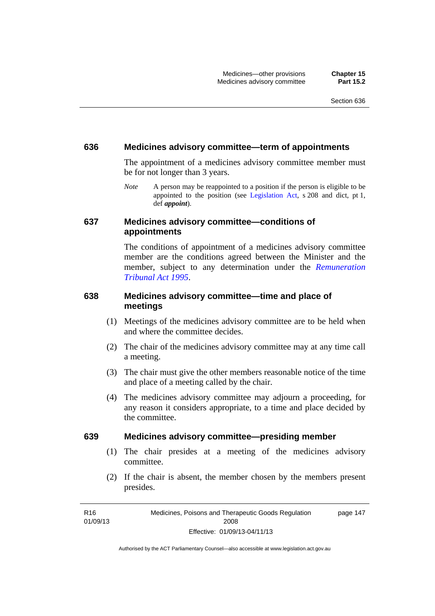### **636 Medicines advisory committee—term of appointments**

The appointment of a medicines advisory committee member must be for not longer than 3 years.

*Note* A person may be reappointed to a position if the person is eligible to be appointed to the position (see [Legislation Act,](http://www.legislation.act.gov.au/a/2001-14) s 208 and dict, pt 1, def *appoint*).

## **637 Medicines advisory committee—conditions of appointments**

The conditions of appointment of a medicines advisory committee member are the conditions agreed between the Minister and the member, subject to any determination under the *[Remuneration](http://www.legislation.act.gov.au/a/1995-55)  [Tribunal Act 1995](http://www.legislation.act.gov.au/a/1995-55)*.

## **638 Medicines advisory committee—time and place of meetings**

- (1) Meetings of the medicines advisory committee are to be held when and where the committee decides.
- (2) The chair of the medicines advisory committee may at any time call a meeting.
- (3) The chair must give the other members reasonable notice of the time and place of a meeting called by the chair.
- (4) The medicines advisory committee may adjourn a proceeding, for any reason it considers appropriate, to a time and place decided by the committee.

#### **639 Medicines advisory committee—presiding member**

- (1) The chair presides at a meeting of the medicines advisory committee.
- (2) If the chair is absent, the member chosen by the members present presides.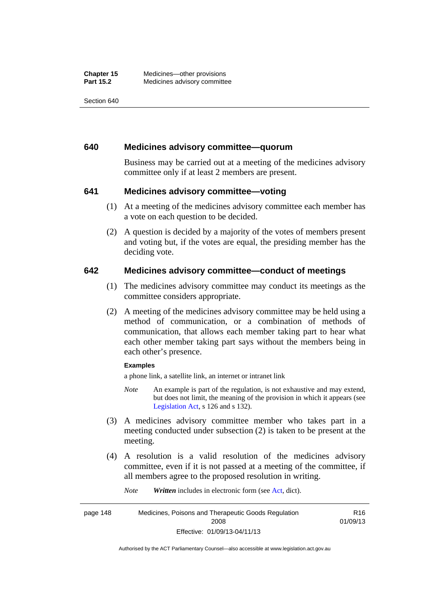### **640 Medicines advisory committee—quorum**

Business may be carried out at a meeting of the medicines advisory committee only if at least 2 members are present.

## **641 Medicines advisory committee—voting**

- (1) At a meeting of the medicines advisory committee each member has a vote on each question to be decided.
- (2) A question is decided by a majority of the votes of members present and voting but, if the votes are equal, the presiding member has the deciding vote.

## **642 Medicines advisory committee—conduct of meetings**

- (1) The medicines advisory committee may conduct its meetings as the committee considers appropriate.
- (2) A meeting of the medicines advisory committee may be held using a method of communication, or a combination of methods of communication, that allows each member taking part to hear what each other member taking part says without the members being in each other's presence.

#### **Examples**

a phone link, a satellite link, an internet or intranet link

- *Note* An example is part of the regulation, is not exhaustive and may extend, but does not limit, the meaning of the provision in which it appears (see [Legislation Act,](http://www.legislation.act.gov.au/a/2001-14) s 126 and s 132).
- (3) A medicines advisory committee member who takes part in a meeting conducted under subsection (2) is taken to be present at the meeting.
- (4) A resolution is a valid resolution of the medicines advisory committee, even if it is not passed at a meeting of the committee, if all members agree to the proposed resolution in writing.

*Note Written* includes in electronic form (see [Act,](http://www.legislation.act.gov.au/a/2008-26/default.asp) dict).

page 148 Medicines, Poisons and Therapeutic Goods Regulation 2008 Effective: 01/09/13-04/11/13 R16 01/09/13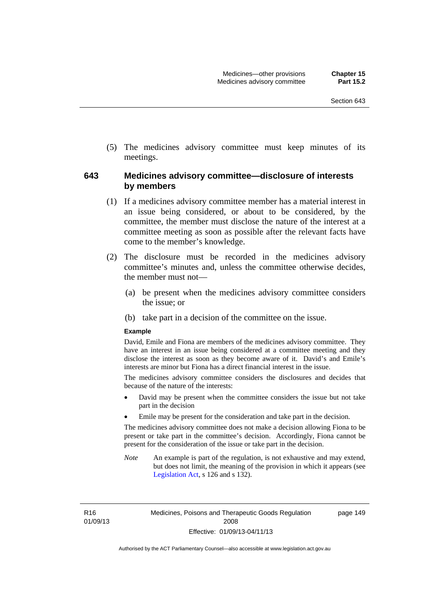(5) The medicines advisory committee must keep minutes of its meetings.

## **643 Medicines advisory committee—disclosure of interests by members**

- (1) If a medicines advisory committee member has a material interest in an issue being considered, or about to be considered, by the committee, the member must disclose the nature of the interest at a committee meeting as soon as possible after the relevant facts have come to the member's knowledge.
- (2) The disclosure must be recorded in the medicines advisory committee's minutes and, unless the committee otherwise decides, the member must not—
	- (a) be present when the medicines advisory committee considers the issue; or
	- (b) take part in a decision of the committee on the issue.

#### **Example**

David, Emile and Fiona are members of the medicines advisory committee. They have an interest in an issue being considered at a committee meeting and they disclose the interest as soon as they become aware of it. David's and Emile's interests are minor but Fiona has a direct financial interest in the issue.

The medicines advisory committee considers the disclosures and decides that because of the nature of the interests:

- David may be present when the committee considers the issue but not take part in the decision
- Emile may be present for the consideration and take part in the decision.

The medicines advisory committee does not make a decision allowing Fiona to be present or take part in the committee's decision. Accordingly, Fiona cannot be present for the consideration of the issue or take part in the decision.

*Note* An example is part of the regulation, is not exhaustive and may extend, but does not limit, the meaning of the provision in which it appears (see [Legislation Act,](http://www.legislation.act.gov.au/a/2001-14) s 126 and s 132).

R16 01/09/13 Medicines, Poisons and Therapeutic Goods Regulation 2008 Effective: 01/09/13-04/11/13

page 149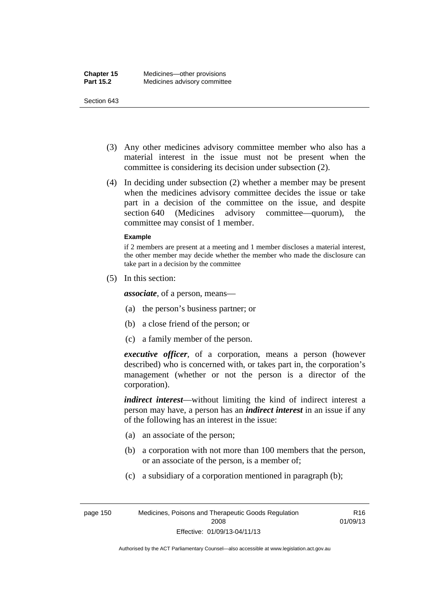- (3) Any other medicines advisory committee member who also has a material interest in the issue must not be present when the committee is considering its decision under subsection (2).
- (4) In deciding under subsection (2) whether a member may be present when the medicines advisory committee decides the issue or take part in a decision of the committee on the issue, and despite section 640 (Medicines advisory committee—quorum), the committee may consist of 1 member.

#### **Example**

if 2 members are present at a meeting and 1 member discloses a material interest, the other member may decide whether the member who made the disclosure can take part in a decision by the committee

(5) In this section:

*associate*, of a person, means—

- (a) the person's business partner; or
- (b) a close friend of the person; or
- (c) a family member of the person.

*executive officer*, of a corporation, means a person (however described) who is concerned with, or takes part in, the corporation's management (whether or not the person is a director of the corporation).

*indirect interest*—without limiting the kind of indirect interest a person may have, a person has an *indirect interest* in an issue if any of the following has an interest in the issue:

- (a) an associate of the person;
- (b) a corporation with not more than 100 members that the person, or an associate of the person, is a member of;
- (c) a subsidiary of a corporation mentioned in paragraph (b);

page 150 Medicines, Poisons and Therapeutic Goods Regulation 2008 Effective: 01/09/13-04/11/13

R16 01/09/13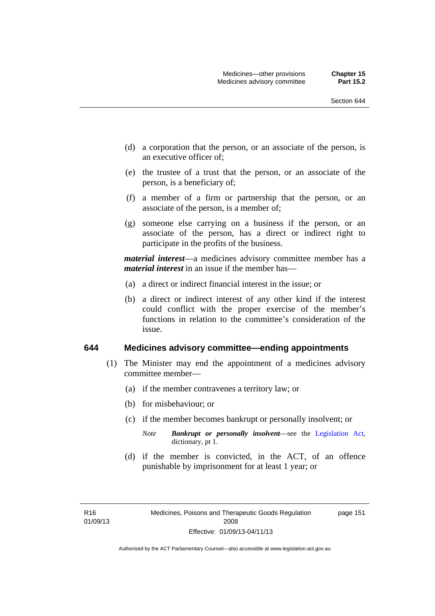- (d) a corporation that the person, or an associate of the person, is an executive officer of;
- (e) the trustee of a trust that the person, or an associate of the person, is a beneficiary of;
- (f) a member of a firm or partnership that the person, or an associate of the person, is a member of;
- (g) someone else carrying on a business if the person, or an associate of the person, has a direct or indirect right to participate in the profits of the business.

*material interest*—a medicines advisory committee member has a *material interest* in an issue if the member has—

- (a) a direct or indirect financial interest in the issue; or
- (b) a direct or indirect interest of any other kind if the interest could conflict with the proper exercise of the member's functions in relation to the committee's consideration of the issue.

#### **644 Medicines advisory committee—ending appointments**

- (1) The Minister may end the appointment of a medicines advisory committee member—
	- (a) if the member contravenes a territory law; or
	- (b) for misbehaviour; or
	- (c) if the member becomes bankrupt or personally insolvent; or
		- *Note Bankrupt or personally insolvent*—see the [Legislation Act,](http://www.legislation.act.gov.au/a/2001-14) dictionary, pt 1.
	- (d) if the member is convicted, in the ACT, of an offence punishable by imprisonment for at least 1 year; or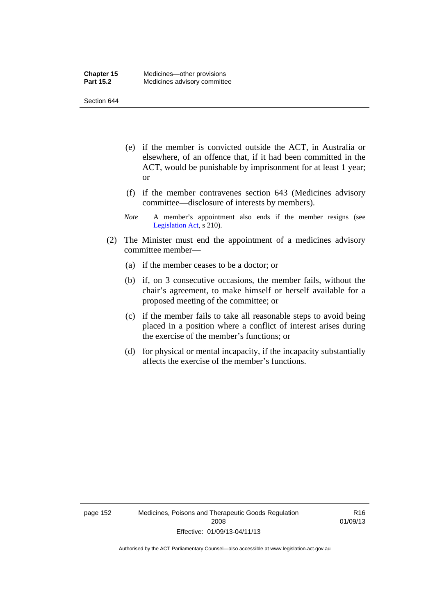- (e) if the member is convicted outside the ACT, in Australia or elsewhere, of an offence that, if it had been committed in the ACT, would be punishable by imprisonment for at least 1 year; or
- (f) if the member contravenes section 643 (Medicines advisory committee—disclosure of interests by members).
- *Note* A member's appointment also ends if the member resigns (see [Legislation Act,](http://www.legislation.act.gov.au/a/2001-14) s 210).
- (2) The Minister must end the appointment of a medicines advisory committee member—
	- (a) if the member ceases to be a doctor; or
	- (b) if, on 3 consecutive occasions, the member fails, without the chair's agreement, to make himself or herself available for a proposed meeting of the committee; or
	- (c) if the member fails to take all reasonable steps to avoid being placed in a position where a conflict of interest arises during the exercise of the member's functions; or
	- (d) for physical or mental incapacity, if the incapacity substantially affects the exercise of the member's functions.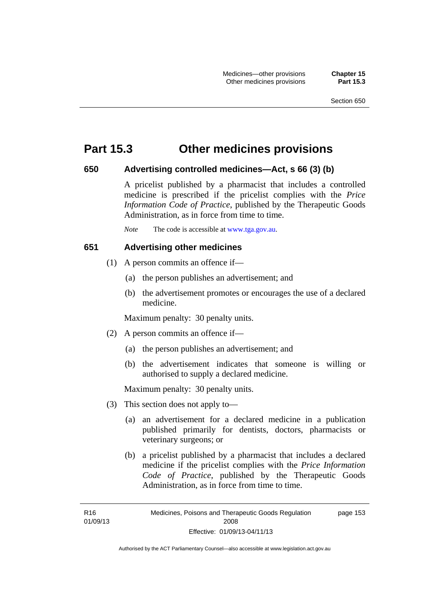## **Part 15.3 Other medicines provisions**

### **650 Advertising controlled medicines—Act, s 66 (3) (b)**

A pricelist published by a pharmacist that includes a controlled medicine is prescribed if the pricelist complies with the *Price Information Code of Practice*, published by the Therapeutic Goods Administration, as in force from time to time.

*Note* The code is accessible at [www.tga.gov.au](http://www.tga.gov.au/).

## **651 Advertising other medicines**

- (1) A person commits an offence if—
	- (a) the person publishes an advertisement; and
	- (b) the advertisement promotes or encourages the use of a declared medicine.

Maximum penalty: 30 penalty units.

- (2) A person commits an offence if—
	- (a) the person publishes an advertisement; and
	- (b) the advertisement indicates that someone is willing or authorised to supply a declared medicine.

Maximum penalty: 30 penalty units.

- (3) This section does not apply to—
	- (a) an advertisement for a declared medicine in a publication published primarily for dentists, doctors, pharmacists or veterinary surgeons; or
	- (b) a pricelist published by a pharmacist that includes a declared medicine if the pricelist complies with the *Price Information Code of Practice*, published by the Therapeutic Goods Administration, as in force from time to time.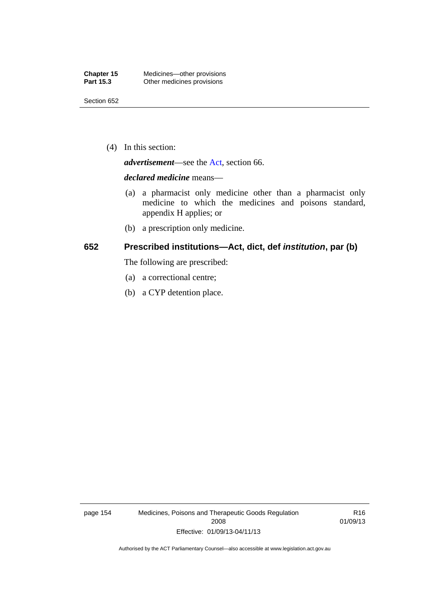(4) In this section:

*advertisement*—see the [Act,](http://www.legislation.act.gov.au/a/2008-26/default.asp) section 66.

#### *declared medicine* means—

- (a) a pharmacist only medicine other than a pharmacist only medicine to which the medicines and poisons standard, appendix H applies; or
- (b) a prescription only medicine.

## **652 Prescribed institutions—Act, dict, def** *institution***, par (b)**

The following are prescribed:

- (a) a correctional centre;
- (b) a CYP detention place.

page 154 Medicines, Poisons and Therapeutic Goods Regulation 2008 Effective: 01/09/13-04/11/13

R16 01/09/13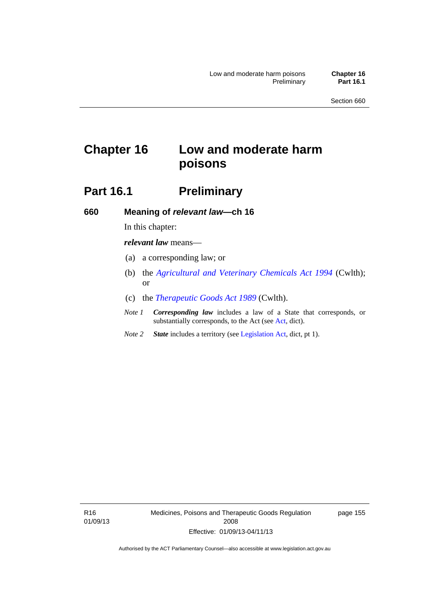# **Chapter 16 Low and moderate harm poisons**

## **Part 16.1** Preliminary

**660 Meaning of** *relevant law***—ch 16** 

In this chapter:

*relevant law* means—

- (a) a corresponding law; or
- (b) the *[Agricultural and Veterinary Chemicals Act 1994](http://www.comlaw.gov.au/Series/C2004A04712)* (Cwlth); or
- (c) the *[Therapeutic Goods Act 1989](http://www.comlaw.gov.au/Series/C2004A03952)* (Cwlth).
- *Note 1 Corresponding law* includes a law of a State that corresponds, or substantially corresponds, to the Act (see [Act](http://www.legislation.act.gov.au/a/2008-26/default.asp), dict).
- *Note 2 State* includes a territory (see [Legislation Act,](http://www.legislation.act.gov.au/a/2001-14) dict, pt 1).

R16 01/09/13 Medicines, Poisons and Therapeutic Goods Regulation 2008 Effective: 01/09/13-04/11/13

page 155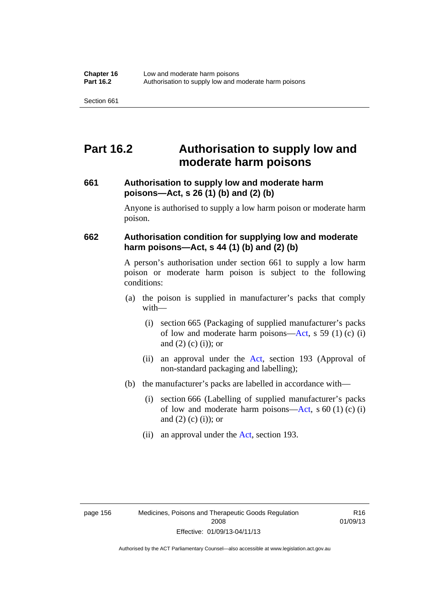## **Part 16.2 Authorisation to supply low and moderate harm poisons**

## **661 Authorisation to supply low and moderate harm poisons—Act, s 26 (1) (b) and (2) (b)**

Anyone is authorised to supply a low harm poison or moderate harm poison.

## **662 Authorisation condition for supplying low and moderate harm poisons—Act, s 44 (1) (b) and (2) (b)**

A person's authorisation under section 661 to supply a low harm poison or moderate harm poison is subject to the following conditions:

- (a) the poison is supplied in manufacturer's packs that comply with—
	- (i) section 665 (Packaging of supplied manufacturer's packs of low and moderate harm poisons—[Act](http://www.legislation.act.gov.au/a/2008-26/default.asp), s 59 (1) (c) (i) and  $(2)$  (c) (i)); or
	- (ii) an approval under the [Act](http://www.legislation.act.gov.au/a/2008-26/default.asp), section 193 (Approval of non-standard packaging and labelling);
- (b) the manufacturer's packs are labelled in accordance with—
	- (i) section 666 (Labelling of supplied manufacturer's packs of low and moderate harm poisons—[Act](http://www.legislation.act.gov.au/a/2008-26/default.asp), s  $60(1)(c)(i)$ and  $(2)$   $(c)$   $(i)$ ; or
	- (ii) an approval under the [Act,](http://www.legislation.act.gov.au/a/2008-26/default.asp) section 193.

R16 01/09/13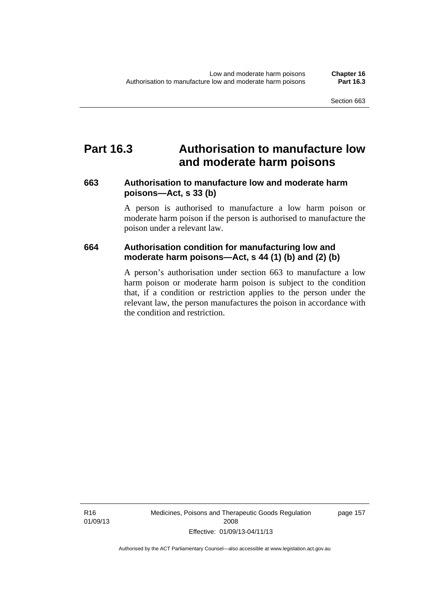### **Part 16.3 Authorisation to manufacture low and moderate harm poisons**

### **663 Authorisation to manufacture low and moderate harm poisons—Act, s 33 (b)**

A person is authorised to manufacture a low harm poison or moderate harm poison if the person is authorised to manufacture the poison under a relevant law.

### **664 Authorisation condition for manufacturing low and moderate harm poisons—Act, s 44 (1) (b) and (2) (b)**

A person's authorisation under section 663 to manufacture a low harm poison or moderate harm poison is subject to the condition that, if a condition or restriction applies to the person under the relevant law, the person manufactures the poison in accordance with the condition and restriction.

Medicines, Poisons and Therapeutic Goods Regulation 2008 Effective: 01/09/13-04/11/13

page 157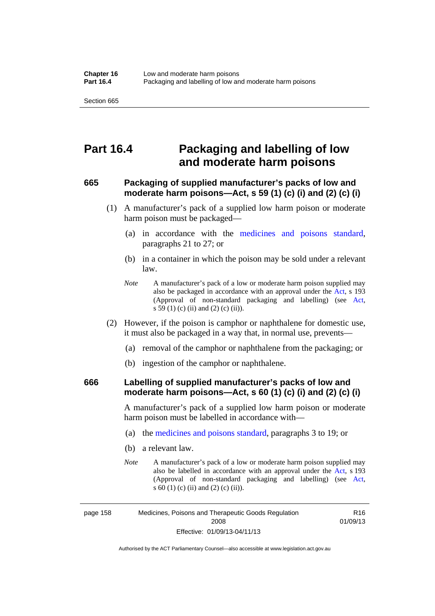### **Part 16.4 Packaging and labelling of low and moderate harm poisons**

### **665 Packaging of supplied manufacturer's packs of low and moderate harm poisons—Act, s 59 (1) (c) (i) and (2) (c) (i)**

- (1) A manufacturer's pack of a supplied low harm poison or moderate harm poison must be packaged—
	- (a) in accordance with the [medicines and poisons standard](http://www.comlaw.gov.au/Series/F2012L01200), paragraphs 21 to 27; or
	- (b) in a container in which the poison may be sold under a relevant law.
	- *Note* A manufacturer's pack of a low or moderate harm poison supplied may also be packaged in accordance with an approval under the [Act](http://www.legislation.act.gov.au/a/2008-26/default.asp), s 193 (Approval of non-standard packaging and labelling) (see [Act,](http://www.legislation.act.gov.au/a/2008-26/default.asp) s 59 (1) (c) (ii) and (2) (c) (ii)).
- (2) However, if the poison is camphor or naphthalene for domestic use, it must also be packaged in a way that, in normal use, prevents—
	- (a) removal of the camphor or naphthalene from the packaging; or
	- (b) ingestion of the camphor or naphthalene.

### **666 Labelling of supplied manufacturer's packs of low and moderate harm poisons—Act, s 60 (1) (c) (i) and (2) (c) (i)**

A manufacturer's pack of a supplied low harm poison or moderate harm poison must be labelled in accordance with—

- (a) the [medicines and poisons standard](http://www.comlaw.gov.au/Series/F2012L01200), paragraphs 3 to 19; or
- (b) a relevant law.
- *Note* A manufacturer's pack of a low or moderate harm poison supplied may also be labelled in accordance with an approval under the [Act](http://www.legislation.act.gov.au/a/2008-26/default.asp), s 193 (Approval of non-standard packaging and labelling) (see [Act,](http://www.legislation.act.gov.au/a/2008-26/default.asp) s 60 (1) (c) (ii) and (2) (c) (ii)).

R16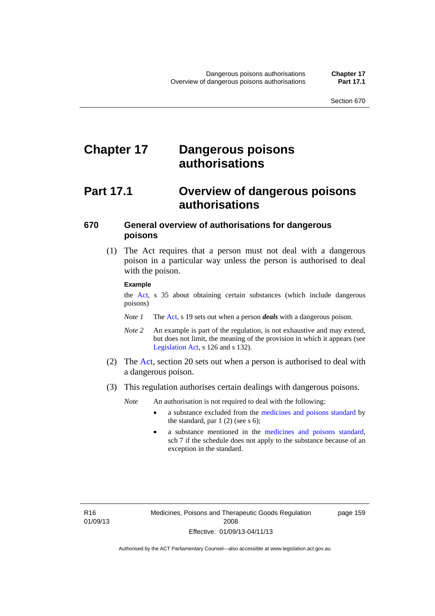# **Chapter 17 Dangerous poisons authorisations**

### **Part 17.1 Overview of dangerous poisons authorisations**

### **670 General overview of authorisations for dangerous poisons**

 (1) The Act requires that a person must not deal with a dangerous poison in a particular way unless the person is authorised to deal with the poison.

#### **Example**

the [Act,](http://www.legislation.act.gov.au/a/2008-26/default.asp) s 35 about obtaining certain substances (which include dangerous poisons)

- *Note 1* The [Act,](http://www.legislation.act.gov.au/a/2008-26/default.asp) s 19 sets out when a person *deals* with a dangerous poison.
- *Note 2* An example is part of the regulation, is not exhaustive and may extend, but does not limit, the meaning of the provision in which it appears (see [Legislation Act,](http://www.legislation.act.gov.au/a/2001-14) s 126 and s 132).
- (2) The [Act](http://www.legislation.act.gov.au/a/2008-26/default.asp), section 20 sets out when a person is authorised to deal with a dangerous poison.
- (3) This regulation authorises certain dealings with dangerous poisons.

*Note* An authorisation is not required to deal with the following:

- a substance excluded from the [medicines and poisons standard](http://www.comlaw.gov.au/Series/F2012L01200) by the standard, par  $1(2)$  (see s 6);
- a substance mentioned in the [medicines and poisons standard,](http://www.comlaw.gov.au/Series/F2012L01200) sch 7 if the schedule does not apply to the substance because of an exception in the standard.

R16 01/09/13 page 159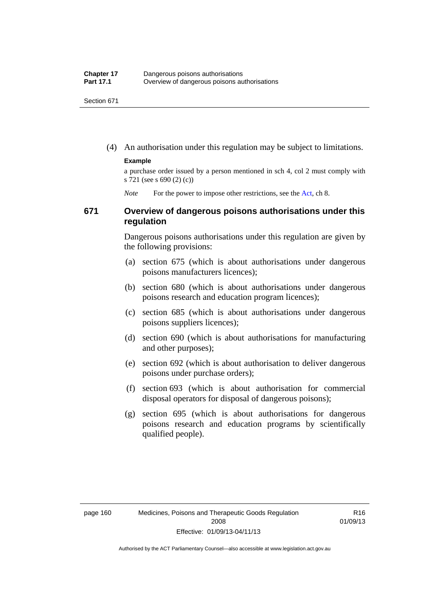(4) An authorisation under this regulation may be subject to limitations.

#### **Example**

a purchase order issued by a person mentioned in sch 4, col 2 must comply with s 721 (see s 690 (2) (c))

*Note* For the power to impose other restrictions, see the [Act](http://www.legislation.act.gov.au/a/2008-26/default.asp), ch 8.

### **671 Overview of dangerous poisons authorisations under this regulation**

Dangerous poisons authorisations under this regulation are given by the following provisions:

- (a) section 675 (which is about authorisations under dangerous poisons manufacturers licences);
- (b) section 680 (which is about authorisations under dangerous poisons research and education program licences);
- (c) section 685 (which is about authorisations under dangerous poisons suppliers licences);
- (d) section 690 (which is about authorisations for manufacturing and other purposes);
- (e) section 692 (which is about authorisation to deliver dangerous poisons under purchase orders);
- (f) section 693 (which is about authorisation for commercial disposal operators for disposal of dangerous poisons);
- (g) section 695 (which is about authorisations for dangerous poisons research and education programs by scientifically qualified people).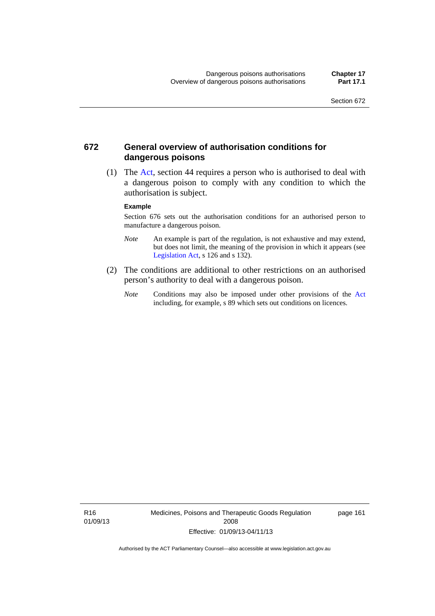### **672 General overview of authorisation conditions for dangerous poisons**

 (1) The [Act](http://www.legislation.act.gov.au/a/2008-26/default.asp), section 44 requires a person who is authorised to deal with a dangerous poison to comply with any condition to which the authorisation is subject.

#### **Example**

Section 676 sets out the authorisation conditions for an authorised person to manufacture a dangerous poison.

- *Note* An example is part of the regulation, is not exhaustive and may extend, but does not limit, the meaning of the provision in which it appears (see [Legislation Act,](http://www.legislation.act.gov.au/a/2001-14) s 126 and s 132).
- (2) The conditions are additional to other restrictions on an authorised person's authority to deal with a dangerous poison.
	- *Note* Conditions may also be imposed under other provisions of the [Act](http://www.legislation.act.gov.au/a/2008-26/default.asp) including, for example, s 89 which sets out conditions on licences.

R16 01/09/13 Medicines, Poisons and Therapeutic Goods Regulation 2008 Effective: 01/09/13-04/11/13

page 161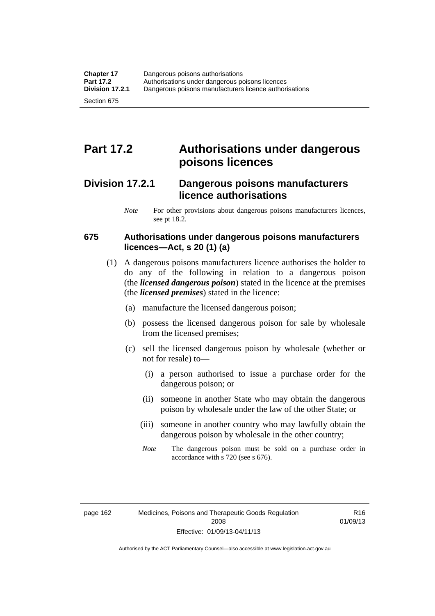# **Part 17.2 Authorisations under dangerous poisons licences**

### **Division 17.2.1 Dangerous poisons manufacturers licence authorisations**

*Note* For other provisions about dangerous poisons manufacturers licences, see pt 18.2.

### **675 Authorisations under dangerous poisons manufacturers licences—Act, s 20 (1) (a)**

- (1) A dangerous poisons manufacturers licence authorises the holder to do any of the following in relation to a dangerous poison (the *licensed dangerous poison*) stated in the licence at the premises (the *licensed premises*) stated in the licence:
	- (a) manufacture the licensed dangerous poison;
	- (b) possess the licensed dangerous poison for sale by wholesale from the licensed premises;
	- (c) sell the licensed dangerous poison by wholesale (whether or not for resale) to—
		- (i) a person authorised to issue a purchase order for the dangerous poison; or
		- (ii) someone in another State who may obtain the dangerous poison by wholesale under the law of the other State; or
		- (iii) someone in another country who may lawfully obtain the dangerous poison by wholesale in the other country;
		- *Note* The dangerous poison must be sold on a purchase order in accordance with s 720 (see s 676).

R16 01/09/13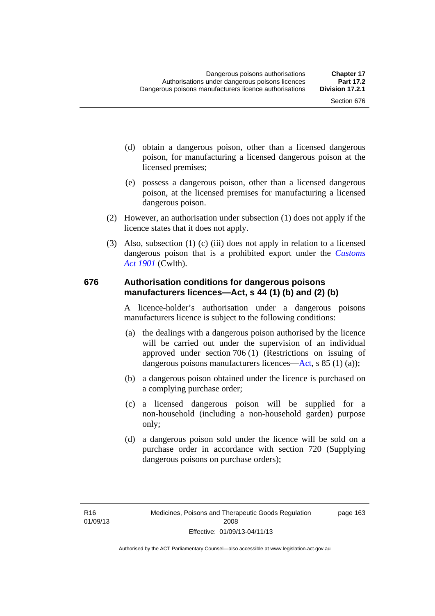- (d) obtain a dangerous poison, other than a licensed dangerous poison, for manufacturing a licensed dangerous poison at the licensed premises;
- (e) possess a dangerous poison, other than a licensed dangerous poison, at the licensed premises for manufacturing a licensed dangerous poison.
- (2) However, an authorisation under subsection (1) does not apply if the licence states that it does not apply.
- (3) Also, subsection (1) (c) (iii) does not apply in relation to a licensed dangerous poison that is a prohibited export under the *[Customs](http://www.comlaw.gov.au/Series/C1901A00006)  [Act 1901](http://www.comlaw.gov.au/Series/C1901A00006)* (Cwlth).

#### **676 Authorisation conditions for dangerous poisons manufacturers licences—Act, s 44 (1) (b) and (2) (b)**

A licence-holder's authorisation under a dangerous poisons manufacturers licence is subject to the following conditions:

- (a) the dealings with a dangerous poison authorised by the licence will be carried out under the supervision of an individual approved under section 706 (1) (Restrictions on issuing of dangerous poisons manufacturers licences[—Act,](http://www.legislation.act.gov.au/a/2008-26/default.asp) s 85 (1) (a));
- (b) a dangerous poison obtained under the licence is purchased on a complying purchase order;
- (c) a licensed dangerous poison will be supplied for a non-household (including a non-household garden) purpose only;
- (d) a dangerous poison sold under the licence will be sold on a purchase order in accordance with section 720 (Supplying dangerous poisons on purchase orders);

page 163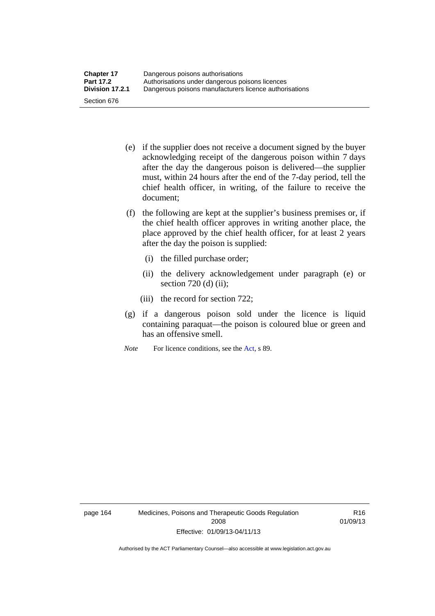- (e) if the supplier does not receive a document signed by the buyer acknowledging receipt of the dangerous poison within 7 days after the day the dangerous poison is delivered—the supplier must, within 24 hours after the end of the 7-day period, tell the chief health officer, in writing, of the failure to receive the document;
- (f) the following are kept at the supplier's business premises or, if the chief health officer approves in writing another place, the place approved by the chief health officer, for at least 2 years after the day the poison is supplied:
	- (i) the filled purchase order;
	- (ii) the delivery acknowledgement under paragraph (e) or section 720 (d) (ii);
	- (iii) the record for section 722;
- (g) if a dangerous poison sold under the licence is liquid containing paraquat—the poison is coloured blue or green and has an offensive smell.
- *Note* For licence conditions, see the [Act](http://www.legislation.act.gov.au/a/2008-26/default.asp), s 89.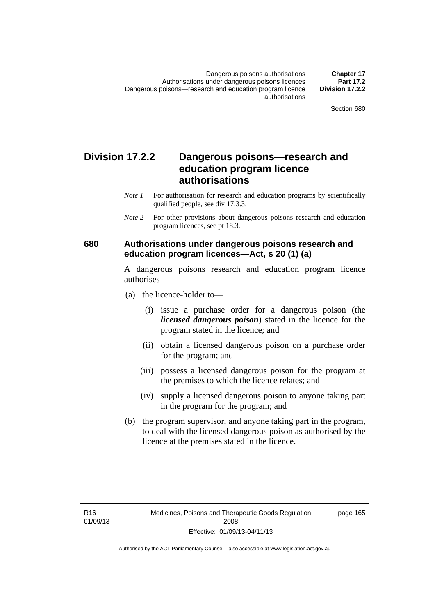### **Division 17.2.2 Dangerous poisons—research and education program licence authorisations**

- *Note 1* For authorisation for research and education programs by scientifically qualified people, see div 17.3.3.
- *Note 2* For other provisions about dangerous poisons research and education program licences, see pt 18.3.

### **680 Authorisations under dangerous poisons research and education program licences—Act, s 20 (1) (a)**

A dangerous poisons research and education program licence authorises—

- (a) the licence-holder to—
	- (i) issue a purchase order for a dangerous poison (the *licensed dangerous poison*) stated in the licence for the program stated in the licence; and
	- (ii) obtain a licensed dangerous poison on a purchase order for the program; and
	- (iii) possess a licensed dangerous poison for the program at the premises to which the licence relates; and
	- (iv) supply a licensed dangerous poison to anyone taking part in the program for the program; and
- (b) the program supervisor, and anyone taking part in the program, to deal with the licensed dangerous poison as authorised by the licence at the premises stated in the licence.

page 165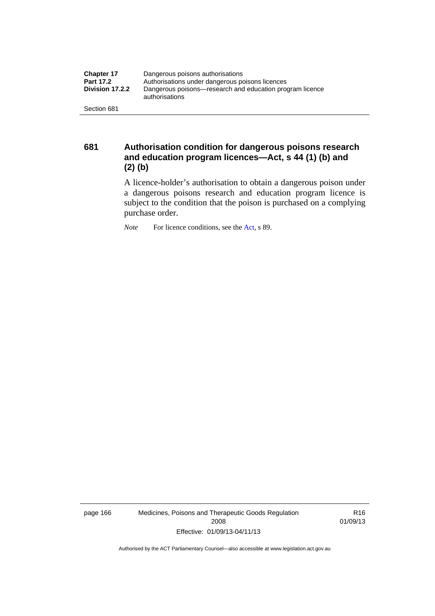| <b>Chapter 17</b> | Dangerous poisons authorisations                                           |  |  |
|-------------------|----------------------------------------------------------------------------|--|--|
| <b>Part 17.2</b>  | Authorisations under dangerous poisons licences                            |  |  |
| Division 17.2.2   | Dangerous poisons—research and education program licence<br>authorisations |  |  |
| Section 681       |                                                                            |  |  |

**681 Authorisation condition for dangerous poisons research and education program licences—Act, s 44 (1) (b) and (2) (b)** 

A licence-holder's authorisation to obtain a dangerous poison under a dangerous poisons research and education program licence is subject to the condition that the poison is purchased on a complying purchase order.

*Note* For licence conditions, see the [Act](http://www.legislation.act.gov.au/a/2008-26/default.asp), s 89.

page 166 Medicines, Poisons and Therapeutic Goods Regulation 2008 Effective: 01/09/13-04/11/13

R16 01/09/13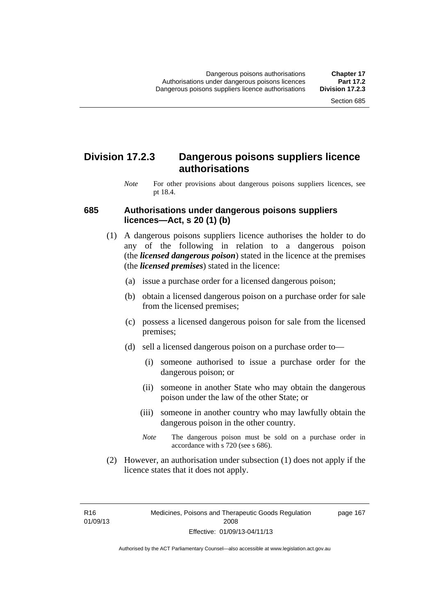### **Division 17.2.3 Dangerous poisons suppliers licence authorisations**

*Note* For other provisions about dangerous poisons suppliers licences, see pt 18.4.

#### **685 Authorisations under dangerous poisons suppliers licences—Act, s 20 (1) (b)**

- (1) A dangerous poisons suppliers licence authorises the holder to do any of the following in relation to a dangerous poison (the *licensed dangerous poison*) stated in the licence at the premises (the *licensed premises*) stated in the licence:
	- (a) issue a purchase order for a licensed dangerous poison;
	- (b) obtain a licensed dangerous poison on a purchase order for sale from the licensed premises;
	- (c) possess a licensed dangerous poison for sale from the licensed premises;
	- (d) sell a licensed dangerous poison on a purchase order to—
		- (i) someone authorised to issue a purchase order for the dangerous poison; or
		- (ii) someone in another State who may obtain the dangerous poison under the law of the other State; or
		- (iii) someone in another country who may lawfully obtain the dangerous poison in the other country.
		- *Note* The dangerous poison must be sold on a purchase order in accordance with s 720 (see s 686).
- (2) However, an authorisation under subsection (1) does not apply if the licence states that it does not apply.

R16 01/09/13 page 167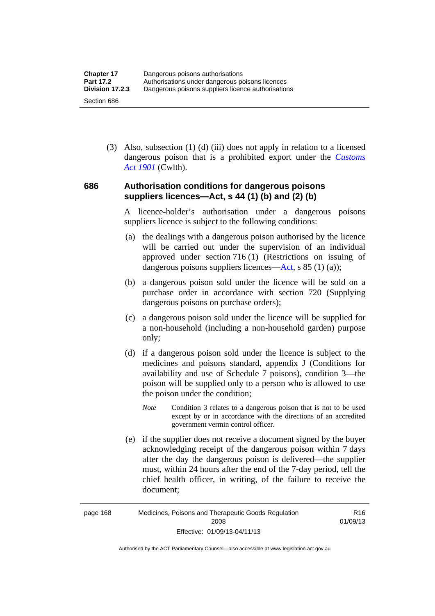(3) Also, subsection (1) (d) (iii) does not apply in relation to a licensed dangerous poison that is a prohibited export under the *[Customs](http://www.comlaw.gov.au/Series/C1901A00006)  [Act 1901](http://www.comlaw.gov.au/Series/C1901A00006)* (Cwlth).

### **686 Authorisation conditions for dangerous poisons suppliers licences—Act, s 44 (1) (b) and (2) (b)**

A licence-holder's authorisation under a dangerous poisons suppliers licence is subject to the following conditions:

- (a) the dealings with a dangerous poison authorised by the licence will be carried out under the supervision of an individual approved under section 716 (1) (Restrictions on issuing of dangerous poisons suppliers licences—[Act](http://www.legislation.act.gov.au/a/2008-26/default.asp), s 85 (1) (a));
- (b) a dangerous poison sold under the licence will be sold on a purchase order in accordance with section 720 (Supplying dangerous poisons on purchase orders);
- (c) a dangerous poison sold under the licence will be supplied for a non-household (including a non-household garden) purpose only;
- (d) if a dangerous poison sold under the licence is subject to the medicines and poisons standard, appendix J (Conditions for availability and use of Schedule 7 poisons), condition 3—the poison will be supplied only to a person who is allowed to use the poison under the condition;
	- *Note* Condition 3 relates to a dangerous poison that is not to be used except by or in accordance with the directions of an accredited government vermin control officer.
- (e) if the supplier does not receive a document signed by the buyer acknowledging receipt of the dangerous poison within 7 days after the day the dangerous poison is delivered—the supplier must, within 24 hours after the end of the 7-day period, tell the chief health officer, in writing, of the failure to receive the document;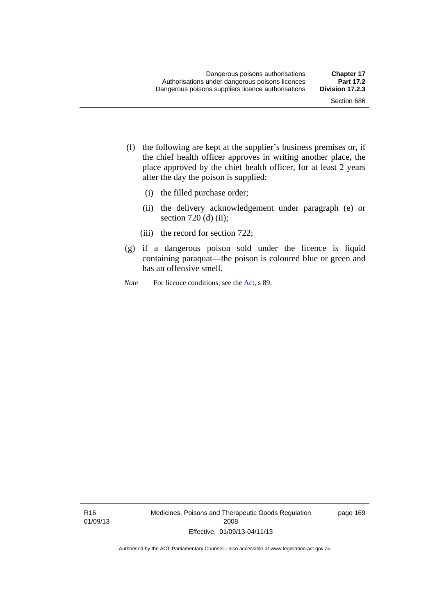- (f) the following are kept at the supplier's business premises or, if the chief health officer approves in writing another place, the place approved by the chief health officer, for at least 2 years after the day the poison is supplied:
	- (i) the filled purchase order;
	- (ii) the delivery acknowledgement under paragraph (e) or section 720 (d) (ii);
	- (iii) the record for section 722;
- (g) if a dangerous poison sold under the licence is liquid containing paraquat—the poison is coloured blue or green and has an offensive smell.
- *Note* For licence conditions, see the [Act](http://www.legislation.act.gov.au/a/2008-26/default.asp), s 89.

R16 01/09/13 Medicines, Poisons and Therapeutic Goods Regulation 2008 Effective: 01/09/13-04/11/13

page 169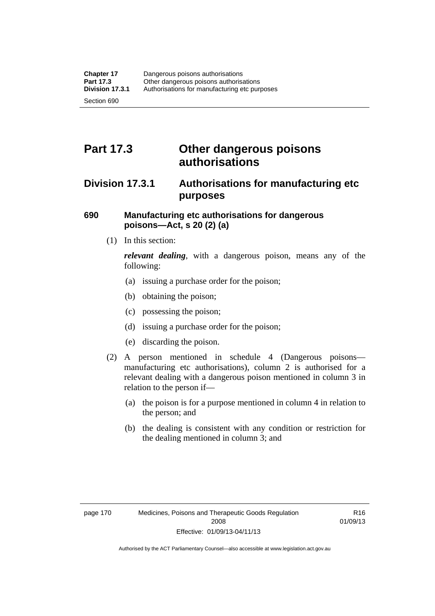# **Part 17.3 Other dangerous poisons authorisations**

### **Division 17.3.1 Authorisations for manufacturing etc purposes**

### **690 Manufacturing etc authorisations for dangerous poisons—Act, s 20 (2) (a)**

(1) In this section:

*relevant dealing*, with a dangerous poison, means any of the following:

- (a) issuing a purchase order for the poison;
- (b) obtaining the poison;
- (c) possessing the poison;
- (d) issuing a purchase order for the poison;
- (e) discarding the poison.
- (2) A person mentioned in schedule 4 (Dangerous poisons manufacturing etc authorisations), column 2 is authorised for a relevant dealing with a dangerous poison mentioned in column 3 in relation to the person if—
	- (a) the poison is for a purpose mentioned in column 4 in relation to the person; and
	- (b) the dealing is consistent with any condition or restriction for the dealing mentioned in column 3; and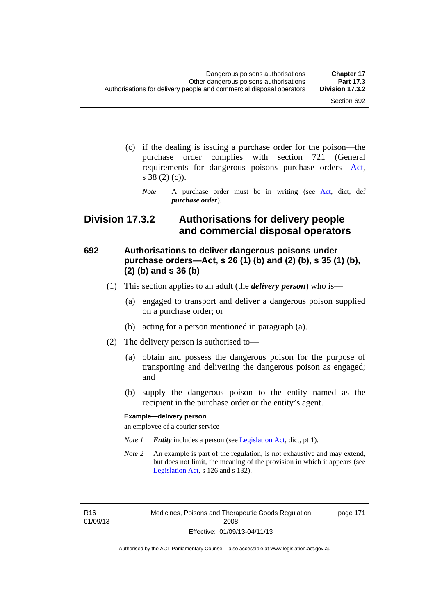- (c) if the dealing is issuing a purchase order for the poison—the purchase order complies with section 721 (General requirements for dangerous poisons purchase orders[—Act](http://www.legislation.act.gov.au/a/2008-26/default.asp), s 38 (2) (c)).
	- *Note* A purchase order must be in writing (see [Act](http://www.legislation.act.gov.au/a/2008-26/default.asp), dict, def *purchase order*).

### **Division 17.3.2 Authorisations for delivery people and commercial disposal operators**

### **692 Authorisations to deliver dangerous poisons under purchase orders—Act, s 26 (1) (b) and (2) (b), s 35 (1) (b), (2) (b) and s 36 (b)**

- (1) This section applies to an adult (the *delivery person*) who is—
	- (a) engaged to transport and deliver a dangerous poison supplied on a purchase order; or
	- (b) acting for a person mentioned in paragraph (a).
- (2) The delivery person is authorised to—
	- (a) obtain and possess the dangerous poison for the purpose of transporting and delivering the dangerous poison as engaged; and
	- (b) supply the dangerous poison to the entity named as the recipient in the purchase order or the entity's agent.

#### **Example—delivery person**

an employee of a courier service

- *Note 1 Entity* includes a person (see [Legislation Act,](http://www.legislation.act.gov.au/a/2001-14) dict, pt 1).
- *Note 2* An example is part of the regulation, is not exhaustive and may extend, but does not limit, the meaning of the provision in which it appears (see [Legislation Act,](http://www.legislation.act.gov.au/a/2001-14) s 126 and s 132).

R16 01/09/13 Medicines, Poisons and Therapeutic Goods Regulation 2008 Effective: 01/09/13-04/11/13

page 171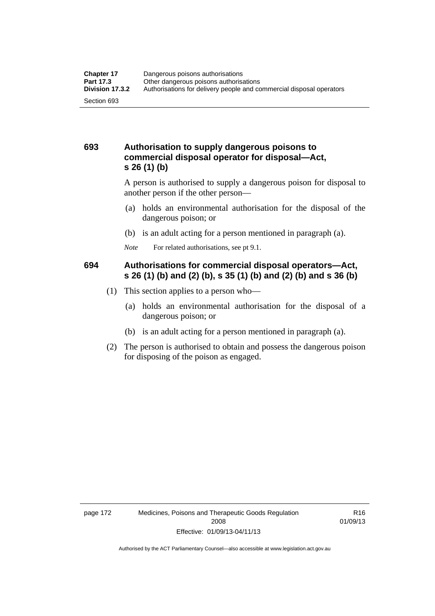### **693 Authorisation to supply dangerous poisons to commercial disposal operator for disposal—Act, s 26 (1) (b)**

A person is authorised to supply a dangerous poison for disposal to another person if the other person—

- (a) holds an environmental authorisation for the disposal of the dangerous poison; or
- (b) is an adult acting for a person mentioned in paragraph (a).
- *Note* For related authorisations, see pt 9.1.

### **694 Authorisations for commercial disposal operators—Act, s 26 (1) (b) and (2) (b), s 35 (1) (b) and (2) (b) and s 36 (b)**

- (1) This section applies to a person who—
	- (a) holds an environmental authorisation for the disposal of a dangerous poison; or
	- (b) is an adult acting for a person mentioned in paragraph (a).
- (2) The person is authorised to obtain and possess the dangerous poison for disposing of the poison as engaged.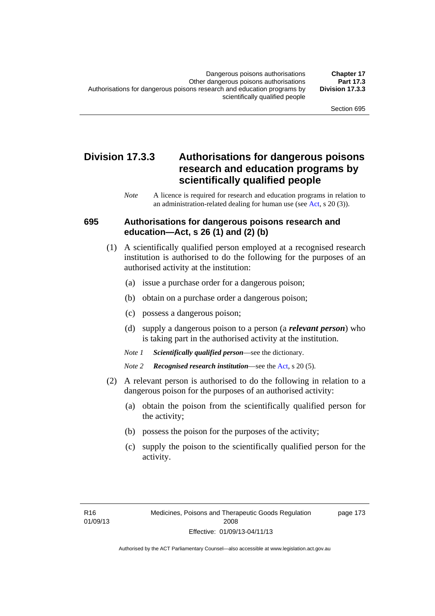### **Division 17.3.3 Authorisations for dangerous poisons research and education programs by scientifically qualified people**

*Note* A licence is required for research and education programs in relation to an administration-related dealing for human use (see [Act](http://www.legislation.act.gov.au/a/2008-26/default.asp), s 20 (3)).

#### **695 Authorisations for dangerous poisons research and education—Act, s 26 (1) and (2) (b)**

- (1) A scientifically qualified person employed at a recognised research institution is authorised to do the following for the purposes of an authorised activity at the institution:
	- (a) issue a purchase order for a dangerous poison;
	- (b) obtain on a purchase order a dangerous poison;
	- (c) possess a dangerous poison;
	- (d) supply a dangerous poison to a person (a *relevant person*) who is taking part in the authorised activity at the institution.
	- *Note 1 Scientifically qualified person*—see the dictionary.
	- *Note 2 Recognised research institution*—see the [Act](http://www.legislation.act.gov.au/a/2008-26/default.asp), s 20 (5).
- (2) A relevant person is authorised to do the following in relation to a dangerous poison for the purposes of an authorised activity:
	- (a) obtain the poison from the scientifically qualified person for the activity;
	- (b) possess the poison for the purposes of the activity;
	- (c) supply the poison to the scientifically qualified person for the activity.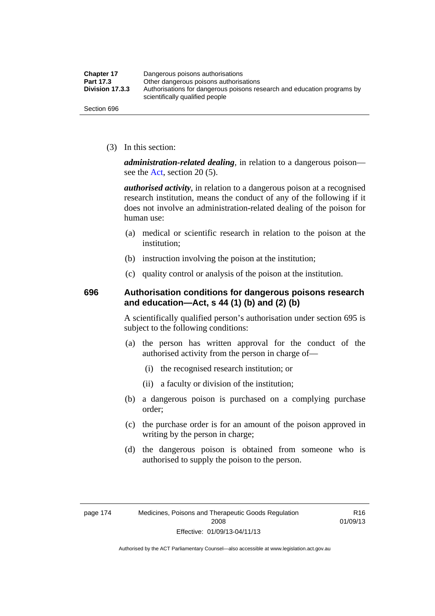| <b>Chapter 17</b> | Dangerous poisons authorisations                                                                           |  |
|-------------------|------------------------------------------------------------------------------------------------------------|--|
| Part 17.3         | Other dangerous poisons authorisations                                                                     |  |
| Division 17.3.3   | Authorisations for dangerous poisons research and education programs by<br>scientifically qualified people |  |
| Section 696       |                                                                                                            |  |

(3) In this section:

*administration-related dealing*, in relation to a dangerous poison— see the [Act](http://www.legislation.act.gov.au/a/2008-26/default.asp), section 20 (5).

*authorised activity*, in relation to a dangerous poison at a recognised research institution, means the conduct of any of the following if it does not involve an administration-related dealing of the poison for human use:

- (a) medical or scientific research in relation to the poison at the institution;
- (b) instruction involving the poison at the institution;
- (c) quality control or analysis of the poison at the institution.

### **696 Authorisation conditions for dangerous poisons research and education—Act, s 44 (1) (b) and (2) (b)**

A scientifically qualified person's authorisation under section 695 is subject to the following conditions:

- (a) the person has written approval for the conduct of the authorised activity from the person in charge of—
	- (i) the recognised research institution; or
	- (ii) a faculty or division of the institution;
- (b) a dangerous poison is purchased on a complying purchase order;
- (c) the purchase order is for an amount of the poison approved in writing by the person in charge;
- (d) the dangerous poison is obtained from someone who is authorised to supply the poison to the person.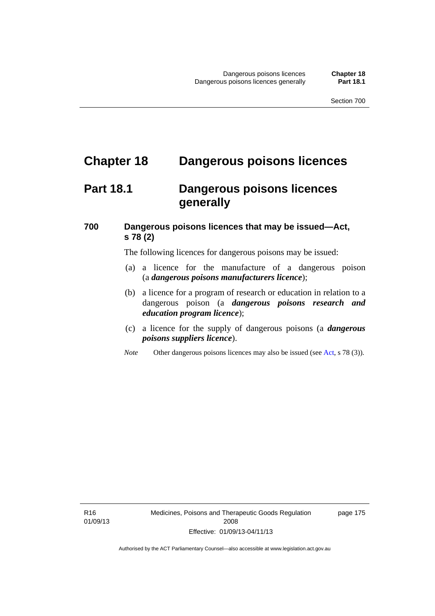# **Chapter 18 Dangerous poisons licences**

### **Part 18.1 Dangerous poisons licences generally**

### **700 Dangerous poisons licences that may be issued—Act, s 78 (2)**

The following licences for dangerous poisons may be issued:

- (a) a licence for the manufacture of a dangerous poison (a *dangerous poisons manufacturers licence*);
- (b) a licence for a program of research or education in relation to a dangerous poison (a *dangerous poisons research and education program licence*);
- (c) a licence for the supply of dangerous poisons (a *dangerous poisons suppliers licence*).
- *Note* Other dangerous poisons licences may also be issued (see [Act](http://www.legislation.act.gov.au/a/2008-26/default.asp), s 78 (3)).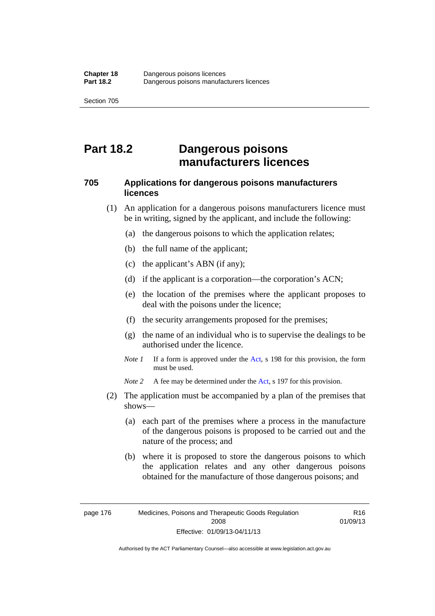# **Part 18.2 Dangerous poisons manufacturers licences**

### **705 Applications for dangerous poisons manufacturers licences**

- (1) An application for a dangerous poisons manufacturers licence must be in writing, signed by the applicant, and include the following:
	- (a) the dangerous poisons to which the application relates;
	- (b) the full name of the applicant;
	- (c) the applicant's ABN (if any);
	- (d) if the applicant is a corporation—the corporation's ACN;
	- (e) the location of the premises where the applicant proposes to deal with the poisons under the licence;
	- (f) the security arrangements proposed for the premises;
	- (g) the name of an individual who is to supervise the dealings to be authorised under the licence.
	- *Note 1* If a form is approved under the [Act](http://www.legislation.act.gov.au/a/2008-26/default.asp), s 198 for this provision, the form must be used.

*Note 2* A fee may be determined under the [Act,](http://www.legislation.act.gov.au/a/2008-26/default.asp) s 197 for this provision.

- (2) The application must be accompanied by a plan of the premises that shows—
	- (a) each part of the premises where a process in the manufacture of the dangerous poisons is proposed to be carried out and the nature of the process; and
	- (b) where it is proposed to store the dangerous poisons to which the application relates and any other dangerous poisons obtained for the manufacture of those dangerous poisons; and

Authorised by the ACT Parliamentary Counsel—also accessible at www.legislation.act.gov.au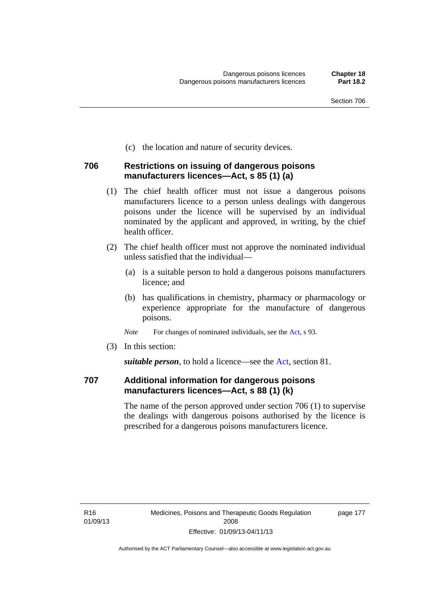(c) the location and nature of security devices.

### **706 Restrictions on issuing of dangerous poisons manufacturers licences—Act, s 85 (1) (a)**

- (1) The chief health officer must not issue a dangerous poisons manufacturers licence to a person unless dealings with dangerous poisons under the licence will be supervised by an individual nominated by the applicant and approved, in writing, by the chief health officer.
- (2) The chief health officer must not approve the nominated individual unless satisfied that the individual—
	- (a) is a suitable person to hold a dangerous poisons manufacturers licence; and
	- (b) has qualifications in chemistry, pharmacy or pharmacology or experience appropriate for the manufacture of dangerous poisons.
	- *Note* For changes of nominated individuals, see the [Act,](http://www.legislation.act.gov.au/a/2008-26/default.asp) s 93.
- (3) In this section:

*suitable person*, to hold a licence—see the [Act](http://www.legislation.act.gov.au/a/2008-26/default.asp), section 81.

### **707 Additional information for dangerous poisons manufacturers licences—Act, s 88 (1) (k)**

The name of the person approved under section 706 (1) to supervise the dealings with dangerous poisons authorised by the licence is prescribed for a dangerous poisons manufacturers licence.

page 177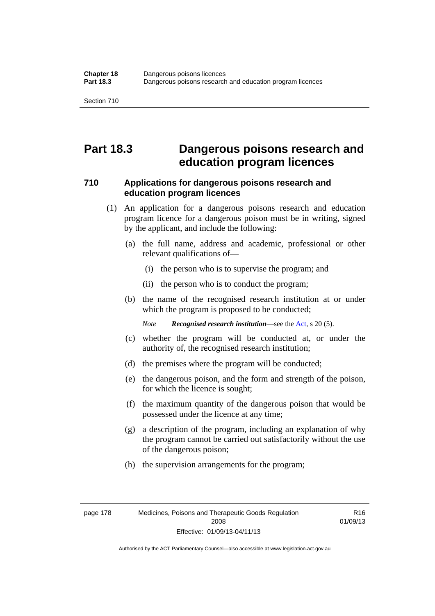### **Part 18.3 Dangerous poisons research and education program licences**

### **710 Applications for dangerous poisons research and education program licences**

- (1) An application for a dangerous poisons research and education program licence for a dangerous poison must be in writing, signed by the applicant, and include the following:
	- (a) the full name, address and academic, professional or other relevant qualifications of—
		- (i) the person who is to supervise the program; and
		- (ii) the person who is to conduct the program;
	- (b) the name of the recognised research institution at or under which the program is proposed to be conducted;

*Note Recognised research institution*—see the [Act](http://www.legislation.act.gov.au/a/2008-26/default.asp), s 20 (5).

- (c) whether the program will be conducted at, or under the authority of, the recognised research institution;
- (d) the premises where the program will be conducted;
- (e) the dangerous poison, and the form and strength of the poison, for which the licence is sought;
- (f) the maximum quantity of the dangerous poison that would be possessed under the licence at any time;
- (g) a description of the program, including an explanation of why the program cannot be carried out satisfactorily without the use of the dangerous poison;
- (h) the supervision arrangements for the program;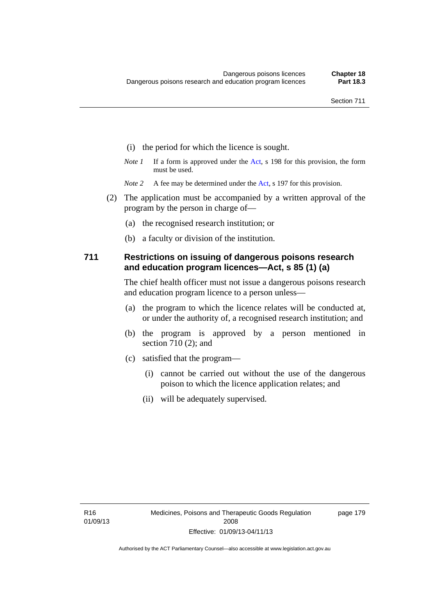- (i) the period for which the licence is sought.
- *Note 1* If a form is approved under the [Act](http://www.legislation.act.gov.au/a/2008-26/default.asp), s 198 for this provision, the form must be used.
- *Note 2* A fee may be determined under the [Act,](http://www.legislation.act.gov.au/a/2008-26/default.asp) s 197 for this provision.
- (2) The application must be accompanied by a written approval of the program by the person in charge of—
	- (a) the recognised research institution; or
	- (b) a faculty or division of the institution.

### **711 Restrictions on issuing of dangerous poisons research and education program licences—Act, s 85 (1) (a)**

The chief health officer must not issue a dangerous poisons research and education program licence to a person unless—

- (a) the program to which the licence relates will be conducted at, or under the authority of, a recognised research institution; and
- (b) the program is approved by a person mentioned in section 710 (2); and
- (c) satisfied that the program—
	- (i) cannot be carried out without the use of the dangerous poison to which the licence application relates; and
	- (ii) will be adequately supervised.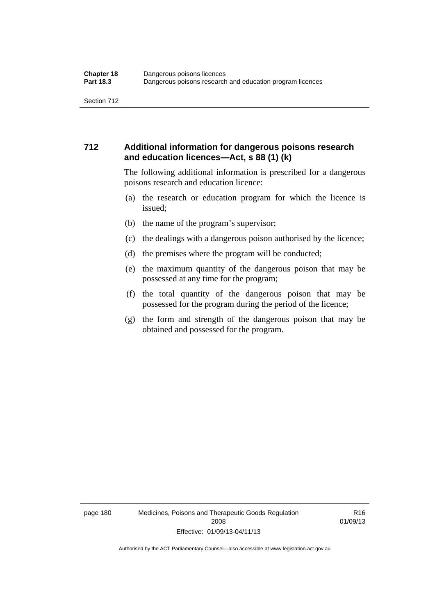### **712 Additional information for dangerous poisons research and education licences—Act, s 88 (1) (k)**

The following additional information is prescribed for a dangerous poisons research and education licence:

- (a) the research or education program for which the licence is issued;
- (b) the name of the program's supervisor;
- (c) the dealings with a dangerous poison authorised by the licence;
- (d) the premises where the program will be conducted;
- (e) the maximum quantity of the dangerous poison that may be possessed at any time for the program;
- (f) the total quantity of the dangerous poison that may be possessed for the program during the period of the licence;
- (g) the form and strength of the dangerous poison that may be obtained and possessed for the program.

page 180 Medicines, Poisons and Therapeutic Goods Regulation 2008 Effective: 01/09/13-04/11/13

R16 01/09/13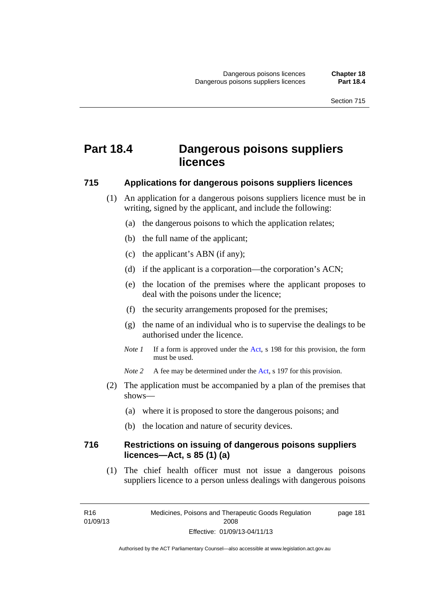# **Part 18.4 Dangerous poisons suppliers licences**

#### **715 Applications for dangerous poisons suppliers licences**

- (1) An application for a dangerous poisons suppliers licence must be in writing, signed by the applicant, and include the following:
	- (a) the dangerous poisons to which the application relates;
	- (b) the full name of the applicant;
	- (c) the applicant's ABN (if any);
	- (d) if the applicant is a corporation—the corporation's ACN;
	- (e) the location of the premises where the applicant proposes to deal with the poisons under the licence;
	- (f) the security arrangements proposed for the premises;
	- (g) the name of an individual who is to supervise the dealings to be authorised under the licence.
	- *Note 1* If a form is approved under the [Act](http://www.legislation.act.gov.au/a/2008-26/default.asp), s 198 for this provision, the form must be used.
	- *Note* 2 A fee may be determined under the [Act,](http://www.legislation.act.gov.au/a/2008-26/default.asp) s 197 for this provision.
- (2) The application must be accompanied by a plan of the premises that shows—
	- (a) where it is proposed to store the dangerous poisons; and
	- (b) the location and nature of security devices.

### **716 Restrictions on issuing of dangerous poisons suppliers licences—Act, s 85 (1) (a)**

(1) The chief health officer must not issue a dangerous poisons suppliers licence to a person unless dealings with dangerous poisons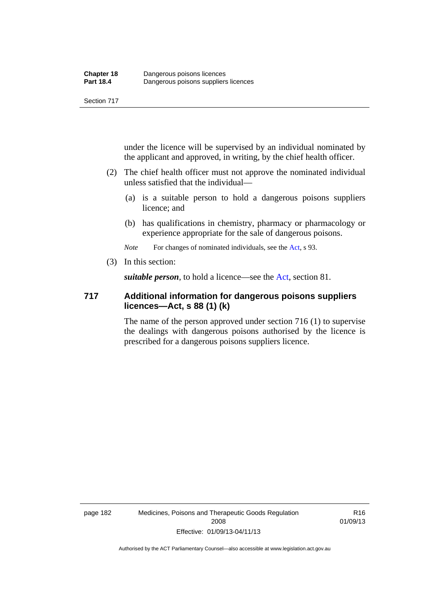under the licence will be supervised by an individual nominated by the applicant and approved, in writing, by the chief health officer.

- (2) The chief health officer must not approve the nominated individual unless satisfied that the individual—
	- (a) is a suitable person to hold a dangerous poisons suppliers licence; and
	- (b) has qualifications in chemistry, pharmacy or pharmacology or experience appropriate for the sale of dangerous poisons.

*Note* For changes of nominated individuals, see the [Act,](http://www.legislation.act.gov.au/a/2008-26/default.asp) s 93.

(3) In this section:

*suitable person*, to hold a licence—see the [Act](http://www.legislation.act.gov.au/a/2008-26/default.asp), section 81.

### **717 Additional information for dangerous poisons suppliers licences—Act, s 88 (1) (k)**

The name of the person approved under section 716 (1) to supervise the dealings with dangerous poisons authorised by the licence is prescribed for a dangerous poisons suppliers licence.

R16 01/09/13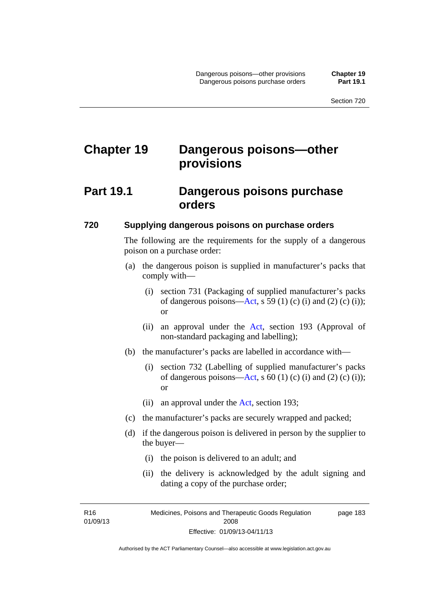# **Chapter 19 Dangerous poisons—other provisions**

### **Part 19.1 Dangerous poisons purchase orders**

#### **720 Supplying dangerous poisons on purchase orders**

The following are the requirements for the supply of a dangerous poison on a purchase order:

- (a) the dangerous poison is supplied in manufacturer's packs that comply with—
	- (i) section 731 (Packaging of supplied manufacturer's packs of dangerous poisons[—Act](http://www.legislation.act.gov.au/a/2008-26/default.asp), s 59 (1) (c) (i) and (2) (c) (i)); or
	- (ii) an approval under the [Act](http://www.legislation.act.gov.au/a/2008-26/default.asp), section 193 (Approval of non-standard packaging and labelling);
- (b) the manufacturer's packs are labelled in accordance with—
	- (i) section 732 (Labelling of supplied manufacturer's packs of dangerous poisons[—Act](http://www.legislation.act.gov.au/a/2008-26/default.asp), s  $60$  (1) (c) (i) and (2) (c) (i)); or
	- (ii) an approval under the [Act,](http://www.legislation.act.gov.au/a/2008-26/default.asp) section 193;
- (c) the manufacturer's packs are securely wrapped and packed;
- (d) if the dangerous poison is delivered in person by the supplier to the buyer—
	- (i) the poison is delivered to an adult; and
	- (ii) the delivery is acknowledged by the adult signing and dating a copy of the purchase order;

R16 01/09/13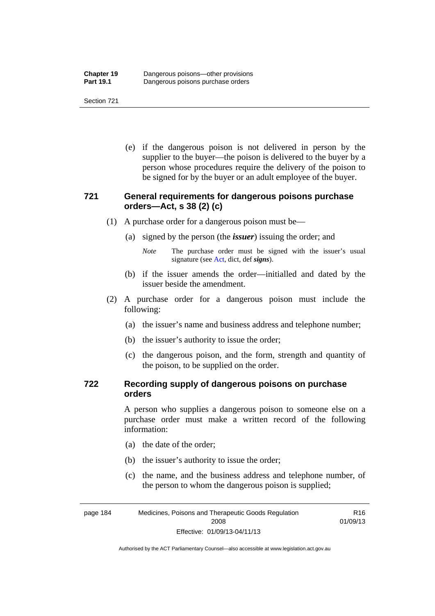(e) if the dangerous poison is not delivered in person by the supplier to the buyer—the poison is delivered to the buyer by a person whose procedures require the delivery of the poison to be signed for by the buyer or an adult employee of the buyer.

### **721 General requirements for dangerous poisons purchase orders—Act, s 38 (2) (c)**

- (1) A purchase order for a dangerous poison must be—
	- (a) signed by the person (the *issuer*) issuing the order; and
		- *Note* The purchase order must be signed with the issuer's usual signature (see [Act](http://www.legislation.act.gov.au/a/2008-26/default.asp), dict, def *signs*).
	- (b) if the issuer amends the order—initialled and dated by the issuer beside the amendment.
- (2) A purchase order for a dangerous poison must include the following:
	- (a) the issuer's name and business address and telephone number;
	- (b) the issuer's authority to issue the order;
	- (c) the dangerous poison, and the form, strength and quantity of the poison, to be supplied on the order.

### **722 Recording supply of dangerous poisons on purchase orders**

A person who supplies a dangerous poison to someone else on a purchase order must make a written record of the following information:

- (a) the date of the order;
- (b) the issuer's authority to issue the order;
- (c) the name, and the business address and telephone number, of the person to whom the dangerous poison is supplied;

R16 01/09/13

page 184 Medicines, Poisons and Therapeutic Goods Regulation 2008 Effective: 01/09/13-04/11/13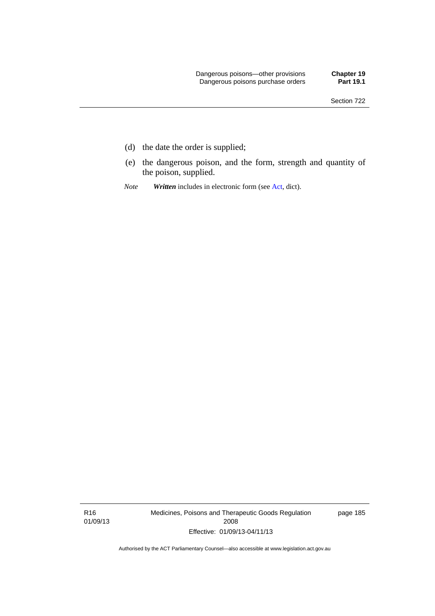- (d) the date the order is supplied;
- (e) the dangerous poison, and the form, strength and quantity of the poison, supplied.
- *Note Written* includes in electronic form (see [Act,](http://www.legislation.act.gov.au/a/2008-26/default.asp) dict).

R16 01/09/13 Medicines, Poisons and Therapeutic Goods Regulation 2008 Effective: 01/09/13-04/11/13

page 185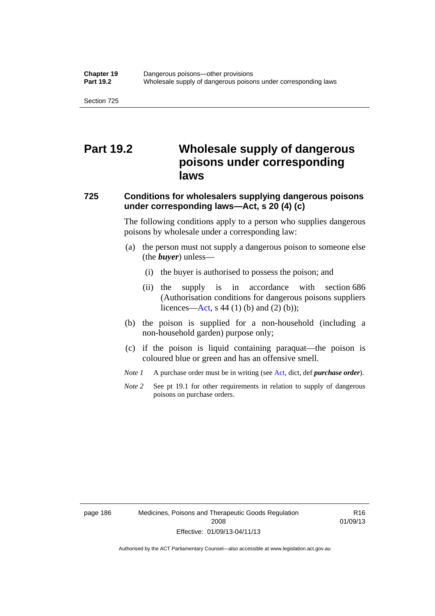### **Part 19.2 Wholesale supply of dangerous poisons under corresponding laws**

### **725 Conditions for wholesalers supplying dangerous poisons under corresponding laws—Act, s 20 (4) (c)**

The following conditions apply to a person who supplies dangerous poisons by wholesale under a corresponding law:

- (a) the person must not supply a dangerous poison to someone else (the *buyer*) unless—
	- (i) the buyer is authorised to possess the poison; and
	- (ii) the supply is in accordance with section 686 (Authorisation conditions for dangerous poisons suppliers licences—[Act,](http://www.legislation.act.gov.au/a/2008-26/default.asp) s 44 (1) (b) and (2) (b));
- (b) the poison is supplied for a non-household (including a non-household garden) purpose only;
- (c) if the poison is liquid containing paraquat—the poison is coloured blue or green and has an offensive smell.
- *Note 1* A purchase order must be in writing (see [Act,](http://www.legislation.act.gov.au/a/2008-26/default.asp) dict, def *purchase order*).
- *Note* 2 See pt 19.1 for other requirements in relation to supply of dangerous poisons on purchase orders.

page 186 Medicines, Poisons and Therapeutic Goods Regulation 2008 Effective: 01/09/13-04/11/13

R16 01/09/13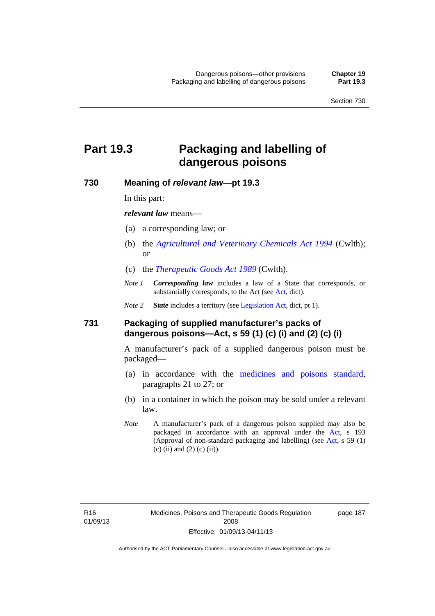# **Part 19.3 Packaging and labelling of dangerous poisons**

#### **730 Meaning of** *relevant law***—pt 19.3**

In this part:

*relevant law* means—

- (a) a corresponding law; or
- (b) the *[Agricultural and Veterinary Chemicals Act 1994](http://www.comlaw.gov.au/Series/C2004A04712)* (Cwlth); or
- (c) the *[Therapeutic Goods Act 1989](http://www.comlaw.gov.au/Series/C2004A03952)* (Cwlth).
- *Note 1 Corresponding law* includes a law of a State that corresponds, or substantially corresponds, to the [Act](http://www.legislation.act.gov.au/a/2008-26/default.asp) (see Act, dict).

*Note 2 State* includes a territory (see [Legislation Act,](http://www.legislation.act.gov.au/a/2001-14) dict, pt 1).

#### **731 Packaging of supplied manufacturer's packs of dangerous poisons—Act, s 59 (1) (c) (i) and (2) (c) (i)**

A manufacturer's pack of a supplied dangerous poison must be packaged—

- (a) in accordance with the [medicines and poisons standard](http://www.comlaw.gov.au/Series/F2012L01200), paragraphs 21 to 27; or
- (b) in a container in which the poison may be sold under a relevant law.
- *Note* A manufacturer's pack of a dangerous poison supplied may also be packaged in accordance with an approval under the [Act,](http://www.legislation.act.gov.au/a/2008-26/default.asp) s 193 (Approval of non-standard packaging and labelling) (see [Act](http://www.legislation.act.gov.au/a/2008-26/default.asp), s 59 (1) (c) (ii) and (2) (c) (ii)).

page 187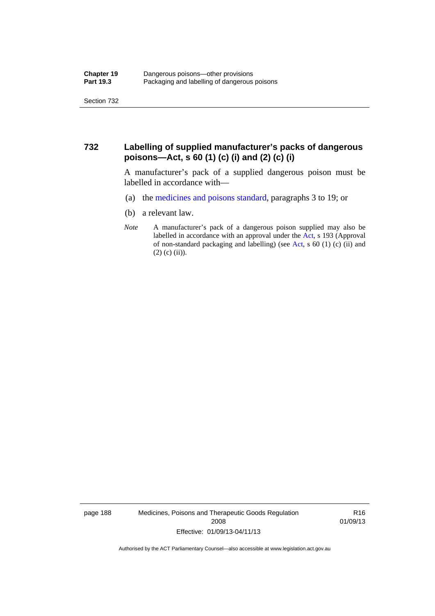### **732 Labelling of supplied manufacturer's packs of dangerous poisons—Act, s 60 (1) (c) (i) and (2) (c) (i)**

A manufacturer's pack of a supplied dangerous poison must be labelled in accordance with—

- (a) the [medicines and poisons standard](http://www.comlaw.gov.au/Series/F2012L01200), paragraphs 3 to 19; or
- (b) a relevant law.
- *Note* A manufacturer's pack of a dangerous poison supplied may also be labelled in accordance with an approval under the [Act](http://www.legislation.act.gov.au/a/2008-26/default.asp), s 193 (Approval of non-standard packaging and labelling) (see [Act,](http://www.legislation.act.gov.au/a/2008-26/default.asp) s 60 (1) (c) (ii) and  $(2)$  (c) (ii)).

page 188 Medicines, Poisons and Therapeutic Goods Regulation 2008 Effective: 01/09/13-04/11/13

R16 01/09/13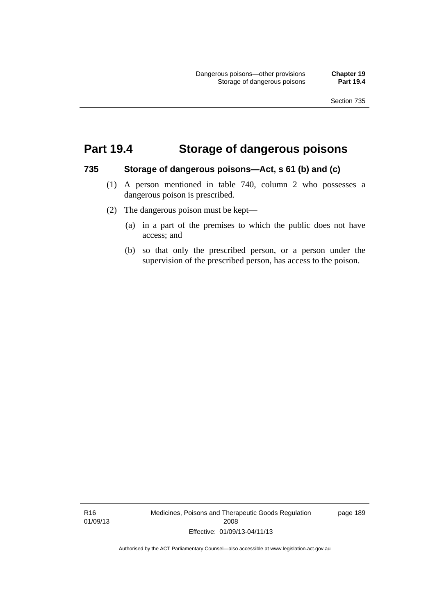### **Part 19.4 Storage of dangerous poisons**

#### **735 Storage of dangerous poisons—Act, s 61 (b) and (c)**

- (1) A person mentioned in table 740, column 2 who possesses a dangerous poison is prescribed.
- (2) The dangerous poison must be kept—
	- (a) in a part of the premises to which the public does not have access; and
	- (b) so that only the prescribed person, or a person under the supervision of the prescribed person, has access to the poison.

R16 01/09/13 Medicines, Poisons and Therapeutic Goods Regulation 2008 Effective: 01/09/13-04/11/13

page 189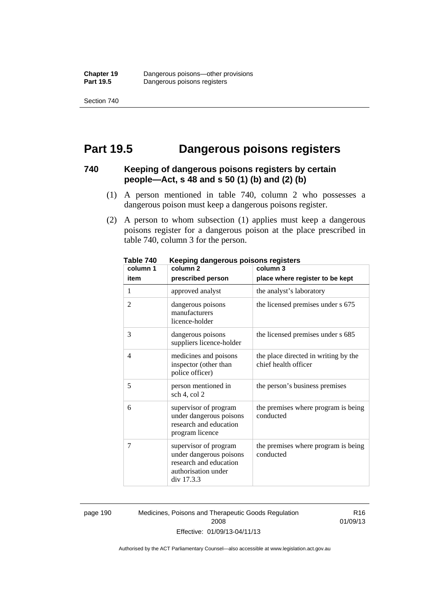### **Part 19.5 Dangerous poisons registers**

### **740 Keeping of dangerous poisons registers by certain people—Act, s 48 and s 50 (1) (b) and (2) (b)**

- (1) A person mentioned in table 740, column 2 who possesses a dangerous poison must keep a dangerous poisons register.
- (2) A person to whom subsection (1) applies must keep a dangerous poisons register for a dangerous poison at the place prescribed in table 740, column 3 for the person.

| 1 ANIC 140<br>column 1 | <u>Reepiriy dariyerous poisons registers</u><br>column <sub>2</sub>                                             | column 3                                                     |
|------------------------|-----------------------------------------------------------------------------------------------------------------|--------------------------------------------------------------|
| item                   | prescribed person                                                                                               | place where register to be kept                              |
| 1                      | approved analyst                                                                                                | the analyst's laboratory                                     |
| $\overline{2}$         | dangerous poisons<br>manufacturers<br>licence-holder                                                            | the licensed premises under s 675                            |
| 3                      | dangerous poisons<br>suppliers licence-holder                                                                   | the licensed premises under s 685                            |
| 4                      | medicines and poisons<br>inspector (other than<br>police officer)                                               | the place directed in writing by the<br>chief health officer |
| 5                      | person mentioned in<br>sch 4, col 2                                                                             | the person's business premises                               |
| 6                      | supervisor of program<br>under dangerous poisons<br>research and education<br>program licence                   | the premises where program is being<br>conducted             |
| 7                      | supervisor of program<br>under dangerous poisons<br>research and education<br>authorisation under<br>div 17.3.3 | the premises where program is being<br>conducted             |

**Table 740 Keeping dangerous poisons registers** 

page 190 Medicines, Poisons and Therapeutic Goods Regulation 2008 Effective: 01/09/13-04/11/13

R16 01/09/13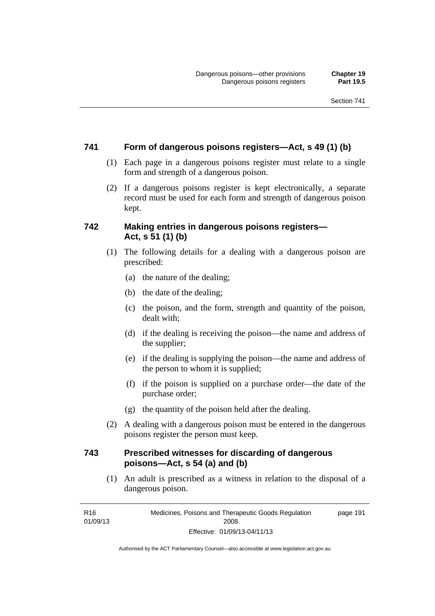### **741 Form of dangerous poisons registers—Act, s 49 (1) (b)**

- (1) Each page in a dangerous poisons register must relate to a single form and strength of a dangerous poison.
- (2) If a dangerous poisons register is kept electronically, a separate record must be used for each form and strength of dangerous poison kept.

### **742 Making entries in dangerous poisons registers— Act, s 51 (1) (b)**

- (1) The following details for a dealing with a dangerous poison are prescribed:
	- (a) the nature of the dealing;
	- (b) the date of the dealing;
	- (c) the poison, and the form, strength and quantity of the poison, dealt with;
	- (d) if the dealing is receiving the poison—the name and address of the supplier;
	- (e) if the dealing is supplying the poison—the name and address of the person to whom it is supplied;
	- (f) if the poison is supplied on a purchase order—the date of the purchase order;
	- (g) the quantity of the poison held after the dealing.
- (2) A dealing with a dangerous poison must be entered in the dangerous poisons register the person must keep.

### **743 Prescribed witnesses for discarding of dangerous poisons—Act, s 54 (a) and (b)**

 (1) An adult is prescribed as a witness in relation to the disposal of a dangerous poison.

R16 01/09/13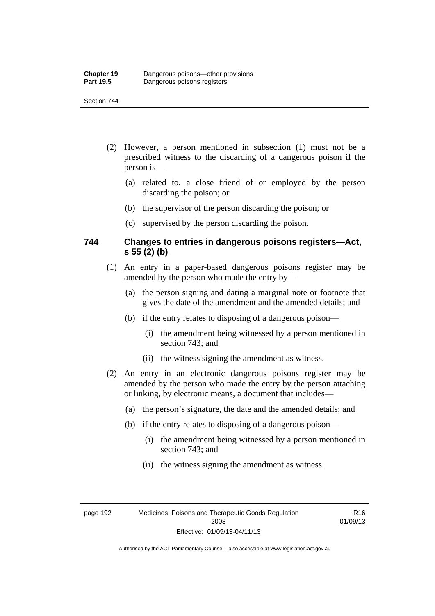- (2) However, a person mentioned in subsection (1) must not be a prescribed witness to the discarding of a dangerous poison if the person is—
	- (a) related to, a close friend of or employed by the person discarding the poison; or
	- (b) the supervisor of the person discarding the poison; or
	- (c) supervised by the person discarding the poison.

### **744 Changes to entries in dangerous poisons registers—Act, s 55 (2) (b)**

- (1) An entry in a paper-based dangerous poisons register may be amended by the person who made the entry by—
	- (a) the person signing and dating a marginal note or footnote that gives the date of the amendment and the amended details; and
	- (b) if the entry relates to disposing of a dangerous poison—
		- (i) the amendment being witnessed by a person mentioned in section 743; and
		- (ii) the witness signing the amendment as witness.
- (2) An entry in an electronic dangerous poisons register may be amended by the person who made the entry by the person attaching or linking, by electronic means, a document that includes—
	- (a) the person's signature, the date and the amended details; and
	- (b) if the entry relates to disposing of a dangerous poison—
		- (i) the amendment being witnessed by a person mentioned in section 743; and
		- (ii) the witness signing the amendment as witness.

page 192 Medicines, Poisons and Therapeutic Goods Regulation 2008 Effective: 01/09/13-04/11/13

R16 01/09/13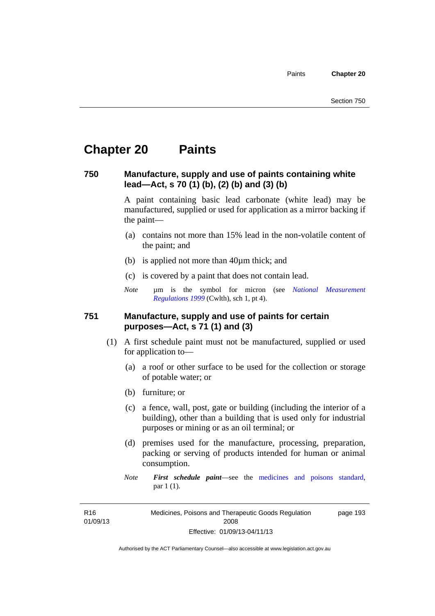## **Chapter 20 Paints**

#### **750 Manufacture, supply and use of paints containing white lead—Act, s 70 (1) (b), (2) (b) and (3) (b)**

A paint containing basic lead carbonate (white lead) may be manufactured, supplied or used for application as a mirror backing if the paint—

- (a) contains not more than 15% lead in the non-volatile content of the paint; and
- (b) is applied not more than 40µm thick; and
- (c) is covered by a paint that does not contain lead.
- *Note* um is the symbol for micron (see *National Measurement [Regulations 1999](http://www.comlaw.gov.au/Series/F1999B00110)* (Cwlth), sch 1, pt 4).

#### **751 Manufacture, supply and use of paints for certain purposes—Act, s 71 (1) and (3)**

- (1) A first schedule paint must not be manufactured, supplied or used for application to—
	- (a) a roof or other surface to be used for the collection or storage of potable water; or
	- (b) furniture; or
	- (c) a fence, wall, post, gate or building (including the interior of a building), other than a building that is used only for industrial purposes or mining or as an oil terminal; or
	- (d) premises used for the manufacture, processing, preparation, packing or serving of products intended for human or animal consumption.
	- *Note First schedule paint*—see the [medicines and poisons standard,](http://www.comlaw.gov.au/Series/F2012L01200) par 1 (1).

R16 01/09/13 Medicines, Poisons and Therapeutic Goods Regulation 2008 Effective: 01/09/13-04/11/13 page 193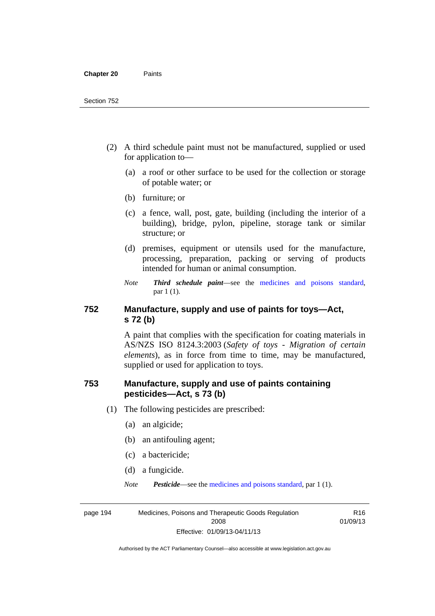- (2) A third schedule paint must not be manufactured, supplied or used for application to—
	- (a) a roof or other surface to be used for the collection or storage of potable water; or
	- (b) furniture; or
	- (c) a fence, wall, post, gate, building (including the interior of a building), bridge, pylon, pipeline, storage tank or similar structure; or
	- (d) premises, equipment or utensils used for the manufacture, processing, preparation, packing or serving of products intended for human or animal consumption.
	- *Note Third schedule paint*—see the [medicines and poisons standard,](http://www.comlaw.gov.au/Series/F2012L01200) par 1 (1).

#### **752 Manufacture, supply and use of paints for toys—Act, s 72 (b)**

A paint that complies with the specification for coating materials in AS/NZS ISO 8124.3:2003 (*Safety of toys - Migration of certain elements*), as in force from time to time, may be manufactured, supplied or used for application to toys.

#### **753 Manufacture, supply and use of paints containing pesticides—Act, s 73 (b)**

- (1) The following pesticides are prescribed:
	- (a) an algicide;
	- (b) an antifouling agent;
	- (c) a bactericide;
	- (d) a fungicide.
	- *Note Pesticide*—see the [medicines and poisons standard,](http://www.comlaw.gov.au/Series/F2012L01200) par 1 (1).

R16 01/09/13

page 194 Medicines, Poisons and Therapeutic Goods Regulation 2008 Effective: 01/09/13-04/11/13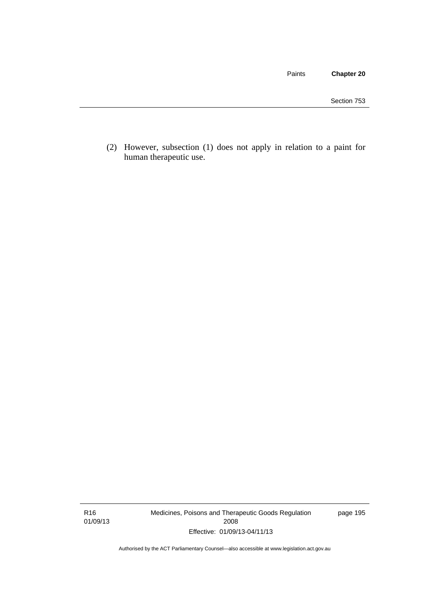Paints **Chapter 20**

 (2) However, subsection (1) does not apply in relation to a paint for human therapeutic use.

R16 01/09/13 Medicines, Poisons and Therapeutic Goods Regulation 2008 Effective: 01/09/13-04/11/13

page 195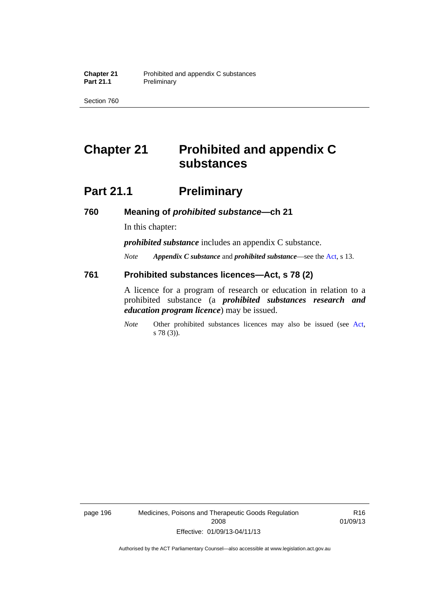Section 760

# **Chapter 21 Prohibited and appendix C substances**

## **Part 21.1 Preliminary**

**760 Meaning of** *prohibited substance***—ch 21** 

In this chapter:

*prohibited substance* includes an appendix C substance.

*Note Appendix C substance* and *prohibited substance*—see the [Act,](http://www.legislation.act.gov.au/a/2008-26/default.asp) s 13.

#### **761 Prohibited substances licences—Act, s 78 (2)**

A licence for a program of research or education in relation to a prohibited substance (a *prohibited substances research and education program licence*) may be issued.

*Note* Other prohibited substances licences may also be issued (see [Act,](http://www.legislation.act.gov.au/a/2008-26/default.asp) s 78 (3)).

page 196 Medicines, Poisons and Therapeutic Goods Regulation 2008 Effective: 01/09/13-04/11/13

R16 01/09/13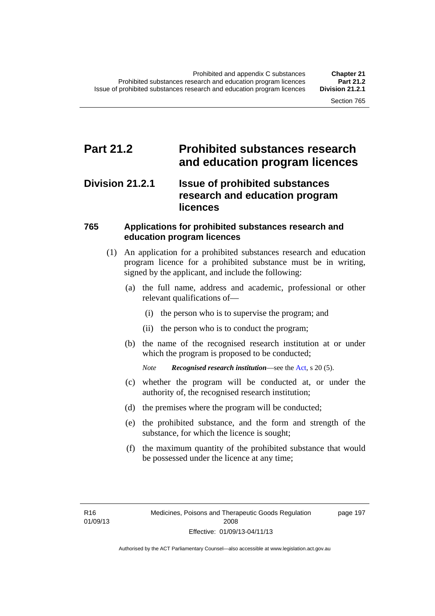## **Part 21.2 Prohibited substances research and education program licences**

#### **Division 21.2.1 Issue of prohibited substances research and education program licences**

#### **765 Applications for prohibited substances research and education program licences**

- (1) An application for a prohibited substances research and education program licence for a prohibited substance must be in writing, signed by the applicant, and include the following:
	- (a) the full name, address and academic, professional or other relevant qualifications of—
		- (i) the person who is to supervise the program; and
		- (ii) the person who is to conduct the program;
	- (b) the name of the recognised research institution at or under which the program is proposed to be conducted;

*Note Recognised research institution*—see the [Act](http://www.legislation.act.gov.au/a/2008-26/default.asp), s 20 (5).

- (c) whether the program will be conducted at, or under the authority of, the recognised research institution;
- (d) the premises where the program will be conducted;
- (e) the prohibited substance, and the form and strength of the substance, for which the licence is sought;
- (f) the maximum quantity of the prohibited substance that would be possessed under the licence at any time;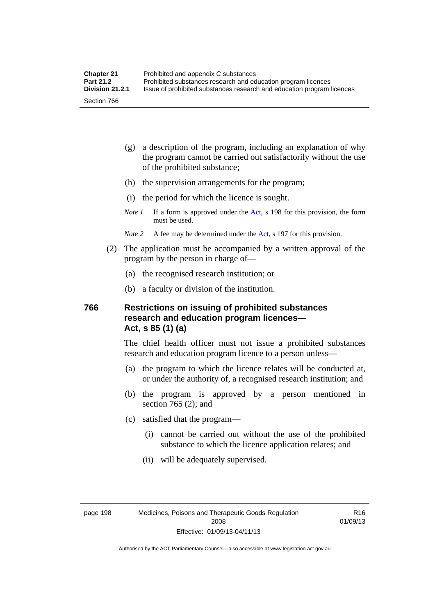- (g) a description of the program, including an explanation of why the program cannot be carried out satisfactorily without the use of the prohibited substance;
- (h) the supervision arrangements for the program;
- (i) the period for which the licence is sought.
- *Note 1* If a form is approved under the [Act](http://www.legislation.act.gov.au/a/2008-26/default.asp), s 198 for this provision, the form must be used.
- *Note 2* A fee may be determined under the [Act,](http://www.legislation.act.gov.au/a/2008-26/default.asp) s 197 for this provision.
- (2) The application must be accompanied by a written approval of the program by the person in charge of—
	- (a) the recognised research institution; or
	- (b) a faculty or division of the institution.

#### **766 Restrictions on issuing of prohibited substances research and education program licences— Act, s 85 (1) (a)**

The chief health officer must not issue a prohibited substances research and education program licence to a person unless—

- (a) the program to which the licence relates will be conducted at, or under the authority of, a recognised research institution; and
- (b) the program is approved by a person mentioned in section 765 (2); and
- (c) satisfied that the program—
	- (i) cannot be carried out without the use of the prohibited substance to which the licence application relates; and
	- (ii) will be adequately supervised.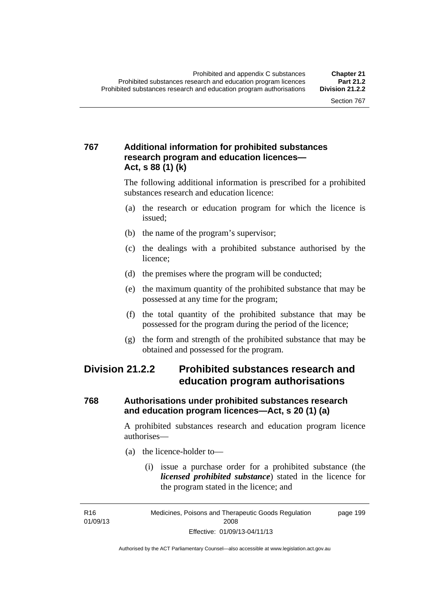#### **767 Additional information for prohibited substances research program and education licences— Act, s 88 (1) (k)**

The following additional information is prescribed for a prohibited substances research and education licence:

- (a) the research or education program for which the licence is issued;
- (b) the name of the program's supervisor;
- (c) the dealings with a prohibited substance authorised by the licence;
- (d) the premises where the program will be conducted;
- (e) the maximum quantity of the prohibited substance that may be possessed at any time for the program;
- (f) the total quantity of the prohibited substance that may be possessed for the program during the period of the licence;
- (g) the form and strength of the prohibited substance that may be obtained and possessed for the program.

## **Division 21.2.2 Prohibited substances research and education program authorisations**

#### **768 Authorisations under prohibited substances research and education program licences—Act, s 20 (1) (a)**

A prohibited substances research and education program licence authorises—

- (a) the licence-holder to—
	- (i) issue a purchase order for a prohibited substance (the *licensed prohibited substance*) stated in the licence for the program stated in the licence; and

R16 01/09/13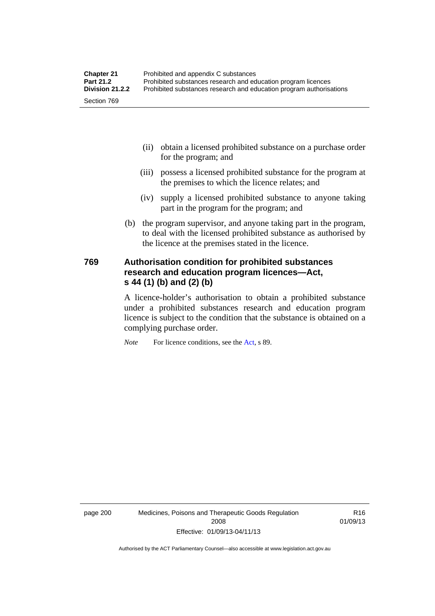- (ii) obtain a licensed prohibited substance on a purchase order for the program; and
- (iii) possess a licensed prohibited substance for the program at the premises to which the licence relates; and
- (iv) supply a licensed prohibited substance to anyone taking part in the program for the program; and
- (b) the program supervisor, and anyone taking part in the program, to deal with the licensed prohibited substance as authorised by the licence at the premises stated in the licence.

#### **769 Authorisation condition for prohibited substances research and education program licences—Act, s 44 (1) (b) and (2) (b)**

A licence-holder's authorisation to obtain a prohibited substance under a prohibited substances research and education program licence is subject to the condition that the substance is obtained on a complying purchase order.

*Note* For licence conditions, see the [Act](http://www.legislation.act.gov.au/a/2008-26/default.asp), s 89.

page 200 Medicines, Poisons and Therapeutic Goods Regulation 2008 Effective: 01/09/13-04/11/13

R16 01/09/13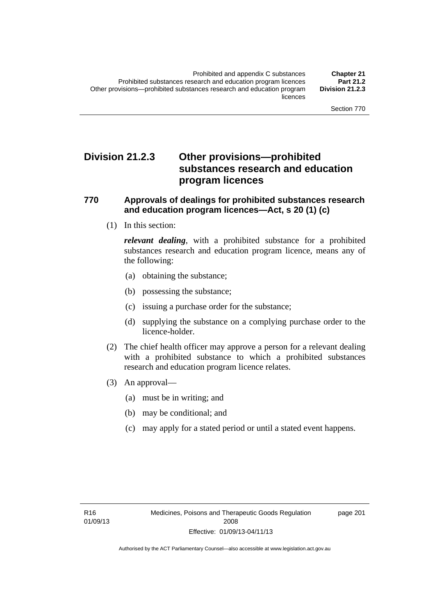## **Division 21.2.3 Other provisions—prohibited substances research and education program licences**

#### **770 Approvals of dealings for prohibited substances research and education program licences—Act, s 20 (1) (c)**

(1) In this section:

*relevant dealing*, with a prohibited substance for a prohibited substances research and education program licence, means any of the following:

- (a) obtaining the substance;
- (b) possessing the substance;
- (c) issuing a purchase order for the substance;
- (d) supplying the substance on a complying purchase order to the licence-holder.
- (2) The chief health officer may approve a person for a relevant dealing with a prohibited substance to which a prohibited substances research and education program licence relates.
- (3) An approval—
	- (a) must be in writing; and
	- (b) may be conditional; and
	- (c) may apply for a stated period or until a stated event happens.

page 201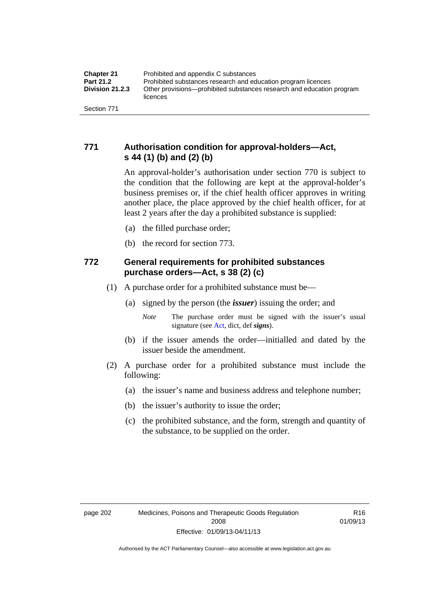#### **771 Authorisation condition for approval-holders—Act, s 44 (1) (b) and (2) (b)**

An approval-holder's authorisation under section 770 is subject to the condition that the following are kept at the approval-holder's business premises or, if the chief health officer approves in writing another place, the place approved by the chief health officer, for at least 2 years after the day a prohibited substance is supplied:

- (a) the filled purchase order;
- (b) the record for section 773.

#### **772 General requirements for prohibited substances purchase orders—Act, s 38 (2) (c)**

- (1) A purchase order for a prohibited substance must be—
	- (a) signed by the person (the *issuer*) issuing the order; and
		- *Note* The purchase order must be signed with the issuer's usual signature (see [Act](http://www.legislation.act.gov.au/a/2008-26/default.asp), dict, def *signs*).
	- (b) if the issuer amends the order—initialled and dated by the issuer beside the amendment.
- (2) A purchase order for a prohibited substance must include the following:
	- (a) the issuer's name and business address and telephone number;
	- (b) the issuer's authority to issue the order;
	- (c) the prohibited substance, and the form, strength and quantity of the substance, to be supplied on the order.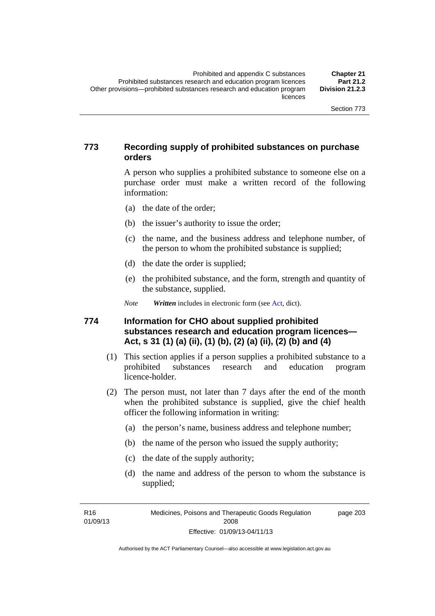#### **773 Recording supply of prohibited substances on purchase orders**

A person who supplies a prohibited substance to someone else on a purchase order must make a written record of the following information:

- (a) the date of the order;
- (b) the issuer's authority to issue the order;
- (c) the name, and the business address and telephone number, of the person to whom the prohibited substance is supplied;
- (d) the date the order is supplied;
- (e) the prohibited substance, and the form, strength and quantity of the substance, supplied.

*Note Written* includes in electronic form (see [Act,](http://www.legislation.act.gov.au/a/2008-26/default.asp) dict).

#### **774 Information for CHO about supplied prohibited substances research and education program licences— Act, s 31 (1) (a) (ii), (1) (b), (2) (a) (ii), (2) (b) and (4)**

- (1) This section applies if a person supplies a prohibited substance to a prohibited substances research and education program licence-holder.
- (2) The person must, not later than 7 days after the end of the month when the prohibited substance is supplied, give the chief health officer the following information in writing:
	- (a) the person's name, business address and telephone number;
	- (b) the name of the person who issued the supply authority;
	- (c) the date of the supply authority;
	- (d) the name and address of the person to whom the substance is supplied;

R16 01/09/13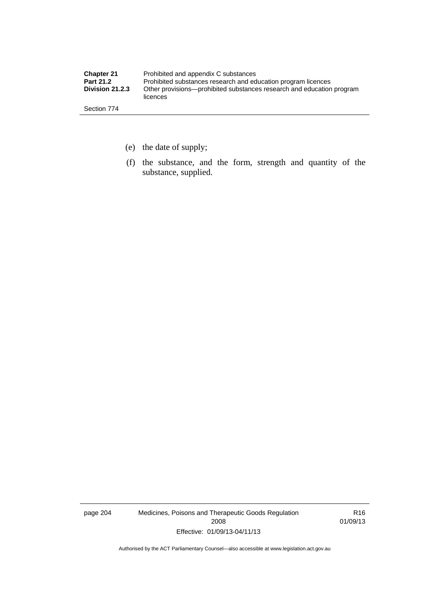| <b>Chapter 21</b> | Prohibited and appendix C substances                                              |
|-------------------|-----------------------------------------------------------------------------------|
| <b>Part 21.2</b>  | Prohibited substances research and education program licences                     |
| Division 21.2.3   | Other provisions—prohibited substances research and education program<br>licences |
| Section 774       |                                                                                   |

- (e) the date of supply;
- (f) the substance, and the form, strength and quantity of the substance, supplied.

page 204 Medicines, Poisons and Therapeutic Goods Regulation 2008 Effective: 01/09/13-04/11/13

R16 01/09/13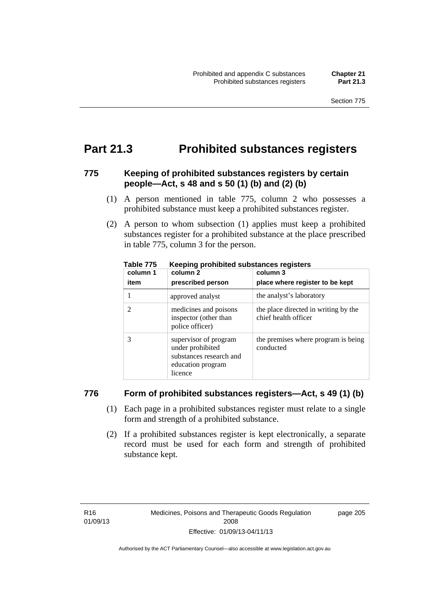## **Part 21.3 Prohibited substances registers**

#### **775 Keeping of prohibited substances registers by certain people—Act, s 48 and s 50 (1) (b) and (2) (b)**

- (1) A person mentioned in table 775, column 2 who possesses a prohibited substance must keep a prohibited substances register.
- (2) A person to whom subsection (1) applies must keep a prohibited substances register for a prohibited substance at the place prescribed in table 775, column 3 for the person.

| column 1 | .<br>column 2                                                                                        | column 3                                                     |
|----------|------------------------------------------------------------------------------------------------------|--------------------------------------------------------------|
| item     | prescribed person                                                                                    | place where register to be kept                              |
|          | approved analyst                                                                                     | the analyst's laboratory                                     |
|          | medicines and poisons<br>inspector (other than<br>police officer)                                    | the place directed in writing by the<br>chief health officer |
|          | supervisor of program<br>under prohibited<br>substances research and<br>education program<br>licence | the premises where program is being<br>conducted             |

**Table 775 Keeping prohibited substances registers** 

#### **776 Form of prohibited substances registers—Act, s 49 (1) (b)**

- (1) Each page in a prohibited substances register must relate to a single form and strength of a prohibited substance.
- (2) If a prohibited substances register is kept electronically, a separate record must be used for each form and strength of prohibited substance kept.

page 205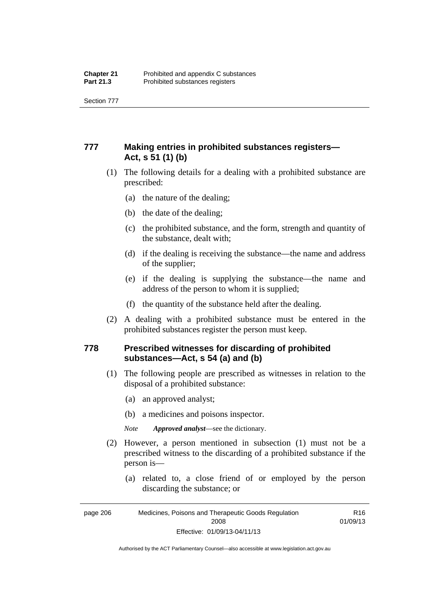Section 777

#### **777 Making entries in prohibited substances registers— Act, s 51 (1) (b)**

- (1) The following details for a dealing with a prohibited substance are prescribed:
	- (a) the nature of the dealing;
	- (b) the date of the dealing;
	- (c) the prohibited substance, and the form, strength and quantity of the substance, dealt with;
	- (d) if the dealing is receiving the substance—the name and address of the supplier;
	- (e) if the dealing is supplying the substance—the name and address of the person to whom it is supplied;
	- (f) the quantity of the substance held after the dealing.
- (2) A dealing with a prohibited substance must be entered in the prohibited substances register the person must keep.

#### **778 Prescribed witnesses for discarding of prohibited substances—Act, s 54 (a) and (b)**

- (1) The following people are prescribed as witnesses in relation to the disposal of a prohibited substance:
	- (a) an approved analyst;
	- (b) a medicines and poisons inspector.

*Note Approved analyst*—see the dictionary.

- (2) However, a person mentioned in subsection (1) must not be a prescribed witness to the discarding of a prohibited substance if the person is—
	- (a) related to, a close friend of or employed by the person discarding the substance; or

page 206 Medicines, Poisons and Therapeutic Goods Regulation 2008 Effective: 01/09/13-04/11/13 R16 01/09/13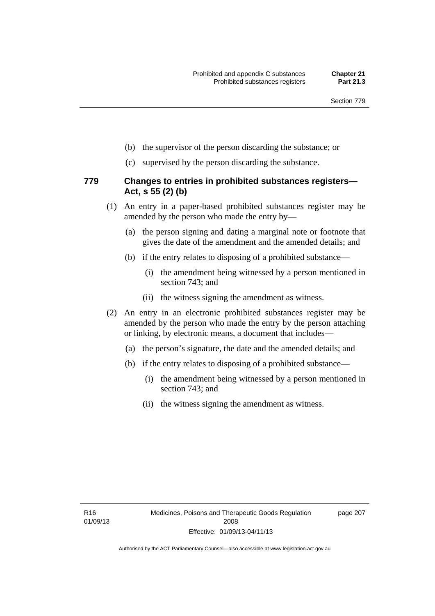- (b) the supervisor of the person discarding the substance; or
- (c) supervised by the person discarding the substance.

#### **779 Changes to entries in prohibited substances registers— Act, s 55 (2) (b)**

- (1) An entry in a paper-based prohibited substances register may be amended by the person who made the entry by—
	- (a) the person signing and dating a marginal note or footnote that gives the date of the amendment and the amended details; and
	- (b) if the entry relates to disposing of a prohibited substance—
		- (i) the amendment being witnessed by a person mentioned in section 743; and
		- (ii) the witness signing the amendment as witness.
- (2) An entry in an electronic prohibited substances register may be amended by the person who made the entry by the person attaching or linking, by electronic means, a document that includes—
	- (a) the person's signature, the date and the amended details; and
	- (b) if the entry relates to disposing of a prohibited substance—
		- (i) the amendment being witnessed by a person mentioned in section 743; and
		- (ii) the witness signing the amendment as witness.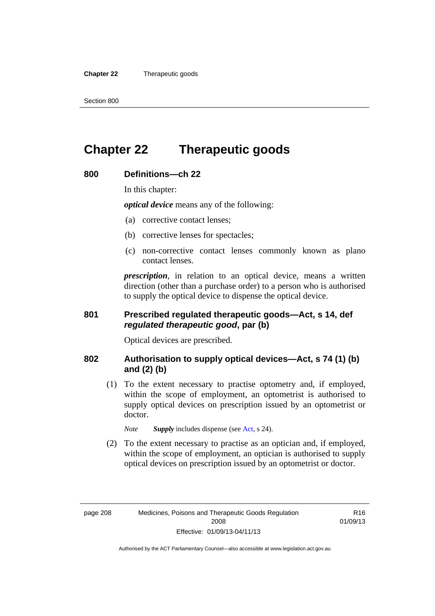**Chapter 22** Therapeutic goods

## **Chapter 22 Therapeutic goods**

### **800 Definitions—ch 22**

In this chapter:

*optical device* means any of the following:

- (a) corrective contact lenses;
- (b) corrective lenses for spectacles;
- (c) non-corrective contact lenses commonly known as plano contact lenses.

*prescription*, in relation to an optical device, means a written direction (other than a purchase order) to a person who is authorised to supply the optical device to dispense the optical device.

#### **801 Prescribed regulated therapeutic goods—Act, s 14, def**  *regulated therapeutic good***, par (b)**

Optical devices are prescribed.

#### **802 Authorisation to supply optical devices—Act, s 74 (1) (b) and (2) (b)**

 (1) To the extent necessary to practise optometry and, if employed, within the scope of employment, an optometrist is authorised to supply optical devices on prescription issued by an optometrist or doctor.

*Note Supply* includes dispense (see [Act,](http://www.legislation.act.gov.au/a/2008-26/default.asp) s 24).

 (2) To the extent necessary to practise as an optician and, if employed, within the scope of employment, an optician is authorised to supply optical devices on prescription issued by an optometrist or doctor.

R16 01/09/13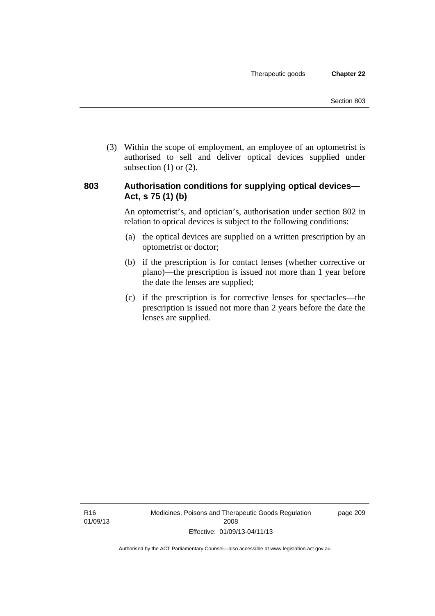(3) Within the scope of employment, an employee of an optometrist is authorised to sell and deliver optical devices supplied under subsection  $(1)$  or  $(2)$ .

#### **803 Authorisation conditions for supplying optical devices— Act, s 75 (1) (b)**

An optometrist's, and optician's, authorisation under section 802 in relation to optical devices is subject to the following conditions:

- (a) the optical devices are supplied on a written prescription by an optometrist or doctor;
- (b) if the prescription is for contact lenses (whether corrective or plano)—the prescription is issued not more than 1 year before the date the lenses are supplied;
- (c) if the prescription is for corrective lenses for spectacles—the prescription is issued not more than 2 years before the date the lenses are supplied.

page 209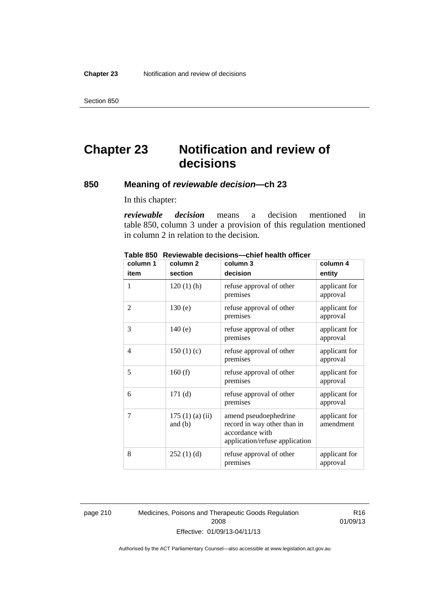Section 850

# **Chapter 23 Notification and review of decisions**

#### **850 Meaning of** *reviewable decision—***ch 23**

In this chapter:

*reviewable decision* means a decision mentioned in table 850, column 3 under a provision of this regulation mentioned in column 2 in relation to the decision.

| column 1       | column <sub>2</sub>        | column 3                                                                                                  | column 4                   |
|----------------|----------------------------|-----------------------------------------------------------------------------------------------------------|----------------------------|
| item           | section                    | decision                                                                                                  | entity                     |
| 1              | $120(1)$ (h)               | refuse approval of other<br>premises                                                                      | applicant for<br>approval  |
| $\overline{2}$ | 130(e)                     | refuse approval of other<br>premises                                                                      | applicant for<br>approval  |
| 3              | 140(e)                     | refuse approval of other<br>premises                                                                      | applicant for<br>approval  |
| $\overline{4}$ | 150(1)(c)                  | refuse approval of other<br>premises                                                                      | applicant for<br>approval  |
| 5              | 160(f)                     | refuse approval of other<br>premises                                                                      | applicant for<br>approval  |
| 6              | 171(d)                     | refuse approval of other<br>premises                                                                      | applicant for<br>approval  |
| 7              | 175(1)(a)(ii)<br>and $(b)$ | amend pseudoephedrine<br>record in way other than in<br>accordance with<br>application/refuse application | applicant for<br>amendment |
| 8              | 252(1)(d)                  | refuse approval of other<br>premises                                                                      | applicant for<br>approval  |

**Table 850 Reviewable decisions—chief health officer** 

page 210 Medicines, Poisons and Therapeutic Goods Regulation 2008 Effective: 01/09/13-04/11/13

R16 01/09/13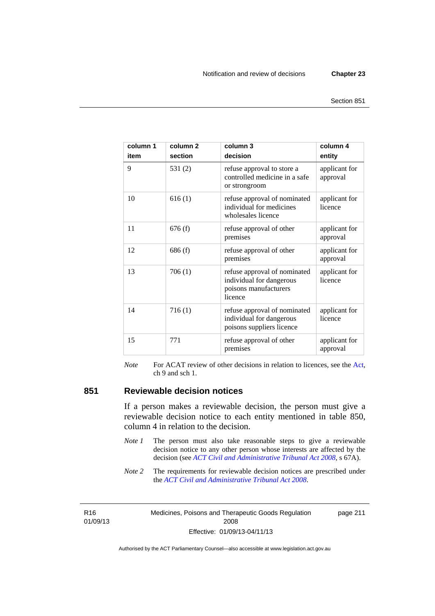| column 1<br>item | column <sub>2</sub><br>section | column 3<br>decision                                                                         | column 4<br>entity        |
|------------------|--------------------------------|----------------------------------------------------------------------------------------------|---------------------------|
| 9                | 531(2)                         | refuse approval to store a<br>controlled medicine in a safe<br>or strongroom                 | applicant for<br>approval |
| 10               | 616(1)                         | refuse approval of nominated<br>individual for medicines<br>wholesales licence               | applicant for<br>licence  |
| 11               | 676(f)                         | refuse approval of other<br>premises                                                         | applicant for<br>approval |
| 12               | 686(f)                         | refuse approval of other<br>premises                                                         | applicant for<br>approval |
| 13               | 706(1)                         | refuse approval of nominated<br>individual for dangerous<br>poisons manufacturers<br>licence | applicant for<br>licence  |
| 14               | 716(1)                         | refuse approval of nominated<br>individual for dangerous<br>poisons suppliers licence        | applicant for<br>licence  |
| 15               | 771                            | refuse approval of other<br>premises                                                         | applicant for<br>approval |

*Note* For ACAT review of other decisions in relation to licences, see the [Act,](http://www.legislation.act.gov.au/a/2008-26/default.asp) ch 9 and sch 1.

#### **851 Reviewable decision notices**

If a person makes a reviewable decision, the person must give a reviewable decision notice to each entity mentioned in table 850, column 4 in relation to the decision.

- *Note 1* The person must also take reasonable steps to give a reviewable decision notice to any other person whose interests are affected by the decision (see *[ACT Civil and Administrative Tribunal Act 2008](http://www.legislation.act.gov.au/a/2008-35)*, s 67A).
- *Note* 2 The requirements for reviewable decision notices are prescribed under the *[ACT Civil and Administrative Tribunal Act 2008](http://www.legislation.act.gov.au/a/2008-35)*.

R16 01/09/13 Medicines, Poisons and Therapeutic Goods Regulation 2008 Effective: 01/09/13-04/11/13

page 211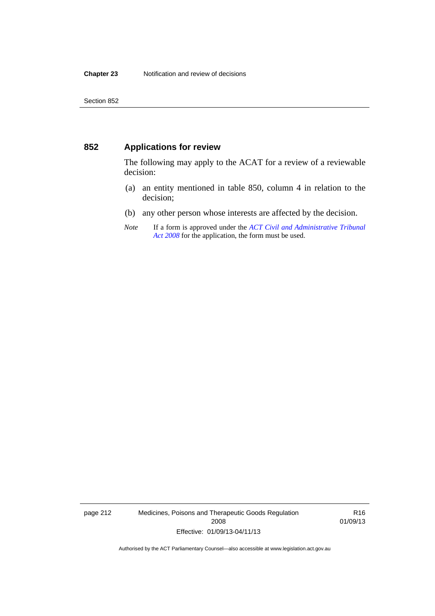#### **852 Applications for review**

The following may apply to the ACAT for a review of a reviewable decision:

- (a) an entity mentioned in table 850, column 4 in relation to the decision;
- (b) any other person whose interests are affected by the decision.
- *Note* If a form is approved under the *[ACT Civil and Administrative Tribunal](http://www.legislation.act.gov.au/a/2008-35)  [Act 2008](http://www.legislation.act.gov.au/a/2008-35)* for the application, the form must be used.

page 212 Medicines, Poisons and Therapeutic Goods Regulation 2008 Effective: 01/09/13-04/11/13

R16 01/09/13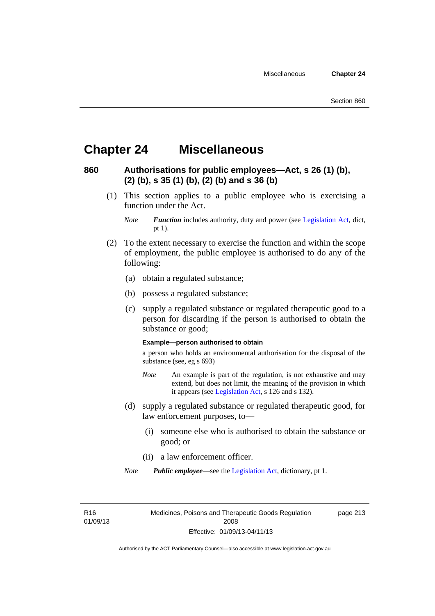## **Chapter 24 Miscellaneous**

#### **860 Authorisations for public employees—Act, s 26 (1) (b), (2) (b), s 35 (1) (b), (2) (b) and s 36 (b)**

 (1) This section applies to a public employee who is exercising a function under the Act.

- (2) To the extent necessary to exercise the function and within the scope of employment, the public employee is authorised to do any of the following:
	- (a) obtain a regulated substance;
	- (b) possess a regulated substance;
	- (c) supply a regulated substance or regulated therapeutic good to a person for discarding if the person is authorised to obtain the substance or good;

#### **Example—person authorised to obtain**

a person who holds an environmental authorisation for the disposal of the substance (see, eg s 693)

- *Note* An example is part of the regulation, is not exhaustive and may extend, but does not limit, the meaning of the provision in which it appears (see [Legislation Act,](http://www.legislation.act.gov.au/a/2001-14) s 126 and s 132).
- (d) supply a regulated substance or regulated therapeutic good, for law enforcement purposes, to—
	- (i) someone else who is authorised to obtain the substance or good; or
	- (ii) a law enforcement officer.

*Note Public employee*—see the [Legislation Act,](http://www.legislation.act.gov.au/a/2001-14) dictionary, pt 1.

R16 01/09/13 Medicines, Poisons and Therapeutic Goods Regulation 2008 Effective: 01/09/13-04/11/13

page 213

*Note Function* includes authority, duty and power (see [Legislation Act](http://www.legislation.act.gov.au/a/2001-14), dict, pt 1).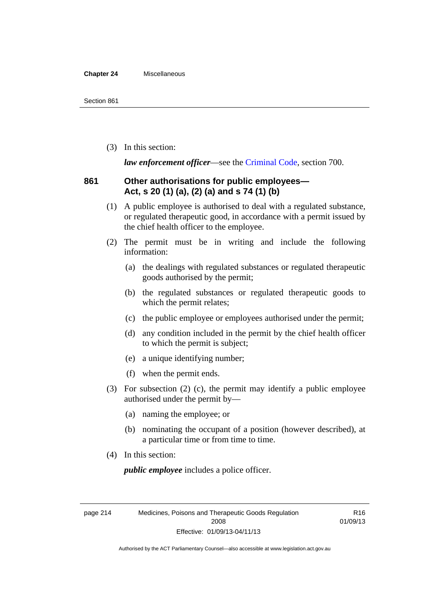#### **Chapter 24** Miscellaneous

(3) In this section:

*law enforcement officer*—see the [Criminal Code,](http://www.legislation.act.gov.au/a/2002-51) section 700.

#### **861 Other authorisations for public employees— Act, s 20 (1) (a), (2) (a) and s 74 (1) (b)**

- (1) A public employee is authorised to deal with a regulated substance, or regulated therapeutic good, in accordance with a permit issued by the chief health officer to the employee.
- (2) The permit must be in writing and include the following information:
	- (a) the dealings with regulated substances or regulated therapeutic goods authorised by the permit;
	- (b) the regulated substances or regulated therapeutic goods to which the permit relates;
	- (c) the public employee or employees authorised under the permit;
	- (d) any condition included in the permit by the chief health officer to which the permit is subject;
	- (e) a unique identifying number;
	- (f) when the permit ends.
- (3) For subsection (2) (c), the permit may identify a public employee authorised under the permit by—
	- (a) naming the employee; or
	- (b) nominating the occupant of a position (however described), at a particular time or from time to time.
- (4) In this section:

*public employee* includes a police officer.

page 214 Medicines, Poisons and Therapeutic Goods Regulation 2008 Effective: 01/09/13-04/11/13

R16 01/09/13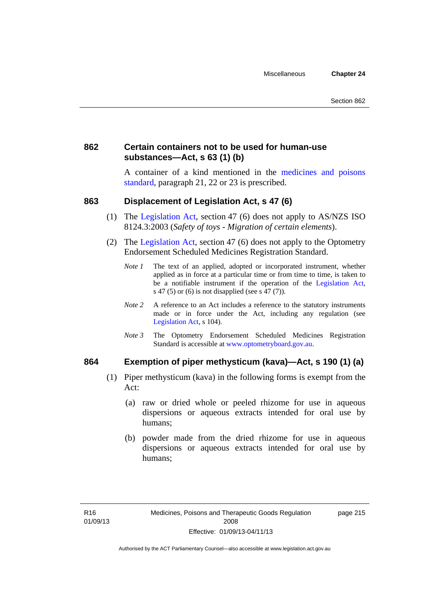#### **862 Certain containers not to be used for human-use substances—Act, s 63 (1) (b)**

A container of a kind mentioned in the [medicines and poisons](http://www.comlaw.gov.au/Series/F2012L01200)  [standard,](http://www.comlaw.gov.au/Series/F2012L01200) paragraph 21, 22 or 23 is prescribed.

#### **863 Displacement of Legislation Act, s 47 (6)**

- (1) The [Legislation Act](http://www.legislation.act.gov.au/a/2001-14), section 47 (6) does not apply to AS/NZS ISO 8124.3:2003 (*Safety of toys - Migration of certain elements*).
- (2) The [Legislation Act,](http://www.legislation.act.gov.au/a/2001-14) section 47 (6) does not apply to the Optometry Endorsement Scheduled Medicines Registration Standard.
	- *Note 1* The text of an applied, adopted or incorporated instrument, whether applied as in force at a particular time or from time to time, is taken to be a notifiable instrument if the operation of the [Legislation Act,](http://www.legislation.act.gov.au/a/2001-14) s 47 (5) or (6) is not disapplied (see s 47 (7)).
	- *Note 2* A reference to an Act includes a reference to the statutory instruments made or in force under the Act, including any regulation (see [Legislation Act,](http://www.legislation.act.gov.au/a/2001-14) s 104).
	- *Note 3* The Optometry Endorsement Scheduled Medicines Registration Standard is accessible at [www.optometryboard.gov.au](http://www.optometryboard.gov.au/).

#### **864 Exemption of piper methysticum (kava)—Act, s 190 (1) (a)**

- (1) Piper methysticum (kava) in the following forms is exempt from the Act:
	- (a) raw or dried whole or peeled rhizome for use in aqueous dispersions or aqueous extracts intended for oral use by humans;
	- (b) powder made from the dried rhizome for use in aqueous dispersions or aqueous extracts intended for oral use by humans;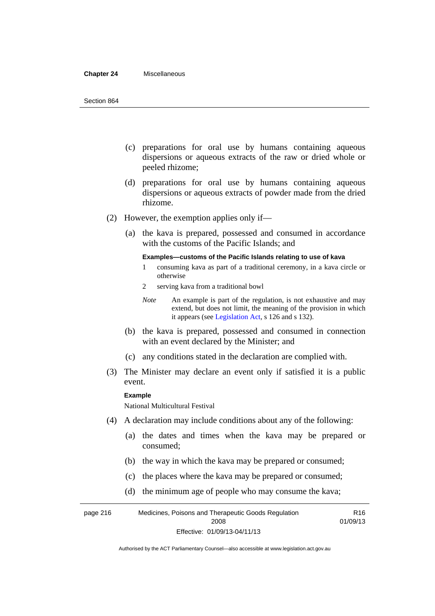#### **Chapter 24** Miscellaneous

- (c) preparations for oral use by humans containing aqueous dispersions or aqueous extracts of the raw or dried whole or peeled rhizome;
- (d) preparations for oral use by humans containing aqueous dispersions or aqueous extracts of powder made from the dried rhizome.
- (2) However, the exemption applies only if—
	- (a) the kava is prepared, possessed and consumed in accordance with the customs of the Pacific Islands; and

#### **Examples—customs of the Pacific Islands relating to use of kava**

- 1 consuming kava as part of a traditional ceremony, in a kava circle or otherwise
- 2 serving kava from a traditional bowl

- (b) the kava is prepared, possessed and consumed in connection with an event declared by the Minister; and
- (c) any conditions stated in the declaration are complied with.
- (3) The Minister may declare an event only if satisfied it is a public event.

#### **Example**

National Multicultural Festival

- (4) A declaration may include conditions about any of the following:
	- (a) the dates and times when the kava may be prepared or consumed;
	- (b) the way in which the kava may be prepared or consumed;
	- (c) the places where the kava may be prepared or consumed;
	- (d) the minimum age of people who may consume the kava;

page 216 Medicines, Poisons and Therapeutic Goods Regulation 2008 Effective: 01/09/13-04/11/13 R16 01/09/13

*Note* An example is part of the regulation, is not exhaustive and may extend, but does not limit, the meaning of the provision in which it appears (see [Legislation Act,](http://www.legislation.act.gov.au/a/2001-14) s 126 and s 132).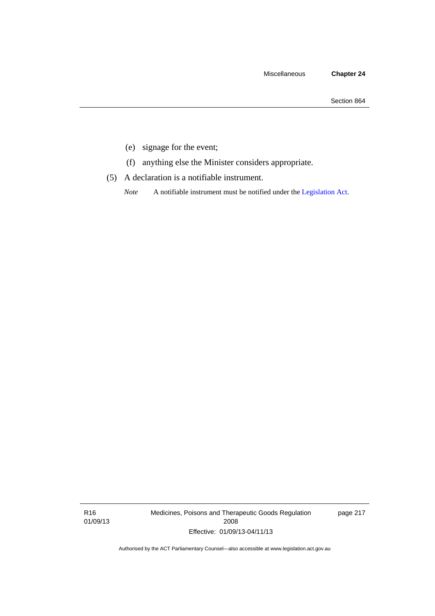- (e) signage for the event;
- (f) anything else the Minister considers appropriate.
- (5) A declaration is a notifiable instrument.

*Note* A notifiable instrument must be notified under the [Legislation Act](http://www.legislation.act.gov.au/a/2001-14).

R16 01/09/13 Medicines, Poisons and Therapeutic Goods Regulation 2008 Effective: 01/09/13-04/11/13

page 217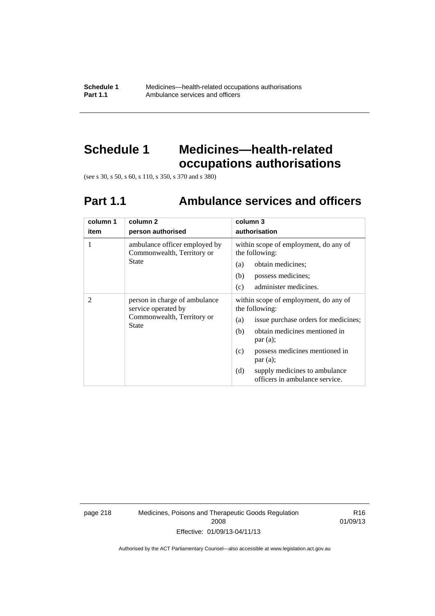**Schedule 1** Medicines—health-related occupations authorisations<br>**Part 1.1** Ambulance services and officers Ambulance services and officers

## **Schedule 1 Medicines—health-related occupations authorisations**

(see s 30, s 50, s 60, s 110, s 350, s 370 and s 380)

# **Part 1.1 Ambulance services and officers**

| column 1<br>item | column 2<br>person authorised                                                                      | column 3<br>authorisation                                                                                                                                                                                                                                                               |
|------------------|----------------------------------------------------------------------------------------------------|-----------------------------------------------------------------------------------------------------------------------------------------------------------------------------------------------------------------------------------------------------------------------------------------|
| 1                | ambulance officer employed by<br>Commonwealth, Territory or<br>State                               | within scope of employment, do any of<br>the following:<br>obtain medicines;<br>(a)<br>(b)<br>possess medicines;<br>administer medicines.<br>(c)                                                                                                                                        |
| 2                | person in charge of ambulance<br>service operated by<br>Commonwealth, Territory or<br><b>State</b> | within scope of employment, do any of<br>the following:<br>issue purchase orders for medicines;<br>(a)<br>obtain medicines mentioned in<br>(b)<br>par(a);<br>possess medicines mentioned in<br>(c)<br>par(a);<br>(d)<br>supply medicines to ambulance<br>officers in ambulance service. |

page 218 Medicines, Poisons and Therapeutic Goods Regulation 2008 Effective: 01/09/13-04/11/13

R16 01/09/13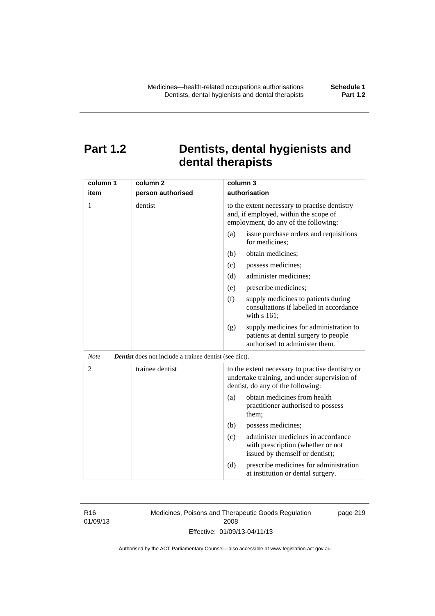## **Part 1.2 Dentists, dental hygienists and dental therapists**

| column 1       | column <sub>2</sub>                                    | column 3                                                                                                                              |
|----------------|--------------------------------------------------------|---------------------------------------------------------------------------------------------------------------------------------------|
| item           | person authorised                                      | authorisation                                                                                                                         |
| 1              | dentist                                                | to the extent necessary to practise dentistry<br>and, if employed, within the scope of<br>employment, do any of the following:        |
|                |                                                        | (a)<br>issue purchase orders and requisitions<br>for medicines;                                                                       |
|                |                                                        | obtain medicines;<br>(b)                                                                                                              |
|                |                                                        | (c)<br>possess medicines;                                                                                                             |
|                |                                                        | administer medicines;<br>(d)                                                                                                          |
|                |                                                        | prescribe medicines;<br>(e)                                                                                                           |
|                |                                                        | (f)<br>supply medicines to patients during<br>consultations if labelled in accordance<br>with s 161;                                  |
|                |                                                        | supply medicines for administration to<br>(g)<br>patients at dental surgery to people<br>authorised to administer them.               |
| <b>Note</b>    | Dentist does not include a trainee dentist (see dict). |                                                                                                                                       |
| $\overline{c}$ | trainee dentist                                        | to the extent necessary to practise dentistry or<br>undertake training, and under supervision of<br>dentist, do any of the following: |
|                |                                                        | obtain medicines from health<br>(a)<br>practitioner authorised to possess<br>them:                                                    |
|                |                                                        | possess medicines;<br>(b)                                                                                                             |
|                |                                                        | administer medicines in accordance<br>(c)<br>with prescription (whether or not<br>issued by themself or dentist);                     |
|                |                                                        | (d)<br>prescribe medicines for administration<br>at institution or dental surgery.                                                    |

R16 01/09/13 Medicines, Poisons and Therapeutic Goods Regulation 2008 Effective: 01/09/13-04/11/13

page 219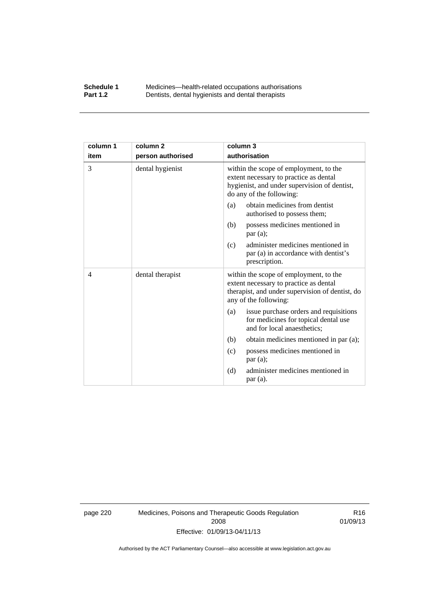#### **Schedule 1** Medicines—health-related occupations authorisations<br>**Part 1.2** Dentists, dental hygienists and dental therapists **Part 1.2** Dentists, dental hygienists and dental therapists

| column 1 | column <sub>2</sub> | column 3                                                                                                                                                     |
|----------|---------------------|--------------------------------------------------------------------------------------------------------------------------------------------------------------|
| item     | person authorised   | authorisation                                                                                                                                                |
| 3        | dental hygienist    | within the scope of employment, to the<br>extent necessary to practice as dental<br>hygienist, and under supervision of dentist,<br>do any of the following: |
|          |                     | obtain medicines from dentist<br>(a)<br>authorised to possess them;                                                                                          |
|          |                     | possess medicines mentioned in<br>(b)<br>par(a);                                                                                                             |
|          |                     | administer medicines mentioned in<br>(c)<br>par (a) in accordance with dentist's<br>prescription.                                                            |
| 4        | dental therapist    | within the scope of employment, to the<br>extent necessary to practice as dental<br>therapist, and under supervision of dentist, do<br>any of the following: |
|          |                     | issue purchase orders and requisitions<br>(a)<br>for medicines for topical dental use<br>and for local anaesthetics;                                         |
|          |                     | obtain medicines mentioned in par (a);<br>(b)                                                                                                                |
|          |                     | possess medicines mentioned in<br>(c)<br>par(a);                                                                                                             |
|          |                     | (d)<br>administer medicines mentioned in<br>par(a).                                                                                                          |

page 220 Medicines, Poisons and Therapeutic Goods Regulation 2008 Effective: 01/09/13-04/11/13

R16 01/09/13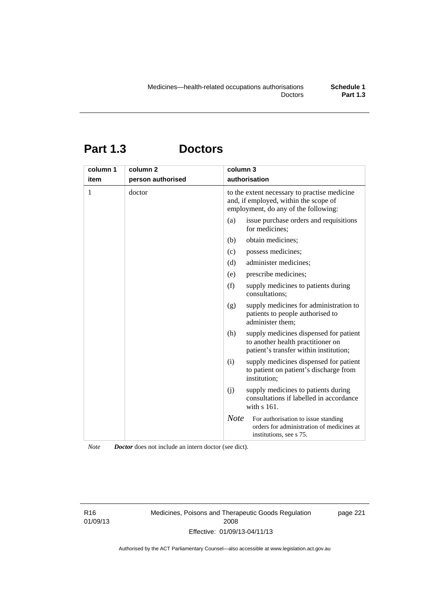# **Part 1.3 Doctors**

| column 1 | column <sub>2</sub> | column 3                                                                                                                      |
|----------|---------------------|-------------------------------------------------------------------------------------------------------------------------------|
| item     | person authorised   | authorisation                                                                                                                 |
| 1        | doctor              | to the extent necessary to practise medicine<br>and, if employed, within the scope of<br>employment, do any of the following: |
|          |                     | issue purchase orders and requisitions<br>(a)<br>for medicines;                                                               |
|          |                     | obtain medicines;<br>(b)                                                                                                      |
|          |                     | possess medicines;<br>(c)                                                                                                     |
|          |                     | administer medicines;<br>(d)                                                                                                  |
|          |                     | prescribe medicines;<br>(e)                                                                                                   |
|          |                     | (f)<br>supply medicines to patients during<br>consultations;                                                                  |
|          |                     | supply medicines for administration to<br>(g)<br>patients to people authorised to<br>administer them;                         |
|          |                     | (h)<br>supply medicines dispensed for patient<br>to another health practitioner on<br>patient's transfer within institution;  |
|          |                     | supply medicines dispensed for patient<br>(i)<br>to patient on patient's discharge from<br>institution;                       |
|          |                     | (i)<br>supply medicines to patients during<br>consultations if labelled in accordance<br>with $s$ 161.                        |
|          |                     | <b>Note</b><br>For authorisation to issue standing<br>orders for administration of medicines at<br>institutions, see s 75.    |

*Note Doctor* does not include an intern doctor (see dict).

R16 01/09/13 Medicines, Poisons and Therapeutic Goods Regulation 2008 Effective: 01/09/13-04/11/13

page 221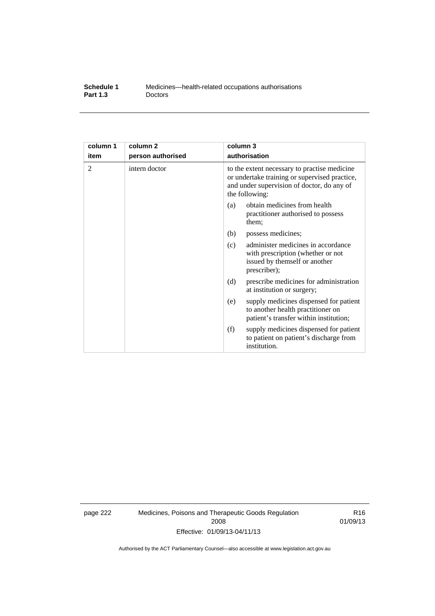| Schedule 1      | Medicines—health-related occupations authorisations |
|-----------------|-----------------------------------------------------|
| <b>Part 1.3</b> | <b>Doctors</b>                                      |

| column 1 | column 2          | column 3                                                                                                                                                      |
|----------|-------------------|---------------------------------------------------------------------------------------------------------------------------------------------------------------|
| item     | person authorised | authorisation                                                                                                                                                 |
| 2        | intern doctor     | to the extent necessary to practise medicine<br>or undertake training or supervised practice,<br>and under supervision of doctor, do any of<br>the following: |
|          |                   | obtain medicines from health<br>(a)<br>practitioner authorised to possess<br>them:                                                                            |
|          |                   | (b)<br>possess medicines;                                                                                                                                     |
|          |                   | administer medicines in accordance<br>(c)<br>with prescription (whether or not<br>issued by themself or another<br>prescriber);                               |
|          |                   | (d)<br>prescribe medicines for administration<br>at institution or surgery;                                                                                   |
|          |                   | supply medicines dispensed for patient<br>(e)<br>to another health practitioner on<br>patient's transfer within institution;                                  |
|          |                   | (f)<br>supply medicines dispensed for patient<br>to patient on patient's discharge from<br>institution.                                                       |

page 222 Medicines, Poisons and Therapeutic Goods Regulation 2008 Effective: 01/09/13-04/11/13

R16 01/09/13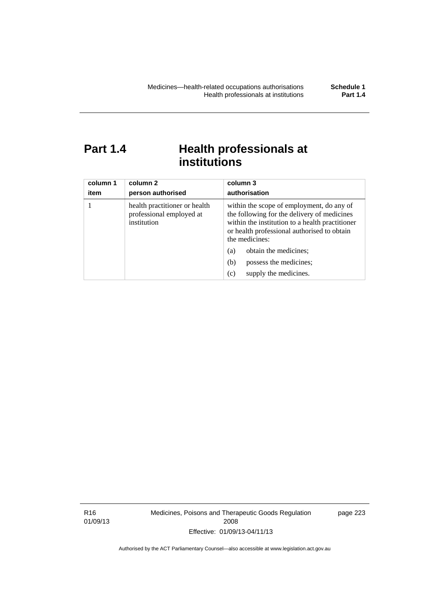## Part 1.4 **Health professionals at institutions**

| column 1<br>item | column 2<br>person authorised                                            | column 3<br>authorisation                                                                                                                                                                                    |
|------------------|--------------------------------------------------------------------------|--------------------------------------------------------------------------------------------------------------------------------------------------------------------------------------------------------------|
|                  | health practitioner or health<br>professional employed at<br>institution | within the scope of employment, do any of<br>the following for the delivery of medicines<br>within the institution to a health practitioner<br>or health professional authorised to obtain<br>the medicines: |
|                  |                                                                          | obtain the medicines;<br>(a)                                                                                                                                                                                 |
|                  |                                                                          | possess the medicines;<br>(b)                                                                                                                                                                                |
|                  |                                                                          | supply the medicines.<br>(c)                                                                                                                                                                                 |

R16 01/09/13 Medicines, Poisons and Therapeutic Goods Regulation 2008 Effective: 01/09/13-04/11/13

page 223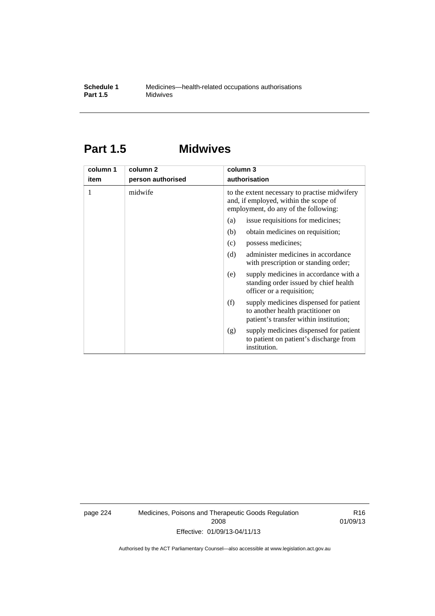## **Part 1.5 Midwives**

| column 1 | column 2          | column 3                                                                                                                       |
|----------|-------------------|--------------------------------------------------------------------------------------------------------------------------------|
| item     | person authorised | authorisation                                                                                                                  |
| 1        | midwife           | to the extent necessary to practise midwifery<br>and, if employed, within the scope of<br>employment, do any of the following: |
|          |                   | issue requisitions for medicines;<br>(a)                                                                                       |
|          |                   | obtain medicines on requisition;<br>(b)                                                                                        |
|          |                   | possess medicines;<br>(c)                                                                                                      |
|          |                   | administer medicines in accordance<br>(d)<br>with prescription or standing order;                                              |
|          |                   | supply medicines in accordance with a<br>(e)<br>standing order issued by chief health<br>officer or a requisition;             |
|          |                   | (f)<br>supply medicines dispensed for patient<br>to another health practitioner on<br>patient's transfer within institution;   |
|          |                   | supply medicines dispensed for patient<br>(g)<br>to patient on patient's discharge from<br>institution.                        |

page 224 Medicines, Poisons and Therapeutic Goods Regulation 2008 Effective: 01/09/13-04/11/13

R16 01/09/13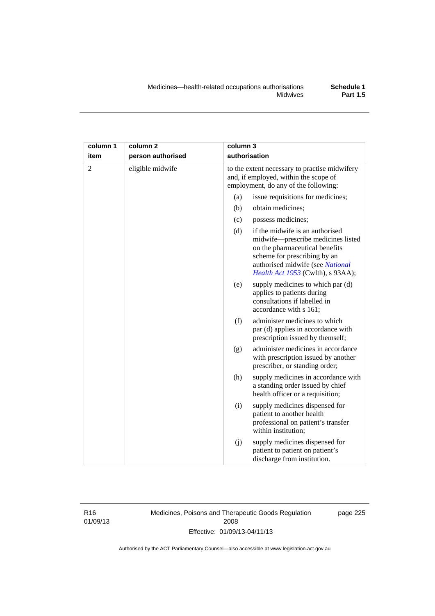| column 1       | column <sub>2</sub> | column 3                                                                                                                       |                                                                                                                                                                                                                  |
|----------------|---------------------|--------------------------------------------------------------------------------------------------------------------------------|------------------------------------------------------------------------------------------------------------------------------------------------------------------------------------------------------------------|
| item           | person authorised   |                                                                                                                                | authorisation                                                                                                                                                                                                    |
| $\overline{2}$ | eligible midwife    | to the extent necessary to practise midwifery<br>and, if employed, within the scope of<br>employment, do any of the following: |                                                                                                                                                                                                                  |
|                |                     | (a)                                                                                                                            | issue requisitions for medicines;                                                                                                                                                                                |
|                |                     | (b)                                                                                                                            | obtain medicines;                                                                                                                                                                                                |
|                |                     | (c)                                                                                                                            | possess medicines;                                                                                                                                                                                               |
|                |                     | (d)                                                                                                                            | if the midwife is an authorised<br>midwife-prescribe medicines listed<br>on the pharmaceutical benefits<br>scheme for prescribing by an<br>authorised midwife (see National<br>Health Act 1953 (Cwlth), s 93AA); |
|                |                     | (e)                                                                                                                            | supply medicines to which par (d)<br>applies to patients during<br>consultations if labelled in<br>accordance with s 161;                                                                                        |
|                |                     | (f)                                                                                                                            | administer medicines to which<br>par (d) applies in accordance with<br>prescription issued by themself;                                                                                                          |
|                |                     | (g)                                                                                                                            | administer medicines in accordance<br>with prescription issued by another<br>prescriber, or standing order;                                                                                                      |
|                |                     | (h)                                                                                                                            | supply medicines in accordance with<br>a standing order issued by chief<br>health officer or a requisition;                                                                                                      |
|                |                     | (i)                                                                                                                            | supply medicines dispensed for<br>patient to another health<br>professional on patient's transfer<br>within institution:                                                                                         |
|                |                     | (j)                                                                                                                            | supply medicines dispensed for<br>patient to patient on patient's<br>discharge from institution.                                                                                                                 |

R16 01/09/13 Medicines, Poisons and Therapeutic Goods Regulation 2008 Effective: 01/09/13-04/11/13

page 225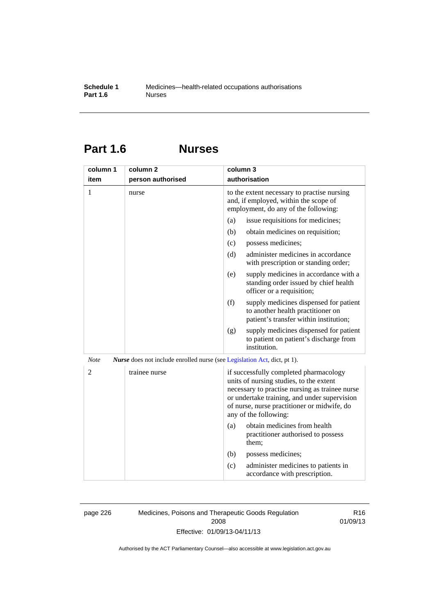## **Part 1.6 Nurses**

| column 1                                                                                       | column <sub>2</sub> | column 3                                                                                                                                                                                                                                                    |  |
|------------------------------------------------------------------------------------------------|---------------------|-------------------------------------------------------------------------------------------------------------------------------------------------------------------------------------------------------------------------------------------------------------|--|
| item                                                                                           | person authorised   | authorisation                                                                                                                                                                                                                                               |  |
| 1                                                                                              | nurse               | to the extent necessary to practise nursing<br>and, if employed, within the scope of<br>employment, do any of the following:                                                                                                                                |  |
|                                                                                                |                     | issue requisitions for medicines;<br>(a)                                                                                                                                                                                                                    |  |
|                                                                                                |                     | (b)<br>obtain medicines on requisition;                                                                                                                                                                                                                     |  |
|                                                                                                |                     | (c)<br>possess medicines;                                                                                                                                                                                                                                   |  |
|                                                                                                |                     | administer medicines in accordance<br>(d)<br>with prescription or standing order;                                                                                                                                                                           |  |
|                                                                                                |                     | supply medicines in accordance with a<br>(e)<br>standing order issued by chief health<br>officer or a requisition;                                                                                                                                          |  |
|                                                                                                |                     | (f)<br>supply medicines dispensed for patient<br>to another health practitioner on<br>patient's transfer within institution;                                                                                                                                |  |
|                                                                                                |                     | supply medicines dispensed for patient<br>(g)<br>to patient on patient's discharge from<br>institution.                                                                                                                                                     |  |
| <b>Note</b><br><i>Nurse</i> does not include enrolled nurse (see Legislation Act, dict, pt 1). |                     |                                                                                                                                                                                                                                                             |  |
| $\overline{2}$                                                                                 | trainee nurse       | if successfully completed pharmacology<br>units of nursing studies, to the extent<br>necessary to practise nursing as trainee nurse<br>or undertake training, and under supervision<br>of nurse, nurse practitioner or midwife, do<br>any of the following: |  |
|                                                                                                |                     | obtain medicines from health<br>(a)<br>practitioner authorised to possess<br>them;                                                                                                                                                                          |  |
|                                                                                                |                     | (b)<br>possess medicines;                                                                                                                                                                                                                                   |  |
|                                                                                                |                     | administer medicines to patients in<br>(c)<br>accordance with prescription.                                                                                                                                                                                 |  |

page 226 Medicines, Poisons and Therapeutic Goods Regulation 2008 Effective: 01/09/13-04/11/13

R16 01/09/13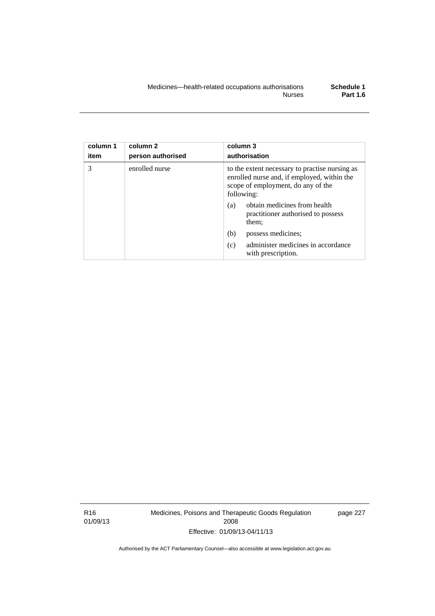| column 1<br>item | column 2<br>person authorised | column 3<br>authorisation                                                                                                                         |
|------------------|-------------------------------|---------------------------------------------------------------------------------------------------------------------------------------------------|
| 3                | enrolled nurse                | to the extent necessary to practise nursing as<br>enrolled nurse and, if employed, within the<br>scope of employment, do any of the<br>following: |
|                  |                               | obtain medicines from health<br>(a)<br>practitioner authorised to possess<br>them;                                                                |
|                  |                               | (b)<br>possess medicines;                                                                                                                         |
|                  |                               | administer medicines in accordance<br>(c)<br>with prescription.                                                                                   |

R16 01/09/13 Medicines, Poisons and Therapeutic Goods Regulation 2008 Effective: 01/09/13-04/11/13

page 227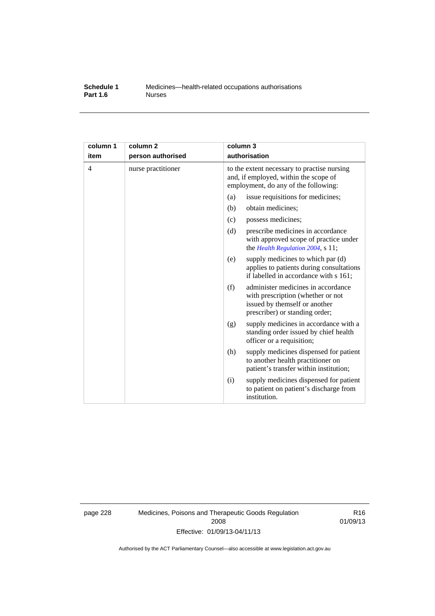#### **Schedule 1** Medicines—health-related occupations authorisations<br>**Part 1.6** Murses **Part 1.6**

| column 1<br>item | column <sub>2</sub><br>person authorised | column 3<br>authorisation                                                                                                                         |  |
|------------------|------------------------------------------|---------------------------------------------------------------------------------------------------------------------------------------------------|--|
| 4                | nurse practitioner                       | to the extent necessary to practise nursing<br>and, if employed, within the scope of<br>employment, do any of the following:                      |  |
|                  |                                          | (a)<br>issue requisitions for medicines;                                                                                                          |  |
|                  |                                          | (b)<br>obtain medicines;                                                                                                                          |  |
|                  |                                          | possess medicines;<br>(c)                                                                                                                         |  |
|                  |                                          | (d)<br>prescribe medicines in accordance<br>with approved scope of practice under<br>the Health Regulation 2004, s 11;                            |  |
|                  |                                          | supply medicines to which par (d)<br>(e)<br>applies to patients during consultations<br>if labelled in accordance with s 161;                     |  |
|                  |                                          | administer medicines in accordance<br>(f)<br>with prescription (whether or not<br>issued by themself or another<br>prescriber) or standing order; |  |
|                  |                                          | supply medicines in accordance with a<br>(g)<br>standing order issued by chief health<br>officer or a requisition;                                |  |
|                  |                                          | supply medicines dispensed for patient<br>(h)<br>to another health practitioner on<br>patient's transfer within institution;                      |  |
|                  |                                          | supply medicines dispensed for patient<br>(i)<br>to patient on patient's discharge from<br>institution.                                           |  |

page 228 Medicines, Poisons and Therapeutic Goods Regulation 2008 Effective: 01/09/13-04/11/13

R16 01/09/13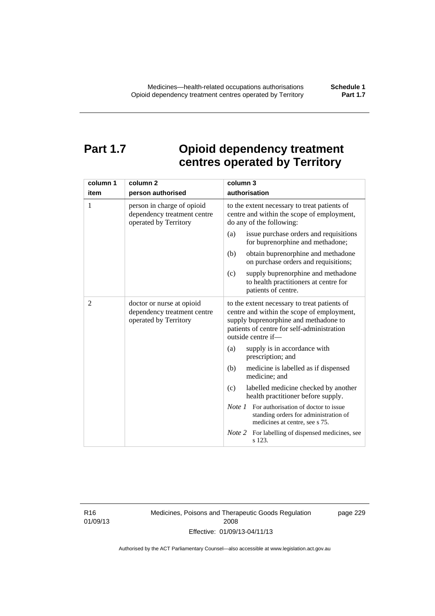# **Part 1.7 Opioid dependency treatment centres operated by Territory**

| column 1       | column <sub>2</sub>                                                                | column 3                                                                                                                                                                                                |
|----------------|------------------------------------------------------------------------------------|---------------------------------------------------------------------------------------------------------------------------------------------------------------------------------------------------------|
| item           | person authorised                                                                  | authorisation                                                                                                                                                                                           |
| 1              | person in charge of opioid<br>dependency treatment centre<br>operated by Territory | to the extent necessary to treat patients of<br>centre and within the scope of employment,<br>do any of the following:                                                                                  |
|                |                                                                                    | issue purchase orders and requisitions<br>(a)<br>for buprenorphine and methadone;                                                                                                                       |
|                |                                                                                    | obtain buprenorphine and methadone<br>(b)<br>on purchase orders and requisitions;                                                                                                                       |
|                |                                                                                    | supply buprenorphine and methadone<br>(c)<br>to health practitioners at centre for<br>patients of centre.                                                                                               |
| $\overline{c}$ | doctor or nurse at opioid<br>dependency treatment centre<br>operated by Territory  | to the extent necessary to treat patients of<br>centre and within the scope of employment,<br>supply buprenorphine and methadone to<br>patients of centre for self-administration<br>outside centre if- |
|                |                                                                                    | supply is in accordance with<br>(a)<br>prescription; and                                                                                                                                                |
|                |                                                                                    | (b)<br>medicine is labelled as if dispensed<br>medicine; and                                                                                                                                            |
|                |                                                                                    | (c)<br>labelled medicine checked by another<br>health practitioner before supply.                                                                                                                       |
|                |                                                                                    | <i>Note 1</i> For authorisation of doctor to issue<br>standing orders for administration of<br>medicines at centre, see s 75.                                                                           |
|                |                                                                                    | Note 2<br>For labelling of dispensed medicines, see<br>s 123.                                                                                                                                           |

R16 01/09/13 Medicines, Poisons and Therapeutic Goods Regulation 2008 Effective: 01/09/13-04/11/13

page 229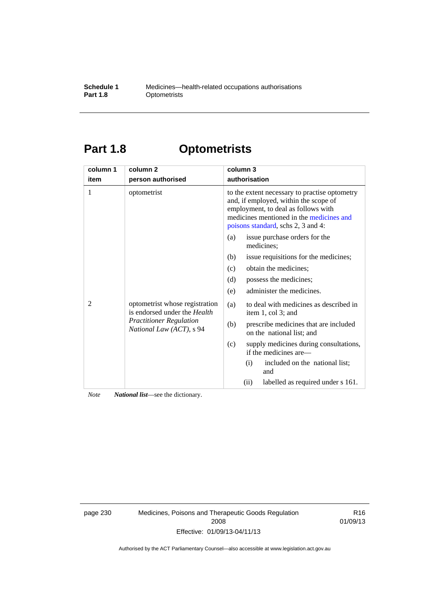### **Schedule 1** Medicines—health-related occupations authorisations<br>**Part 1.8** Optometrists **Optometrists**

# **Part 1.8 Optometrists**

| column 1 | column <sub>2</sub>                                                                                                          | column 3                                                                                                                                                                                                        |
|----------|------------------------------------------------------------------------------------------------------------------------------|-----------------------------------------------------------------------------------------------------------------------------------------------------------------------------------------------------------------|
| item     | person authorised                                                                                                            | authorisation                                                                                                                                                                                                   |
| 1        | optometrist                                                                                                                  | to the extent necessary to practise optometry<br>and, if employed, within the scope of<br>employment, to deal as follows with<br>medicines mentioned in the medicines and<br>poisons standard, schs 2, 3 and 4: |
|          |                                                                                                                              | issue purchase orders for the<br>(a)<br>medicines;                                                                                                                                                              |
|          |                                                                                                                              | issue requisitions for the medicines;<br>(b)                                                                                                                                                                    |
|          |                                                                                                                              | obtain the medicines;<br>(c)                                                                                                                                                                                    |
|          |                                                                                                                              | (d)<br>possess the medicines;                                                                                                                                                                                   |
|          |                                                                                                                              | administer the medicines.<br>(e)                                                                                                                                                                                |
| 2        | optometrist whose registration<br>is endorsed under the Health<br><b>Practitioner Regulation</b><br>National Law (ACT), s 94 | to deal with medicines as described in<br>(a)<br>item 1, col 3; and                                                                                                                                             |
|          |                                                                                                                              | prescribe medicines that are included<br>(b)<br>on the national list; and                                                                                                                                       |
|          |                                                                                                                              | supply medicines during consultations,<br>(c)<br>if the medicines are—                                                                                                                                          |
|          |                                                                                                                              | included on the national list;<br>(i)<br>and                                                                                                                                                                    |
|          |                                                                                                                              | labelled as required under s 161.<br>(ii)                                                                                                                                                                       |

*Note National list*—see the dictionary.

page 230 Medicines, Poisons and Therapeutic Goods Regulation 2008 Effective: 01/09/13-04/11/13

R16 01/09/13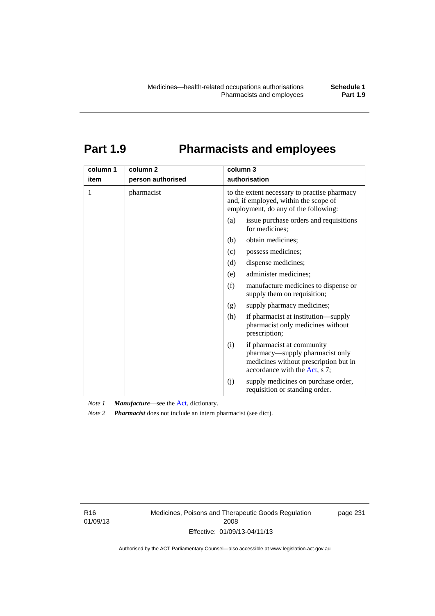# **Part 1.9 Pharmacists and employees**

| column 1 | column <sub>2</sub> | column 3                                                                                                                                       |
|----------|---------------------|------------------------------------------------------------------------------------------------------------------------------------------------|
| item     | person authorised   | authorisation                                                                                                                                  |
| 1        | pharmacist          | to the extent necessary to practise pharmacy<br>and, if employed, within the scope of<br>employment, do any of the following:                  |
|          |                     | issue purchase orders and requisitions<br>(a)<br>for medicines;                                                                                |
|          |                     | obtain medicines;<br>(b)                                                                                                                       |
|          |                     | (c)<br>possess medicines;                                                                                                                      |
|          |                     | dispense medicines;<br>(d)                                                                                                                     |
|          |                     | administer medicines;<br>(e)                                                                                                                   |
|          |                     | (f)<br>manufacture medicines to dispense or<br>supply them on requisition;                                                                     |
|          |                     | supply pharmacy medicines;<br>(g)                                                                                                              |
|          |                     | (h)<br>if pharmacist at institution—supply<br>pharmacist only medicines without<br>prescription;                                               |
|          |                     | if pharmacist at community<br>(i)<br>pharmacy—supply pharmacist only<br>medicines without prescription but in<br>accordance with the Act, s 7; |
|          |                     | supply medicines on purchase order,<br>(j)<br>requisition or standing order.                                                                   |

*Note 1 Manufacture*—see the [Act,](http://www.legislation.act.gov.au/a/2008-26/default.asp) dictionary.

*Note 2 Pharmacist* does not include an intern pharmacist (see dict).

R16 01/09/13 Medicines, Poisons and Therapeutic Goods Regulation 2008 Effective: 01/09/13-04/11/13

page 231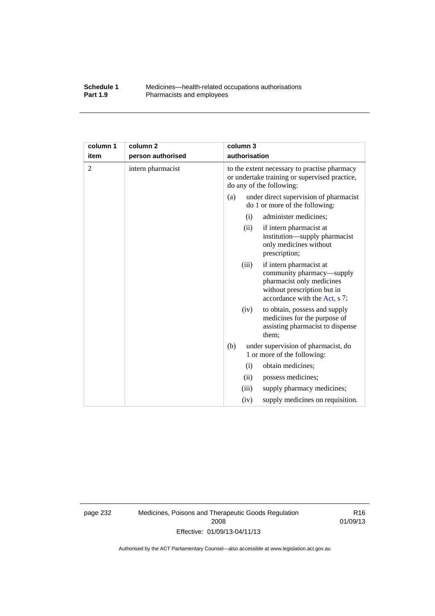### **Schedule 1** Medicines—health-related occupations authorisations<br>**Part 1.9** Pharmacists and employees Pharmacists and employees

| column 1       | column <sub>2</sub> |     | column 3      |                                                                                                                                                   |
|----------------|---------------------|-----|---------------|---------------------------------------------------------------------------------------------------------------------------------------------------|
| item           | person authorised   |     | authorisation |                                                                                                                                                   |
| $\overline{2}$ | intern pharmacist   |     |               | to the extent necessary to practise pharmacy<br>or undertake training or supervised practice,<br>do any of the following:                         |
|                |                     | (a) |               | under direct supervision of pharmacist<br>do 1 or more of the following:                                                                          |
|                |                     |     | (i)           | administer medicines;                                                                                                                             |
|                |                     |     | (ii)          | if intern pharmacist at<br>institution—supply pharmacist<br>only medicines without<br>prescription;                                               |
|                |                     |     | (iii)         | if intern pharmacist at<br>community pharmacy—supply<br>pharmacist only medicines<br>without prescription but in<br>accordance with the Act, s 7; |
|                |                     |     | (iv)          | to obtain, possess and supply<br>medicines for the purpose of<br>assisting pharmacist to dispense<br>them;                                        |
|                |                     | (b) |               | under supervision of pharmacist, do<br>1 or more of the following:                                                                                |
|                |                     |     | (i)           | obtain medicines;                                                                                                                                 |
|                |                     |     | (ii)          | possess medicines;                                                                                                                                |
|                |                     |     | (iii)         | supply pharmacy medicines;                                                                                                                        |
|                |                     |     | (iv)          | supply medicines on requisition.                                                                                                                  |

page 232 Medicines, Poisons and Therapeutic Goods Regulation 2008 Effective: 01/09/13-04/11/13

R16 01/09/13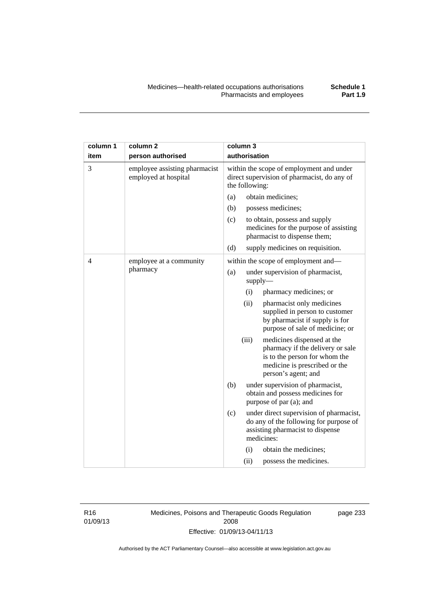| column 1       | column <sub>2</sub>                                   |                                                                                                           | column 3 |                                                                                                                                                         |
|----------------|-------------------------------------------------------|-----------------------------------------------------------------------------------------------------------|----------|---------------------------------------------------------------------------------------------------------------------------------------------------------|
| item           | person authorised                                     | authorisation                                                                                             |          |                                                                                                                                                         |
| 3              | employee assisting pharmacist<br>employed at hospital | within the scope of employment and under<br>direct supervision of pharmacist, do any of<br>the following: |          |                                                                                                                                                         |
|                |                                                       | (a)                                                                                                       |          | obtain medicines;                                                                                                                                       |
|                |                                                       | (b)                                                                                                       |          | possess medicines;                                                                                                                                      |
|                |                                                       | (c)                                                                                                       |          | to obtain, possess and supply<br>medicines for the purpose of assisting<br>pharmacist to dispense them;                                                 |
|                |                                                       | (d)                                                                                                       |          | supply medicines on requisition.                                                                                                                        |
| $\overline{4}$ | employee at a community                               |                                                                                                           |          | within the scope of employment and-                                                                                                                     |
|                | pharmacy                                              | (a)                                                                                                       |          | under supervision of pharmacist,<br>supply                                                                                                              |
|                |                                                       |                                                                                                           | (i)      | pharmacy medicines; or                                                                                                                                  |
|                |                                                       |                                                                                                           | (ii)     | pharmacist only medicines<br>supplied in person to customer<br>by pharmacist if supply is for<br>purpose of sale of medicine; or                        |
|                |                                                       |                                                                                                           | (iii)    | medicines dispensed at the<br>pharmacy if the delivery or sale<br>is to the person for whom the<br>medicine is prescribed or the<br>person's agent; and |
|                |                                                       | (b)                                                                                                       |          | under supervision of pharmacist,<br>obtain and possess medicines for<br>purpose of par (a); and                                                         |
|                |                                                       | (c)                                                                                                       |          | under direct supervision of pharmacist,<br>do any of the following for purpose of<br>assisting pharmacist to dispense<br>medicines:                     |
|                |                                                       |                                                                                                           | (i)      | obtain the medicines;                                                                                                                                   |
|                |                                                       |                                                                                                           | (ii)     | possess the medicines.                                                                                                                                  |

R16 01/09/13 Medicines, Poisons and Therapeutic Goods Regulation 2008 Effective: 01/09/13-04/11/13

page 233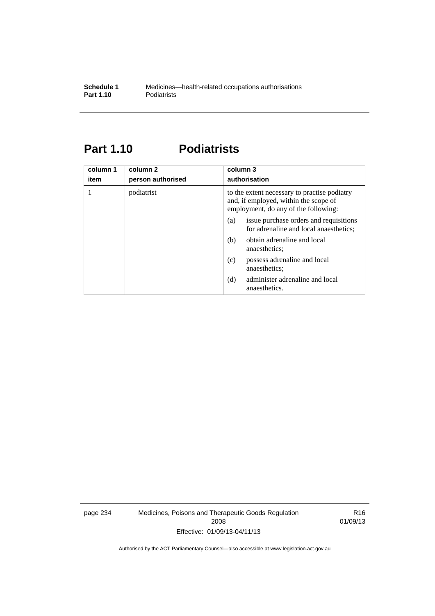# **Part 1.10 Podiatrists**

| column 1<br>item | column 2<br>person authorised | column 3<br>authorisation                                                                                                     |
|------------------|-------------------------------|-------------------------------------------------------------------------------------------------------------------------------|
|                  | podiatrist                    | to the extent necessary to practise podiatry<br>and, if employed, within the scope of<br>employment, do any of the following: |
|                  |                               | issue purchase orders and requisitions<br>(a)<br>for adrenaline and local anaesthetics;                                       |
|                  |                               | obtain adrenaline and local<br>(b)<br>anaesthetics:                                                                           |
|                  |                               | possess adrenaline and local<br>(c)<br>anaesthetics:                                                                          |
|                  |                               | administer adrenaline and local<br>(d)<br>anaesthetics.                                                                       |

page 234 Medicines, Poisons and Therapeutic Goods Regulation 2008 Effective: 01/09/13-04/11/13

R16 01/09/13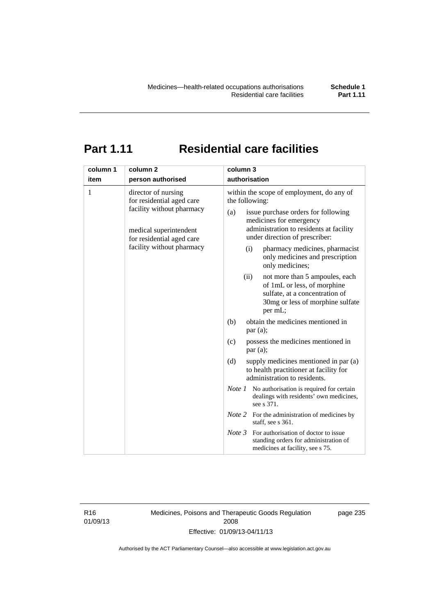# **Part 1.11 Residential care facilities**

| column 1 | column <sub>2</sub>                                                                                                                                               | column 3                                                                                                                                                                                                                                                                                                                                                   |
|----------|-------------------------------------------------------------------------------------------------------------------------------------------------------------------|------------------------------------------------------------------------------------------------------------------------------------------------------------------------------------------------------------------------------------------------------------------------------------------------------------------------------------------------------------|
| item     | person authorised                                                                                                                                                 | authorisation                                                                                                                                                                                                                                                                                                                                              |
| 1        | director of nursing<br>for residential aged care<br>facility without pharmacy<br>medical superintendent<br>for residential aged care<br>facility without pharmacy | within the scope of employment, do any of<br>the following:<br>issue purchase orders for following<br>(a)<br>medicines for emergency<br>administration to residents at facility<br>under direction of prescriber:<br>pharmacy medicines, pharmacist<br>(i)<br>only medicines and prescription<br>only medicines;<br>(ii)<br>not more than 5 ampoules, each |
|          |                                                                                                                                                                   | of 1mL or less, of morphine<br>sulfate, at a concentration of<br>30mg or less of morphine sulfate<br>per mL;                                                                                                                                                                                                                                               |
|          |                                                                                                                                                                   | obtain the medicines mentioned in<br>(b)<br>par(a);                                                                                                                                                                                                                                                                                                        |
|          |                                                                                                                                                                   | possess the medicines mentioned in<br>(c)<br>par(a);                                                                                                                                                                                                                                                                                                       |
|          |                                                                                                                                                                   | (d)<br>supply medicines mentioned in par (a)<br>to health practitioner at facility for<br>administration to residents.                                                                                                                                                                                                                                     |
|          |                                                                                                                                                                   | <i>Note 1</i> No authorisation is required for certain<br>dealings with residents' own medicines,<br>see s 371.                                                                                                                                                                                                                                            |
|          |                                                                                                                                                                   | <i>Note</i> 2 For the administration of medicines by<br>staff, see s 361.                                                                                                                                                                                                                                                                                  |
|          |                                                                                                                                                                   | Note 3<br>For authorisation of doctor to issue<br>standing orders for administration of<br>medicines at facility, see s 75.                                                                                                                                                                                                                                |

R16 01/09/13 Medicines, Poisons and Therapeutic Goods Regulation 2008 Effective: 01/09/13-04/11/13

page 235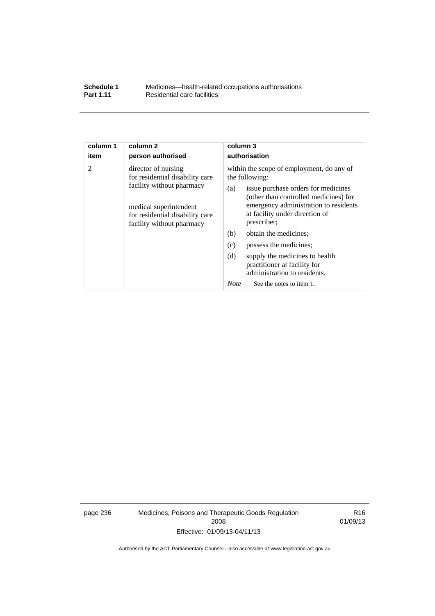| Schedule 1       | Medicines—health-related occupations authorisations |
|------------------|-----------------------------------------------------|
| <b>Part 1.11</b> | Residential care facilities                         |

| column 1               | column <sub>2</sub>                                                                                                                                                                                | column 3                                                                                                                                                                                                                                                                                                                                                                                                                                |
|------------------------|----------------------------------------------------------------------------------------------------------------------------------------------------------------------------------------------------|-----------------------------------------------------------------------------------------------------------------------------------------------------------------------------------------------------------------------------------------------------------------------------------------------------------------------------------------------------------------------------------------------------------------------------------------|
| item<br>$\overline{2}$ | person authorised<br>director of nursing<br>for residential disability care<br>facility without pharmacy<br>medical superintendent<br>for residential disability care<br>facility without pharmacy | authorisation<br>within the scope of employment, do any of<br>the following:<br>issue purchase orders for medicines<br>(a)<br>(other than controlled medicines) for<br>emergency administration to residents<br>at facility under direction of<br>prescriber;<br>(b)<br>obtain the medicines;<br>(c)<br>possess the medicines;<br>(d)<br>supply the medicines to health<br>practitioner at facility for<br>administration to residents. |
|                        |                                                                                                                                                                                                    | <b>Note</b><br>See the notes to item 1.                                                                                                                                                                                                                                                                                                                                                                                                 |

page 236 Medicines, Poisons and Therapeutic Goods Regulation 2008 Effective: 01/09/13-04/11/13

R16 01/09/13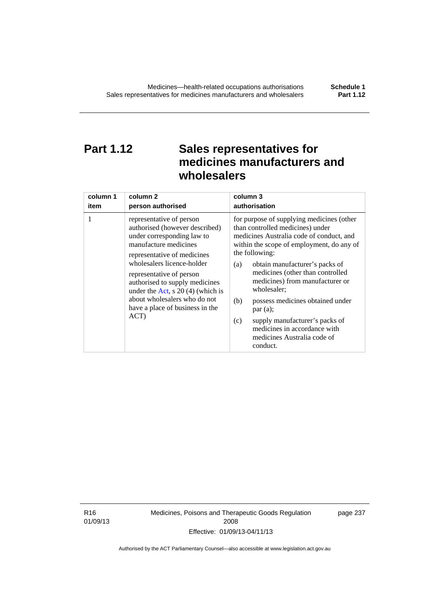# **Part 1.12 Sales representatives for medicines manufacturers and wholesalers**

| column 1 | column 2                                                                                                                                                                                                                                                                                                                                                      | column 3                                                                                                                                                                                                                                                                                                                                                                                                                                                                                          |
|----------|---------------------------------------------------------------------------------------------------------------------------------------------------------------------------------------------------------------------------------------------------------------------------------------------------------------------------------------------------------------|---------------------------------------------------------------------------------------------------------------------------------------------------------------------------------------------------------------------------------------------------------------------------------------------------------------------------------------------------------------------------------------------------------------------------------------------------------------------------------------------------|
| item     | person authorised                                                                                                                                                                                                                                                                                                                                             | authorisation                                                                                                                                                                                                                                                                                                                                                                                                                                                                                     |
| 1        | representative of person<br>authorised (however described)<br>under corresponding law to<br>manufacture medicines<br>representative of medicines<br>wholesalers licence-holder<br>representative of person<br>authorised to supply medicines<br>under the Act, s $20(4)$ (which is<br>about wholesalers who do not<br>have a place of business in the<br>ACT) | for purpose of supplying medicines (other<br>than controlled medicines) under<br>medicines Australia code of conduct, and<br>within the scope of employment, do any of<br>the following:<br>obtain manufacturer's packs of<br>(a)<br>medicines (other than controlled<br>medicines) from manufacturer or<br>wholesaler;<br>(b)<br>possess medicines obtained under<br>par(a);<br>supply manufacturer's packs of<br>(c)<br>medicines in accordance with<br>medicines Australia code of<br>conduct. |

R16 01/09/13 Medicines, Poisons and Therapeutic Goods Regulation 2008 Effective: 01/09/13-04/11/13

page 237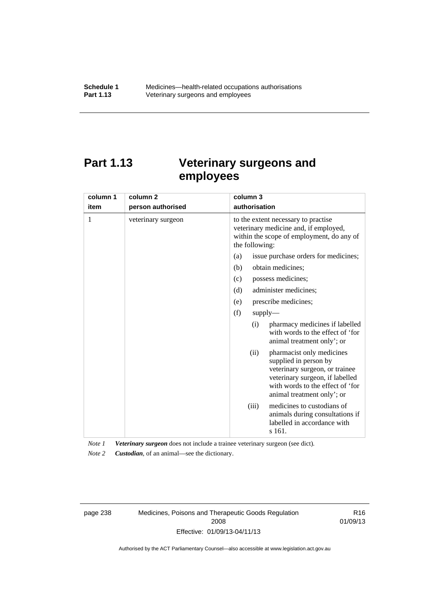# **Part 1.13 Veterinary surgeons and employees**

| column 1 | column <sub>2</sub> | column 3                                                                                                                                                                                          |
|----------|---------------------|---------------------------------------------------------------------------------------------------------------------------------------------------------------------------------------------------|
| item     | person authorised   | authorisation                                                                                                                                                                                     |
| 1        | veterinary surgeon  | to the extent necessary to practise<br>veterinary medicine and, if employed,<br>within the scope of employment, do any of<br>the following:                                                       |
|          |                     | issue purchase orders for medicines;<br>(a)                                                                                                                                                       |
|          |                     | (b)<br>obtain medicines;                                                                                                                                                                          |
|          |                     | possess medicines;<br>(c)                                                                                                                                                                         |
|          |                     | administer medicines;<br>(d)                                                                                                                                                                      |
|          |                     | prescribe medicines;<br>(e)                                                                                                                                                                       |
|          |                     | (f)<br>supply                                                                                                                                                                                     |
|          |                     | pharmacy medicines if labelled<br>(i)<br>with words to the effect of 'for<br>animal treatment only'; or                                                                                           |
|          |                     | pharmacist only medicines<br>(ii)<br>supplied in person by<br>veterinary surgeon, or trainee<br>veterinary surgeon, if labelled<br>with words to the effect of 'for<br>animal treatment only'; or |
|          |                     | medicines to custodians of<br>(iii)<br>animals during consultations if<br>labelled in accordance with<br>s 161.                                                                                   |

*Note 1 Veterinary surgeon* does not include a trainee veterinary surgeon (see dict).

*Note 2 Custodian*, of an animal—see the dictionary.

page 238 Medicines, Poisons and Therapeutic Goods Regulation 2008 Effective: 01/09/13-04/11/13

R16 01/09/13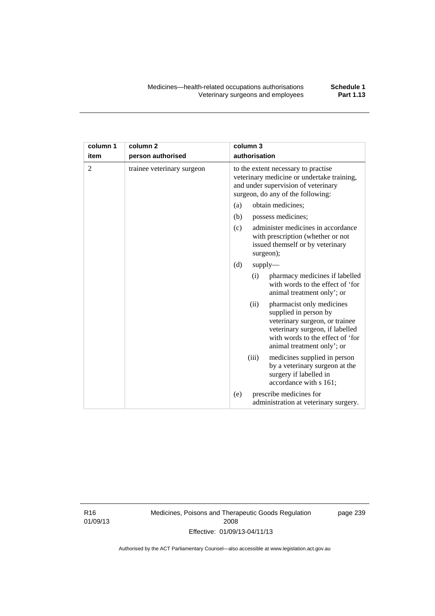| column 1       | column <sub>2</sub>        | column 3                                                                                                                                                                                          |
|----------------|----------------------------|---------------------------------------------------------------------------------------------------------------------------------------------------------------------------------------------------|
| item           | person authorised          | authorisation                                                                                                                                                                                     |
| $\overline{2}$ | trainee veterinary surgeon | to the extent necessary to practise<br>veterinary medicine or undertake training,<br>and under supervision of veterinary<br>surgeon, do any of the following:                                     |
|                |                            | obtain medicines;<br>(a)                                                                                                                                                                          |
|                |                            | (b)<br>possess medicines;                                                                                                                                                                         |
|                |                            | administer medicines in accordance<br>(c)<br>with prescription (whether or not<br>issued themself or by veterinary<br>surgeon);                                                                   |
|                |                            | (d)<br>supply                                                                                                                                                                                     |
|                |                            | pharmacy medicines if labelled<br>(i)<br>with words to the effect of 'for<br>animal treatment only'; or                                                                                           |
|                |                            | (ii)<br>pharmacist only medicines<br>supplied in person by<br>veterinary surgeon, or trainee<br>veterinary surgeon, if labelled<br>with words to the effect of 'for<br>animal treatment only'; or |
|                |                            | (iii)<br>medicines supplied in person<br>by a veterinary surgeon at the<br>surgery if labelled in<br>accordance with s 161;                                                                       |
|                |                            | prescribe medicines for<br>(e)<br>administration at veterinary surgery.                                                                                                                           |

R16 01/09/13 Medicines, Poisons and Therapeutic Goods Regulation 2008 Effective: 01/09/13-04/11/13

page 239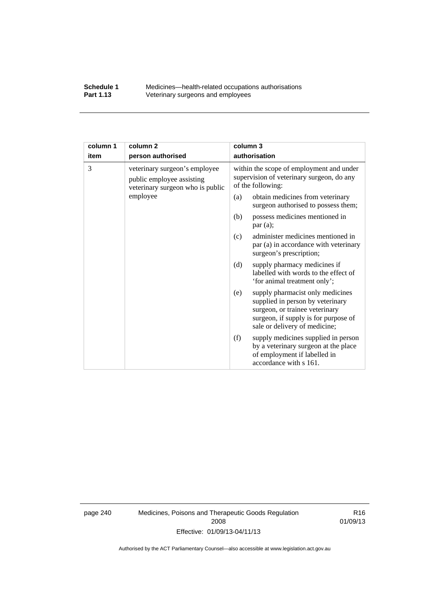### **Schedule 1** Medicines—health-related occupations authorisations<br>**Part 1.13** Veterinary surgeons and employees Veterinary surgeons and employees

| column 1 | column <sub>2</sub>                                                                            | column 3                                                                                                                                                                               |  |
|----------|------------------------------------------------------------------------------------------------|----------------------------------------------------------------------------------------------------------------------------------------------------------------------------------------|--|
| item     | person authorised                                                                              | authorisation                                                                                                                                                                          |  |
| 3        | veterinary surgeon's employee<br>public employee assisting<br>veterinary surgeon who is public | within the scope of employment and under<br>supervision of veterinary surgeon, do any<br>of the following:                                                                             |  |
|          | employee                                                                                       | obtain medicines from veterinary<br>(a)<br>surgeon authorised to possess them;                                                                                                         |  |
|          |                                                                                                | possess medicines mentioned in<br>(b)<br>par(a);                                                                                                                                       |  |
|          |                                                                                                | administer medicines mentioned in<br>(c)<br>par (a) in accordance with veterinary<br>surgeon's prescription;                                                                           |  |
|          |                                                                                                | (d)<br>supply pharmacy medicines if<br>labelled with words to the effect of<br>'for animal treatment only';                                                                            |  |
|          |                                                                                                | supply pharmacist only medicines<br>(e)<br>supplied in person by veterinary<br>surgeon, or trainee veterinary<br>surgeon, if supply is for purpose of<br>sale or delivery of medicine; |  |
|          |                                                                                                | supply medicines supplied in person<br>(f)<br>by a veterinary surgeon at the place<br>of employment if labelled in<br>accordance with s 161.                                           |  |

page 240 Medicines, Poisons and Therapeutic Goods Regulation 2008 Effective: 01/09/13-04/11/13

R16 01/09/13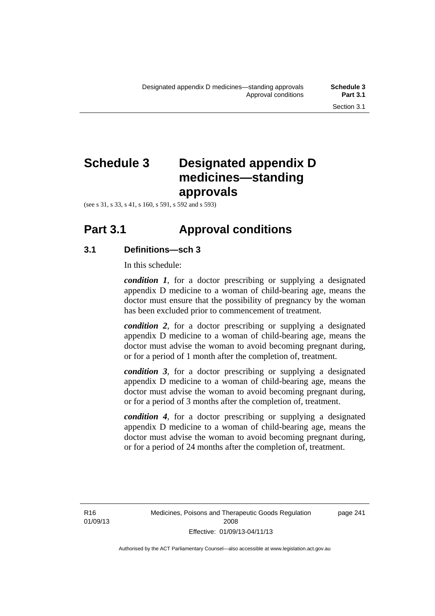# **Schedule 3 Designated appendix D medicines—standing approvals**

(see s 31, s 33, s 41, s 160, s 591, s 592 and s 593)

# **Part 3.1 Approval conditions**

# **3.1 Definitions—sch 3**

In this schedule:

*condition 1*, for a doctor prescribing or supplying a designated appendix D medicine to a woman of child-bearing age, means the doctor must ensure that the possibility of pregnancy by the woman has been excluded prior to commencement of treatment.

*condition 2*, for a doctor prescribing or supplying a designated appendix D medicine to a woman of child-bearing age, means the doctor must advise the woman to avoid becoming pregnant during, or for a period of 1 month after the completion of, treatment.

*condition 3*, for a doctor prescribing or supplying a designated appendix D medicine to a woman of child-bearing age, means the doctor must advise the woman to avoid becoming pregnant during, or for a period of 3 months after the completion of, treatment.

*condition 4*, for a doctor prescribing or supplying a designated appendix D medicine to a woman of child-bearing age, means the doctor must advise the woman to avoid becoming pregnant during, or for a period of 24 months after the completion of, treatment.

R16 01/09/13 page 241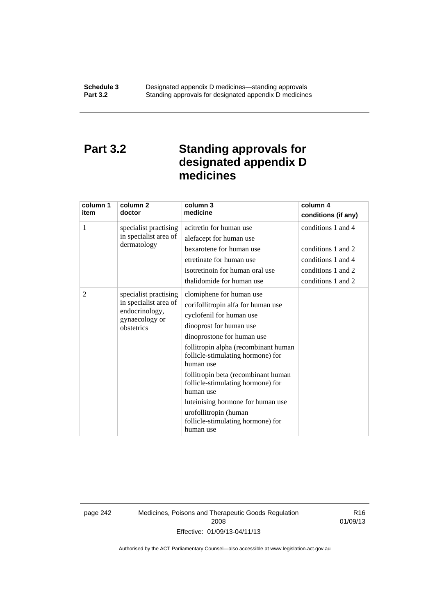# **Part 3.2 Standing approvals for designated appendix D medicines**

| column 1<br>item | column <sub>2</sub><br>doctor                                                                    | column 3<br>medicine                                                                                                                                                                                                                                                                                                                                                                                                                                   | column 4<br>conditions (if any)                                                                            |
|------------------|--------------------------------------------------------------------------------------------------|--------------------------------------------------------------------------------------------------------------------------------------------------------------------------------------------------------------------------------------------------------------------------------------------------------------------------------------------------------------------------------------------------------------------------------------------------------|------------------------------------------------------------------------------------------------------------|
| 1                | specialist practising<br>in specialist area of<br>dermatology                                    | acitretin for human use<br>alefacept for human use<br>bexarotene for human use<br>etretinate for human use<br>isotretinoin for human oral use<br>thalidomide for human use                                                                                                                                                                                                                                                                             | conditions 1 and 4<br>conditions 1 and 2<br>conditions 1 and 4<br>conditions 1 and 2<br>conditions 1 and 2 |
| 2                | specialist practising<br>in specialist area of<br>endocrinology,<br>gynaecology or<br>obstetrics | clomiphene for human use<br>corifollitropin alfa for human use<br>cyclofenil for human use<br>dinoprost for human use<br>dinoprostone for human use<br>follitropin alpha (recombinant human<br>follicle-stimulating hormone) for<br>human use<br>follitropin beta (recombinant human<br>follicle-stimulating hormone) for<br>human use<br>luteinising hormone for human use<br>urofollitropin (human<br>follicle-stimulating hormone) for<br>human use |                                                                                                            |

page 242 Medicines, Poisons and Therapeutic Goods Regulation 2008 Effective: 01/09/13-04/11/13

R16 01/09/13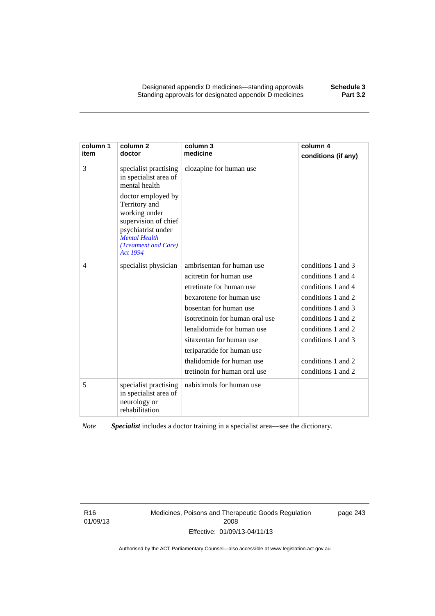Designated appendix D medicines—standing approvals **Schedule 3** Standing approvals for designated appendix D medicines

| column 1<br>item | column <sub>2</sub><br>doctor                                                                                                                                                                                                     | column 3<br>medicine                                                                                                                                                                                                                                                                                                           | column 4<br>conditions (if any)                                                                                                                                                                                          |
|------------------|-----------------------------------------------------------------------------------------------------------------------------------------------------------------------------------------------------------------------------------|--------------------------------------------------------------------------------------------------------------------------------------------------------------------------------------------------------------------------------------------------------------------------------------------------------------------------------|--------------------------------------------------------------------------------------------------------------------------------------------------------------------------------------------------------------------------|
| 3                | specialist practising<br>in specialist area of<br>mental health<br>doctor employed by<br>Territory and<br>working under<br>supervision of chief<br>psychiatrist under<br><b>Mental Health</b><br>(Treatment and Care)<br>Act 1994 | clozapine for human use                                                                                                                                                                                                                                                                                                        |                                                                                                                                                                                                                          |
| 4                | specialist physician                                                                                                                                                                                                              | ambrisentan for human use<br>acitretin for human use<br>etretinate for human use<br>bexarotene for human use<br>bosentan for human use<br>isotretinoin for human oral use<br>lenalidomide for human use<br>sitaxentan for human use<br>teriparatide for human use<br>thalidomide for human use<br>tretinoin for human oral use | conditions 1 and 3<br>conditions 1 and 4<br>conditions 1 and 4<br>conditions 1 and 2<br>conditions 1 and 3<br>conditions 1 and 2<br>conditions 1 and 2<br>conditions 1 and 3<br>conditions 1 and 2<br>conditions 1 and 2 |
| 5                | specialist practising<br>in specialist area of<br>neurology or<br>rehabilitation                                                                                                                                                  | nabiximols for human use                                                                                                                                                                                                                                                                                                       |                                                                                                                                                                                                                          |

*Note Specialist* includes a doctor training in a specialist area—see the dictionary.

R16 01/09/13 Medicines, Poisons and Therapeutic Goods Regulation 2008 Effective: 01/09/13-04/11/13

page 243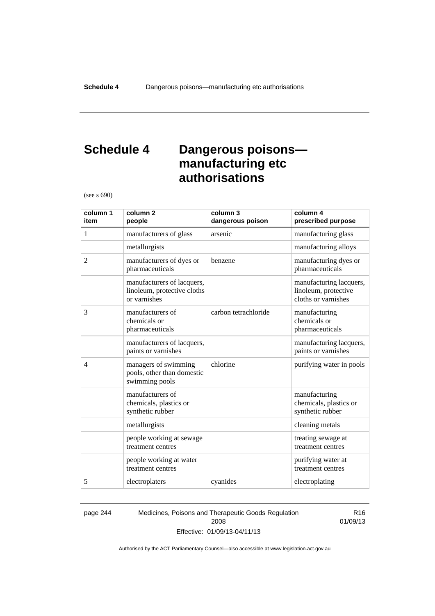# **Schedule 4 Dangerous poisons manufacturing etc authorisations**

(see s 690)

| column 1<br>item | column <sub>2</sub><br>people                                             | column 3<br>dangerous poison | column 4<br>prescribed purpose                                         |
|------------------|---------------------------------------------------------------------------|------------------------------|------------------------------------------------------------------------|
| 1                | manufacturers of glass                                                    | arsenic                      | manufacturing glass                                                    |
|                  | metallurgists                                                             |                              | manufacturing alloys                                                   |
| $\overline{2}$   | manufacturers of dyes or<br>pharmaceuticals                               | benzene                      | manufacturing dyes or<br>pharmaceuticals                               |
|                  | manufacturers of lacquers,<br>linoleum, protective cloths<br>or varnishes |                              | manufacturing lacquers,<br>linoleum, protective<br>cloths or varnishes |
| 3                | manufacturers of<br>chemicals or<br>pharmaceuticals                       | carbon tetrachloride         | manufacturing<br>chemicals or<br>pharmaceuticals                       |
|                  | manufacturers of lacquers,<br>paints or varnishes                         |                              | manufacturing lacquers,<br>paints or varnishes                         |
| $\overline{4}$   | managers of swimming<br>pools, other than domestic<br>swimming pools      | chlorine                     | purifying water in pools                                               |
|                  | manufacturers of<br>chemicals, plastics or<br>synthetic rubber            |                              | manufacturing<br>chemicals, plastics or<br>synthetic rubber            |
|                  | metallurgists                                                             |                              | cleaning metals                                                        |
|                  | people working at sewage<br>treatment centres                             |                              | treating sewage at<br>treatment centres                                |
|                  | people working at water<br>treatment centres                              |                              | purifying water at<br>treatment centres                                |
| 5                | electroplaters                                                            | cyanides                     | electroplating                                                         |

page 244 Medicines, Poisons and Therapeutic Goods Regulation 2008 Effective: 01/09/13-04/11/13

R16 01/09/13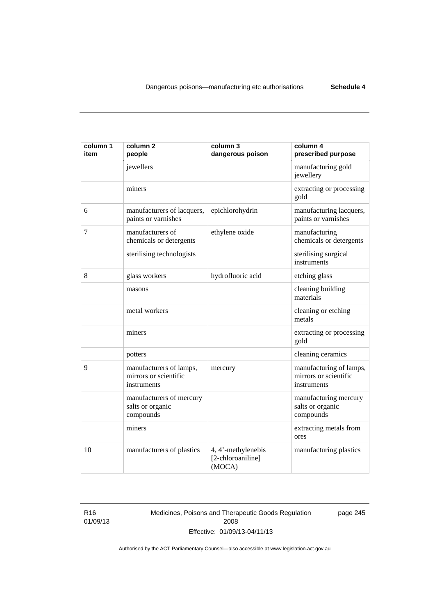| column 1<br>item | column <sub>2</sub><br>people                                   | column 3<br>dangerous poison                      | column 4<br>prescribed purpose                                  |
|------------------|-----------------------------------------------------------------|---------------------------------------------------|-----------------------------------------------------------------|
|                  | jewellers                                                       |                                                   | manufacturing gold<br>jewellery                                 |
|                  | miners                                                          |                                                   | extracting or processing<br>gold                                |
| 6                | manufacturers of lacquers,<br>paints or varnishes               | epichlorohydrin                                   | manufacturing lacquers,<br>paints or varnishes                  |
| 7                | manufacturers of<br>chemicals or detergents                     | ethylene oxide                                    | manufacturing<br>chemicals or detergents                        |
|                  | sterilising technologists                                       |                                                   | sterilising surgical<br>instruments                             |
| 8                | glass workers                                                   | hydrofluoric acid                                 | etching glass                                                   |
|                  | masons                                                          |                                                   | cleaning building<br>materials                                  |
|                  | metal workers                                                   |                                                   | cleaning or etching<br>metals                                   |
|                  | miners                                                          |                                                   | extracting or processing<br>gold                                |
|                  | potters                                                         |                                                   | cleaning ceramics                                               |
| 9                | manufacturers of lamps,<br>mirrors or scientific<br>instruments | mercury                                           | manufacturing of lamps,<br>mirrors or scientific<br>instruments |
|                  | manufacturers of mercury<br>salts or organic<br>compounds       |                                                   | manufacturing mercury<br>salts or organic<br>compounds          |
|                  | miners                                                          |                                                   | extracting metals from<br>ores                                  |
| 10               | manufacturers of plastics                                       | 4, 4'-methylenebis<br>[2-chloroaniline]<br>(MOCA) | manufacturing plastics                                          |

R16 01/09/13 Medicines, Poisons and Therapeutic Goods Regulation 2008 Effective: 01/09/13-04/11/13

page 245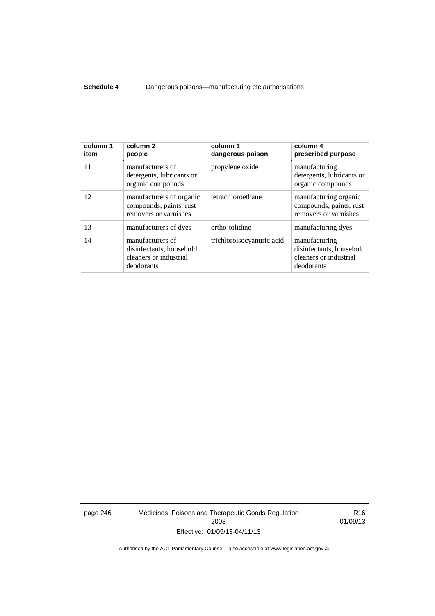### **Schedule 4** Dangerous poisons—manufacturing etc authorisations

| column 1<br>item | column 2<br>people                                                                   | column 3<br>dangerous poison | column 4<br>prescribed purpose                                                    |
|------------------|--------------------------------------------------------------------------------------|------------------------------|-----------------------------------------------------------------------------------|
| 11               | manufacturers of<br>detergents, lubricants or<br>organic compounds                   | propylene oxide              | manufacturing<br>detergents, lubricants or<br>organic compounds                   |
| 12               | manufacturers of organic<br>compounds, paints, rust<br>removers or varnishes         | tetrachloroethane            | manufacturing organic<br>compounds, paints, rust<br>removers or varnishes         |
| 13               | manufacturers of dyes                                                                | ortho-tolidine               | manufacturing dyes                                                                |
| 14               | manufacturers of<br>disinfectants, household<br>cleaners or industrial<br>deodorants | trichloroisocyanuric acid    | manufacturing<br>disinfectants, household<br>cleaners or industrial<br>deodorants |

page 246 Medicines, Poisons and Therapeutic Goods Regulation 2008 Effective: 01/09/13-04/11/13

R16 01/09/13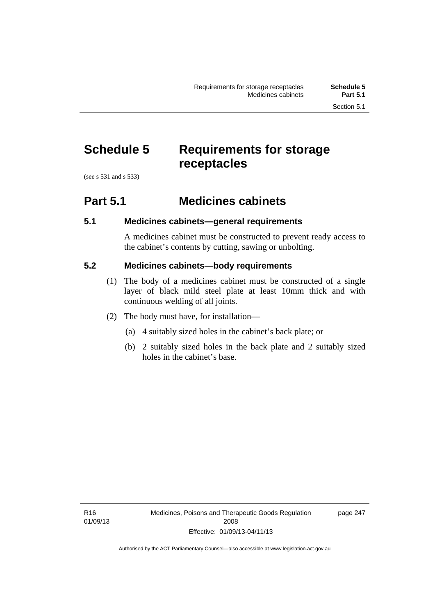# **Schedule 5 Requirements for storage receptacles**

(see s 531 and s 533)

# **Part 5.1 Medicines cabinets**

# **5.1 Medicines cabinets—general requirements**

A medicines cabinet must be constructed to prevent ready access to the cabinet's contents by cutting, sawing or unbolting.

### **5.2 Medicines cabinets—body requirements**

- (1) The body of a medicines cabinet must be constructed of a single layer of black mild steel plate at least 10mm thick and with continuous welding of all joints.
- (2) The body must have, for installation—
	- (a) 4 suitably sized holes in the cabinet's back plate; or
	- (b) 2 suitably sized holes in the back plate and 2 suitably sized holes in the cabinet's base.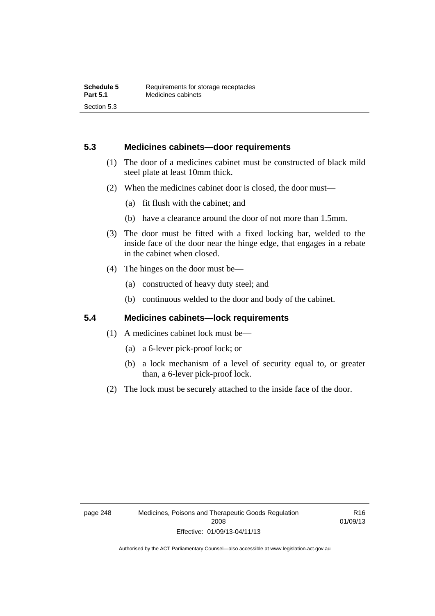### **5.3 Medicines cabinets—door requirements**

- (1) The door of a medicines cabinet must be constructed of black mild steel plate at least 10mm thick.
- (2) When the medicines cabinet door is closed, the door must—
	- (a) fit flush with the cabinet; and
	- (b) have a clearance around the door of not more than 1.5mm.
- (3) The door must be fitted with a fixed locking bar, welded to the inside face of the door near the hinge edge, that engages in a rebate in the cabinet when closed.
- (4) The hinges on the door must be—
	- (a) constructed of heavy duty steel; and
	- (b) continuous welded to the door and body of the cabinet.

### **5.4 Medicines cabinets—lock requirements**

- (1) A medicines cabinet lock must be—
	- (a) a 6-lever pick-proof lock; or
	- (b) a lock mechanism of a level of security equal to, or greater than, a 6-lever pick-proof lock.
- (2) The lock must be securely attached to the inside face of the door.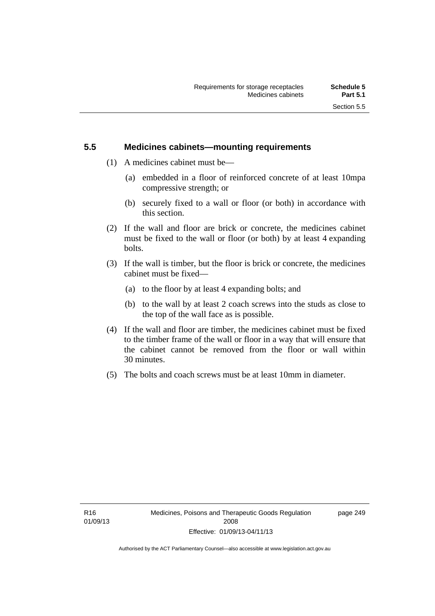## **5.5 Medicines cabinets—mounting requirements**

- (1) A medicines cabinet must be—
	- (a) embedded in a floor of reinforced concrete of at least 10mpa compressive strength; or
	- (b) securely fixed to a wall or floor (or both) in accordance with this section.
- (2) If the wall and floor are brick or concrete, the medicines cabinet must be fixed to the wall or floor (or both) by at least 4 expanding bolts.
- (3) If the wall is timber, but the floor is brick or concrete, the medicines cabinet must be fixed—
	- (a) to the floor by at least 4 expanding bolts; and
	- (b) to the wall by at least 2 coach screws into the studs as close to the top of the wall face as is possible.
- (4) If the wall and floor are timber, the medicines cabinet must be fixed to the timber frame of the wall or floor in a way that will ensure that the cabinet cannot be removed from the floor or wall within 30 minutes.
- (5) The bolts and coach screws must be at least 10mm in diameter.

page 249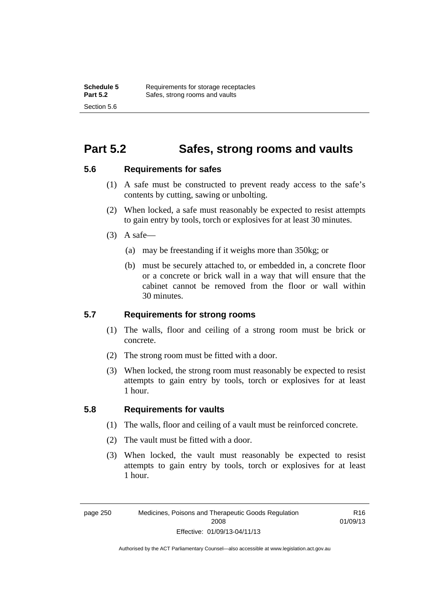# **Part 5.2 Safes, strong rooms and vaults**

### **5.6 Requirements for safes**

- (1) A safe must be constructed to prevent ready access to the safe's contents by cutting, sawing or unbolting.
- (2) When locked, a safe must reasonably be expected to resist attempts to gain entry by tools, torch or explosives for at least 30 minutes.
- $(3)$  A safe-
	- (a) may be freestanding if it weighs more than 350kg; or
	- (b) must be securely attached to, or embedded in, a concrete floor or a concrete or brick wall in a way that will ensure that the cabinet cannot be removed from the floor or wall within 30 minutes.

### **5.7 Requirements for strong rooms**

- (1) The walls, floor and ceiling of a strong room must be brick or concrete.
- (2) The strong room must be fitted with a door.
- (3) When locked, the strong room must reasonably be expected to resist attempts to gain entry by tools, torch or explosives for at least 1 hour.

### **5.8 Requirements for vaults**

- (1) The walls, floor and ceiling of a vault must be reinforced concrete.
- (2) The vault must be fitted with a door.
- (3) When locked, the vault must reasonably be expected to resist attempts to gain entry by tools, torch or explosives for at least 1 hour.

R16 01/09/13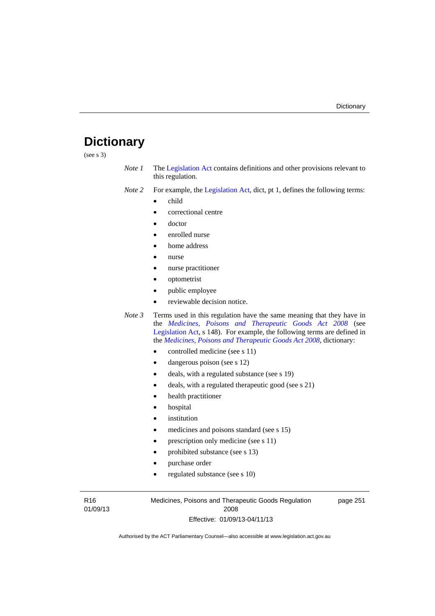# **Dictionary**

(see s 3)

- *Note 1* The [Legislation Act](http://www.legislation.act.gov.au/a/2001-14) contains definitions and other provisions relevant to this regulation.
- *Note 2* For example, the [Legislation Act,](http://www.legislation.act.gov.au/a/2001-14) dict, pt 1, defines the following terms:
	- child
	- correctional centre
	- doctor
	- enrolled nurse
	- home address
	- nurse
	- nurse practitioner
	- optometrist
	- public employee
	- reviewable decision notice.
- *Note 3* Terms used in this regulation have the same meaning that they have in the *[Medicines, Poisons and Therapeutic Goods Act 2008](http://www.legislation.act.gov.au/a/2008-26)* (see [Legislation Act,](http://www.legislation.act.gov.au/a/2001-14) s 148). For example, the following terms are defined in the *[Medicines, Poisons and Therapeutic Goods Act 2008](http://www.legislation.act.gov.au/a/2008-26)*, dictionary:
	- controlled medicine (see s 11)
	- dangerous poison (see s 12)
	- deals, with a regulated substance (see s 19)
	- deals, with a regulated therapeutic good (see s 21)
	- health practitioner
	- hospital
	- institution
	- medicines and poisons standard (see s 15)
	- prescription only medicine (see s 11)
	- prohibited substance (see s 13)
	- purchase order
	- regulated substance (see s 10)

R16 01/09/13 Medicines, Poisons and Therapeutic Goods Regulation 2008 Effective: 01/09/13-04/11/13

page 251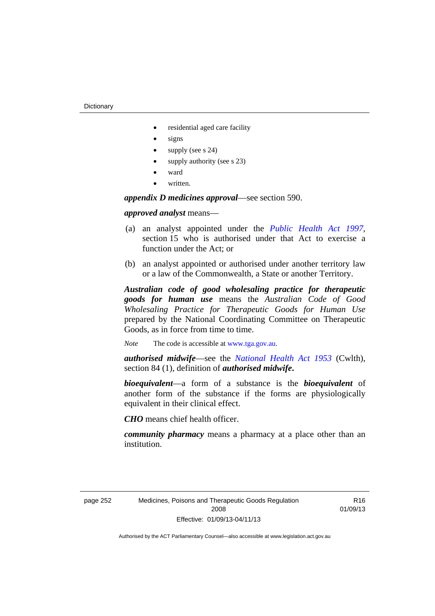- residential aged care facility
- signs
- supply (see s 24)
- supply authority (see s 23)
- ward
- written.

*appendix D medicines approval*—see section 590.

### *approved analyst* means—

- (a) an analyst appointed under the *[Public Health Act 1997](http://www.legislation.act.gov.au/a/1997-69)*, section 15 who is authorised under that Act to exercise a function under the Act; or
- (b) an analyst appointed or authorised under another territory law or a law of the Commonwealth, a State or another Territory.

*Australian code of good wholesaling practice for therapeutic goods for human use* means the *Australian Code of Good Wholesaling Practice for Therapeutic Goods for Human Use*  prepared by the National Coordinating Committee on Therapeutic Goods, as in force from time to time.

*Note* The code is accessible at [www.tga.gov.au](http://www.tga.gov.au/).

*authorised midwife*—see the *[National Health Act 1953](http://www.comlaw.gov.au/Series/C1953A00095)* (Cwlth), section 84 (1), definition of *authorised midwife***.**

*bioequivalent*—a form of a substance is the *bioequivalent* of another form of the substance if the forms are physiologically equivalent in their clinical effect.

*CHO* means chief health officer.

*community pharmacy* means a pharmacy at a place other than an institution.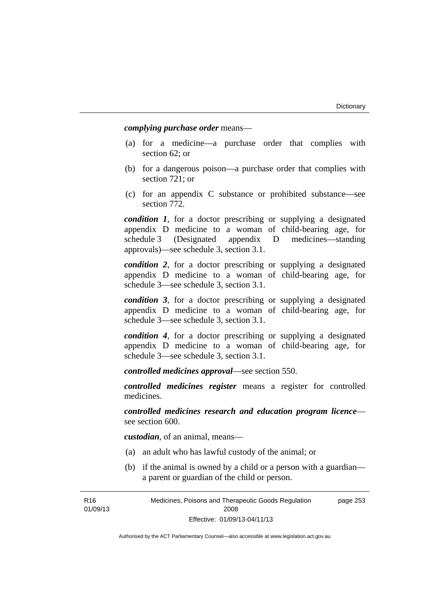*complying purchase order* means—

- (a) for a medicine—a purchase order that complies with section 62; or
- (b) for a dangerous poison—a purchase order that complies with section 721; or
- (c) for an appendix C substance or prohibited substance—see section 772.

*condition 1*, for a doctor prescribing or supplying a designated appendix D medicine to a woman of child-bearing age, for schedule 3 (Designated appendix D medicines—standing approvals)—see schedule 3, section 3.1.

*condition 2*, for a doctor prescribing or supplying a designated appendix D medicine to a woman of child-bearing age, for schedule 3—see schedule 3, section 3.1.

*condition 3*, for a doctor prescribing or supplying a designated appendix D medicine to a woman of child-bearing age, for schedule 3—see schedule 3, section 3.1.

*condition 4*, for a doctor prescribing or supplying a designated appendix D medicine to a woman of child-bearing age, for schedule 3—see schedule 3, section 3.1.

*controlled medicines approval*—see section 550.

*controlled medicines register* means a register for controlled medicines.

*controlled medicines research and education program licence* see section 600.

*custodian*, of an animal, means—

- (a) an adult who has lawful custody of the animal; or
- (b) if the animal is owned by a child or a person with a guardian a parent or guardian of the child or person.

R16 01/09/13 Medicines, Poisons and Therapeutic Goods Regulation 2008 Effective: 01/09/13-04/11/13 page 253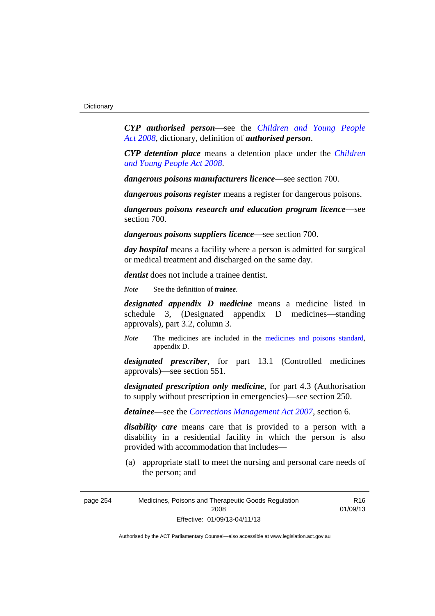*CYP authorised person*—see the *[Children and Young People](http://www.legislation.act.gov.au/a/2008-19)  [Act 2008](http://www.legislation.act.gov.au/a/2008-19)*, dictionary, definition of *authorised person*.

*CYP detention place* means a detention place under the *[Children](http://www.legislation.act.gov.au/a/2008-19)  [and Young People Act 2008](http://www.legislation.act.gov.au/a/2008-19)*.

*dangerous poisons manufacturers licence*—see section 700.

*dangerous poisons register* means a register for dangerous poisons.

*dangerous poisons research and education program licence*—see section 700.

*dangerous poisons suppliers licence*—see section 700.

*day hospital* means a facility where a person is admitted for surgical or medical treatment and discharged on the same day.

*dentist* does not include a trainee dentist.

*Note* See the definition of *trainee*.

*designated appendix D medicine* means a medicine listed in schedule 3, (Designated appendix D medicines—standing approvals), part 3.2, column 3.

*Note* The medicines are included in the [medicines and poisons standard,](http://www.comlaw.gov.au/Series/F2012L01200) appendix D.

*designated prescriber*, for part 13.1 (Controlled medicines approvals)—see section 551.

*designated prescription only medicine*, for part 4.3 (Authorisation to supply without prescription in emergencies)—see section 250.

*detainee*—see the *[Corrections Management Act 2007](http://www.legislation.act.gov.au/a/2007-15)*, section 6.

*disability care* means care that is provided to a person with a disability in a residential facility in which the person is also provided with accommodation that includes—

 (a) appropriate staff to meet the nursing and personal care needs of the person; and

R16 01/09/13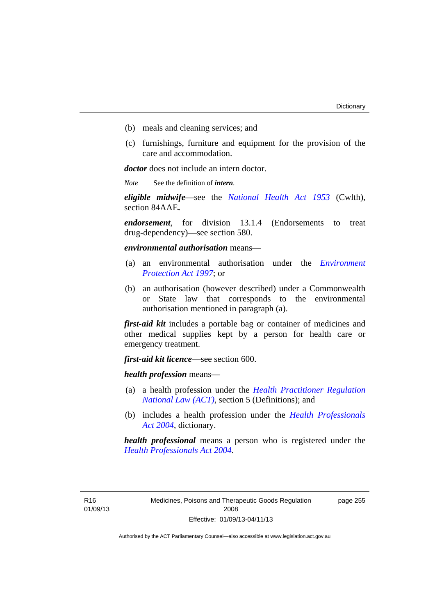- (b) meals and cleaning services; and
- (c) furnishings, furniture and equipment for the provision of the care and accommodation.

*doctor* does not include an intern doctor.

*Note* See the definition of *intern*.

*eligible midwife*—see the *[National Health Act 1953](http://www.comlaw.gov.au/Series/C1953A00095)* (Cwlth), section 84AAE**.**

*endorsement*, for division 13.1.4 (Endorsements to treat drug-dependency)—see section 580.

*environmental authorisation* means—

- (a) an environmental authorisation under the *[Environment](http://www.legislation.act.gov.au/a/1997-92)  [Protection Act 1997](http://www.legislation.act.gov.au/a/1997-92)*; or
- (b) an authorisation (however described) under a Commonwealth or State law that corresponds to the environmental authorisation mentioned in paragraph (a).

*first-aid kit* includes a portable bag or container of medicines and other medical supplies kept by a person for health care or emergency treatment.

*first-aid kit licence*—see section 600.

*health profession* means—

- (a) a health profession under the *[Health Practitioner Regulation](http://www.legislation.act.gov.au/a/db_39269/default.asp)  [National Law \(ACT\)](http://www.legislation.act.gov.au/a/db_39269/default.asp)*, section 5 (Definitions); and
- (b) includes a health profession under the *[Health Professionals](http://www.legislation.act.gov.au/a/2004-38)  [Act 2004](http://www.legislation.act.gov.au/a/2004-38)*, dictionary.

*health professional* means a person who is registered under the *[Health Professionals Act 2004](http://www.legislation.act.gov.au/a/2004-38)*.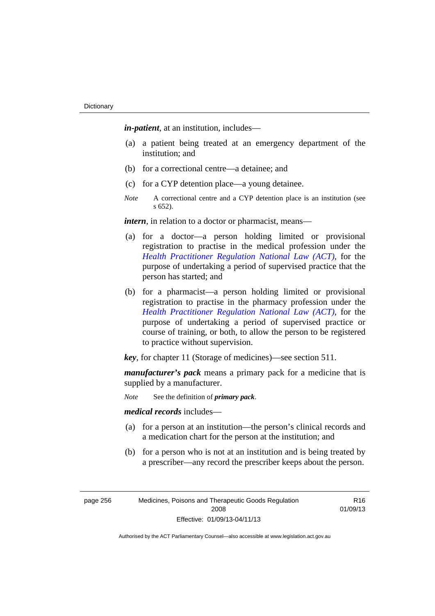*in-patient*, at an institution, includes—

- (a) a patient being treated at an emergency department of the institution; and
- (b) for a correctional centre—a detainee; and
- (c) for a CYP detention place—a young detainee.
- *Note* A correctional centre and a CYP detention place is an institution (see s 652).

*intern*, in relation to a doctor or pharmacist, means—

- (a) for a doctor—a person holding limited or provisional registration to practise in the medical profession under the *[Health Practitioner Regulation National Law \(ACT\)](http://www.legislation.act.gov.au/a/db_39269/default.asp)*, for the purpose of undertaking a period of supervised practice that the person has started; and
- (b) for a pharmacist—a person holding limited or provisional registration to practise in the pharmacy profession under the *[Health Practitioner Regulation National Law \(ACT\)](http://www.legislation.act.gov.au/a/db_39269/default.asp)*, for the purpose of undertaking a period of supervised practice or course of training, or both, to allow the person to be registered to practice without supervision.

*key*, for chapter 11 (Storage of medicines)—see section 511.

*manufacturer's pack* means a primary pack for a medicine that is supplied by a manufacturer.

*Note* See the definition of *primary pack*.

*medical records* includes—

- (a) for a person at an institution—the person's clinical records and a medication chart for the person at the institution; and
- (b) for a person who is not at an institution and is being treated by a prescriber—any record the prescriber keeps about the person.

| page 256 | Medicines, Poisons and Therapeutic Goods Regulation |
|----------|-----------------------------------------------------|
|          | 2008                                                |
|          | Effective: 01/09/13-04/11/13                        |

R16 01/09/13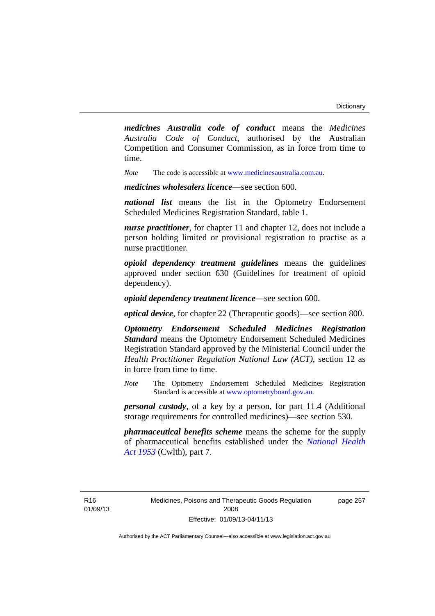*medicines Australia code of conduct* means the *Medicines Australia Code of Conduct*, authorised by the Australian Competition and Consumer Commission, as in force from time to time.

*Note* The code is accessible at [www.medicinesaustralia.com.au.](http://www.medicinesaustralia.com.au/)

*medicines wholesalers licence*—see section 600.

*national list* means the list in the Optometry Endorsement Scheduled Medicines Registration Standard, table 1.

*nurse practitioner*, for chapter 11 and chapter 12, does not include a person holding limited or provisional registration to practise as a nurse practitioner.

*opioid dependency treatment guidelines* means the guidelines approved under section 630 (Guidelines for treatment of opioid dependency).

*opioid dependency treatment licence*—see section 600.

*optical device*, for chapter 22 (Therapeutic goods)—see section 800.

*Optometry Endorsement Scheduled Medicines Registration Standard* means the Optometry Endorsement Scheduled Medicines Registration Standard approved by the Ministerial Council under the *Health Practitioner Regulation National Law (ACT)*, section 12 as in force from time to time.

*Note* The Optometry Endorsement Scheduled Medicines Registration Standard is accessible at [www.optometryboard.gov.au](http://www.optometryboard.gov.au/).

*personal custody*, of a key by a person, for part 11.4 (Additional storage requirements for controlled medicines)—see section 530.

*pharmaceutical benefits scheme* means the scheme for the supply of pharmaceutical benefits established under the *[National Health](http://www.comlaw.gov.au/Series/C1953A00095)  [Act 1953](http://www.comlaw.gov.au/Series/C1953A00095)* (Cwlth), part 7.

page 257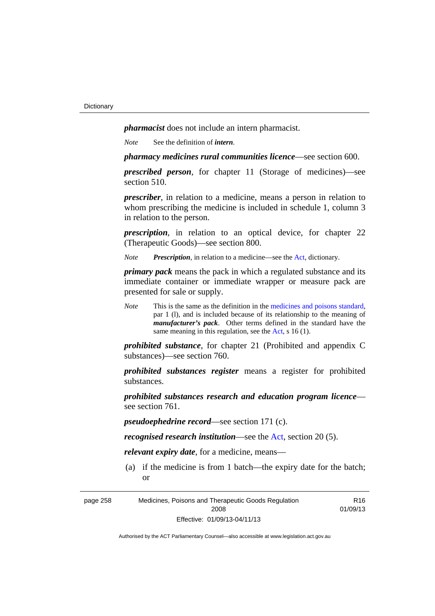*pharmacist* does not include an intern pharmacist.

*Note* See the definition of *intern*.

*pharmacy medicines rural communities licence*—see section 600.

*prescribed person*, for chapter 11 (Storage of medicines)—see section 510.

*prescriber*, in relation to a medicine, means a person in relation to whom prescribing the medicine is included in schedule 1, column 3 in relation to the person.

*prescription*, in relation to an optical device, for chapter 22 (Therapeutic Goods)—see section 800.

*Note Prescription*, in relation to a medicine—see the [Act](http://www.legislation.act.gov.au/a/2008-26/default.asp), dictionary.

*primary pack* means the pack in which a regulated substance and its immediate container or immediate wrapper or measure pack are presented for sale or supply.

*Note* This is the same as the definition in the [medicines and poisons standard,](http://www.comlaw.gov.au/Series/F2012L01200) par 1 (l), and is included because of its relationship to the meaning of *manufacturer's pack*. Other terms defined in the standard have the same meaning in this regulation, see the [Act](http://www.legislation.act.gov.au/a/2008-26/default.asp), s 16 (1).

*prohibited substance*, for chapter 21 (Prohibited and appendix C substances)—see section 760.

*prohibited substances register* means a register for prohibited substances.

*prohibited substances research and education program licence* see section 761.

*pseudoephedrine record*—see section 171 (c).

*recognised research institution*—see the [Act](http://www.legislation.act.gov.au/a/2008-26/default.asp), section 20 (5).

*relevant expiry date*, for a medicine, means—

 (a) if the medicine is from 1 batch—the expiry date for the batch; or

R16

page 258 Medicines, Poisons and Therapeutic Goods Regulation 2008 Effective: 01/09/13-04/11/13 01/09/13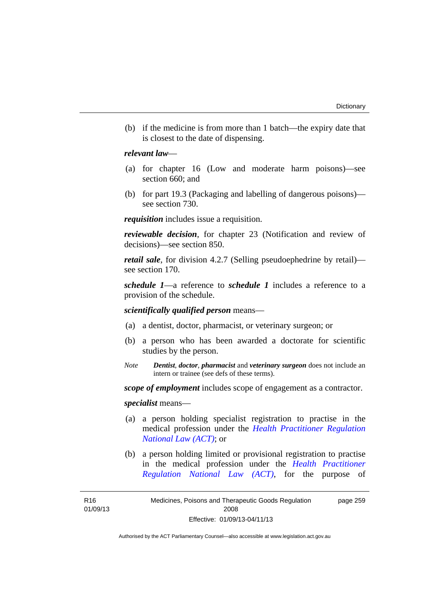(b) if the medicine is from more than 1 batch—the expiry date that is closest to the date of dispensing.

### *relevant law*—

- (a) for chapter 16 (Low and moderate harm poisons)—see section 660; and
- (b) for part 19.3 (Packaging and labelling of dangerous poisons) see section 730.

*requisition* includes issue a requisition.

*reviewable decision*, for chapter 23 (Notification and review of decisions)—see section 850.

*retail sale*, for division 4.2.7 (Selling pseudoephedrine by retail) see section 170.

*schedule 1*—a reference to *schedule 1* includes a reference to a provision of the schedule.

*scientifically qualified person* means—

- (a) a dentist, doctor, pharmacist, or veterinary surgeon; or
- (b) a person who has been awarded a doctorate for scientific studies by the person.
- *Note Dentist*, *doctor*, *pharmacist* and *veterinary surgeon* does not include an intern or trainee (see defs of these terms).

*scope of employment* includes scope of engagement as a contractor.

*specialist* means—

- (a) a person holding specialist registration to practise in the medical profession under the *[Health Practitioner Regulation](http://www.legislation.act.gov.au/a/db_39269/default.asp)  [National Law \(ACT\)](http://www.legislation.act.gov.au/a/db_39269/default.asp)*; or
- (b) a person holding limited or provisional registration to practise in the medical profession under the *[Health Practitioner](http://www.legislation.act.gov.au/a/db_39269/default.asp)  [Regulation National Law \(ACT\)](http://www.legislation.act.gov.au/a/db_39269/default.asp)*, for the purpose of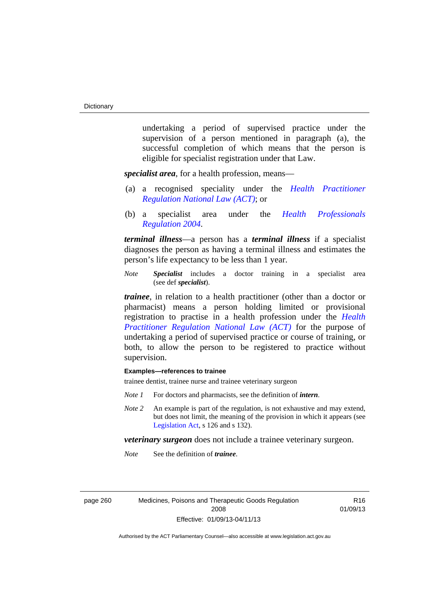undertaking a period of supervised practice under the supervision of a person mentioned in paragraph (a), the successful completion of which means that the person is eligible for specialist registration under that Law.

*specialist area*, for a health profession, means—

- (a) a recognised speciality under the *[Health Practitioner](http://www.legislation.act.gov.au/a/db_39269/default.asp)  [Regulation National Law \(ACT\)](http://www.legislation.act.gov.au/a/db_39269/default.asp)*; or
- (b) a specialist area under the *[Health Professionals](http://www.legislation.act.gov.au/sl/2004-41)  [Regulation 2004](http://www.legislation.act.gov.au/sl/2004-41)*.

*terminal illness*—a person has a *terminal illness* if a specialist diagnoses the person as having a terminal illness and estimates the person's life expectancy to be less than 1 year.

*Note Specialist* includes a doctor training in a specialist area (see def *specialist*).

*trainee*, in relation to a health practitioner (other than a doctor or pharmacist) means a person holding limited or provisional registration to practise in a health profession under the *[Health](http://www.legislation.act.gov.au/a/db_39269/default.asp)  [Practitioner Regulation National Law \(ACT\)](http://www.legislation.act.gov.au/a/db_39269/default.asp)* for the purpose of undertaking a period of supervised practice or course of training, or both, to allow the person to be registered to practice without supervision.

### **Examples—references to trainee**

trainee dentist, trainee nurse and trainee veterinary surgeon

- *Note 1* For doctors and pharmacists, see the definition of *intern*.
- *Note 2* An example is part of the regulation, is not exhaustive and may extend, but does not limit, the meaning of the provision in which it appears (see [Legislation Act,](http://www.legislation.act.gov.au/a/2001-14) s 126 and s 132).

*veterinary surgeon* does not include a trainee veterinary surgeon.

*Note* See the definition of *trainee*.

page 260 Medicines, Poisons and Therapeutic Goods Regulation 2008 Effective: 01/09/13-04/11/13

R16 01/09/13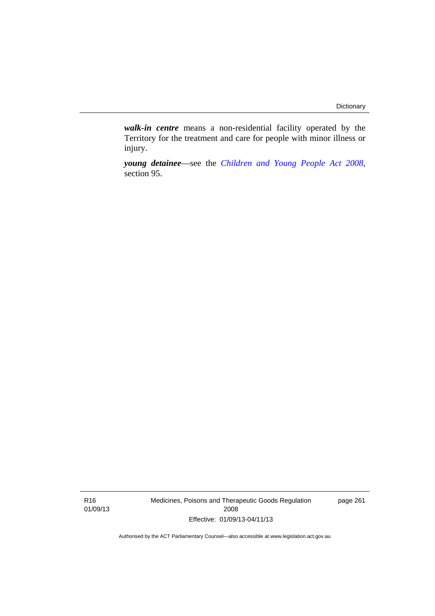*walk-in centre* means a non-residential facility operated by the Territory for the treatment and care for people with minor illness or injury.

*young detainee*—see the *[Children and Young People Act 2008](http://www.legislation.act.gov.au/a/2008-19)*, section 95.

R16 01/09/13 Medicines, Poisons and Therapeutic Goods Regulation 2008 Effective: 01/09/13-04/11/13

page 261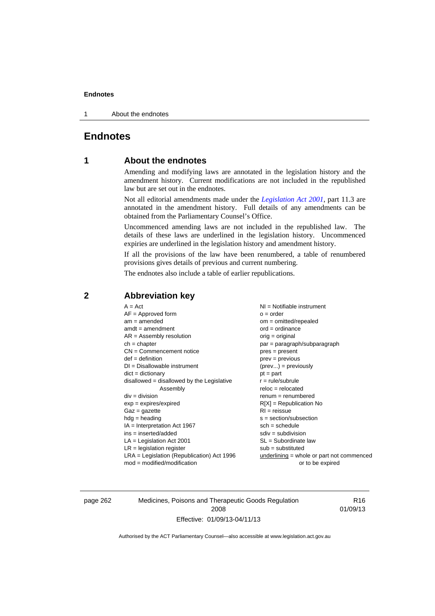#### **Endnotes**

1 About the endnotes

# **Endnotes**

## **1 About the endnotes**

Amending and modifying laws are annotated in the legislation history and the amendment history. Current modifications are not included in the republished law but are set out in the endnotes.

Not all editorial amendments made under the *[Legislation Act 2001](http://www.legislation.act.gov.au/a/2001-14)*, part 11.3 are annotated in the amendment history. Full details of any amendments can be obtained from the Parliamentary Counsel's Office.

Uncommenced amending laws are not included in the republished law. The details of these laws are underlined in the legislation history. Uncommenced expiries are underlined in the legislation history and amendment history.

If all the provisions of the law have been renumbered, a table of renumbered provisions gives details of previous and current numbering.

The endnotes also include a table of earlier republications.

| $A = Act$<br>$AF =$ Approved form<br>$am = amended$<br>$amdt = amendment$<br>$AR = Assembly resolution$<br>$ch = chapter$<br>$CN =$ Commencement notice<br>$def = definition$<br>$DI = Disallowable instrument$<br>$dict = dictionary$<br>disallowed = disallowed by the Legislative<br>Assembly<br>$div = division$<br>$exp = expires/expired$<br>$Gaz = gazette$<br>$hdg = heading$<br>$IA = Interpretation Act 1967$<br>$ins = inserted/added$<br>$LA =$ Legislation Act 2001<br>$LR =$ legislation register | NI = Notifiable instrument<br>$o = order$<br>$om = omitted/repealed$<br>$ord = ordinance$<br>$orig = original$<br>par = paragraph/subparagraph<br>$pres = present$<br>$prev = previous$<br>$(\text{prev}) = \text{previously}$<br>$pt = part$<br>$r = rule/subrule$<br>$reloc = relocated$<br>$renum = renumbered$<br>$R[X]$ = Republication No<br>$RI = reissue$<br>$s = section/subsection$<br>$sch = schedule$<br>$sdiv = subdivision$<br>$SL = Subordinate$ law<br>$sub =$ substituted |
|-----------------------------------------------------------------------------------------------------------------------------------------------------------------------------------------------------------------------------------------------------------------------------------------------------------------------------------------------------------------------------------------------------------------------------------------------------------------------------------------------------------------|--------------------------------------------------------------------------------------------------------------------------------------------------------------------------------------------------------------------------------------------------------------------------------------------------------------------------------------------------------------------------------------------------------------------------------------------------------------------------------------------|
| $LRA =$ Legislation (Republication) Act 1996<br>$mod = modified/modification$                                                                                                                                                                                                                                                                                                                                                                                                                                   | underlining = whole or part not commenced<br>or to be expired                                                                                                                                                                                                                                                                                                                                                                                                                              |
|                                                                                                                                                                                                                                                                                                                                                                                                                                                                                                                 |                                                                                                                                                                                                                                                                                                                                                                                                                                                                                            |

### **2 Abbreviation key**

page 262 Medicines, Poisons and Therapeutic Goods Regulation 2008 Effective: 01/09/13-04/11/13

R16 01/09/13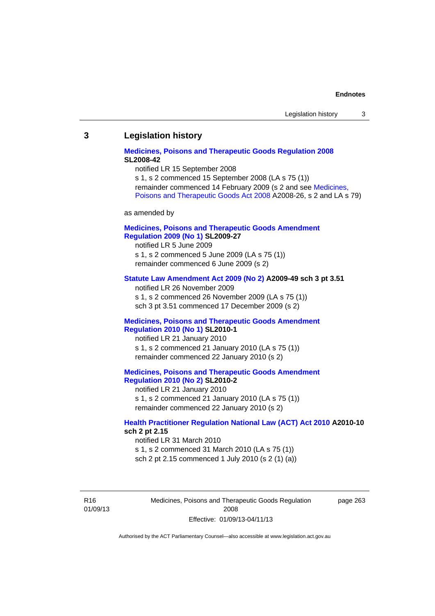#### **Endnotes**

### **3 Legislation history**

### **[Medicines, Poisons and Therapeutic Goods Regulation 2008](http://www.legislation.act.gov.au/sl/2008-42) SL2008-42**

notified LR 15 September 2008

s 1, s 2 commenced 15 September 2008 (LA s 75 (1)) remainder commenced 14 February 2009 (s 2 and see [Medicines,](http://www.legislation.act.gov.au/a/2008-26)  [Poisons and Therapeutic Goods Act 2008](http://www.legislation.act.gov.au/a/2008-26) A2008-26, s 2 and LA s 79)

as amended by

### **[Medicines, Poisons and Therapeutic Goods Amendment](http://www.legislation.act.gov.au/sl/2009-27)  [Regulation 2009 \(No 1\)](http://www.legislation.act.gov.au/sl/2009-27) SL2009-27**

notified LR 5 June 2009 s 1, s 2 commenced 5 June 2009 (LA s 75 (1)) remainder commenced 6 June 2009 (s 2)

#### **[Statute Law Amendment Act 2009 \(No 2\)](http://www.legislation.act.gov.au/a/2009-49) A2009-49 sch 3 pt 3.51**

notified LR 26 November 2009 s 1, s 2 commenced 26 November 2009 (LA s 75 (1)) sch 3 pt 3.51 commenced 17 December 2009 (s 2)

#### **[Medicines, Poisons and Therapeutic Goods Amendment](http://www.legislation.act.gov.au/sl/2010-1)  [Regulation 2010 \(No 1\)](http://www.legislation.act.gov.au/sl/2010-1) SL2010-1**

notified LR 21 January 2010 s 1, s 2 commenced 21 January 2010 (LA s 75 (1)) remainder commenced 22 January 2010 (s 2)

#### **[Medicines, Poisons and Therapeutic Goods Amendment](http://www.legislation.act.gov.au/sl/2010-2)  [Regulation 2010 \(No 2\)](http://www.legislation.act.gov.au/sl/2010-2) SL2010-2**

notified LR 21 January 2010 s 1, s 2 commenced 21 January 2010 (LA s 75 (1)) remainder commenced 22 January 2010 (s 2)

#### **[Health Practitioner Regulation National Law \(ACT\) Act 2010](http://www.legislation.act.gov.au/a/2010-10) A2010-10 sch 2 pt 2.15**

notified LR 31 March 2010 s 1, s 2 commenced 31 March 2010 (LA s 75 (1)) sch 2 pt 2.15 commenced 1 July 2010 (s 2 (1) (a))

R16 01/09/13 Medicines, Poisons and Therapeutic Goods Regulation 2008 Effective: 01/09/13-04/11/13

page 263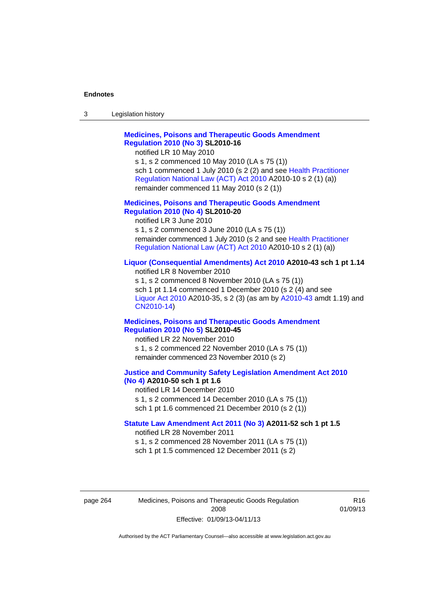#### **Endnotes**

| 3 | Legislation history |  |
|---|---------------------|--|
|---|---------------------|--|

### **[Medicines, Poisons and Therapeutic Goods Amendment](http://www.legislation.act.gov.au/sl/2010-16)  [Regulation 2010 \(No 3\)](http://www.legislation.act.gov.au/sl/2010-16) SL2010-16**

notified LR 10 May 2010

s 1, s 2 commenced 10 May 2010 (LA s 75 (1)) sch 1 commenced 1 July 2010 (s 2 (2) and see [Health Practitioner](http://www.legislation.act.gov.au/a/2010-10)  [Regulation National Law \(ACT\) Act 2010](http://www.legislation.act.gov.au/a/2010-10) A2010-10 s 2 (1) (a)) remainder commenced 11 May 2010 (s 2 (1))

#### **[Medicines, Poisons and Therapeutic Goods Amendment](http://www.legislation.act.gov.au/sl/2010-20)  [Regulation 2010 \(No 4\)](http://www.legislation.act.gov.au/sl/2010-20) SL2010-20**

notified LR 3 June 2010 s 1, s 2 commenced 3 June 2010 (LA s 75 (1)) remainder commenced 1 July 2010 (s 2 and see [Health Practitioner](http://www.legislation.act.gov.au/a/2010-10)  [Regulation National Law \(ACT\) Act 2010](http://www.legislation.act.gov.au/a/2010-10) A2010-10 s 2 (1) (a))

#### **[Liquor \(Consequential Amendments\) Act 2010](http://www.legislation.act.gov.au/a/2010-43) A2010-43 sch 1 pt 1.14**

notified LR 8 November 2010 s 1, s 2 commenced 8 November 2010 (LA s 75 (1)) sch 1 pt 1.14 commenced 1 December 2010 (s 2 (4) and see [Liquor Act 2010](http://www.legislation.act.gov.au/a/2010-35) A2010-35, s 2 (3) (as am by [A2010-43](http://www.legislation.act.gov.au/a/2010-43) amdt 1.19) and [CN2010-14](http://www.legislation.act.gov.au/cn/2010-14/default.asp))

#### **[Medicines, Poisons and Therapeutic Goods Amendment](http://www.legislation.act.gov.au/sl/2010-45)  [Regulation 2010 \(No 5\)](http://www.legislation.act.gov.au/sl/2010-45) SL2010-45**

notified LR 22 November 2010 s 1, s 2 commenced 22 November 2010 (LA s 75 (1)) remainder commenced 23 November 2010 (s 2)

#### **[Justice and Community Safety Legislation Amendment Act 2010](http://www.legislation.act.gov.au/a/2010-50)  [\(No 4\)](http://www.legislation.act.gov.au/a/2010-50) A2010-50 sch 1 pt 1.6**

notified LR 14 December 2010 s 1, s 2 commenced 14 December 2010 (LA s 75 (1)) sch 1 pt 1.6 commenced 21 December 2010 (s 2 (1))

#### **[Statute Law Amendment Act 2011 \(No 3\)](http://www.legislation.act.gov.au/a/2011-52) A2011-52 sch 1 pt 1.5**  notified LR 28 November 2011

s 1, s 2 commenced 28 November 2011 (LA s 75 (1)) sch 1 pt 1.5 commenced 12 December 2011 (s 2)

page 264 Medicines, Poisons and Therapeutic Goods Regulation 2008 Effective: 01/09/13-04/11/13

R16 01/09/13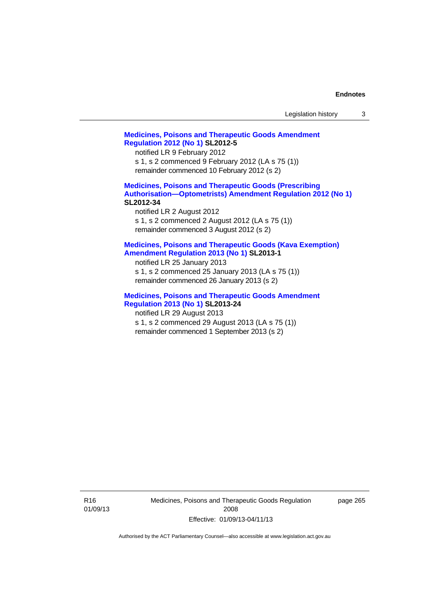| Legislation history |  |
|---------------------|--|
|---------------------|--|

## **[Medicines, Poisons and Therapeutic Goods Amendment](http://www.legislation.act.gov.au/sl/2012-5)  [Regulation 2012 \(No 1\)](http://www.legislation.act.gov.au/sl/2012-5) SL2012-5**  notified LR 9 February 2012

s 1, s 2 commenced 9 February 2012 (LA s 75 (1)) remainder commenced 10 February 2012 (s 2)

## **[Medicines, Poisons and Therapeutic Goods \(Prescribing](http://www.legislation.act.gov.au/sl/2012-34)  [Authorisation—Optometrists\) Amendment Regulation 2012 \(No 1\)](http://www.legislation.act.gov.au/sl/2012-34) SL2012-34**

notified LR 2 August 2012 s 1, s 2 commenced 2 August 2012 (LA s 75 (1)) remainder commenced 3 August 2012 (s 2)

## **[Medicines, Poisons and Therapeutic Goods \(Kava Exemption\)](http://www.legislation.act.gov.au/sl/2013-1/default.asp)  [Amendment Regulation 2013 \(No 1\)](http://www.legislation.act.gov.au/sl/2013-1/default.asp) SL2013-1**

notified LR 25 January 2013 s 1, s 2 commenced 25 January 2013 (LA s 75 (1)) remainder commenced 26 January 2013 (s 2)

## **[Medicines, Poisons and Therapeutic Goods Amendment](http://www.legislation.act.gov.au/sl/2013-24/default.asp)  [Regulation 2013 \(No 1\)](http://www.legislation.act.gov.au/sl/2013-24/default.asp) SL2013-24**

notified LR 29 August 2013 s 1, s 2 commenced 29 August 2013 (LA s 75 (1)) remainder commenced 1 September 2013 (s 2)

R16 01/09/13 Medicines, Poisons and Therapeutic Goods Regulation 2008 Effective: 01/09/13-04/11/13

page 265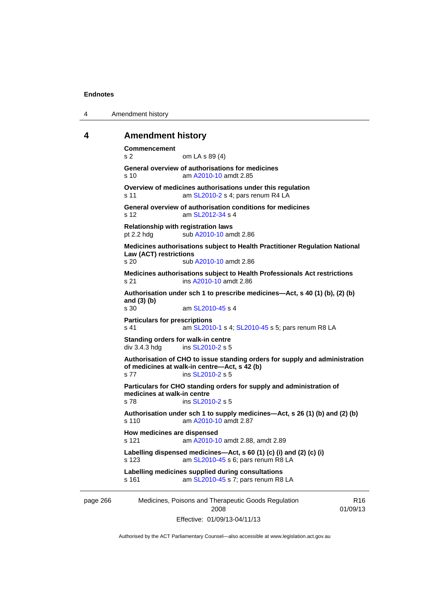4 Amendment history

## **4 Amendment history**

page 266 Medicines, Poisons and Therapeutic Goods Regulation 2008 R16 01/09/13 **Commencement**  s 2 om LA s 89 (4) **General overview of authorisations for medicines**  s 10 am [A2010-10](http://www.legislation.act.gov.au/a/2010-10) amdt 2.85 **Overview of medicines authorisations under this regulation**  s 11 **am [SL2010-2](http://www.legislation.act.gov.au/sl/2010-2) s 4; pars renum R4 LA General overview of authorisation conditions for medicines**  s 12 am [SL2012-34](http://www.legislation.act.gov.au/sl/2012-34) s 4 **Relationship with registration laws**  pt 2.2 hdg sub [A2010-10](http://www.legislation.act.gov.au/a/2010-10) amdt 2.86 **Medicines authorisations subject to Health Practitioner Regulation National Law (ACT) restrictions**  s 20 sub [A2010-10](http://www.legislation.act.gov.au/a/2010-10) amdt 2.86 **Medicines authorisations subject to Health Professionals Act restrictions**  s 21 ins [A2010-10](http://www.legislation.act.gov.au/a/2010-10) amdt 2.86 **Authorisation under sch 1 to prescribe medicines—Act, s 40 (1) (b), (2) (b) and (3) (b)**  am [SL2010-45](http://www.legislation.act.gov.au/sl/2010-45) s 4 **Particulars for prescriptions**  s 41 **am [SL2010-1](http://www.legislation.act.gov.au/sl/2010-1) s 4; [SL2010-45](http://www.legislation.act.gov.au/sl/2010-45) s 5; pars renum R8 LA Standing orders for walk-in centre**  div 3.4.3 hdg ins [SL2010-2](http://www.legislation.act.gov.au/sl/2010-2) s 5 **Authorisation of CHO to issue standing orders for supply and administration of medicines at walk-in centre—Act, s 42 (b)**  s 77 ins [SL2010-2](http://www.legislation.act.gov.au/sl/2010-2) s 5 **Particulars for CHO standing orders for supply and administration of medicines at walk-in centre**  s 78 ins [SL2010-2](http://www.legislation.act.gov.au/sl/2010-2) s 5 **Authorisation under sch 1 to supply medicines—Act, s 26 (1) (b) and (2) (b)**  s 110 am [A2010-10](http://www.legislation.act.gov.au/a/2010-10) amdt 2.87 **How medicines are dispensed**  s 121 am [A2010-10](http://www.legislation.act.gov.au/a/2010-10) amdt 2.88, amdt 2.89 **Labelling dispensed medicines—Act, s 60 (1) (c) (i) and (2) (c) (i)**  s 123 am [SL2010-45](http://www.legislation.act.gov.au/sl/2010-45) s 6; pars renum R8 LA **Labelling medicines supplied during consultations**  s 161 am [SL2010-45](http://www.legislation.act.gov.au/sl/2010-45) s 7; pars renum R8 LA

Effective: 01/09/13-04/11/13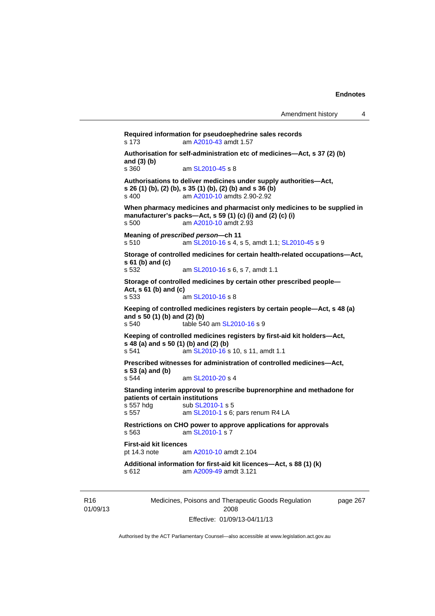**Required information for pseudoephedrine sales records**  s 173 am [A2010-43](http://www.legislation.act.gov.au/a/2010-43) amdt 1.57 **Authorisation for self-administration etc of medicines—Act, s 37 (2) (b) and (3) (b)**  am [SL2010-45](http://www.legislation.act.gov.au/sl/2010-45) s 8 **Authorisations to deliver medicines under supply authorities—Act, s 26 (1) (b), (2) (b), s 35 (1) (b), (2) (b) and s 36 (b)**  s 400 am [A2010-10](http://www.legislation.act.gov.au/a/2010-10) amdts 2.90-2.92 **When pharmacy medicines and pharmacist only medicines to be supplied in manufacturer's packs—Act, s 59 (1) (c) (i) and (2) (c) (i)**  s 500 am [A2010-10](http://www.legislation.act.gov.au/a/2010-10) amdt 2.93 **Meaning of** *prescribed person***—ch 11**  s 510 am [SL2010-16](http://www.legislation.act.gov.au/sl/2010-16) s 4, s 5, amdt 1.1; [SL2010-45](http://www.legislation.act.gov.au/sl/2010-45) s 9 **Storage of controlled medicines for certain health-related occupations—Act, s 61 (b) and (c)**<br>**s 532** am [SL2010-16](http://www.legislation.act.gov.au/sl/2010-16) s 6, s 7, amdt 1.1 **Storage of controlled medicines by certain other prescribed people— Act, s 61 (b) and (c)**  s 533 am [SL2010-16](http://www.legislation.act.gov.au/sl/2010-16) s 8 **Keeping of controlled medicines registers by certain people—Act, s 48 (a) and s 50 (1) (b) and (2) (b)**  s 540 table 540 am [SL2010-16](http://www.legislation.act.gov.au/sl/2010-16) s 9 **Keeping of controlled medicines registers by first-aid kit holders—Act, s 48 (a) and s 50 (1) (b) and (2) (b)**  s 541 **am [SL2010-16](http://www.legislation.act.gov.au/sl/2010-16) s 10, s 11, amdt 1.1 Prescribed witnesses for administration of controlled medicines—Act, s 53 (a) and (b)**  s 544 am [SL2010-20](http://www.legislation.act.gov.au/sl/2010-20) s 4 **Standing interim approval to prescribe buprenorphine and methadone for patients of certain institutions**<br>s 557 hdg sub SL2010 s 557 hdg sub [SL2010-1](http://www.legislation.act.gov.au/sl/2010-1) s 5<br>s 557 am SL2010-1 s 6: am [SL2010-1](http://www.legislation.act.gov.au/sl/2010-1) s 6; pars renum R4 LA **Restrictions on CHO power to approve applications for approvals**  s 563 am [SL2010-1](http://www.legislation.act.gov.au/sl/2010-1) s 7 **First-aid kit licences**<br>pt 14.3 note are am [A2010-10](http://www.legislation.act.gov.au/a/2010-10) amdt 2.104 **Additional information for first-aid kit licences—Act, s 88 (1) (k)**  s 612 am [A2009-49](http://www.legislation.act.gov.au/a/2009-49) amdt 3.121

R16 01/09/13 Medicines, Poisons and Therapeutic Goods Regulation 2008 Effective: 01/09/13-04/11/13

page 267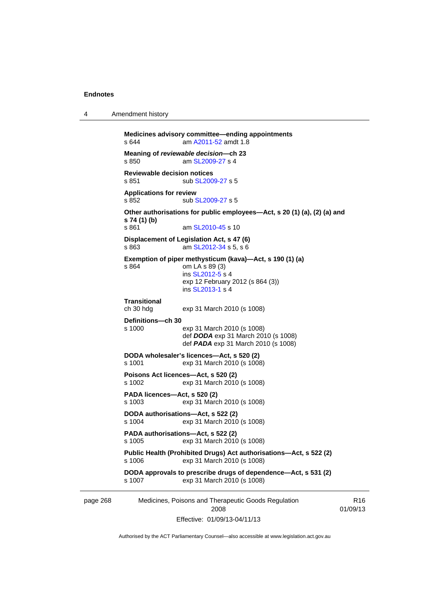4 Amendment history

```
page 268 Medicines, Poisons and Therapeutic Goods Regulation 
                                     2008 
                                                                               R16
           Medicines advisory committee—ending appointments 
           s 644 A2011-52 amdt 1.8
           Meaning of reviewable decision—ch 23 
                            SL2009-27 s 4
           Reviewable decision notices 
           SL2009-27 s 5
           Applications for review 
           SL2009-27 s 5
           Other authorisations for public employees—Act, s 20 (1) (a), (2) (a) and 
           s 74 (1) (b) 
                             SL2010-45 s 10
           Displacement of Legislation Act, s 47 (6) <br>s 863 am SL2012-34 s 5, s 6
                            SL2012-34 s 5, s 6
           Exemption of piper methysticum (kava)—Act, s 190 (1) (a) 
           s 864 om LA s 89 (3) 
                             ins SL2012-5 s 4
                            exp 12 February 2012 (s 864 (3)) 
                             ins SL2013-1 s 4
           Transitional 
                            exp 31 March 2010 (s 1008)
           Definitions—ch 30 
           s 1000 exp 31 March 2010 (s 1008) 
                             def DODA exp 31 March 2010 (s 1008) 
                             def PADA exp 31 March 2010 (s 1008) 
           DODA wholesaler's licences—Act, s 520 (2) 
           s 1001 exp 31 March 2010 (s 1008) 
           Poisons Act licences—Act, s 520 (2) 
                            exp 31 March 2010 (s 1008)
           PADA licences—Act, s 520 (2) 
           s 1003 exp 31 March 2010 (s 1008) 
           DODA authorisations—Act, s 522 (2) 
                            exp 31 March 2010 (s 1008)
           PADA authorisations—Act, s 522 (2) 
           s 1005 exp 31 March 2010 (s 1008) 
           Public Health (Prohibited Drugs) Act authorisations—Act, s 522 (2) 
           s 1006 exp 31 March 2010 (s 1008) 
           DODA approvals to prescribe drugs of dependence—Act, s 531 (2) 
           s 1007 exp 31 March 2010 (s 1008)
```
Effective: 01/09/13-04/11/13

01/09/13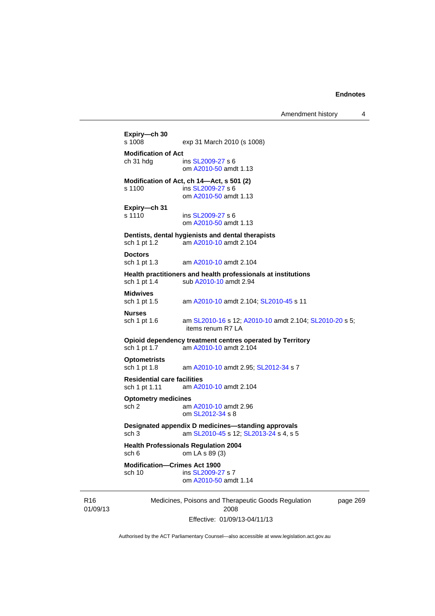Amendment history 4

```
Medicines, Poisons and Therapeutic Goods Regulation 
                            2008 
                  Effective: 01/09/13-04/11/13 
                                                            page 269 
Expiry—ch 30 
                exp 31 March 2010 (s 1008)
Modification of Act 
 SL2009-27 s 6
                 om A2010-50 amdt 1.13
Modification of Act, ch 14—Act, s 501 (2) 
s 1100 ins SL2009-27 s 6 
                 om A2010-50 amdt 1.13
Expiry—ch 31 
SL2009-27 s 6
                 om A2010-50 amdt 1.13
Dentists, dental hygienists and dental therapists 
sch 1 pt 1.2 am A2010-10 amdt 2.104
Doctors 
sch 1 pt 1.3 am A2010-10 amdt 2.104
Health practitioners and health professionals at institutions 
 A2010-10 amdt 2.94
Midwives 
sch 1 pt 1.5 am A2010-10 amdt 2.104; SL2010-45 s 11 
Nurses 
 SL2010-16A2010-10  SL2010-20 s 5;
                 items renum R7 LA 
Opioid dependency treatment centres operated by Territory 
sch 1 pt 1.7 am A2010-10 amdt 2.104
Optometrists 
sch 1 pt 1.8 am A2010-10 amdt 2.95; SL2012-34 s 7 
Residential care facilities 
sch 1 pt 1.11 am A2010-10 amdt 2.104
Optometry medicines 
sch 2 am A2010-10 amdt 2.96
                 om SL2012-34 s 8 
Designated appendix D medicines—standing approvals 
sch 3 am SL2010-45 s 12; SL2013-24 s 4, s 5 
Health Professionals Regulation 2004 
sch 6 om LA s 89 (3) 
Modification—Crimes Act 1900<br>sch 10 ins SL2009-2
                 SL2009-27 s 7
                 om A2010-50 amdt 1.14
```
Authorised by the ACT Parliamentary Counsel—also accessible at www.legislation.act.gov.au

R16 01/09/13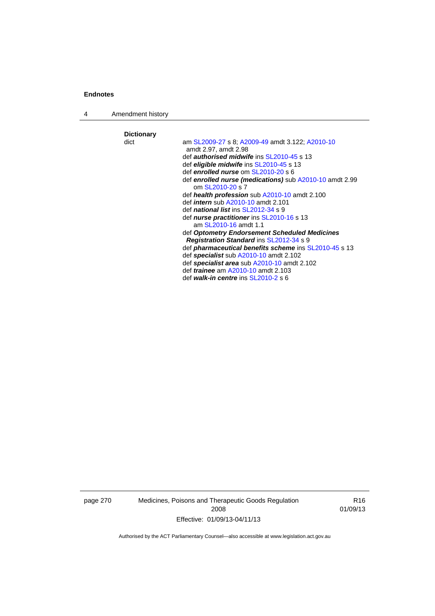4 Amendment history

**Dictionary**  am [SL2009-27](http://www.legislation.act.gov.au/sl/2009-27) s 8; [A2009-49](http://www.legislation.act.gov.au/a/2009-49) amdt 3.122; [A2010-10](http://www.legislation.act.gov.au/a/2010-10) amdt 2.97, amdt 2.98 def *authorised midwife* ins [SL2010-45](http://www.legislation.act.gov.au/sl/2010-45) s 13 def *eligible midwife* ins [SL2010-45](http://www.legislation.act.gov.au/sl/2010-45) s 13 def *enrolled nurse* om [SL2010-20](http://www.legislation.act.gov.au/sl/2010-20) s 6 def *enrolled nurse (medications)* sub [A2010-10](http://www.legislation.act.gov.au/a/2010-10) amdt 2.99 om [SL2010-20](http://www.legislation.act.gov.au/sl/2010-20) s 7 def *health profession* sub [A2010-10](http://www.legislation.act.gov.au/a/2010-10) amdt 2.100 def *intern* sub [A2010-10](http://www.legislation.act.gov.au/a/2010-10) amdt 2.101 def *national list* ins [SL2012-34](http://www.legislation.act.gov.au/sl/2012-34) s 9 def *nurse practitioner* ins [SL2010-16](http://www.legislation.act.gov.au/sl/2010-16) s 13 am [SL2010-16](http://www.legislation.act.gov.au/sl/2010-16) amdt 1.1 def *Optometry Endorsement Scheduled Medicines Registration Standard* ins [SL2012-34](http://www.legislation.act.gov.au/sl/2012-34) s 9 def *pharmaceutical benefits scheme* ins [SL2010-45](http://www.legislation.act.gov.au/sl/2010-45) s 13 def *specialist* sub [A2010-10](http://www.legislation.act.gov.au/a/2010-10) amdt 2.102 def *specialist area* sub [A2010-10](http://www.legislation.act.gov.au/a/2010-10) amdt 2.102 def *trainee* am [A2010-10](http://www.legislation.act.gov.au/a/2010-10) amdt 2.103 def *walk-in centre* ins [SL2010-2](http://www.legislation.act.gov.au/sl/2010-2) s 6

page 270 Medicines, Poisons and Therapeutic Goods Regulation 2008 Effective: 01/09/13-04/11/13

R16 01/09/13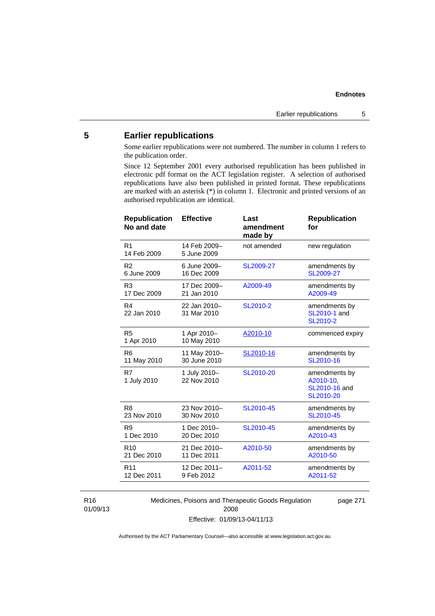# **5 Earlier republications**

Some earlier republications were not numbered. The number in column 1 refers to the publication order.

Since 12 September 2001 every authorised republication has been published in electronic pdf format on the ACT legislation register. A selection of authorised republications have also been published in printed format. These republications are marked with an asterisk (\*) in column 1. Electronic and printed versions of an authorised republication are identical.

| R <sub>1</sub><br>14 Feb 2009-<br>not amended<br>new regulation<br>14 Feb 2009<br>5 June 2009<br>R <sub>2</sub><br>6 June 2009-<br>SL2009-27<br>amendments by<br>6 June 2009<br>16 Dec 2009<br>SL2009-27<br>R <sub>3</sub><br>17 Dec 2009-<br>amendments by<br>A2009-49<br>17 Dec 2009<br>21 Jan 2010<br>A2009-49<br>R4<br>22 Jan 2010-<br>SL2010-2<br>amendments by<br>31 Mar 2010<br>SL2010-1 and<br>22 Jan 2010<br>SL2010-2 |
|--------------------------------------------------------------------------------------------------------------------------------------------------------------------------------------------------------------------------------------------------------------------------------------------------------------------------------------------------------------------------------------------------------------------------------|
|                                                                                                                                                                                                                                                                                                                                                                                                                                |
|                                                                                                                                                                                                                                                                                                                                                                                                                                |
|                                                                                                                                                                                                                                                                                                                                                                                                                                |
|                                                                                                                                                                                                                                                                                                                                                                                                                                |
| R <sub>5</sub><br>1 Apr 2010-<br>A2010-10<br>commenced expiry<br>10 May 2010<br>1 Apr 2010                                                                                                                                                                                                                                                                                                                                     |
| 11 May 2010-<br>SL2010-16<br>R <sub>6</sub><br>amendments by<br>30 June 2010<br>SL2010-16<br>11 May 2010                                                                                                                                                                                                                                                                                                                       |
| R7<br>1 July 2010-<br>SL2010-20<br>amendments by<br>22 Nov 2010<br>A2010-10.<br>1 July 2010<br>SL2010-16 and<br>SL2010-20                                                                                                                                                                                                                                                                                                      |
| 23 Nov 2010-<br>R <sub>8</sub><br>SL2010-45<br>amendments by<br>SL2010-45<br>23 Nov 2010<br>30 Nov 2010                                                                                                                                                                                                                                                                                                                        |
| R <sub>9</sub><br>1 Dec 2010-<br>SL2010-45<br>amendments by<br>1 Dec 2010<br>20 Dec 2010<br>A2010-43                                                                                                                                                                                                                                                                                                                           |
| 21 Dec 2010-<br>A2010-50<br>R <sub>10</sub><br>amendments by<br>21 Dec 2010<br>11 Dec 2011<br>A2010-50                                                                                                                                                                                                                                                                                                                         |
| 12 Dec 2011-<br>A2011-52<br>R <sub>11</sub><br>amendments by<br>12 Dec 2011<br>9 Feb 2012<br>A2011-52                                                                                                                                                                                                                                                                                                                          |

R16 01/09/13 Medicines, Poisons and Therapeutic Goods Regulation 2008 Effective: 01/09/13-04/11/13

page 271